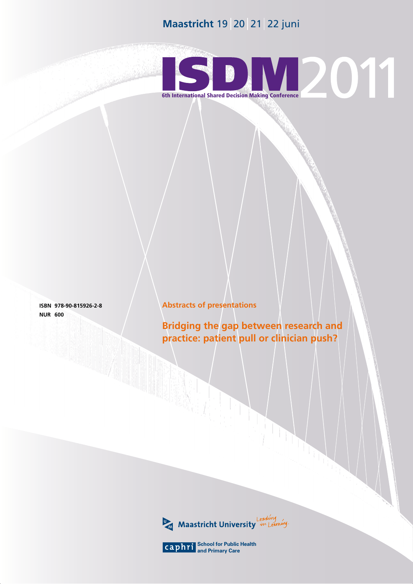# **Maastricht** 19 20 21 22 juni



**isbn 978-90-815926-2-8 nur 600**

# **Abstracts of presentations**

**Bridging the gap between research and practice: patient pull or clinician push?**



1 **School for Public Health and Primary Care**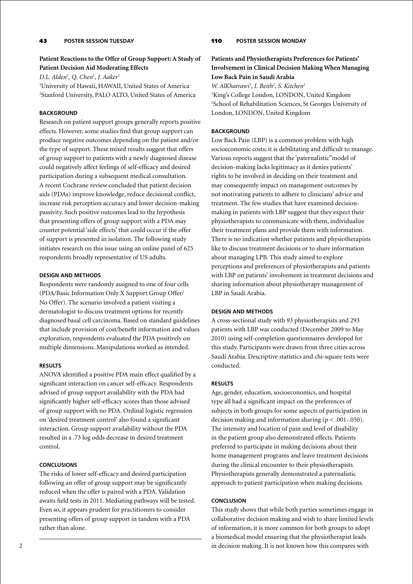# 43 **poster session Tuesday**

# **Patient Reactions to the Offer of Group Support: A Study of Patient Decision Aid Moderating Effects**

*D.L. Alden1 , Q. Chen1 , J. Aaker2* 1 University of Hawaii, HAWAII, United States of America

2 Stanford University, PALO ALTO, United States of America

# **BACKGROUND**

Research on patient support groups generally reports positive effects. However, some studies find that group support can produce negative outcomes depending on the patient and/or the type of support. These mixed results suggest that offers of group support to patients with a newly diagnosed disease could negatively affect feelings of self-efficacy and desired participation during a subsequent medical consultation. A recent Cochrane review concluded that patient decision aids (PDAs) improve knowledge, reduce decisional conflict, increase risk perception accuracy and lower decision-making passivity. Such positive outcomes lead to the hypothesis that presenting offers of group support with a PDA may counter potential 'side effects' that could occur if the offer of support is presented in isolation. The following study initiates research on this issue using an online panel of 625 respondents broadly representative of US adults.

# **Design and Methods**

Respondents were randomly assigned to one of four cells (PDA/Basic Information Only X Support Group Offer/ No Offer). The scenario involved a patient visiting a dermatologist to discuss treatment options for recently diagnosed basal cell carcinoma. Based on standard guidelines that include provision of cost/benefit information and values exploration, respondents evaluated the PDA positively on multiple dimensions. Manipulations worked as intended.

# **Results**

ANOVA identified a positive PDA main effect qualified by a significant interaction on cancer self-efficacy. Respondents advised of group support availability with the PDA had significantly higher self-efficacy scores than those advised of group support with no PDA. Ordinal logistic regression on 'desired treatment control' also found a significant interaction. Group support availability without the PDA resulted in a .73 log odds decrease in desired treatment control.

### **Conclusions**

The risks of lower self-efficacy and desired participation following an offer of group support may be significantly reduced when the offer is paired with a PDA. Validation awaits field tests in 2011. Mediating pathways will be tested. Even so, it appears prudent for practitioners to consider presenting offers of group support in tandem with a PDA rather than alone.

# 110 **Poster Session Monday**

# **Patients and Physiotherapists Preferences for Patients' Involvement in Clinical Decision Making When Managing Low Back Pain in Saudi Arabia**

*W. AlKhatrawi<sup>1</sup>*, *I. Beith<sup>2</sup>*, *S. Kitchen<sup>1</sup>* 

1 King's College London, LONDON, United Kingdom 2 School of Rehabilitation Sciences, St Georges University of London, LONDON, United Kingdom

# **BACKGROUND**

Low Back Pain (LBP) is a common problem with high socioeconomic costs; it is debilitating and difficult to manage. Various reports suggest that the 'paternalistic"model of decision-making lacks legitimacy as it denies patients' rights to be involved in deciding on their treatment and may consequently impact on management outcomes by not motivating patients to adhere to clinicians' advice and treatment. The few studies that have examined decisionmaking in patients with LBP suggest that they expect their physiotherapists to communicate with them, individualize their treatment plans and provide them with information. There is no indication whether patients and physiotherapists like to discuss treatment decisions or to share information about managing LPB. This study aimed to explore perceptions and preferences of physiotherapists and patients with LBP on patients' involvement in treatment decisions and sharing information about physiotherapy management of LBP in Saudi Arabia.

### **Design and Methods**

A cross-sectional study with 93 physiotherapists and 293 patients with LBP was conducted (December 2009 to May 2010) using self-completion questionnaires developed for this study. Participants were drawn from three cities across Saudi Arabia. Descriptive statistics and chi-square tests were conducted.

# **Results**

Age, gender, education, socioeconomics, and hospital type all had a significant impact on the preferences of subjects in both groups for some aspects of participation in decision making and information sharing (p < .001-.050). The intensity and location of pain and level of disability in the patient group also demonstrated effects. Patients preferred to participate in making decisions about their home management programs and leave treatment decisions during the clinical encounter to their physiotherapists. Physiotherapists generally demonstrated a paternalistic approach to patient participation when making decisions.

### **Conclusion**

This study shows that while both parties sometimes engage in collaborative decision making and wish to share limited levels of information, it is more common for both groups to adopt a biomedical model ensuring that the physiotherapist leads in decision making. It is not known how this compares with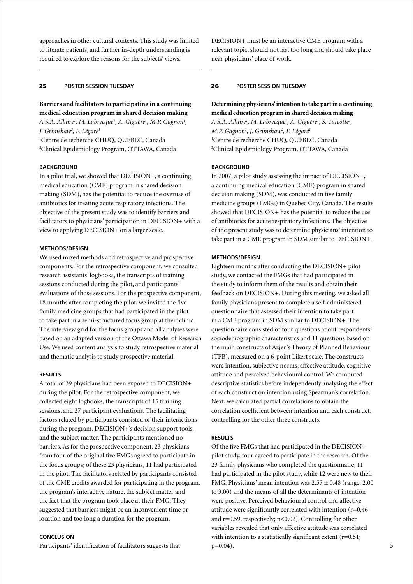approaches in other cultural contexts. This study was limited to literate patients, and further in-depth understanding is required to explore the reasons for the subjects' views.

# 25 **poster session Tuesday**

**Barriers and facilitators to participating in a continuing medical education program in shared decision making** *A.S.A. Allaire1 , M. Labrecque1 , A. Giguère1 , M.P. Gagnon1 , J. Grimshaw2 , F. Légaré1* 1 Centre de recherche CHUQ, QUÉBEC, Canada 2 Clinical Epidemiology Program, OTTAWA, Canada

#### **BACKGROUND**

In a pilot trial, we showed that DECISION+, a continuing medical education (CME) program in shared decision making (SDM), has the potential to reduce the overuse of antibiotics for treating acute respiratory infections. The objective of the present study was to identify barriers and facilitators to physicians' participation in DECISION+ with a view to applying DECISION+ on a larger scale.

#### **Methods/design**

We used mixed methods and retrospective and prospective components. For the retrospective component, we consulted research assistants' logbooks, the transcripts of training sessions conducted during the pilot, and participants' evaluations of those sessions. For the prospective component, 18 months after completing the pilot, we invited the five family medicine groups that had participated in the pilot to take part in a semi-structured focus group at their clinic. The interview grid for the focus groups and all analyses were based on an adapted version of the Ottawa Model of Research Use. We used content analysis to study retrospective material and thematic analysis to study prospective material.

#### **Results**

A total of 39 physicians had been exposed to DECISION+ during the pilot. For the retrospective component, we collected eight logbooks, the transcripts of 15 training sessions, and 27 participant evaluations. The facilitating factors related by participants consisted of their interactions during the program, DECISION+'s decision support tools, and the subject matter. The participants mentioned no barriers. As for the prospective component, 23 physicians from four of the original five FMGs agreed to participate in the focus groups; of these 23 physicians, 11 had participated in the pilot. The facilitators related by participants consisted of the CME credits awarded for participating in the program, the program's interactive nature, the subject matter and the fact that the program took place at their FMG. They suggested that barriers might be an inconvenient time or location and too long a duration for the program.

### **Conclusion**

Participants' identification of facilitators suggests that

DECISION+ must be an interactive CME program with a relevant topic, should not last too long and should take place near physicians' place of work.

#### 26 **poster session Tuesday**

# **Determining physicians' intention to take part in a continuing medical education program in shared decision making**

A.S.A. Allaire<sup>1</sup>, M. Labrecque<sup>1</sup>, A. Giguère<sup>1</sup>, S. Turcotte<sup>1</sup>, *M.P. Gagnon1 , J. Grimshaw2 , F. Légaré1* 1 Centre de recherche CHUQ, QUÉBEC, Canada 2 Clinical Epidemiology Program, OTTAWA, Canada

#### **BACKGROUND**

In 2007, a pilot study assessing the impact of DECISION+, a continuing medical education (CME) program in shared decision making (SDM), was conducted in five family medicine groups (FMGs) in Quebec City, Canada. The results showed that DECISION+ has the potential to reduce the use of antibiotics for acute respiratory infections. The objective of the present study was to determine physicians' intention to take part in a CME program in SDM similar to DECISION+.

### **Methods/design**

Eighteen months after conducting the DECISION+ pilot study, we contacted the FMGs that had participated in the study to inform them of the results and obtain their feedback on DECISION+. During this meeting, we asked all family physicians present to complete a self-administered questionnaire that assessed their intention to take part in a CME program in SDM similar to DECISION+. The questionnaire consisted of four questions about respondents' sociodemographic characteristics and 11 questions based on the main constructs of Azjen's Theory of Planned Behaviour (TPB), measured on a 6-point Likert scale. The constructs were intention, subjective norms, affective attitude, cognitive attitude and perceived behavioural control. We computed descriptive statistics before independently analysing the effect of each construct on intention using Spearman's correlation. Next, we calculated partial correlations to obtain the correlation coefficient between intention and each construct, controlling for the other three constructs.

#### **Results**

Of the five FMGs that had participated in the DECISION+ pilot study, four agreed to participate in the research. Of the 23 family physicians who completed the questionnaire, 11 had participated in the pilot study, while 12 were new to their FMG. Physicians' mean intention was  $2.57 \pm 0.48$  (range: 2.00) to 3.00) and the means of all the determinants of intention were positive. Perceived behavioural control and affective attitude were significantly correlated with intention (r=0.46 and r=0.59, respectively; p<0.02). Controlling for other variables revealed that only affective attitude was correlated with intention to a statistically significant extent  $(r=0.51;$  $p=0.04$ ).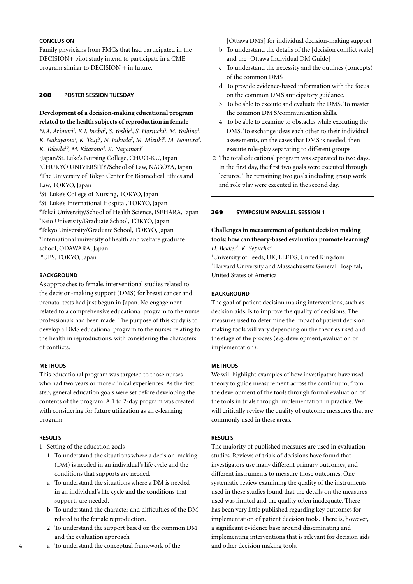# **Conclusion**

Family physicians from FMGs that had participated in the DECISION+ pilot study intend to participate in a CME program similar to DECISION + in future.

## 208 **poster session Tuesday**

# **Development of a decision-making educational program related to the health subjects of reproduction in female**

*N.A. Arimori<sup>1</sup>, K.I. Inaba<sup>2</sup>, S. Yoshie<sup>3</sup>, S. Horiuchi<sup>4</sup>, M. Yoshino<sup>5</sup>, K. Nakayama4 , K. Tsuji6 , N. Fukuda7 , M. Mizuki8 , M. Nomura9 ,*  K. Takeda<sup>10</sup>, M. Kitazono<sup>4</sup>, K. Nagamori<sup>4</sup> Japan/St. Luke's Nursing College, CHUO-KU, Japan CHUKYO UNIVERSITY/School of Law, NAGOYA, Japan The University of Tokyo Center for Biomedical Ethics and Law, TOKYO, Japan St. Luke's College of Nursing, TOKYO, Japan St. Luke's International Hospital, TOKYO, Japan Tokai University/School of Health Science, ISEHARA, Japan Keio University/Graduate School, TOKYO, Japan Tokyo University/Graduate School, TOKYO, Japan

9 International university of health and welfare graduate school, ODAWARA, Japan

10UBS, TOKYO, Japan

### **BACKGROUND**

As approaches to female, interventional studies related to the decision-making support (DMS) for breast cancer and prenatal tests had just begun in Japan. No engagement related to a comprehensive educational program to the nurse professionals had been made. The purpose of this study is to develop a DMS educational program to the nurses relating to the health in reproductions, with considering the characters of conflicts.

### **Methods**

This educational program was targeted to those nurses who had two years or more clinical experiences. As the first step, general education goals were set before developing the contents of the program. A 1 to 2-day program was created with considering for future utilization as an e-learning program.

### **Results**

- 1 Setting of the education goals
	- 1 To understand the situations where a decision-making (DM) is needed in an individual's life cycle and the conditions that supports are needed.
	- a To understand the situations where a DM is needed in an individual's life cycle and the conditions that supports are needed.
	- b To understand the character and difficulties of the DM related to the female reproduction.
	- 2 To understand the support based on the common DM and the evaluation approach
	- a To understand the conceptual framework of the

[Ottawa DMS] for individual decision-making support

- b To understand the details of the [decision conflict scale] and the [Ottawa Individual DM Guide]
- c To understand the necessity and the outlines (concepts) of the common DMS
- d To provide evidence-based information with the focus on the common DMS anticipatory guidance.
- 3 To be able to execute and evaluate the DMS. To master the common DM S/communication skills.
- 4 To be able to examine to obstacles while executing the DMS. To exchange ideas each other to their individual assessments, on the cases that DMS is needed, then execute role-play separating to different groups.
- 2 The total educational program was separated to two days. In the first day, the first two goals were executed through lectures. The remaining two goals including group work and role play were executed in the second day.

### 269 **Symposium parallel session 1**

# **Challenges in measurement of patient decision making tools: how can theory-based evaluation promote learning?** *H. Bekker1 , K. Sepucha2*

1 University of Leeds, UK, LEEDS, United Kingdom 2 Harvard University and Massachusetts General Hospital, United States of America

# **BACKGROUND**

The goal of patient decision making interventions, such as decision aids, is to improve the quality of decisions. The measures used to determine the impact of patient decision making tools will vary depending on the theories used and the stage of the process (e.g. development, evaluation or implementation).

### **Methods**

We will highlight examples of how investigators have used theory to guide measurement across the continuum, from the development of the tools through formal evaluation of the tools in trials through implementation in practice. We will critically review the quality of outcome measures that are commonly used in these areas.

# **Results**

The majority of published measures are used in evaluation studies. Reviews of trials of decisions have found that investigators use many different primary outcomes, and different instruments to measure those outcomes. One systematic review examining the quality of the instruments used in these studies found that the details on the measures used was limited and the quality often inadequate. There has been very little published regarding key outcomes for implementation of patient decision tools. There is, however, a significant evidence base around disseminating and implementing interventions that is relevant for decision aids and other decision making tools.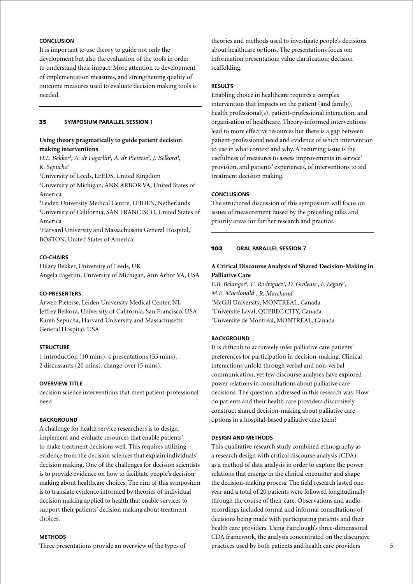# **Conclusion**

It is important to use theory to guide not only the development but also the evaluation of the tools in order to understand their impact. More attention to development of implementation measures, and strengthening quality of outcome measures used to evaluate decision making tools is needed.

### 35 **Symposium parallel session 1**

# **Using theory pragmatically to guide patient decision making interventions**

*H.L. Bekker<sup>1</sup>, A. dr Fagerlin<sup>2</sup>, A. dr Pieterse<sup>3</sup>, J. Belkora<sup>4</sup>, K. Sepucha5*

1 University of Leeds, LEEDS, United Kingdom 2 University of Michigan, ANN ARBOR VA, United States of

America

3 Leiden University Medical Centre, LEIDEN, Netherlands 4 University of California, SAN FRANCISCO, United States of America

5 Harvard University and Massachusetts General Hospital, BOSTON, United States of America

# **Co-Chairs**

Hilary Bekker, University of Leeds, UK Angela Fagerlin, University of Michigan, Ann Arbor VA, USA

### **Co-presenters**

Arwen Pieterse, Leiden University Medical Center, NL Jeffrey Belkora, University of California, San Francisco, USA Karen Sepucha, Harvard University and Massachusetts General Hospital, USA

# **Structure**

1 introduction (10 mins), 4 presentations (55 mins), 2 discussants (20 mins), change-over (5 mins).

# **OVERVIEW TITLE**

decision science interventions that meet patient-professional need

### **BACKGROUND**

A challenge for health service researchers is to design, implement and evaluate resources that enable patients' to make treatment decisions well. This requires utilizing evidence from the decision sciences that explain individuals' decision making. One of the challenges for decision scientists is to provide evidence on how to facilitate people's decision making about healthcare choices. The aim of this symposium is to translate evidence informed by theories of individual decision making applied to health that enable services to support their patients' decision making about treatment choices.

### **Methods**

Three presentations provide an overview of the types of

theories and methods used to investigate people's decisions about healthcare options. The presentations focus on: information presentation; value clarification; decision scaffolding.

### **Results**

Enabling choice in healthcare requires a complex intervention that impacts on the patient (and family), health professional(s), patient-professional interaction, and organisation of healthcare. Theory-informed interventions lead to more effective resources but there is a gap between patient-professional need and evidence of which intervention to use in what context and why. A recurring issue is the usefulness of measures to assess improvements in service' provision, and patients' experiences, of interventions to aid treatment decision making.

# **Conclusions**

The structured discussion of this symposium will focus on issues of measurement raised by the preceding talks and priority areas for further research and practice.

### 102 **oral parallel session 7**

# **A Critical Discourse Analysis of Shared Decision-Making in Palliative Care**

E.B. Belanger<sup>1</sup>, C. Rodriguez<sup>1</sup>, D. Groleau<sup>1</sup>, F. Légaré<sup>2</sup>, *M.E. Macdonald1 , R. Marchand3* 1 McGill University, MONTREAL, Canada 2 Université Laval, QUEBEC CITY, Canada 3 Université de Montréal, MONTREAL, Canada

# **Background**

It is difficult to accurately infer palliative care patients' preferences for participation in decision-making. Clinical interactions unfold through verbal and non-verbal communication, yet few discourse analyses have explored power relations in consultations about palliative care decisions. The question addressed in this research was: How do patients and their health care providers discursively construct shared decision-making about palliative care options in a hospital-based palliative care team?

### **Design and Methods**

This qualitative research study combined ethnography as a research design with critical discourse analysis (CDA) as a method of data analysis in order to explore the power relations that emerge in the clinical encounter and shape the decision-making process. The field research lasted one year and a total of 20 patients were followed longitudinally through the course of their care. Observations and audiorecordings included formal and informal consultations of decisions being made with participating patients and their health care providers. Using Fairclough's three-dimensional CDA framework, the analysis concentrated on the discursive practices used by both patients and health care providers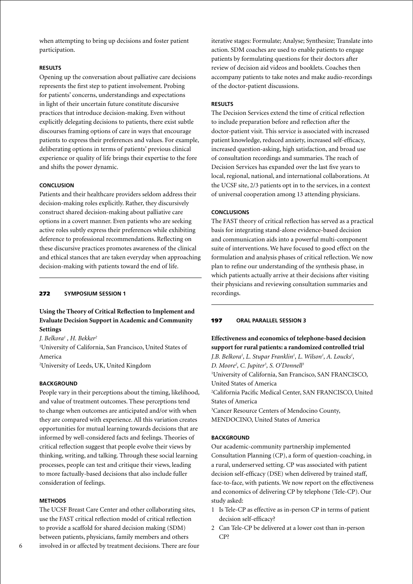when attempting to bring up decisions and foster patient participation.

### **Results**

Opening up the conversation about palliative care decisions represents the first step to patient involvement. Probing for patients' concerns, understandings and expectations in light of their uncertain future constitute discursive practices that introduce decision-making. Even without explicitly delegating decisions to patients, there exist subtle discourses framing options of care in ways that encourage patients to express their preferences and values. For example, deliberating options in terms of patients' previous clinical experience or quality of life brings their expertise to the fore and shifts the power dynamic.

### **Conclusion**

Patients and their healthcare providers seldom address their decision-making roles explicitly. Rather, they discursively construct shared decision-making about palliative care options in a covert manner. Even patients who are seeking active roles subtly express their preferences while exhibiting deference to professional recommendations. Reflecting on these discursive practices promotes awareness of the clinical and ethical stances that are taken everyday when approaching decision-making with patients toward the end of life.

# 272 **Symposium session 1**

**Using the Theory of Critical Reflection to Implement and Evaluate Decision Support in Academic and Community Settings**

*J. Belkora1 , H. Bekker2*

1 University of California, San Francisco, United States of America

2 University of Leeds, UK, United Kingdom

# **Background**

People vary in their perceptions about the timing, likelihood, and value of treatment outcomes. These perceptions tend to change when outcomes are anticipated and/or with when they are compared with experience. All this variation creates opportunities for mutual learning towards decisions that are informed by well-considered facts and feelings. Theories of critical reflection suggest that people evolve their views by thinking, writing, and talking. Through these social learning processes, people can test and critique their views, leading to more factually-based decisions that also include fuller consideration of feelings.

#### **Methods**

The UCSF Breast Care Center and other collaborating sites, use the FAST critical reflection model of critical reflection to provide a scaffold for shared decision making (SDM) between patients, physicians, family members and others involved in or affected by treatment decisions. There are four iterative stages: Formulate; Analyse; Synthesize; Translate into action. SDM coaches are used to enable patients to engage patients by formulating questions for their doctors after review of decision aid videos and booklets. Coaches then accompany patients to take notes and make audio-recordings of the doctor-patient discussions.

# **Results**

The Decision Services extend the time of critical reflection to include preparation before and reflection after the doctor-patient visit. This service is associated with increased patient knowledge, reduced anxiety, increased self-efficacy, increased question-asking, high satisfaction, and broad use of consultation recordings and summaries. The reach of Decision Services has expanded over the last five years to local, regional, national, and international collaborations. At the UCSF site, 2/3 patients opt in to the services, in a context of universal cooperation among 13 attending physicians.

### **Conclusions**

The FAST theory of critical reflection has served as a practical basis for integrating stand-alone evidence-based decision and communication aids into a powerful multi-component suite of interventions. We have focused to good effect on the formulation and analysis phases of critical reflection. We now plan to refine our understanding of the synthesis phase, in which patients actually arrive at their decisions after visiting their physicians and reviewing consultation summaries and recordings.

# 197 **oral parallel session 3**

**Effectiveness and economics of telephone-based decision support for rural patients: a randomized controlled trial** *J.B. Belkora1 , L. Stupar Franklin1 , L. Wilson1 , A. Loucks1 , D. Moore2 , C. Jupiter3 , S. O'Donnell3* 1 University of California, San Francisco, SAN FRANCISCO, United States of America 2 California Pacific Medical Center, SAN FRANCISCO, United States of America 3 Cancer Resource Centers of Mendocino County, MENDOCINO, United States of America

#### **BACKGROUND**

Our academic-community partnership implemented Consultation Planning (CP), a form of question-coaching, in a rural, underserved setting. CP was associated with patient decision self-efficacy (DSE) when delivered by trained staff, face-to-face, with patients. We now report on the effectiveness and economics of delivering CP by telephone (Tele-CP). Our study asked:

- 1 Is Tele-CP as effective as in-person CP in terms of patient decision self-efficacy?
- 2 Can Tele-CP be delivered at a lower cost than in-person CP?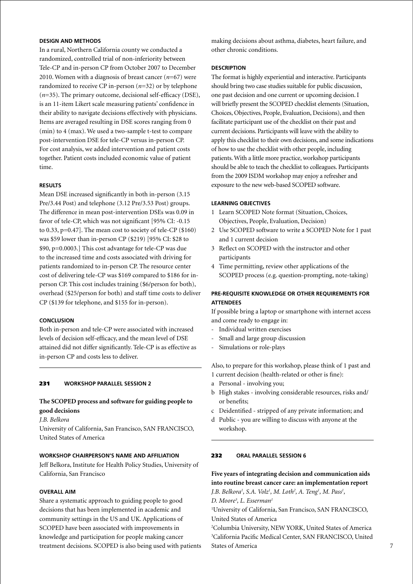# **Design and Methods**

In a rural, Northern California county we conducted a randomized, controlled trial of non-inferiority between Tele-CP and in-person CP from October 2007 to December 2010. Women with a diagnosis of breast cancer (*n*=67) were randomized to receive CP in-person (*n*=32) or by telephone (*n*=35). The primary outcome, decisional self-efficacy (DSE), is an 11-item Likert scale measuring patients' confidence in their ability to navigate decisions effectively with physicians. Items are averaged resulting in DSE scores ranging from 0 (min) to 4 (max). We used a two-sample t-test to compare post-intervention DSE for tele-CP versus in-person CP. For cost analysis, we added intervention and patient costs together. Patient costs included economic value of patient time.

### **Results**

Mean DSE increased significantly in both in-person (3.15 Pre/3.44 Post) and telephone (3.12 Pre/3.53 Post) groups. The difference in mean post-intervention DSEs was 0.09 in favor of tele-CP, which was not significant [95% CI: -0.15 to 0.33, p=0.47]. The mean cost to society of tele-CP (\$160) was \$59 lower than in-person CP (\$219) [95% CI: \$28 to \$90, p=0.0003.] This cost advantage for tele-CP was due to the increased time and costs associated with driving for patients randomized to in-person CP. The resource center cost of delivering tele-CP was \$169 compared to \$186 for inperson CP. This cost includes training (\$6/person for both), overhead (\$25/person for both) and staff time costs to deliver CP (\$139 for telephone, and \$155 for in-person).

### **Conclusion**

Both in-person and tele-CP were associated with increased levels of decision self-efficacy, and the mean level of DSE attained did not differ significantly. Tele-CP is as effective as in-person CP and costs less to deliver.

# 231 **Workshop parallel session 2**

# **The SCOPED process and software for guiding people to good decisions**

### *J.B. Belkora*

University of California, San Francisco, SAN FRANCISCO, United States of America

### **Workshop chairperson's name and affiliation**

Jeff Belkora, Institute for Health Policy Studies, University of California, San Francisco

# **Overall Aim**

Share a systematic approach to guiding people to good decisions that has been implemented in academic and community settings in the US and UK. Applications of SCOPED have been associated with improvements in knowledge and participation for people making cancer treatment decisions. SCOPED is also being used with patients making decisions about asthma, diabetes, heart failure, and other chronic conditions.

### **Description**

The format is highly experiential and interactive. Participants should bring two case studies suitable for public discussion, one past decision and one current or upcoming decision. I will briefly present the SCOPED checklist elements (Situation, Choices, Objectives, People, Evaluation, Decisions), and then facilitate participant use of the checklist on their past and current decisions. Participants will leave with the ability to apply this checklist to their own decisions, and some indications of how to use the checklist with other people, including patients. With a little more practice, workshop participants should be able to teach the checklist to colleagues. Participants from the 2009 ISDM workshop may enjoy a refresher and exposure to the new web-based SCOPED software.

# **Learning objectives**

- 1 Learn SCOPED Note format (Situation, Choices, Objectives, People, Evaluation, Decision)
- 2 Use SCOPED software to write a SCOPED Note for 1 past and 1 current decision
- 3 Reflect on SCOPED with the instructor and other participants
- 4 Time permitting, review other applications of the SCOPED process (e.g. question-prompting, note-taking)

# **Pre-requisite knowledge or other requirements for attendees**

If possible bring a laptop or smartphone with internet access and come ready to engage in:

- Individual written exercises
- Small and large group discussion
- Simulations or role-plays

Also, to prepare for this workshop, please think of 1 past and 1 current decision (health-related or other is fine):

- a Personal involving you;
- b High stakes involving considerable resources, risks and/ or benefits;
- c Deidentified stripped of any private information; and
- d Public you are willing to discuss with anyone at the workshop.

### 232 **oral parallel session 6**

**Five years of integrating decision and communication aids into routine breast cancer care: an implementation report**

*J.B. Belkora1 , S.A. Volz1 , M. Loth2 , A. Teng1 , M. Pass1 ,* 

*D. Moore3 , L. Esserman1*

1 University of California, San Francisco, SAN FRANCISCO, United States of America

2 Columbia University, NEW YORK, United States of America 3 California Pacific Medical Center, SAN FRANCISCO, United States of America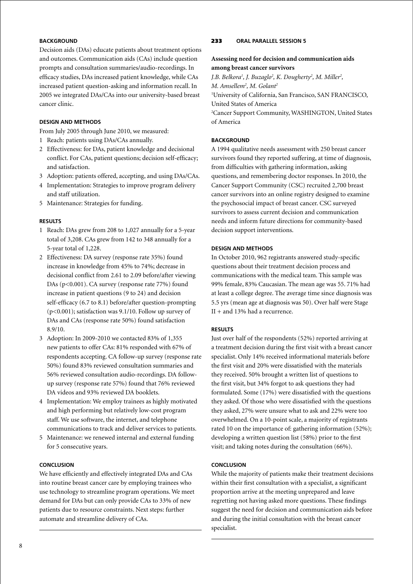# **BACKGROUND**

Decision aids (DAs) educate patients about treatment options and outcomes. Communication aids (CAs) include question prompts and consultation summaries/audio-recordings. In efficacy studies, DAs increased patient knowledge, while CAs increased patient question-asking and information recall. In 2005 we integrated DAs/CAs into our university-based breast cancer clinic.

# **Design and Methods**

From July 2005 through June 2010, we measured:

- 1 Reach: patients using DAs/CAs annually.
- 2 Effectiveness: for DAs, patient knowledge and decisional conflict. For CAs, patient questions; decision self-efficacy; and satisfaction.
- 3 Adoption: patients offered, accepting, and using DAs/CAs.
- 4 Implementation: Strategies to improve program delivery and staff utilization.
- 5 Maintenance: Strategies for funding.

# **Results**

- 1 Reach: DAs grew from 208 to 1,027 annually for a 5-year total of 3,208. CAs grew from 142 to 348 annually for a 5-year total of 1,228.
- 2 Effectiveness: DA survey (response rate 35%) found increase in knowledge from 45% to 74%; decrease in decisional conflict from 2.61 to 2.09 before/after viewing DAs (p<0.001). CA survey (response rate 77%) found increase in patient questions (9 to 24) and decision self-efficacy (6.7 to 8.1) before/after question-prompting (p<0.001); satisfaction was 9.1/10. Follow up survey of DAs and CAs (response rate 50%) found satisfaction 8.9/10.
- 3 Adoption: In 2009-2010 we contacted 83% of 1,355 new patients to offer CAs: 81% responded with 67% of respondents accepting. CA follow-up survey (response rate 50%) found 83% reviewed consultation summaries and 56% reviewed consultation audio-recordings. DA followup survey (response rate 57%) found that 76% reviewed DA videos and 93% reviewed DA booklets.
- 4 Implementation: We employ trainees as highly motivated and high performing but relatively low-cost program staff. We use software, the internet, and telephone communications to track and deliver services to patients.
- 5 Maintenance: we renewed internal and external funding for 5 consecutive years.

# **Conclusion**

We have efficiently and effectively integrated DAs and CAs into routine breast cancer care by employing trainees who use technology to streamline program operations. We meet demand for DAs but can only provide CAs to 33% of new patients due to resource constraints. Next steps: further automate and streamline delivery of CAs.

# 233 **oral parallel session 5**

# **Assessing need for decision and communication aids among breast cancer survivors**

*J.B. Belkora1 , J. Buzaglo2 , K. Dougherty2 , M. Miller2 , M. Amsellem2 , M. Golant2* 1 University of California, San Francisco, SAN FRANCISCO, United States of America 2 Cancer Support Community, WASHINGTON, United States of America

# **BACKGROUND**

A 1994 qualitative needs assessment with 250 breast cancer survivors found they reported suffering, at time of diagnosis, from difficulties with gathering information, asking questions, and remembering doctor responses. In 2010, the Cancer Support Community (CSC) recruited 2,700 breast cancer survivors into an online registry designed to examine the psychosocial impact of breast cancer. CSC surveyed survivors to assess current decision and communication needs and inform future directions for community-based decision support interventions.

# **Design and Methods**

In October 2010, 962 registrants answered study-specific questions about their treatment decision process and communications with the medical team. This sample was 99% female, 83% Caucasian. The mean age was 55. 71% had at least a college degree. The average time since diagnosis was 5.5 yrs (mean age at diagnosis was 50). Over half were Stage II + and 13% had a recurrence.

# **Results**

Just over half of the respondents (52%) reported arriving at a treatment decision during the first visit with a breast cancer specialist. Only 14% received informational materials before the first visit and 20% were dissatisfied with the materials they received. 50% brought a written list of questions to the first visit, but 34% forgot to ask questions they had formulated. Some (17%) were dissatisfied with the questions they asked. Of those who were dissatisfied with the questions they asked, 27% were unsure what to ask and 22% were too overwhelmed. On a 10-point scale, a majority of registrants rated 10 on the importance of: gathering information (52%); developing a written question list (58%) prior to the first visit; and taking notes during the consultation (66%).

# **Conclusion**

While the majority of patients make their treatment decisions within their first consultation with a specialist, a significant proportion arrive at the meeting unprepared and leave regretting not having asked more questions. These findings suggest the need for decision and communication aids before and during the initial consultation with the breast cancer specialist.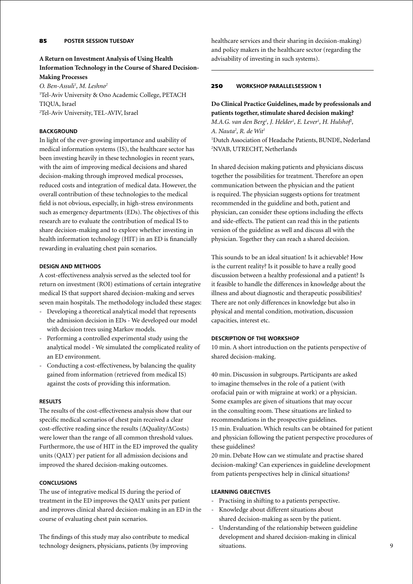# **A Return on Investment Analysis of Using Health Information Technology in the Course of Shared Decision-Making Processes**

*O. Ben-Assuli1 , M. Leshno2* 1 Tel-Aviv University & Ono Academic College, PETACH TIQUA, Israel 2 Tel-Aviv University, TEL-AVIV, Israel

# **BACKGROUND**

In light of the ever-growing importance and usability of medical information systems (IS), the healthcare sector has been investing heavily in these technologies in recent years, with the aim of improving medical decisions and shared decision-making through improved medical processes, reduced costs and integration of medical data. However, the overall contribution of these technologies to the medical field is not obvious, especially, in high-stress environments such as emergency departments (EDs). The objectives of this research are to evaluate the contribution of medical IS to share decision-making and to explore whether investing in health information technology (HIT) in an ED is financially rewarding in evaluating chest pain scenarios.

# **Design and Methods**

A cost-effectiveness analysis served as the selected tool for return on investment (ROI) estimations of certain integrative medical IS that support shared decision-making and serves seven main hospitals. The methodology included these stages:

- Developing a theoretical analytical model that represents the admission decision in EDs - We developed our model with decision trees using Markov models.
- Performing a controlled experimental study using the analytical model - We simulated the complicated reality of an ED environment.
- Conducting a cost-effectiveness, by balancing the quality gained from information (retrieved from medical IS) against the costs of providing this information.

# **Results**

The results of the cost-effectiveness analysis show that our specific medical scenarios of chest pain received a clear cost-effective reading since the results (∆Quality/∆Costs) were lower than the range of all common threshold values. Furthermore, the use of HIT in the ED improved the quality units (QALY) per patient for all admission decisions and improved the shared decision-making outcomes.

### **Conclusions**

The use of integrative medical IS during the period of treatment in the ED improves the QALY units per patient and improves clinical shared decision-making in an ED in the course of evaluating chest pain scenarios.

The findings of this study may also contribute to medical technology designers, physicians, patients (by improving

healthcare services and their sharing in decision-making) and policy makers in the healthcare sector (regarding the advisability of investing in such systems).

# 250 **Workshop parallelsession 1**

# **Do Clinical Practice Guidelines, made by professionals and patients together, stimulate shared decision making?** *M.A.G. van den Berg<sup>1</sup>, J. Helder<sup>1</sup>, E. Lever<sup>1</sup>, H. Hulshof<sup>1</sup>,*

*A. Nauta2 , R. de Wit1* <sup>1</sup>Dutch Association of Headache Patients, BUNDE, Nederland 2 NVAB, UTRECHT, Netherlands

In shared decision making patients and physicians discuss together the possibilities for treatment. Therefore an open communication between the physician and the patient is required. The physician suggests options for treatment recommended in the guideline and both, patient and physician, can consider these options including the effects and side-effects. The patient can read this in the patients version of the guideline as well and discuss all with the physician. Together they can reach a shared decision.

This sounds to be an ideal situation! Is it achievable? How is the current reality? Is it possible to have a really good discussion between a healthy professional and a patient? Is it feasible to handle the differences in knowledge about the illness and about diagnostic and therapeutic possibilities? There are not only differences in knowledge but also in physical and mental condition, motivation, discussion capacities, interest etc.

### **Description of the workshop**

10 min. A short introduction on the patients perspective of shared decision-making.

40 min. Discussion in subgroups. Participants are asked to imagine themselves in the role of a patient (with orofacial pain or with migraine at work) or a physician. Some examples are given of situations that may occur in the consulting room. These situations are linked to recommendations in the prospective guidelines. 15 min. Evaluation. Which results can be obtained for patient and physician following the patient perspective procedures of these guidelines?

20 min. Debate How can we stimulate and practise shared decision-making? Can experiences in guideline development from patients perspectives help in clinical situations?

# **Learning objectives**

- Practising in shifting to a patients perspective.
- Knowledge about different situations about shared decision-making as seen by the patient.
- Understanding of the relationship between guideline development and shared decision-making in clinical situations.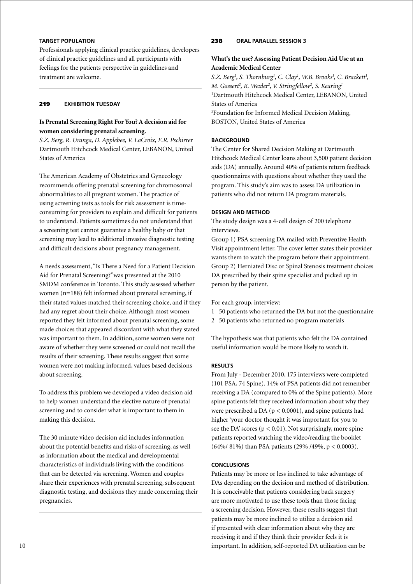# **Target population**

Professionals applying clinical practice guidelines, developers of clinical practice guidelines and all participants with feelings for the patients perspective in guidelines and treatment are welcome.

# 219 **Exhibition Tuesday**

# **Is Prenatal Screening Right For You? A decision aid for women considering prenatal screening.**

*S.Z. Berg, R. Uranga, D. Applebee, V. LaCroix, E.R. Pschirrer* Dartmouth Hitchcock Medical Center, LEBANON, United States of America

The American Academy of Obstetrics and Gynecology recommends offering prenatal screening for chromosomal abnormalities to all pregnant women. The practice of using screening tests as tools for risk assessment is timeconsuming for providers to explain and difficult for patients to understand. Patients sometimes do not understand that a screening test cannot guarantee a healthy baby or that screening may lead to additional invasive diagnostic testing and difficult decisions about pregnancy management.

A needs assessment, "Is There a Need for a Patient Decision Aid for Prenatal Screening?"was presented at the 2010 SMDM conference in Toronto. This study assessed whether women (n=188) felt informed about prenatal screening, if their stated values matched their screening choice, and if they had any regret about their choice. Although most women reported they felt informed about prenatal screening, some made choices that appeared discordant with what they stated was important to them. In addition, some women were not aware of whether they were screened or could not recall the results of their screening. These results suggest that some women were not making informed, values based decisions about screening.

To address this problem we developed a video decision aid to help women understand the elective nature of prenatal screening and to consider what is important to them in making this decision.

The 30 minute video decision aid includes information about the potential benefits and risks of screening, as well as information about the medical and developmental characteristics of individuals living with the conditions that can be detected via screening. Women and couples share their experiences with prenatal screening, subsequent diagnostic testing, and decisions they made concerning their pregnancies.

# 238 **oral parallel session 3**

# **What's the use? Assessing Patient Decision Aid Use at an Academic Medical Center**

S.Z. Berg<sup>1</sup>, S. Thornburg<sup>1</sup>, C. Clay<sup>1</sup>, W.B. Brooks<sup>1</sup>, C. Brackett<sup>1</sup>, *M. Gassert<sup>2</sup>, R. Wexler<sup>2</sup>, V. Stringfellow<sup>2</sup>, S. Kearing<sup>1</sup>* 1 Dartmouth Hitchcock Medical Center, LEBANON, United States of America 2 Foundation for Informed Medical Decision Making, BOSTON, United States of America

# **BACKGROUND**

The Center for Shared Decision Making at Dartmouth Hitchcock Medical Center loans about 3,500 patient decision aids (DA) annually. Around 40% of patients return feedback questionnaires with questions about whether they used the program. This study's aim was to assess DA utilization in patients who did not return DA program materials.

# **Design and Method**

The study design was a 4-cell design of 200 telephone interviews.

Group 1) PSA screening DA mailed with Preventive Health Visit appointment letter. The cover letter states their provider wants them to watch the program before their appointment. Group 2) Herniated Disc or Spinal Stenosis treatment choices DA prescribed by their spine specialist and picked up in person by the patient.

For each group, interview:

- 1 50 patients who returned the DA but not the questionnaire
- 2 50 patients who returned no program materials

The hypothesis was that patients who felt the DA contained useful information would be more likely to watch it.

# **Results**

From July - December 2010, 175 interviews were completed (101 PSA, 74 Spine). 14% of PSA patients did not remember receiving a DA (compared to 0% of the Spine patients). More spine patients felt they received information about why they were prescribed a DA ( $p < 0.0001$ ), and spine patients had higher 'your doctor thought it was important for you to see the DA' scores ( $p < 0.01$ ). Not surprisingly, more spine patients reported watching the video/reading the booklet (64%/ 81%) than PSA patients (29% /49%, p < 0.0003).

# **Conclusions**

Patients may be more or less inclined to take advantage of DAs depending on the decision and method of distribution. It is conceivable that patients considering back surgery are more motivated to use these tools than those facing a screening decision. However, these results suggest that patients may be more inclined to utilize a decision aid if presented with clear information about why they are receiving it and if they think their provider feels it is important. In addition, self-reported DA utilization can be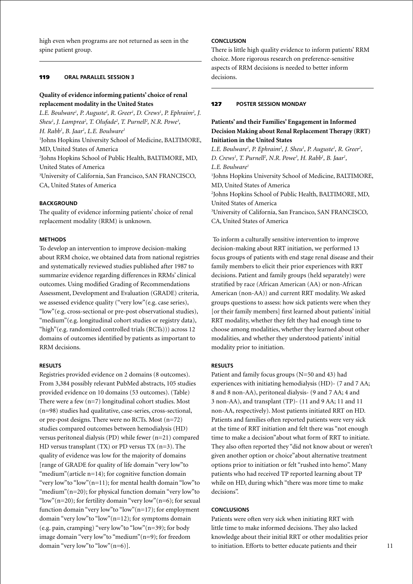high even when programs are not returned as seen in the spine patient group.

# 119 **oral parallel session 3**

# **Quality of evidence informing patients' choice of renal replacement modality in the United States**

*L.E. Boulware<sup>1</sup>, P. Auguste<sup>1</sup>, R. Greer<sup>1</sup>, D. Crews<sup>1</sup>, P. Ephraim<sup>2</sup>, J. Sheu<sup>1</sup>*, *J. Lamprea<sup>2</sup>*, *T. Olufade<sup>2</sup>*, *T. Purnell<sup>2</sup>, N.R. Powe<sup>3</sup>, H. Rabb1 , B. Jaar1 , L.E. Boulware1* 1 Johns Hopkins University School of Medicine, BALTIMORE, MD, United States of America 2 Johns Hopkins School of Public Health, BALTIMORE, MD, United States of America 3 University of California, San Francisco, SAN FRANCISCO, CA, United States of America

### **BACKGROUND**

The quality of evidence informing patients' choice of renal replacement modality (RRM) is unknown.

### **Methods**

To develop an intervention to improve decision-making about RRM choice, we obtained data from national registries and systematically reviewed studies published after 1987 to summarize evidence regarding differences in RRMs' clinical outcomes. Using modified Grading of Recommendations Assessment, Development and Evaluation (GRADE) criteria, we assessed evidence quality ("very low"(e.g. case series), "low"(e.g. cross-sectional or pre-post observational studies), "medium"(e.g. longitudinal cohort studies or registry data), "high"(e.g. randomized controlled trials (RCTs))) across 12 domains of outcomes identified by patients as important to RRM decisions.

#### **Results**

Registries provided evidence on 2 domains (8 outcomes). From 3,384 possibly relevant PubMed abstracts, 105 studies provided evidence on 10 domains (53 outcomes). (Table) There were a few (n=7) longitudinal cohort studies. Most (n=98) studies had qualitative, case-series, cross-sectional, or pre-post designs. There were no RCTs. Most (n=72) studies compared outcomes between hemodialysis (HD) versus peritoneal dialysis (PD) while fewer (n=21) compared HD versus transplant (TX) or PD versus TX (n=3). The quality of evidence was low for the majority of domains [range of GRADE for quality of life domain "very low"to "medium" (article  $n=14$ ); for cognitive function domain "very low"to "low"(n=11); for mental health domain "low"to "medium"(n=20); for physical function domain "very low"to "low"(n=20); for fertility domain "very low"(n=6); for sexual function domain "very low"to "low"(n=17); for employment domain "very low"to "low"(n=12); for symptoms domain (e.g. pain, cramping) "very low" to "low"  $(n=39)$ ; for body image domain "very low"to "medium"(n=9); for freedom domain "very low"to "low"(n=6)].

# **Conclusion**

There is little high quality evidence to inform patients' RRM choice. More rigorous research on preference-sensitive aspects of RRM decisions is needed to better inform decisions.

# 127 **poster Session Monday**

# **Patients' and their Families' Engagement in Informed Decision Making about Renal Replacement Therapy (RRT) Initiation in the United States**

*L.E. Boulware<sup>1</sup>, P. Ephraim<sup>2</sup>, J. Sheu<sup>1</sup>, P. Auguste<sup>1</sup>, R. Greer<sup>1</sup>, D. Crews<sup>1</sup>, T. Purnell<sup>2</sup>, N.R. Powe<sup>3</sup>, H. Rabb<sup>1</sup>, B. Jaar<sup>1</sup>, L.E. Boulware1* 1 Johns Hopkins University School of Medicine, BALTIMORE, MD, United States of America 2 Johns Hopkins School of Public Health, BALTIMORE, MD, United States of America 3 University of California, San Francisco, SAN FRANCISCO, CA, United States of America

To inform a culturally sensitive intervention to improve decision-making about RRT initiation, we performed 13 focus groups of patients with end stage renal disease and their family members to elicit their prior experiences with RRT decisions. Patient and family groups (held separately) were stratified by race (African American (AA) or non-African American (non-AA)) and current RRT modality. We asked groups questions to assess: how sick patients were when they [or their family members] first learned about patients' initial RRT modality, whether they felt they had enough time to choose among modalities, whether they learned about other modalities, and whether they understood patients' initial modality prior to initiation.

#### **Results**

Patient and family focus groups (N=50 and 43) had experiences with initiating hemodialysis (HD)- (7 and 7 AA; 8 and 8 non-AA), peritoneal dialysis- (9 and 7 AA; 4 and 3 non-AA), and transplant (TP)- (11 and 9 AA; 11 and 11 non-AA, respectively). Most patients initiated RRT on HD. Patients and families often reported patients were very sick at the time of RRT initiation and felt there was "not enough time to make a decision"about what form of RRT to initiate. They also often reported they "did not know about or weren't given another option or choice"about alternative treatment options prior to initiation or felt "rushed into hemo". Many patients who had received TP reported learning about TP while on HD, during which "there was more time to make decisions".

### **Conclusions**

Patients were often very sick when initiating RRT with little time to make informed decisions. They also lacked knowledge about their initial RRT or other modalities prior to initiation. Efforts to better educate patients and their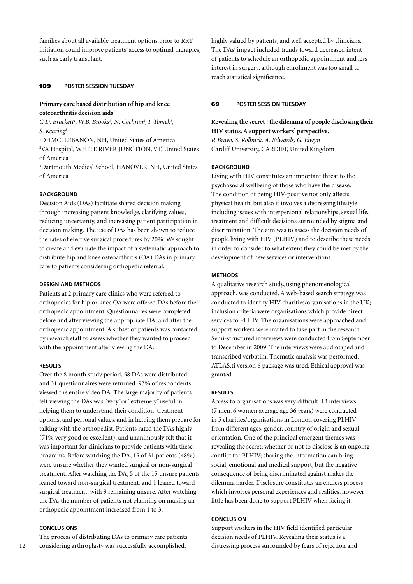families about all available treatment options prior to RRT initiation could improve patients' access to optimal therapies, such as early transplant.

#### 109 **poster session Tuesday**

# **Primary care based distribution of hip and knee osteoarthritis decision aids**

*C.D. Brackett<sup>1</sup>, W.B. Brooks<sup>1</sup>, N. Cochran<sup>2</sup>, I. Tomek<sup>1</sup>, S. Kearing3*

1 DHMC, LEBANON, NH, United States of America

2 VA Hospital, WHITE RIVER JUNCTION, VT, United States of America

3 Dartmouth Medical School, HANOVER, NH, United States of America

# **BACKGROUND**

Decision Aids (DAs) facilitate shared decision making through increasing patient knowledge, clarifying values, reducing uncertainty, and increasing patient participation in decision making. The use of DAs has been shown to reduce the rates of elective surgical procedures by 20%. We sought to create and evaluate the impact of a systematic approach to distribute hip and knee osteoarthritis (OA) DAs in primary care to patients considering orthopedic referral.

# **Design and Methods**

Patients at 2 primary care clinics who were referred to orthopedics for hip or knee OA were offered DAs before their orthopedic appointment. Questionnaires were completed before and after viewing the appropriate DA, and after the orthopedic appointment. A subset of patients was contacted by research staff to assess whether they wanted to proceed with the appointment after viewing the DA.

#### **Results**

Over the 8 month study period, 58 DAs were distributed and 31 questionnaires were returned. 93% of respondents viewed the entire video DA. The large majority of patients felt viewing the DAs was "very"or "extremely"useful in helping them to understand their condition, treatment options, and personal values, and in helping them prepare for talking with the orthopedist. Patients rated the DAs highly (71% very good or excellent), and unanimously felt that it was important for clinicians to provide patients with these programs. Before watching the DA, 15 of 31 patients (48%) were unsure whether they wanted surgical or non-surgical treatment. After watching the DA, 5 of the 15 unsure patients leaned toward non-surgical treatment, and 1 leaned toward surgical treatment, with 9 remaining unsure. After watching the DA, the number of patients not planning on making an orthopedic appointment increased from 1 to 3.

# **Conclusions**

The process of distributing DAs to primary care patients considering arthroplasty was successfully accomplished,

highly valued by patients, and well accepted by clinicians. The DAs' impact included trends toward decreased intent of patients to schedule an orthopedic appointment and less interest in surgery, although enrollment was too small to reach statistical significance.

# 69 **poster session Tuesday**

**Revealing the secret : the dilemma of people disclosing their HIV status. A support workers' perspective.** *P. Bravo, S. Rollnick, A. Edwards, G. Elwyn*

Cardiff University, CARDIFF, United Kingdom

#### **BACKGROUND**

Living with HIV constitutes an important threat to the psychosocial wellbeing of those who have the disease. The condition of being HIV-positive not only affects physical health, but also it involves a distressing lifestyle including issues with interpersonal relationships, sexual life, treatment and difficult decisions surrounded by stigma and discrimination. The aim was to assess the decision needs of people living with HIV (PLHIV) and to describe these needs in order to consider to what extent they could be met by the development of new services or interventions.

# **Methods**

A qualitative research study, using phenomenological approach, was conducted. A web-based search strategy was conducted to identify HIV charities/organisations in the UK; inclusion criteria were organisations which provide direct services to PLHIV. The organisations were approached and support workers were invited to take part in the research. Semi-structured interviews were conducted from September to December in 2009. The interviews were audiotaped and transcribed verbatim. Thematic analysis was performed. ATLAS.ti version 6 package was used. Ethical approval was granted.

#### **Results**

Access to organisations was very difficult. 13 interviews (7 men, 6 women average age 36 years) were conducted in 5 charities/organisations in London covering PLHIV from different ages, gender, country of origin and sexual orientation. One of the principal emergent themes was revealing the secret; whether or not to disclose is an ongoing conflict for PLHIV; sharing the information can bring social, emotional and medical support, but the negative consequence of being discriminated against makes the dilemma harder. Disclosure constitutes an endless process which involves personal experiences and realities, however little has been done to support PLHIV when facing it.

### **Conclusion**

Support workers in the HIV field identified particular decision needs of PLHIV. Revealing their status is a distressing process surrounded by fears of rejection and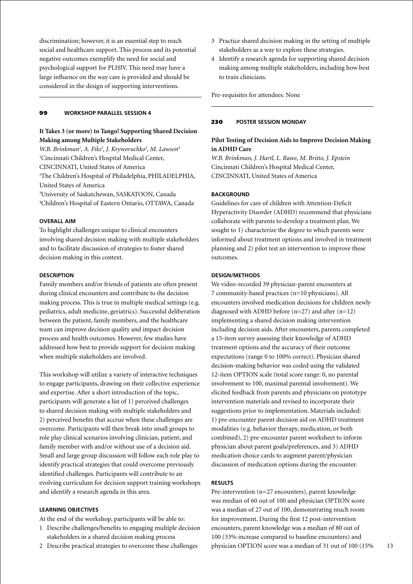discrimination; however, it is an essential step to reach social and healthcare support. This process and its potential negative outcomes exemplify the need for social and psychological support for PLHIV. This need may have a large influence on the way care is provided and should be considered in the design of supporting interventions.

#### 99 **workshop parallel session 4**

# **It Takes 3 (or more) to Tango! Supporting Shared Decision Making among Multiple Stakeholders**

W.B. Brinkman<sup>1</sup>, A. Fiks<sup>2</sup>, J. Kryworuchko<sup>3</sup>, M. Lawson<sup>4</sup> 1 Cincinnati Children's Hospital Medical Center, CINCINNATI, United States of America 2 The Children's Hospital of Philadelphia, PHILADELPHIA, United States of America 3 University of Saskatchewan, SASKATOON, Canada 4 Children's Hospital of Eastern Ontario, OTTAWA, Canada

### **Overall aim**

To highlight challenges unique to clinical encounters involving shared decision making with multiple stakeholders and to facilitate discussion of strategies to foster shared decision making in this context.

### **Description**

Family members and/or friends of patients are often present during clinical encounters and contribute to the decision making process. This is true in multiple medical settings (e.g. pediatrics, adult medicine, geriatrics). Successful deliberation between the patient, family members, and the healthcare team can improve decision quality and impact decision process and health outcomes. However, few studies have addressed how best to provide support for decision making when multiple stakeholders are involved.

This workshop will utilize a variety of interactive techniques to engage participants, drawing on their collective experience and expertise. After a short introduction of the topic, participants will generate a list of 1) perceived challenges to shared decision making with multiple stakeholders and 2) perceived benefits that accrue when these challenges are overcome. Participants will then break into small groups to role play clinical scenarios involving clinician, patient, and family member with and/or without use of a decision aid. Small and large group discussion will follow each role play to identify practical strategies that could overcome previously identified challenges. Participants will contribute to an evolving curriculum for decision support training workshops and identify a research agenda in this area.

#### **Learning objectives**

At the end of the workshop, participants will be able to:

- 1 Describe challenges/benefits to engaging multiple decision stakeholders in a shared decision making process
- 2 Describe practical strategies to overcome these challenges
- 3 Practice shared decision making in the setting of multiple stakeholders as a way to explore these strategies.
- 4 Identify a research agenda for supporting shared decision making among multiple stakeholders, including how best to train clinicians.

Pre-requisites for attendees: None

#### 230 **poster Session Monday**

# **Pilot Testing of Decision Aids to Improve Decision Making in ADHD Care**

*W.B. Brinkman, J. Hartl, L. Rawe, M. Britto, J. Epstein* Cincinnati Children's Hospital Medical Center, CINCINNATI, United States of America

# **Background**

Guidelines for care of children with Attention-Deficit Hyperactivity Disorder (ADHD) recommend that physicians collaborate with parents to develop a treatment plan. We sought to 1) characterize the degree to which parents were informed about treatment options and involved in treatment planning and 2) pilot test an intervention to improve these outcomes.

#### **Design/Methods**

We video-recorded 39 physician-parent encounters at 7 community-based practices (n=10 physicians). All encounters involved medication decisions for children newly diagnosed with ADHD before  $(n=27)$  and after  $(n=12)$ implementing a shared decision making intervention including decision aids. After encounters, parents completed a 15-item survey assessing their knowledge of ADHD treatment options and the accuracy of their outcome expectations (range 0 to 100% correct). Physician shared decision-making behavior was coded using the validated 12-item OPTION scale (total score range: 0, no parental involvement to 100, maximal parental involvement). We elicited feedback from parents and physicians on prototype intervention materials and revised to incorporate their suggestions prior to implementation. Materials included: 1) pre-encounter parent decision aid on ADHD treatment modalities (e.g. behavior therapy, medication, or both combined), 2) pre-encounter parent worksheet to inform physician about parent goals/preferences, and 3) ADHD medication choice cards to augment parent/physician discussion of medication options during the encounter.

# **Results**

Pre-intervention (n=27 encounters), parent knowledge was median of 60 out of 100 and physician OPTION score was a median of 27 out of 100, demonstrating much room for improvement. During the first 12 post-intervention encounters, parent knowledge was a median of 80 out of 100 (33% increase compared to baseline encounters) and physician OPTION score was a median of 31 out of 100 (15%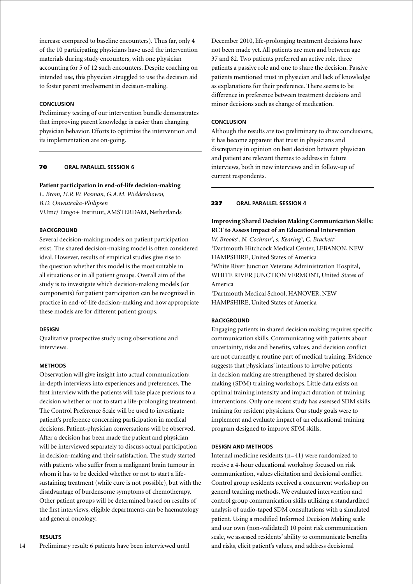increase compared to baseline encounters). Thus far, only 4 of the 10 participating physicians have used the intervention materials during study encounters, with one physician accounting for 5 of 12 such encounters. Despite coaching on intended use, this physician struggled to use the decision aid to foster parent involvement in decision-making.

# **Conclusion**

Preliminary testing of our intervention bundle demonstrates that improving parent knowledge is easier than changing physician behavior. Efforts to optimize the intervention and its implementation are on-going.

### 70 **oral parallel session 6**

#### **Patient participation in end-of-life decision-making**

*L. Brom, H.R.W. Pasman, G.A.M. Widdershoven, B.D. Onwuteaka-Philipsen* VUmc/ Emgo+ Instituut, AMSTERDAM, Netherlands

### **BACKGROUND**

Several decision-making models on patient participation exist. The shared decision-making model is often considered ideal. However, results of empirical studies give rise to the question whether this model is the most suitable in all situations or in all patient groups. Overall aim of the study is to investigate which decision-making models (or components) for patient participation can be recognized in practice in end-of-life decision-making and how appropriate these models are for different patient groups.

#### **Design**

Qualitative prospective study using observations and interviews.

#### **Methods**

Observation will give insight into actual communication; in-depth interviews into experiences and preferences. The first interview with the patients will take place previous to a decision whether or not to start a life-prolonging treatment. The Control Preference Scale will be used to investigate patient's preference concerning participation in medical decisions. Patient-physician conversations will be observed. After a decision has been made the patient and physician will be interviewed separately to discuss actual participation in decision-making and their satisfaction. The study started with patients who suffer from a malignant brain tumour in whom it has to be decided whether or not to start a lifesustaining treatment (while cure is not possible), but with the disadvantage of burdensome symptoms of chemotherapy. Other patient groups will be determined based on results of the first interviews, eligible departments can be haematology and general oncology.

# **Results**

14 Preliminary result: 6 patients have been interviewed until December 2010, life-prolonging treatment decisions have not been made yet. All patients are men and between age 37 and 82. Two patients preferred an active role, three patients a passive role and one to share the decision. Passive patients mentioned trust in physician and lack of knowledge as explanations for their preference. There seems to be difference in preference between treatment decisions and minor decisions such as change of medication.

#### **Conclusion**

Although the results are too preliminary to draw conclusions, it has become apparent that trust in physicians and discrepancy in opinion on best decision between physician and patient are relevant themes to address in future interviews, both in new interviews and in follow-up of current respondents.

# 237 **oral parallel session 4**

**Improving Shared Decision Making Communication Skills: RCT to Assess Impact of an Educational Intervention** W. Brooks<sup>1</sup>, N. Cochran<sup>2</sup>, s. Kearing<sup>3</sup>, C. Brackett<sup>1</sup> 1 Dartmouth Hitchcock Medical Center, LEBANON, NEW HAMPSHIRE, United States of America 2 White River Junction Veterans Administration Hospital, WHITE RIVER JUNCTION VERMONT, United States of America 3 Dartmouth Medical School, HANOVER, NEW

HAMPSHIRE, United States of America

#### **BACKGROUND**

Engaging patients in shared decision making requires specific communication skills. Communicating with patients about uncertainty, risks and benefits, values, and decision conflict are not currently a routine part of medical training. Evidence suggests that physicians' intentions to involve patients in decision making are strengthened by shared decision making (SDM) training workshops. Little data exists on optimal training intensity and impact duration of training interventions. Only one recent study has assessed SDM skills training for resident physicians. Our study goals were to implement and evaluate impact of an educational training program designed to improve SDM skills.

# **Design and Methods**

Internal medicine residents (n=41) were randomized to receive a 4-hour educational workshop focused on risk communication, values elicitation and decisional conflict. Control group residents received a concurrent workshop on general teaching methods. We evaluated intervention and control group communication skills utilizing a standardized analysis of audio-taped SDM consultations with a simulated patient. Using a modified Informed Decision Making scale and our own (non-validated) 10 point risk communication scale, we assessed residents' ability to communicate benefits and risks, elicit patient's values, and address decisional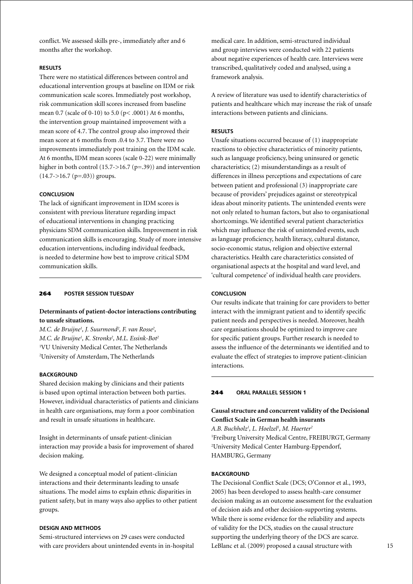conflict. We assessed skills pre-, immediately after and 6 months after the workshop.

### **Results**

There were no statistical differences between control and educational intervention groups at baseline on IDM or risk communication scale scores. Immediately post workshop, risk communication skill scores increased from baseline mean 0.7 (scale of 0-10) to 5.0 (p< .0001) At 6 months, the intervention group maintained improvement with a mean score of 4.7. The control group also improved their mean score at 6 months from .0.4 to 3.7. There were no improvements immediately post training on the IDM scale. At 6 months, IDM mean scores (scale 0-22) were minimally higher in both control (15.7->16.7 (p=.39)) and intervention  $(14.7 - >16.7$  (p=.03)) groups.

# **Conclusion**

The lack of significant improvement in IDM scores is consistent with previous literature regarding impact of educational interventions in changing practicing physicians SDM communication skills. Improvement in risk communication skills is encouraging. Study of more intensive education interventions, including individual feedback, is needed to determine how best to improve critical SDM communication skills.

# 264 **poster session Tuesday**

# **Determinants of patient-doctor interactions contributing to unsafe situations.**

*M.C. de Bruijne1 , J. Suurmond2 , F. van Rosse2 , M.C. de Bruijne1 , K. Stronks2 , M.L. Essink-Bot2* 1 VU University Medical Center, The Netherlands 2 University of Amsterdam, The Netherlands

#### **BACKGROUND**

Shared decision making by clinicians and their patients is based upon optimal interaction between both parties. However, individual characteristics of patients and clinicians in health care organisations, may form a poor combination and result in unsafe situations in healthcare.

Insight in determinants of unsafe patient-clinician interaction may provide a basis for improvement of shared decision making.

We designed a conceptual model of patient-clinician interactions and their determinants leading to unsafe situations. The model aims to explain ethnic disparities in patient safety, but in many ways also applies to other patient groups.

# **Design and Methods**

Semi-structured interviews on 29 cases were conducted with care providers about unintended events in in-hospital

medical care. In addition, semi-structured individual and group interviews were conducted with 22 patients about negative experiences of health care. Interviews were transcribed, qualitatively coded and analysed, using a framework analysis.

A review of literature was used to identify characteristics of patients and healthcare which may increase the risk of unsafe interactions between patients and clinicians.

### **Results**

Unsafe situations occurred because of (1) inappropriate reactions to objective characteristics of minority patients, such as language proficiency, being uninsured or genetic characteristics; (2) misunderstandings as a result of differences in illness perceptions and expectations of care between patient and professional (3) inappropriate care because of providers' prejudices against or stereotypical ideas about minority patients. The unintended events were not only related to human factors, but also to organisational shortcomings. We identified several patient characteristics which may influence the risk of unintended events, such as language proficiency, health literacy, cultural distance, socio-economic status, religion and objective external characteristics. Health care characteristics consisted of organisational aspects at the hospital and ward level, and 'cultural competence' of individual health care providers.

### **Conclusion**

Our results indicate that training for care providers to better interact with the immigrant patient and to identify specific patient needs and perspectives is needed. Moreover, health care organisations should be optimized to improve care for specific patient groups. Further research is needed to assess the influence of the determinants we identified and to evaluate the effect of strategies to improve patient-clinician interactions.

### 244 **oral parallel session 1**

# **Causal structure and concurrent validity of the Decisional Conflict Scale in German health insurants**

*A.B. Buchholz1 , L. Hoelzel1 , M. Haerter2* 1 Freiburg University Medical Centre, FREIBURGT, Germany 2 University Medical Center Hamburg-Eppendorf, HAMBURG, Germany

# **BACKGROUND**

The Decisional Conflict Scale (DCS; O'Connor et al., 1993, 2005) has been developed to assess health-care consumer decision making as an outcome assessment for the evaluation of decision aids and other decision-supporting systems. While there is some evidence for the reliability and aspects of validity for the DCS, studies on the causal structure supporting the underlying theory of the DCS are scarce. LeBlanc et al. (2009) proposed a causal structure with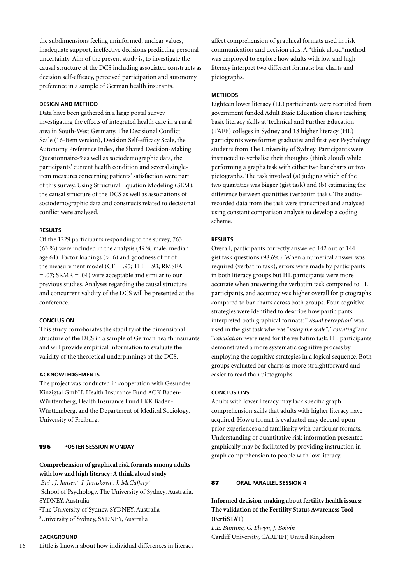the subdimensions feeling uninformed, unclear values, inadequate support, ineffective decisions predicting personal uncertainty. Aim of the present study is, to investigate the causal structure of the DCS including associated constructs as decision self-efficacy, perceived participation and autonomy preference in a sample of German health insurants.

# **Design and Method**

Data have been gathered in a large postal survey investigating the effects of integrated health care in a rural area in South-West Germany. The Decisional Conflict Scale (16-Item version), Decision Self-efficacy Scale, the Autonomy Preference Index, the Shared Decision-Making Questionnaire-9 as well as sociodemographic data, the participants' current health condition and several singleitem measures concerning patients' satisfaction were part of this survey. Using Structural Equation Modeling (SEM), the causal structure of the DCS as well as associations of sociodemographic data and constructs related to decisional conflict were analysed.

### **Results**

Of the 1229 participants responding to the survey, 763 (63 %) were included in the analysis (49 % male, median age 64). Factor loadings  $(> .6)$  and goodness of fit of the measurement model (CFI =.95; TLI = .93; RMSEA = .07; SRMR = .04) were acceptable and similar to our previous studies. Analyses regarding the causal structure and concurrent validity of the DCS will be presented at the conference.

### **Conclusion**

This study corroborates the stability of the dimensional structure of the DCS in a sample of German health insurants and will provide empirical information to evaluate the validity of the theoretical underpinnings of the DCS.

### **Acknowledgements**

The project was conducted in cooperation with Gesundes Kinzigtal GmbH, Health Insurance Fund AOK Baden-Württemberg, Health Insurance Fund LKK Baden-Württemberg, and the Department of Medical Sociology, University of Freiburg.

# 196 **poster Session Monday**

# **Comprehension of graphical risk formats among adults with low and high literacy: A think aloud study**

 *Bui1 , J. Jansen2 , I. Juraskova1 , J. McCaffery3* 1 School of Psychology, The University of Sydney, Australia, SYDNEY, Australia 2 The University of Sydney, SYDNEY, Australia 3 University of Sydney, SYDNEY, Australia

# **BACKGROUND**

16 Little is known about how individual differences in literacy affect comprehension of graphical formats used in risk communication and decision aids. A "think aloud"method was employed to explore how adults with low and high literacy interpret two different formats: bar charts and pictographs.

## **Methods**

Eighteen lower literacy (LL) participants were recruited from government funded Adult Basic Education classes teaching basic literacy skills at Technical and Further Education (TAFE) colleges in Sydney and 18 higher literacy (HL) participants were former graduates and first year Psychology students from The University of Sydney. Participants were instructed to verbalise their thoughts (think aloud) while performing a graphs task with either two bar charts or two pictographs. The task involved (a) judging which of the two quantities was bigger (gist task) and (b) estimating the difference between quantities (verbatim task). The audiorecorded data from the task were transcribed and analysed using constant comparison analysis to develop a coding scheme.

# **Results**

Overall, participants correctly answered 142 out of 144 gist task questions (98.6%). When a numerical answer was required (verbatim task), errors were made by participants in both literacy groups but HL participants were more accurate when answering the verbatim task compared to LL participants, and accuracy was higher overall for pictographs compared to bar charts across both groups. Four cognitive strategies were identified to describe how participants interpreted both graphical formats: "*visual perception*"was used in the gist task whereas "*using the scale*", "*counting*"and "*calculatio*n"were used for the verbatim task. HL participants demonstrated a more systematic cognitive process by employing the cognitive strategies in a logical sequence. Both groups evaluated bar charts as more straightforward and easier to read than pictographs.

### **Conclusions**

Adults with lower literacy may lack specific graph comprehension skills that adults with higher literacy have acquired. How a format is evaluated may depend upon prior experiences and familiarity with particular formats. Understanding of quantitative risk information presented graphically may be facilitated by providing instruction in graph comprehension to people with low literacy.

### 87 **oral parallel session 4**

**Informed decision-making about fertility health issues: The validation of the Fertility Status Awareness Tool (FertiSTAT)**

*L.E. Bunting, G. Elwyn, J. Boivin* Cardiff University, CARDIFF, United Kingdom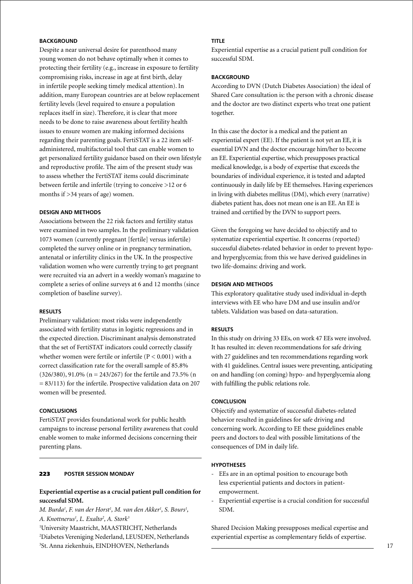# **BACKGROUND**

Despite a near universal desire for parenthood many young women do not behave optimally when it comes to protecting their fertility (e.g., increase in exposure to fertility compromising risks, increase in age at first birth, delay in infertile people seeking timely medical attention). In addition, many European countries are at below replacement fertility levels (level required to ensure a population replaces itself in size). Therefore, it is clear that more needs to be done to raise awareness about fertility health issues to ensure women are making informed decisions regarding their parenting goals. FertiSTAT is a 22 item selfadministered, multifactorial tool that can enable women to get personalized fertility guidance based on their own lifestyle and reproductive profile. The aim of the present study was to assess whether the FertiSTAT items could discriminate between fertile and infertile (trying to conceive >12 or 6 months if >34 years of age) women.

### **Design and Methods**

Associations between the 22 risk factors and fertility status were examined in two samples. In the preliminary validation 1073 women (currently pregnant [fertile] versus infertile) completed the survey online or in pregnancy termination, antenatal or infertility clinics in the UK. In the prospective validation women who were currently trying to get pregnant were recruited via an advert in a weekly woman's magazine to complete a series of online surveys at 6 and 12 months (since completion of baseline survey).

### **Results**

Preliminary validation: most risks were independently associated with fertility status in logistic regressions and in the expected direction. Discriminant analysis demonstrated that the set of FertiSTAT indicators could correctly classify whether women were fertile or infertile  $(P < 0.001)$  with a correct classification rate for the overall sample of 85.8% (326/380), 91.0% (n = 243/267) for the fertile and 73.5% (n  $= 83/113$ ) for the infertile. Prospective validation data on 207 women will be presented.

### **Conclusions**

FertiSTAT provides foundational work for public health campaigns to increase personal fertility awareness that could enable women to make informed decisions concerning their parenting plans.

# 223 **poster Session Monday**

# **Experiential expertise as a crucial patient pull condition for successful SDM.**

*M. Burda<sup>1</sup>, F. van der Horst<sup>1</sup>, M. van den Akker<sup>1</sup>, S. Bours<sup>1</sup>, A. Knottnerus1 , L. Exalto2 , A. Stork3*

1 University Maastricht, MAASTRICHT, Netherlands

2 Diabetes Vereniging Nederland, LEUSDEN, Netherlands

3 St. Anna ziekenhuis, EINDHOVEN, Netherlands

# **Title**

Experiential expertise as a crucial patient pull condition for successful SDM.

# **BACKGROUND**

According to DVN (Dutch Diabetes Association) the ideal of Shared Care consultation is: the person with a chronic disease and the doctor are two distinct experts who treat one patient together.

In this case the doctor is a medical and the patient an experiential expert (EE). If the patient is not yet an EE, it is essential DVN and the doctor encourage him/her to become an EE. Experiential expertise, which presupposes practical medical knowledge, is a body of expertise that exceeds the boundaries of individual experience, it is tested and adapted continuously in daily life by EE themselves. Having experiences in living with diabetes mellitus (DM), which every (narrative) diabetes patient has, does not mean one is an EE. An EE is trained and certified by the DVN to support peers.

Given the foregoing we have decided to objectify and to systematize experiential expertise. It concerns (reported) successful diabetes-related behavior in order to prevent hypoand hyperglycemia; from this we have derived guidelines in two life-domains: driving and work.

# **Design and Methods**

This exploratory qualitative study used individual in-depth interviews with EE who have DM and use insulin and/or tablets. Validation was based on data-saturation.

### **Results**

In this study on driving 33 EEs, on work 47 EEs were involved. It has resulted in: eleven recommendations for safe driving with 27 guidelines and ten recommendations regarding work with 41 guidelines. Central issues were preventing, anticipating on and handling (on coming) hypo- and hyperglycemia along with fulfilling the public relations role.

# **Conclusion**

Objectify and systematize of successful diabetes-related behavior resulted in guidelines for safe driving and concerning work. According to EE these guidelines enable peers and doctors to deal with possible limitations of the consequences of DM in daily life.

#### **Hypotheses**

- EEs are in an optimal position to encourage both less experiential patients and doctors in patientempowerment.
- Experiential expertise is a crucial condition for successful SDM.

Shared Decision Making presupposes medical expertise and experiential expertise as complementary fields of expertise.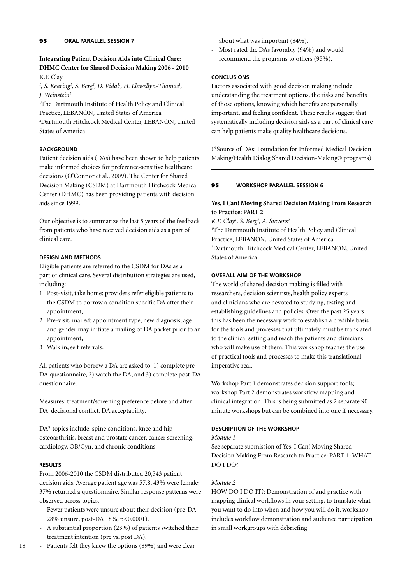# **Integrating Patient Decision Aids into Clinical Care: DHMC Center for Shared Decision Making 2006 - 2010** K.F. Clay

<sup>1</sup>, S. Kearing<sup>1</sup>, S. Berg<sup>2</sup>, D. Vidal<sup>1</sup>, H. Llewellyn-Thomas<sup>1</sup>, *J. Weinstein1*

1 The Dartmouth Institute of Health Policy and Clinical Practice, LEBANON, United States of America 2 Dartmouth Hitchcock Medical Center, LEBANON, United States of America

# **BACKGROUND**

Patient decision aids (DAs) have been shown to help patients make informed choices for preference-sensitive healthcare decisions (O'Connor et al., 2009). The Center for Shared Decision Making (CSDM) at Dartmouth Hitchcock Medical Center (DHMC) has been providing patients with decision aids since 1999.

Our objective is to summarize the last 5 years of the feedback from patients who have received decision aids as a part of clinical care.

# **Design and Methods**

Eligible patients are referred to the CSDM for DAs as a part of clinical care. Several distribution strategies are used, including:

- 1 Post-visit, take home: providers refer eligible patients to the CSDM to borrow a condition specific DA after their appointment,
- 2 Pre-visit, mailed: appointment type, new diagnosis, age and gender may initiate a mailing of DA packet prior to an appointment,
- 3 Walk in, self referrals.

All patients who borrow a DA are asked to: 1) complete pre-DA questionnaire, 2) watch the DA, and 3) complete post-DA questionnaire.

Measures: treatment/screening preference before and after DA, decisional conflict, DA acceptability.

DA\* topics include: spine conditions, knee and hip osteoarthritis, breast and prostate cancer, cancer screening, cardiology, OB/Gyn, and chronic conditions.

# **Results**

From 2006-2010 the CSDM distributed 20,543 patient decision aids. Average patient age was 57.8, 43% were female; 37% returned a questionnaire. Similar response patterns were observed across topics.

- Fewer patients were unsure about their decision (pre-DA 28% unsure, post-DA 18%, p<0.0001).
- A substantial proportion (23%) of patients switched their treatment intention (pre vs. post DA).
- 18 - Patients felt they knew the options (89%) and were clear

about what was important (84%).

- Most rated the DAs favorably (94%) and would recommend the programs to others (95%).

# **Conclusions**

Factors associated with good decision making include understanding the treatment options, the risks and benefits of those options, knowing which benefits are personally important, and feeling confident. These results suggest that systematically including decision aids as a part of clinical care can help patients make quality healthcare decisions.

(\*Source of DAs: Foundation for Informed Medical Decision Making/Health Dialog Shared Decision-Making© programs)

# 95 **workshop parallel session 6**

# **Yes, I Can! Moving Shared Decision Making From Research to Practice: PART 2**

*K.F. Clay1 , S. Berg2 , A. Stevens2* <sup>1</sup>The Dartmouth Institute of Health Policy and Clinical Practice, LEBANON, United States of America 2 Dartmouth Hitchcock Medical Center, LEBANON, United States of America

# **Overall aim of the workshop**

The world of shared decision making is filled with researchers, decision scientists, health policy experts and clinicians who are devoted to studying, testing and establishing guidelines and policies. Over the past 25 years this has been the necessary work to establish a credible basis for the tools and processes that ultimately must be translated to the clinical setting and reach the patients and clinicians who will make use of them. This workshop teaches the use of practical tools and processes to make this translational imperative real.

Workshop Part 1 demonstrates decision support tools; workshop Part 2 demonstrates workflow mapping and clinical integration. This is being submitted as 2 separate 90 minute workshops but can be combined into one if necessary.

# **Description of the workshop**

*Module 1*

See separate submission of Yes, I Can! Moving Shared Decision Making From Research to Practice: PART 1: WHAT DO I DO?

# *Module 2*

HOW DO I DO IT?: Demonstration of and practice with mapping clinical workflows in your setting, to translate what you want to do into when and how you will do it. workshop includes workflow demonstration and audience participation in small workgroups with debriefing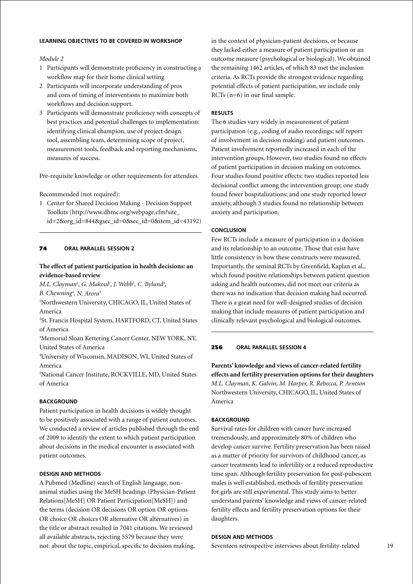# **Learning objectives to be covered in workshop**

# *Module 2*

- 1 Participants will demonstrate proficiency in constructing a workflow map for their home clinical setting
- 2 Participants will incorporate understanding of pros and cons of timing of interventions to maximize both workflows and decision support.
- 3 Participants will demonstrate proficiency with concepts of best practices and potential challenges to implementation: identifying clinical champion, use of project design tool, assembling team, determining scope of project, measurement tools, feedback and reporting mechanisms, measures of success.

Pre-requisite knowledge or other requirements for attendees

Recommended (not required):

1 Center for Shared Decision Making - Decision Support Toolkits (http://www.dhmc.org/webpage.cfm?site\_ id=2&org\_id=844&gsec\_id=0&sec\_id=0&item\_id=43192)

### 74 **oral parallel session 2**

# **The effect of patient participation in health decisions: an evidence-based review**

*M.L. Clayman<sup>1</sup>, G. Makoul<sup>2</sup>, J. Webb<sup>1</sup>, C. Bylund<sup>3</sup>, B. Chewning4 , N. Arora5*

1 Northwestern University, CHICAGO, IL, United States of America

2 St. Francis Hospital System, HARTFORD, CT, United States of America

3 Memorial Sloan Kettering Cancer Center, NEW YORK, NY, United States of America

4 University of Wisconsin, MADISON, WI, United States of America

5 National Cancer Institute, ROCKVILLE, MD, United States of America

### **BACKGROUND**

Patient participation in health decisions is widely thought to be positively associated with a range of patient outcomes. We conducted a review of articles published through the end of 2009 to identify the extent to which patient participation about decisions in the medical encounter is associated with patient outcomes.

# **Design and Methods**

A Pubmed (Medline) search of English language, nonanimal studies using the MeSH headings (Physician-Patient Relations[MeSH] OR Patient Participation[MeSH]) and the terms (decision OR decisions OR option OR options OR choice OR choices OR alternative OR alternatives) in the title or abstract resulted in 7041 citations. We reviewed all available abstracts, rejecting 5579 because they were not: about the topic, empirical, specific to decision making,

in the context of physician-patient decisions, or because they lacked either a measure of patient participation or an outcome measure (psychological or biological). We obtained the remaining 1462 articles, of which 83 met the inclusion criteria. As RCTs provide the strongest evidence regarding potential effects of patient participation, we include only RCTs (n=6) in our final sample.

### **Results**

The 6 studies vary widely in measurement of patient participation (e.g., coding of audio recordings; self report of involvement in decision making) and patient outcomes. Patient involvement reportedly increased in each of the intervention groups. However, two studies found no effects of patient participation in decision making on outcomes. Four studies found positive effects: two studies reported less decisional conflict among the intervention group; one study found fewer hospitalizations; and one study reported lower anxiety, although 3 studies found no relationship between anxiety and participation.

# **Conclusion**

Few RCTs include a measure of participation in a decision and its relationship to an outcome. Those that exist have little consistency in how these constructs were measured. Importantly, the seminal RCTs by Greenfield, Kaplan et al., which found positive relationships between patient question asking and health outcomes, did not meet our criteria as there was no indication that decision making had occurred. There is a great need for well-designed studies of decision making that include measures of patient participation and clinically relevant psychological and biological outcomes.

# 256 **oral parallel session 4**

**Parents' knowledge and views of cancer-related fertility effects and fertility preservation options for their daughters** *M.L. Clayman, K. Galvin, M. Harper, R. Rebecca, P. Arntson* Northwestern University, CHICAGO, IL, United States of America

#### **BACKGROUND**

Survival rates for children with cancer have increased tremendously, and approximately 80% of children who develop cancer survive. Fertility preservation has been raised as a matter of priority for survivors of childhood cancer, as cancer treatments lead to infertility or a reduced reproductive time span. Although fertility preservation for post-pubescent males is well established, methods of fertility preservation for girls are still experimental. This study aims to better understand parents' knowledge and views of cancer-related fertility effects and fertility preservation options for their daughters.

### **Design and Methods**

Seventeen retrospective interviews about fertility-related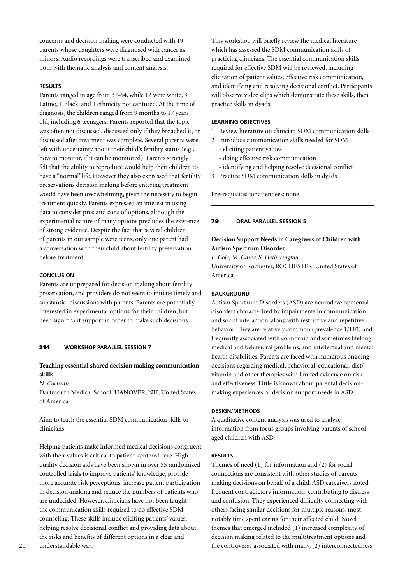concerns and decision making were conducted with 19 parents whose daughters were diagnosed with cancer as minors. Audio recordings were transcribed and examined both with thematic analysis and content analysis.

### **Results**

Parents ranged in age from 37-64, while 12 were white, 3 Latino, 1 Black, and 1 ethnicity not captured. At the time of diagnosis, the children ranged from 9 months to 17 years old, including 6 teenagers. Parents reported that the topic was often not discussed, discussed only if they broached it, or discussed after treatment was complete. Several parents were left with uncertainty about their child's fertility status (e.g., how to monitor, if it can be monitored). Parents strongly felt that the ability to reproduce would help their children to have a "normal"life. However they also expressed that fertility preservations decision making before entering treatment would have been overwhelming, given the necessity to begin treatment quickly. Parents expressed an interest in using data to consider pros and cons of options, although the experimental nature of many options precludes the existence of strong evidence. Despite the fact that several children of parents in our sample were teens, only one parent had a conversation with their child about fertility preservation before treatment.

### **Conclusion**

Parents are unprepared for decision making about fertility preservation, and providers do not seem to initiate timely and substantial discussions with parents. Parents are potentially interested in experimental options for their children, but need significant support in order to make such decisions.

# 214 **Workshop parallel session 7**

# **Teaching essential shared decision making communication skills**

# *N. Cochran*

Dartmouth Medical School, HANOVER, NH, United States of America

Aim: to teach the essential SDM communication skills to clinicians

Helping patients make informed medical decisions congruent with their values is critical to patient-centered care. High quality decision aids have been shown in over 55 randomized controlled trials to improve patients' knowledge, provide more accurate risk perceptions, increase patient participation in decision-making and reduce the numbers of patients who are undecided. However, clinicians have not been taught the communication skills required to do effective SDM counseling. These skills include eliciting patients' values, helping resolve decisional conflict and providing data about the risks and benefits of different options in a clear and understandable way.

#### **Learning Objectives**

- 1 Review literature on clinician SDM communication skills
- 2 Introduce communication skills needed for SDM
	- eliciting patient values
	- doing effective risk communication
	- identifying and helping resolve decisional conflict
- 3 Practice SDM communication skills in dyads

Pre-requisites for attendees: none

#### 79 **oral parallel session 5**

# **Decision Support Needs in Caregivers of Children with Autism Spectrum Disorder**

*L. Cole, M. Casey, S. Hetherington* University of Rochester, ROCHESTER, United States of America

#### **BACKGROUND**

Autism Spectrum Disorders (ASD) are neurodevelopmental disorders characterized by impairments in communication and social interaction, along with restrictive and repetitive behavior. They are relatively common (prevalence 1/110) and frequently associated with co morbid and sometimes lifelong medical and behavioral problems, and intellectual and mental health disabilities. Parents are faced with numerous ongoing decisions regarding medical, behavioral, educational, diet/ vitamin and other therapies with limited evidence on risk and effectiveness. Little is known about parental decisionmaking experiences or decision support needs in ASD.

### **Design/Methods**

A qualitative content analysis was used to analyze information from focus groups involving parents of schoolaged children with ASD.

#### **Results**

Themes of need (1) for information and (2) for social connections are consistent with other studies of parents making decisions on behalf of a child. ASD caregivers noted frequent contradictory information, contributing to distress and confusion. They experienced difficulty connecting with others facing similar decisions for multiple reasons, most notably time spent caring for their affected child. Novel themes that emerged included (1) increased complexity of decision making related to the multitreatment options and the controversy associated with many, (2) interconnectedness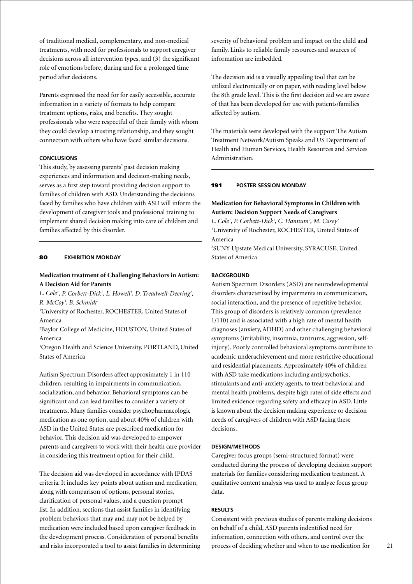of traditional medical, complementary, and non-medical treatments, with need for professionals to support caregiver decisions across all intervention types, and (3) the significant role of emotions before, during and for a prolonged time period after decisions.

Parents expressed the need for for easily accessible, accurate information in a variety of formats to help compare treatment options, risks, and benefits. They sought professionals who were respectful of their family with whom they could develop a trusting relationship, and they sought connection with others who have faced similar decisions.

# **Conclusions**

This study, by assessing parents' past decision making experiences and information and decision-making needs, serves as a first step toward providing decision support to families of children with ASD. Understanding the decisions faced by families who have children with ASD will inform the development of caregiver tools and professional training to implement shared decision making into care of children and families affected by this disorder.

# 80 **Exhibition Monday**

# **Medication treatment of Challenging Behaviors in Autism: A Decision Aid for Parents**

L. Cole<sup>1</sup>, P. Corbett-Dick<sup>1</sup>, L. Howell<sup>1</sup>, D. Treadwell-Deering<sup>2</sup>, *R. McCoy3 , B. Schmidt1*

1 University of Rochester, ROCHESTER, United States of America

2 Baylor College of Medicine, HOUSTON, United States of America

3 Oregon Health and Science University, PORTLAND, United States of America

Autism Spectrum Disorders affect approximately 1 in 110 children, resulting in impairments in communication, socialization, and behavior. Behavioral symptoms can be significant and can lead families to consider a variety of treatments. Many families consider psychopharmacologic medication as one option, and about 40% of children with ASD in the United States are prescribed medication for behavior. This decision aid was developed to empower parents and caregivers to work with their health care provider in considering this treatment option for their child.

The decision aid was developed in accordance with IPDAS criteria. It includes key points about autism and medication, along with comparison of options, personal stories, clarification of personal values, and a question prompt list. In addition, sections that assist families in identifying problem behaviors that may and may not be helped by medication were included based upon caregiver feedback in the development process. Consideration of personal benefits and risks incorporated a tool to assist families in determining

severity of behavioral problem and impact on the child and family. Links to reliable family resources and sources of information are imbedded.

The decision aid is a visually appealing tool that can be utilized electronically or on paper, with reading level below the 8th grade level. This is the first decision aid we are aware of that has been developed for use with patients/families affected by autism.

The materials were developed with the support The Autism Treatment Network/Autism Speaks and US Department of Health and Human Services, Health Resources and Services Administration.

#### 191 **poster Session Monday**

# **Medication for Behavioral Symptoms in Children with Autism: Decision Support Needs of Caregivers**

*L. Cole1 , P. Corbett-Dick1 , C. Hannum2 , M. Casey1* 1 University of Rochester, ROCHESTER, United States of America

2 SUNY Upstate Medical University, SYRACUSE, United States of America

# **BACKGROUND**

Autism Spectrum Disorders (ASD) are neurodevelopmental disorders characterized by impairments in communication, social interaction, and the presence of repetitive behavior. This group of disorders is relatively common (prevalence 1/110) and is associated with a high rate of mental health diagnoses (anxiety, ADHD) and other challenging behavioral symptoms (irritability, insomnia, tantrums, aggression, selfinjury). Poorly controlled behavioral symptoms contribute to academic underachievement and more restrictive educational and residential placements. Approximately 40% of children with ASD take medications including antipsychotics, stimulants and anti-anxiety agents, to treat behavioral and mental health problems, despite high rates of side effects and limited evidence regarding safety and efficacy in ASD. Little is known about the decision making experience or decision needs of caregivers of children with ASD facing these decisions.

### **Design/Methods**

Caregiver focus groups (semi-structured format) were conducted during the process of developing decision support materials for families considering medication treatment. A qualitative content analysis was used to analyze focus group data.

#### **Results**

Consistent with previous studies of parents making decisions on behalf of a child, ASD parents indentified need for information, connection with others, and control over the process of deciding whether and when to use medication for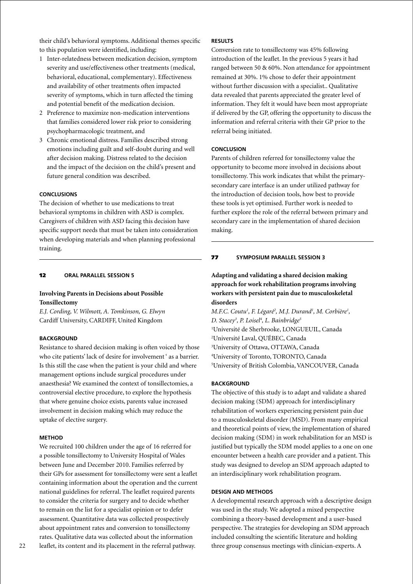their child's behavioral symptoms. Additional themes specific to this population were identified, including:

- 1 Inter-relatedness between medication decision, symptom severity and use/effectiveness other treatments (medical, behavioral, educational, complementary). Effectiveness and availability of other treatments often impacted severity of symptoms, which in turn affected the timing and potential benefit of the medication decision.
- 2 Preference to maximize non-medication interventions that families considered lower risk prior to considering psychopharmacologic treatment, and
- 3 Chronic emotional distress. Families described strong emotions including guilt and self-doubt during and well after decision making. Distress related to the decision and the impact of the decision on the child's present and future general condition was described.

# **Conclusions**

The decision of whether to use medications to treat behavioral symptoms in children with ASD is complex. Caregivers of children with ASD facing this decision have specific support needs that must be taken into consideration when developing materials and when planning professional training.

### 12 **oral parallel session 5**

# **Involving Parents in Decisions about Possible Tonsillectomy**

*E.J. Cording, V. Wilmott, A. Tomkinson, G. Elwyn* Cardiff University, CARDIFF, United Kingdom

### **BACKGROUND**

Resistance to shared decision making is often voiced by those who cite patients' lack of desire for involvement ' as a barrier. Is this still the case when the patient is your child and where management options include surgical procedures under anaesthesia? We examined the context of tonsillectomies, a controversial elective procedure, to explore the hypothesis that where genuine choice exists, parents value increased involvement in decision making which may reduce the uptake of elective surgery.

### **Method**

We recruited 100 children under the age of 16 referred for a possible tonsillectomy to University Hospital of Wales between June and December 2010. Families referred by their GPs for assessment for tonsillectomy were sent a leaflet containing information about the operation and the current national guidelines for referral. The leaflet required parents to consider the criteria for surgery and to decide whether to remain on the list for a specialist opinion or to defer assessment. Quantitative data was collected prospectively about appointment rates and conversion to tonsillectomy rates. Qualitative data was collected about the information leaflet, its content and its placement in the referral pathway.

Conversion rate to tonsillectomy was 45% following introduction of the leaflet. In the previous 5 years it had ranged between 50 & 60%. Non attendance for appointment remained at 30%. 1% chose to defer their appointment without further discussion with a specialist.. Qualitative data revealed that parents appreciated the greater level of information. They felt it would have been most appropriate if delivered by the GP, offering the opportunity to discuss the information and referral criteria with their GP prior to the referral being initiated.

### **Conclusion**

Parents of children referred for tonsillectomy value the opportunity to become more involved in decisions about tonsillectomy. This work indicates that whilst the primarysecondary care interface is an under utilized pathway for the introduction of decision tools, how best to provide these tools is yet optimised. Further work is needed to further explore the role of the referral between primary and secondary care in the implementation of shared decision making.

#### 77 **Symposium parallel session 3**

**Adapting and validating a shared decision making approach for work rehabilitation programs involving workers with persistent pain due to musculoskeletal disorders**

*M.F.C. Coutu<sup>1</sup>, F. Légaré<sup>2</sup>, M.J. Durand<sup>1</sup>, M. Corbière<sup>1</sup>, D. Stacey3 , P. Loisel4 , L. Bainbridge5* Université de Sherbrooke, LONGUEUIL, Canada Université Laval, QUÉBEC, Canada University of Ottawa, OTTAWA, Canada University of Toronto, TORONTO, Canada University of British Colombia, VANCOUVER, Canada

# **Background**

The objective of this study is to adapt and validate a shared decision making (SDM) approach for interdisciplinary rehabilitation of workers experiencing persistent pain due to a musculoskeletal disorder (MSD). From many empirical and theoretical points of view, the implementation of shared decision making (SDM) in work rehabilitation for an MSD is justified but typically the SDM model applies to a one on one encounter between a health care provider and a patient. This study was designed to develop an SDM approach adapted to an interdisciplinary work rehabilitation program.

#### **Design and Methods**

A developmental research approach with a descriptive design was used in the study. We adopted a mixed perspective combining a theory-based development and a user-based perspective. The strategies for developing an SDM approach included consulting the scientific literature and holding three group consensus meetings with clinician-experts. A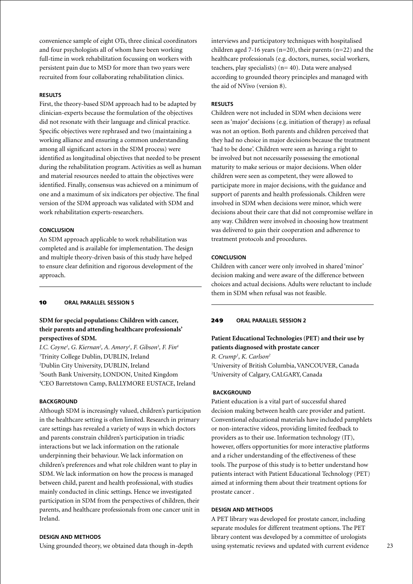convenience sample of eight OTs, three clinical coordinators and four psychologists all of whom have been working full-time in work rehabilitation focussing on workers with persistent pain due to MSD for more than two years were recruited from four collaborating rehabilitation clinics.

# **Results**

First, the theory-based SDM approach had to be adapted by clinician-experts because the formulation of the objectives did not resonate with their language and clinical practice. Specific objectives were rephrased and two (maintaining a working alliance and ensuring a common understanding among all significant actors in the SDM process) were identified as longitudinal objectives that needed to be present during the rehabilitation program. Activities as well as human and material resources needed to attain the objectives were identified. Finally, consensus was achieved on a minimum of one and a maximum of six indicators per objective. The final version of the SDM approach was validated with SDM and work rehabilitation experts-researchers.

# **Conclusion**

An SDM approach applicable to work rehabilitation was completed and is available for implementation. The design and multiple theory-driven basis of this study have helped to ensure clear definition and rigorous development of the approach.

# 10 **oral parallel session 5**

# **SDM for special populations: Children with cancer, their parents and attending healthcare professionals' perspectives of SDM.**

*I.C. Coyne1 , G. Kiernan2 , A. Amory1 , F. Gibson3 , F. Fin4* Trinity College Dublin, DUBLIN, Ireland Dublin City University, DUBLIN, Ireland South Bank University, LONDON, United Kingdom CEO Barretstown Camp, BALLYMORE EUSTACE, Ireland

### **BACKGROUND**

Although SDM is increasingly valued, children's participation in the healthcare setting is often limited. Research in primary care settings has revealed a variety of ways in which doctors and parents constrain children's participation in triadic interactions but we lack information on the rationale underpinning their behaviour. We lack information on children's preferences and what role children want to play in SDM. We lack information on how the process is managed between child, parent and health professional, with studies mainly conducted in clinic settings. Hence we investigated participation in SDM from the perspectives of children, their parents, and healthcare professionals from one cancer unit in Ireland.

# **Design and Methods**

Using grounded theory, we obtained data though in-depth

interviews and participatory techniques with hospitalised children aged 7-16 years (n=20), their parents (n=22) and the healthcare professionals (e.g. doctors, nurses, social workers, teachers, play specialists) (n= 40). Data were analysed according to grounded theory principles and managed with the aid of NVivo (version 8).

# **Results**

Children were not included in SDM when decisions were seen as 'major' decisions (e.g. initiation of therapy) as refusal was not an option. Both parents and children perceived that they had no choice in major decisions because the treatment 'had to be done'. Children were seen as having a right to be involved but not necessarily possessing the emotional maturity to make serious or major decisions. When older children were seen as competent, they were allowed to participate more in major decisions, with the guidance and support of parents and health professionals. Children were involved in SDM when decisions were minor, which were decisions about their care that did not compromise welfare in any way. Children were involved in choosing how treatment was delivered to gain their cooperation and adherence to treatment protocols and procedures.

### **Conclusion**

Children with cancer were only involved in shared 'minor' decision making and were aware of the difference between choices and actual decisions. Adults were reluctant to include them in SDM when refusal was not feasible.

### 249 **oral parallel session 2**

# **Patient Educational Technologies (PET) and their use by patients diagnosed with prostate cancer**

*R. Crump1 , K. Carlson2* 1 University of British Columbia, VANCOUVER, Canada 2 University of Calgary, CALGARY, Canada

#### **Background**

Patient education is a vital part of successful shared decision making between health care provider and patient. Conventional educational materials have included pamphlets or non-interactive videos, providing limited feedback to providers as to their use. Information technology (IT), however, offers opportunities for more interactive platforms and a richer understanding of the effectiveness of these tools. The purpose of this study is to better understand how patients interact with Patient Educational Technology (PET) aimed at informing them about their treatment options for prostate cancer .

#### **Design and Methods**

A PET library was developed for prostate cancer, including separate modules for different treatment options. The PET library content was developed by a committee of urologists using systematic reviews and updated with current evidence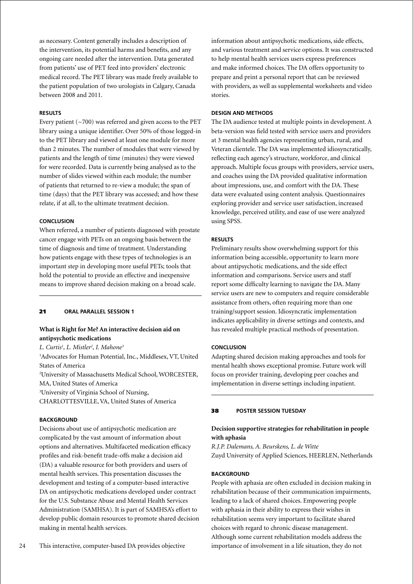as necessary. Content generally includes a description of the intervention, its potential harms and benefits, and any ongoing care needed after the intervention. Data generated from patients' use of PET feed into providers' electronic medical record. The PET library was made freely available to the patient population of two urologists in Calgary, Canada between 2008 and 2011.

### **Results**

Every patient  $({\sim}700)$  was referred and given access to the PET library using a unique identifier. Over 50% of those logged-in to the PET library and viewed at least one module for more than 2 minutes. The number of modules that were viewed by patients and the length of time (minutes) they were viewed for were recorded. Data is currently being analysed as to the number of slides viewed within each module; the number of patients that returned to re-view a module; the span of time (days) that the PET library was accessed; and how these relate, if at all, to the ultimate treatment decision.

### **Conclusion**

When referred, a number of patients diagnosed with prostate cancer engage with PETs on an ongoing basis between the time of diagnosis and time of treatment. Understanding how patients engage with these types of technologies is an important step in developing more useful PETs; tools that hold the potential to provide an effective and inexpensive means to improve shared decision making on a broad scale.

### 21 **oral parallel session 1**

# **What is Right for Me? An interactive decision aid on antipsychotic medications**

*L. Curtis1 , L. Mistler2 , I. Mahone3* 1 Advocates for Human Potential, Inc., Middlesex, VT, United States of America 2 University of Massachusetts Medical School, WORCESTER, MA, United States of America 3 University of Virginia School of Nursing, CHARLOTTESVILLE, VA, United States of America

### **BACKGROUND**

Decisions about use of antipsychotic medication are complicated by the vast amount of information about options and alternatives. Multifaceted medication efficacy profiles and risk-benefit trade-offs make a decision aid (DA) a valuable resource for both providers and users of mental health services. This presentation discusses the development and testing of a computer-based interactive DA on antipsychotic medications developed under contract for the U.S. Substance Abuse and Mental Health Services Administration (SAMHSA). It is part of SAMHSA's effort to develop public domain resources to promote shared decision making in mental health services.

information about antipsychotic medications, side effects, and various treatment and service options. It was constructed to help mental health services users express preferences and make informed choices. The DA offers opportunity to prepare and print a personal report that can be reviewed with providers, as well as supplemental worksheets and video stories.

# **Design and Methods**

The DA audience tested at multiple points in development. A beta-version was field tested with service users and providers at 3 mental health agencies representing urban, rural, and Veteran clientele. The DA was implemented idiosyncratically, reflecting each agency's structure, workforce, and clinical approach. Multiple focus groups with providers, service users, and coaches using the DA provided qualitative information about impressions, use, and comfort with the DA. These data were evaluated using content analysis. Questionnaires exploring provider and service user satisfaction, increased knowledge, perceived utility, and ease of use were analyzed using SPSS.

### **Results**

Preliminary results show overwhelming support for this information being accessible, opportunity to learn more about antipsychotic medications, and the side effect information and comparisons. Service users and staff report some difficulty learning to navigate the DA. Many service users are new to computers and require considerable assistance from others, often requiring more than one training/support session. Idiosyncratic implementation indicates applicability in diverse settings and contexts, and has revealed multiple practical methods of presentation.

# **Conclusion**

Adapting shared decision making approaches and tools for mental health shows exceptional promise. Future work will focus on provider training, developing peer coaches and implementation in diverse settings including inpatient.

#### 38 **poster session Tuesday**

# **Decision supportive strategies for rehabilitation in people with aphasia**

*R.J.P. Dalemans, A. Beurskens, L. de Witte* Zuyd University of Applied Sciences, HEERLEN, Netherlands

### **BACKGROUND**

People with aphasia are often excluded in decision making in rehabilitation because of their communication impairments, leading to a lack of shared choices. Empowering people with aphasia in their ability to express their wishes in rehabilitation seems very important to facilitate shared choices with regard to chronic disease management. Although some current rehabilitation models address the importance of involvement in a life situation, they do not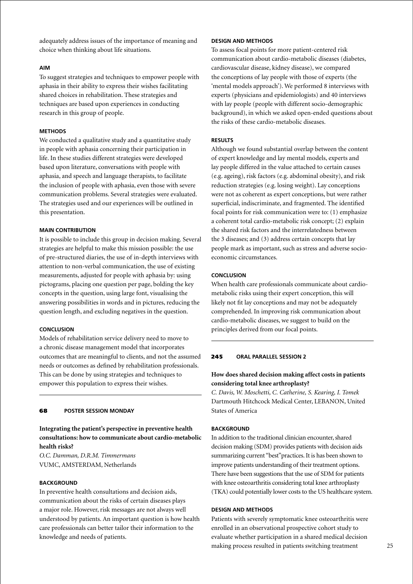adequately address issues of the importance of meaning and choice when thinking about life situations.

### **Aim**

To suggest strategies and techniques to empower people with aphasia in their ability to express their wishes facilitating shared choices in rehabilitation. These strategies and techniques are based upon experiences in conducting research in this group of people.

### **Methods**

We conducted a qualitative study and a quantitative study in people with aphasia concerning their participation in life. In these studies different strategies were developed based upon literature, conversations with people with aphasia, and speech and language therapists, to facilitate the inclusion of people with aphasia, even those with severe communication problems. Several strategies were evaluated. The strategies used and our experiences will be outlined in this presentation.

### **Main contribution**

It is possible to include this group in decision making. Several strategies are helpful to make this mission possible: the use of pre-structured diaries, the use of in-depth interviews with attention to non-verbal communication, the use of existing measurements, adjusted for people with aphasia by: using pictograms, placing one question per page, bolding the key concepts in the question, using large font, visualising the answering possibilities in words and in pictures, reducing the question length, and excluding negatives in the question.

# **Conclusion**

Models of rehabilitation service delivery need to move to a chronic disease management model that incorporates outcomes that are meaningful to clients, and not the assumed needs or outcomes as defined by rehabilitation professionals. This can be done by using strategies and techniques to empower this population to express their wishes.

#### 68 **poster Session Monday**

# **Integrating the patient's perspective in preventive health consultations: how to communicate about cardio-metabolic health risks?**

*O.C. Damman, D.R.M. Timmermans* VUMC, AMSTERDAM, Netherlands

### **BACKGROUND**

In preventive health consultations and decision aids, communication about the risks of certain diseases plays a major role. However, risk messages are not always well understood by patients. An important question is how health care professionals can better tailor their information to the knowledge and needs of patients.

### **Design and Methods**

To assess focal points for more patient-centered risk communication about cardio-metabolic diseases (diabetes, cardiovascular disease, kidney disease), we compared the conceptions of lay people with those of experts (the 'mental models approach'). We performed 8 interviews with experts (physicians and epidemiologists) and 40 interviews with lay people (people with different socio-demographic background), in which we asked open-ended questions about the risks of these cardio-metabolic diseases.

### **Results**

Although we found substantial overlap between the content of expert knowledge and lay mental models, experts and lay people differed in the value attached to certain causes (e.g. ageing), risk factors (e.g. abdominal obesity), and risk reduction strategies (e.g. losing weight). Lay conceptions were not as coherent as expert conceptions, but were rather superficial, indiscriminate, and fragmented. The identified focal points for risk communication were to: (1) emphasize a coherent total cardio-metabolic risk concept; (2) explain the shared risk factors and the interrelatedness between the 3 diseases; and (3) address certain concepts that lay people mark as important, such as stress and adverse socioeconomic circumstances.

# **Conclusion**

When health care professionals communicate about cardiometabolic risks using their expert conception, this will likely not fit lay conceptions and may not be adequately comprehended. In improving risk communication about cardio-metabolic diseases, we suggest to build on the principles derived from our focal points.

### 245 **oral parallel session 2**

# **How does shared decision making affect costs in patients considering total knee arthroplasty?**

*C. Davis, W. Moschetti, C. Catherine, S. Kearing, I. Tomek* Dartmouth Hitchcock Medical Center, LEBANON, United States of America

# **BACKGROUND**

In addition to the traditional clinician encounter, shared decision making (SDM) provides patients with decision aids summarizing current "best"practices. It is has been shown to improve patients understanding of their treatment options. There have been suggestions that the use of SDM for patients with knee osteoarthritis considering total knee arthroplasty (TKA) could potentially lower costs to the US healthcare system.

#### **Design and Methods**

Patients with severely symptomatic knee osteoarthritis were enrolled in an observational prospective cohort study to evaluate whether participation in a shared medical decision making process resulted in patients switching treatment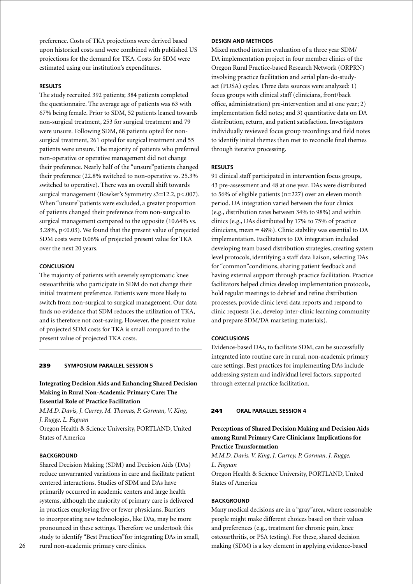preference. Costs of TKA projections were derived based upon historical costs and were combined with published US projections for the demand for TKA. Costs for SDM were estimated using our institution's expenditures.

# **Results**

The study recruited 392 patients; 384 patients completed the questionnaire. The average age of patients was 63 with 67% being female. Prior to SDM, 52 patients leaned towards non-surgical treatment, 253 for surgical treatment and 79 were unsure. Following SDM, 68 patients opted for nonsurgical treatment, 261 opted for surgical treatment and 55 patients were unsure. The majority of patients who preferred non-operative or operative management did not change their preference. Nearly half of the "unsure"patients changed their preference (22.8% switched to non-operative vs. 25.3% switched to operative). There was an overall shift towards surgical management (Bowker's Symmetry s3=12.2, p<.007). When "unsure"patients were excluded, a greater proportion of patients changed their preference from non-surgical to surgical management compared to the opposite (10.64% vs. 3.28%, p<0.03). We found that the present value of projected SDM costs were 0.06% of projected present value for TKA over the next 20 years.

### **Conclusion**

The majority of patients with severely symptomatic knee osteoarthritis who participate in SDM do not change their initial treatment preference. Patients were more likely to switch from non-surgical to surgical management. Our data finds no evidence that SDM reduces the utilization of TKA, and is therefore not cost-saving. However, the present value of projected SDM costs for TKA is small compared to the present value of projected TKA costs.

#### 239 **Symposium parallel session 5**

**Integrating Decision Aids and Enhancing Shared Decision Making in Rural Non-Academic Primary Care: The Essential Role of Practice Facilitation**

*M.M.D. Davis, J. Currey, M. Thomas, P. Gorman, V. King, J. Rugge, L. Fagnan*

Oregon Health & Science University, PORTLAND, United States of America

#### **BACKGROUND**

Shared Decision Making (SDM) and Decision Aids (DAs) reduce unwarranted variations in care and facilitate patient centered interactions. Studies of SDM and DAs have primarily occurred in academic centers and large health systems, although the majority of primary care is delivered in practices employing five or fewer physicians. Barriers to incorporating new technologies, like DAs, may be more pronounced in these settings. Therefore we undertook this study to identify "Best Practices"for integrating DAs in small, rural non-academic primary care clinics.

### **Design and Methods**

Mixed method interim evaluation of a three year SDM/ DA implementation project in four member clinics of the Oregon Rural Practice-based Research Network (ORPRN) involving practice facilitation and serial plan-do-studyact (PDSA) cycles. Three data sources were analyzed: 1) focus groups with clinical staff (clinicians, front/back office, administration) pre-intervention and at one year; 2) implementation field notes; and 3) quantitative data on DA distribution, return, and patient satisfaction. Investigators individually reviewed focus group recordings and field notes to identify initial themes then met to reconcile final themes through iterative processing.

#### **Results**

91 clinical staff participated in intervention focus groups, 43 pre-assessment and 48 at one year. DAs were distributed to 56% of eligible patients (n=227) over an eleven month period. DA integration varied between the four clinics (e.g., distribution rates between 34% to 98%) and within clinics (e.g., DAs distributed by 17% to 75% of practice clinicians, mean = 48%). Clinic stability was essential to DA implementation. Facilitators to DA integration included developing team based distribution strategies, creating system level protocols, identifying a staff data liaison, selecting DAs for "common"conditions, sharing patient feedback and having external support through practice facilitation. Practice facilitators helped clinics develop implementation protocols, hold regular meetings to debrief and refine distribution processes, provide clinic level data reports and respond to clinic requests (i.e., develop inter-clinic learning community and prepare SDM/DA marketing materials).

#### **Conclusions**

Evidence-based DAs, to facilitate SDM, can be successfully integrated into routine care in rural, non-academic primary care settings. Best practices for implementing DAs include addressing system and individual level factors, supported through external practice facilitation.

### 241 **oral parallel session 4**

# **Perceptions of Shared Decision Making and Decision Aids among Rural Primary Care Clinicians: Implications for Practice Transformation**

*M.M.D. Davis, V. King, J. Currey, P. Gorman, J. Rugge, L. Fagnan*

Oregon Health & Science University, PORTLAND, United States of America

#### **BACKGROUND**

Many medical decisions are in a "gray"area, where reasonable people might make different choices based on their values and preferences (e.g., treatment for chronic pain, knee osteoarthritis, or PSA testing). For these, shared decision making (SDM) is a key element in applying evidence-based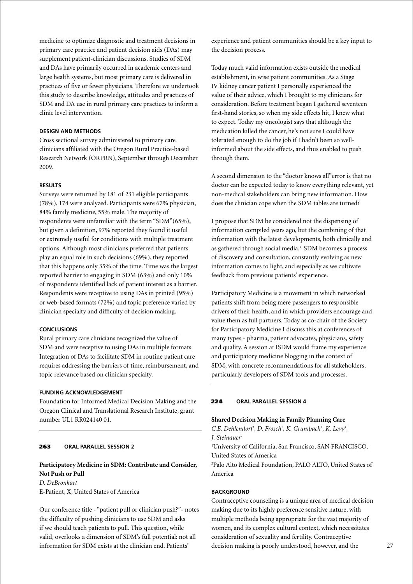medicine to optimize diagnostic and treatment decisions in primary care practice and patient decision aids (DAs) may supplement patient-clinician discussions. Studies of SDM and DAs have primarily occurred in academic centers and large health systems, but most primary care is delivered in practices of five or fewer physicians. Therefore we undertook this study to describe knowledge, attitudes and practices of SDM and DA use in rural primary care practices to inform a clinic level intervention.

### **Design and Methods**

Cross sectional survey administered to primary care clinicians affiliated with the Oregon Rural Practice-based Research Network (ORPRN), September through December 2009.

### **Results**

Surveys were returned by 181 of 231 eligible participants (78%), 174 were analyzed. Participants were 67% physician, 84% family medicine, 55% male. The majority of respondents were unfamiliar with the term "SDM"(65%), but given a definition, 97% reported they found it useful or extremely useful for conditions with multiple treatment options. Although most clinicians preferred that patients play an equal role in such decisions (69%), they reported that this happens only 35% of the time. Time was the largest reported barrier to engaging in SDM (63%) and only 10% of respondents identified lack of patient interest as a barrier. Respondents were receptive to using DAs in printed (95%) or web-based formats (72%) and topic preference varied by clinician specialty and difficulty of decision making.

# **Conclusions**

Rural primary care clinicians recognized the value of SDM and were receptive to using DAs in multiple formats. Integration of DAs to facilitate SDM in routine patient care requires addressing the barriers of time, reimbursement, and topic relevance based on clinician specialty.

# **Funding Acknowledgement**

Foundation for Informed Medical Decision Making and the Oregon Clinical and Translational Research Institute, grant number UL1 RR024140 01.

# 263 **oral parallel session 2**

# **Participatory Medicine in SDM: Contribute and Consider, Not Push or Pull** *D. DeBronkart* E-Patient, X, United States of America

Our conference title - "patient pull or clinician push?"- notes the difficulty of pushing clinicians to use SDM and asks if we should teach patients to pull. This question, while valid, overlooks a dimension of SDM's full potential: not all information for SDM exists at the clinician end. Patients'

experience and patient communities should be a key input to the decision process.

Today much valid information exists outside the medical establishment, in wise patient communities. As a Stage IV kidney cancer patient I personally experienced the value of their advice, which I brought to my clinicians for consideration. Before treatment began I gathered seventeen first-hand stories, so when my side effects hit, I knew what to expect. Today my oncologist says that although the medication killed the cancer, he's not sure I could have tolerated enough to do the job if I hadn't been so wellinformed about the side effects, and thus enabled to push through them.

A second dimension to the "doctor knows all"error is that no doctor can be expected today to know everything relevant, yet non-medical stakeholders can bring new information. How does the clinician cope when the SDM tables are turned?

I propose that SDM be considered not the dispensing of information compiled years ago, but the combining of that information with the latest developments, both clinically and as gathered through social media.\* SDM becomes a process of discovery and consultation, constantly evolving as new information comes to light, and especially as we cultivate feedback from previous patients' experience.

Participatory Medicine is a movement in which networked patients shift from being mere passengers to responsible drivers of their health, and in which providers encourage and value them as full partners. Today as co-chair of the Society for Participatory Medicine I discuss this at conferences of many types - pharma, patient advocates, physicians, safety and quality. A session at ISDM would frame my experience and participatory medicine blogging in the context of SDM, with concrete recommendations for all stakeholders, particularly developers of SDM tools and processes.

# 224 **oral parallel session 4**

### **Shared Decision Making in Family Planning Care**

*C.E. Dehlendorf<sup>1</sup>*, *D. Frosch<sup>2</sup>*, *K. Grumbach<sup>1</sup>, K. Levy<sup>1</sup>, J. Steinauer1*

1 University of California, San Francisco, SAN FRANCISCO, United States of America

2 Palo Alto Medical Foundation, PALO ALTO, United States of America

# **BACKGROUND**

Contraceptive counseling is a unique area of medical decision making due to its highly preference sensitive nature, with multiple methods being appropriate for the vast majority of women, and its complex cultural context, which necessitates consideration of sexuality and fertility. Contraceptive decision making is poorly understood, however, and the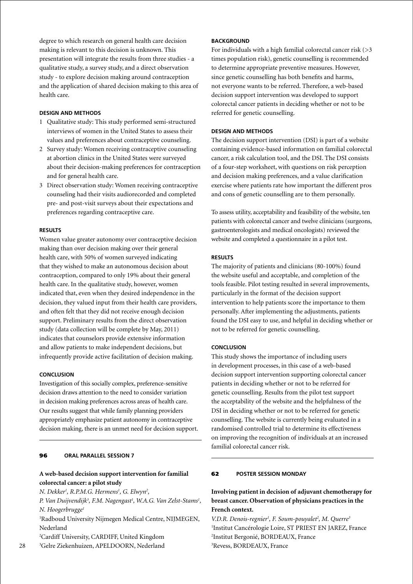degree to which research on general health care decision making is relevant to this decision is unknown. This presentation will integrate the results from three studies - a qualitative study, a survey study, and a direct observation study - to explore decision making around contraception and the application of shared decision making to this area of health care.

### **Design and Methods**

- 1 Qualitative study: This study performed semi-structured interviews of women in the United States to assess their values and preferences about contraceptive counseling.
- 2 Survey study: Women receiving contraceptive counseling at abortion clinics in the United States were surveyed about their decision-making preferences for contraception and for general health care.
- 3 Direct observation study: Women receiving contraceptive counseling had their visits audiorecorded and completed pre- and post-visit surveys about their expectations and preferences regarding contraceptive care.

# **Results**

Women value greater autonomy over contraceptive decision making than over decision making over their general health care, with 50% of women surveyed indicating that they wished to make an autonomous decision about contraception, compared to only 19% about their general health care. In the qualitative study, however, women indicated that, even when they desired independence in the decision, they valued input from their health care providers, and often felt that they did not receive enough decision support. Preliminary results from the direct observation study (data collection will be complete by May, 2011) indicates that counselors provide extensive information and allow patients to make independent decisions, but infrequently provide active facilitation of decision making.

### **Conclusion**

Investigation of this socially complex, preference-sensitive decision draws attention to the need to consider variation in decision making preferences across areas of health care. Our results suggest that while family planning providers appropriately emphasize patient autonomy in contraceptive decision making, there is an unmet need for decision support.

### 96 **oral parallel session 7**

# **A web-based decision support intervention for familial colorectal cancer: a pilot study**

*N. Dekker1 , R.P.M.G. Hermens1 , G. Elwyn2 ,* 

*P. Van Duijvendijk3 , F.M. Nagengast1 , W.A.G. Van Zelst-Stams1 , N. Hoogerbrugge1*

1 Radboud University Nijmegen Medical Centre, NIJMEGEN, Nederland

2 Cardiff University, CARDIFF, United Kingdom

3 Gelre Ziekenhuizen, APELDOORN, Nederland

# **BACKGROUND**

For individuals with a high familial colorectal cancer risk  $(>\,3$ times population risk), genetic counselling is recommended to determine appropriate preventive measures. However, since genetic counselling has both benefits and harms, not everyone wants to be referred. Therefore, a web-based decision support intervention was developed to support colorectal cancer patients in deciding whether or not to be referred for genetic counselling.

### **Design and Methods**

The decision support intervention (DSI) is part of a website containing evidence-based information on familial colorectal cancer, a risk calculation tool, and the DSI. The DSI consists of a four-step worksheet, with questions on risk perception and decision making preferences, and a value clarification exercise where patients rate how important the different pros and cons of genetic counselling are to them personally.

To assess utility, acceptability and feasibility of the website, ten patients with colorectal cancer and twelve clinicians (surgeons, gastroenterologists and medical oncologists) reviewed the website and completed a questionnaire in a pilot test.

### **Results**

The majority of patients and clinicians (80-100%) found the website useful and acceptable, and completion of the tools feasible. Pilot testing resulted in several improvements, particularly in the format of the decision support intervention to help patients score the importance to them personally. After implementing the adjustments, patients found the DSI easy to use, and helpful in deciding whether or not to be referred for genetic counselling.

### **Conclusion**

This study shows the importance of including users in development processes, in this case of a web-based decision support intervention supporting colorectal cancer patients in deciding whether or not to be referred for genetic counselling. Results from the pilot test support the acceptability of the website and the helpfulness of the DSI in deciding whether or not to be referred for genetic counselling. The website is currently being evaluated in a randomised controlled trial to determine its effectiveness on improving the recognition of individuals at an increased familial colorectal cancer risk.

# 62 **poster Session Monday**

# **Involving patient in decision of adjuvant chemotherapy for breast cancer. Observation of physicians practices in the French context.**

V.D.R. Denois-regnier<sup>1</sup>, F. Soum-pouyalet<sup>2</sup>, M. Querre<sup>3</sup> Institut Cancérologie Loire, ST PRIEST EN JAREZ, France Institut Bergonié, BORDEAUX, France Revess, BORDEAUX, France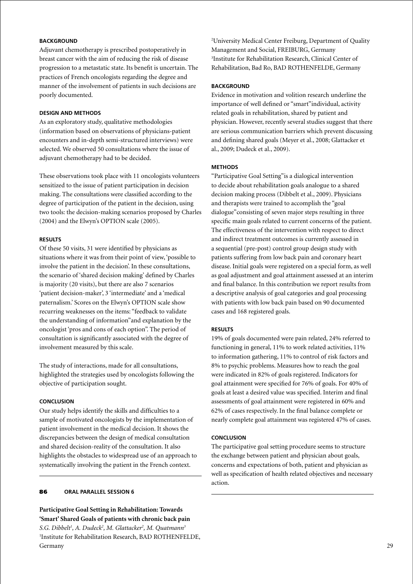# **BACKGROUND**

Adjuvant chemotherapy is prescribed postoperatively in breast cancer with the aim of reducing the risk of disease progression to a metastatic state. Its benefit is uncertain. The practices of French oncologists regarding the degree and manner of the involvement of patients in such decisions are poorly documented.

### **Design and Methods**

As an exploratory study, qualitative methodologies (information based on observations of physicians-patient encounters and in-depth semi-structured interviews) were selected. We observed 50 consultations where the issue of adjuvant chemotherapy had to be decided.

These observations took place with 11 oncologists volunteers sensitized to the issue of patient participation in decision making. The consultations were classified according to the degree of participation of the patient in the decision, using two tools: the decision-making scenarios proposed by Charles (2004) and the Elwyn's OPTION scale (2005).

### **Results**

Of these 50 visits, 31 were identified by physicians as situations where it was from their point of view, 'possible to involve the patient in the decision'. In these consultations, the scenario of 'shared decision making' defined by Charles is majority (20 visits), but there are also 7 scenarios 'patient decision-maker', 3 'intermediate' and a 'medical paternalism.' Scores on the Elwyn's OPTION scale show recurring weaknesses on the items: "feedback to validate the understanding of information"and explanation by the oncologist 'pros and cons of each option". The period of consultation is significantly associated with the degree of involvement measured by this scale.

The study of interactions, made for all consultations, highlighted the strategies used by oncologists following the objective of participation sought.

# **Conclusion**

Our study helps identify the skills and difficulties to a sample of motivated oncologists by the implementation of patient involvement in the medical decision. It shows the discrepancies between the design of medical consultation and shared decision-reality of the consultation. It also highlights the obstacles to widespread use of an approach to systematically involving the patient in the French context.

# 86 **oral parallel session 6**

**Participative Goal Setting in Rehabilitation: Towards 'Smart' Shared Goals of patients with chronic back pain** *S.G. Dibbelt1 , A. Dudeck2 , M. Glattacker2 , M. Quatmann3* 1 Institute for Rehabilitation Research, BAD ROTHENFELDE, Germany

2 University Medical Center Freiburg, Department of Quality Management and Social, FREIBURG, Germany 3 Institute for Rehabilitation Research, Clinical Center of Rehabilitation, Bad Ro, BAD ROTHENFELDE, Germany

# **BACKGROUND**

Evidence in motivation and volition research underline the importance of well defined or "smart"individual, activity related goals in rehabilitation, shared by patient and physician. However, recently several studies suggest that there are serious communication barriers which prevent discussing and defining shared goals (Meyer et al., 2008; Glattacker et al., 2009; Dudeck et al., 2009).

# **Methods**

"Participative Goal Setting"is a dialogical intervention to decide about rehabilitation goals analogue to a shared decision making process (Dibbelt et al., 2009). Physicians and therapists were trained to accomplish the "goal dialogue"consisting of seven major steps resulting in three specific main goals related to current concerns of the patient. The effectiveness of the intervention with respect to direct and indirect treatment outcomes is currently assessed in a sequential (pre-post) control group design study with patients suffering from low back pain and coronary heart disease. Initial goals were registered on a special form, as well as goal adjustment and goal attainment assessed at an interim and final balance. In this contribution we report results from a descriptive analysis of goal categories and goal processing with patients with low back pain based on 90 documented cases and 168 registered goals.

### **Results**

19% of goals documented were pain related, 24% referred to functioning in general, 11% to work related activities, 11% to information gathering, 11% to control of risk factors and 8% to psychic problems. Measures how to reach the goal were indicated in 82% of goals registered. Indicators for goal attainment were specified for 76% of goals. For 40% of goals at least a desired value was specified. Interim and final assessments of goal attainment were registered in 60% and 62% of cases respectively. In the final balance complete or nearly complete goal attainment was registered 47% of cases.

# **Conclusion**

The participative goal setting procedure seems to structure the exchange between patient and physician about goals, concerns and expectations of both, patient and physician as well as specification of health related objectives and necessary action.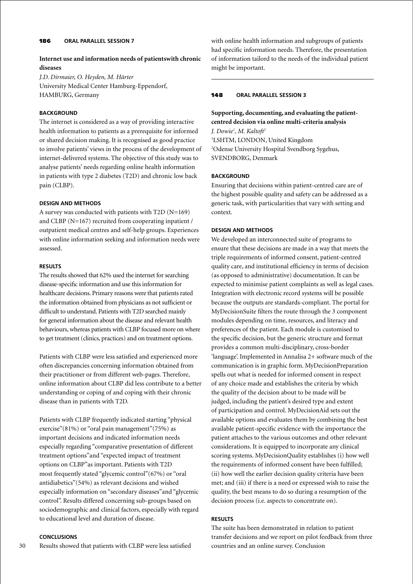# 186 **oral parallel session 7**

# **Internet use and information needs of patientswith chronic diseases**

*J.D. Dirmaier, O. Heyden, M. Härter* University Medical Center Hamburg-Eppendorf, HAMBURG, Germany

# **BACKGROUND**

The internet is considered as a way of providing interactive health information to patients as a prerequisite for informed or shared decision making. It is recognised as good practice to involve patients' views in the process of the development of internet-delivered systems. The objective of this study was to analyse patients' needs regarding online health information in patients with type 2 diabetes (T2D) and chronic low back pain (CLBP).

# **Design and Methods**

A survey was conducted with patients with T2D (N=169) and CLBP (N=167) recruited from cooperating inpatient / outpatient medical centres and self-help groups. Experiences with online information seeking and information needs were assessed.

### **Results**

The results showed that 62% used the internet for searching disease-specific information and use this information for healthcare decisions. Primary reasons were that patients rated the information obtained from physicians as not sufficient or difficult to understand. Patients with T2D searched mainly for general information about the disease and relevant health behaviours, whereas patients with CLBP focused more on where to get treatment (clinics, practices) and on treatment options.

Patients with CLBP were less satisfied and experienced more often discrepancies concerning information obtained from their practitioner or from different web-pages. Therefore, online information about CLBP did less contribute to a better understanding or coping of and coping with their chronic disease than in patients with T2D.

Patients with CLBP frequently indicated starting "physical exercise"(81%) or "oral pain management"(75%) as important decisions and indicated information needs especially regarding "comparative presentation of different treatment options"and "expected impact of treatment options on CLBP"as important. Patients with T2D most frequently stated "glycemic control"(67%) or "oral antidiabetics"(54%) as relevant decisions and wished especially information on "secondary diseases"and "glycemic control". Results differed concerning sub-groups based on sociodemographic and clinical factors, especially with regard to educational level and duration of disease.

# **Conclusions**

30 Results showed that patients with CLBP were less satisfied with online health information and subgroups of patients had specific information needs. Therefore, the presentation of information tailord to the needs of the individual patient might be important.

#### 148 **oral parallel session 3**

# **Supporting, documenting, and evaluating the patientcentred decision via online multi-criteria analysis**

*J. Dowie1 , M. Kaltoft2* 1 LSHTM, LONDON, United Kingdom 2 Odense University Hospital Svendborg Sygehus, SVENDBORG, Denmark

### **BACKGROUND**

Ensuring that decisions within patient-centred care are of the highest possible quality and safety can be addressed as a generic task, with particularities that vary with setting and context.

#### **Design and Methods**

We developed an interconnected suite of programs to ensure that these decisions are made in a way that meets the triple requirements of informed consent, patient-centred quality care, and institutional efficiency in terms of decision (as opposed to administrative) documentation. It can be expected to minimise patient complaints as well as legal cases. Integration with electronic record systems will be possible because the outputs are standards-compliant. The portal for MyDecisionSuite filters the route through the 3 component modules depending on time, resources, and literacy and preferences of the patient. Each module is customised to the specific decision, but the generic structure and format provides a common multi-disciplinary, cross-border 'language'. Implemented in Annalisa 2+ software much of the communication is in graphic form. MyDecisionPreparation spells out what is needed for informed consent in respect of any choice made and establishes the criteria by which the quality of the decision about to be made will be judged, including the patient's desired type and extent of participation and control. MyDecisionAid sets out the available options and evaluates them by combining the best available patient-specific evidence with the importance the patient attaches to the various outcomes and other relevant considerations. It is equipped to incorporate any clinical scoring systems. MyDecisionQuality establishes (i) how well the requirements of informed consent have been fulfilled; (ii) how well the earlier decision quality criteria have been met; and (iii) if there is a need or expressed wish to raise the quality, the best means to do so during a resumption of the decision process (i.e. aspects to concentrate on).

### **Results**

The suite has been demonstrated in relation to patient transfer decisions and we report on pilot feedback from three countries and an online survey. Conclusion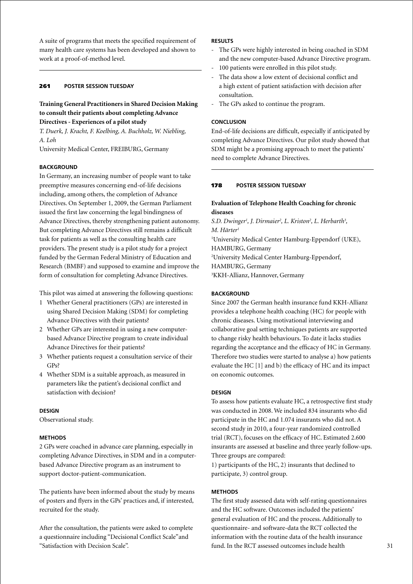A suite of programs that meets the specified requirement of many health care systems has been developed and shown to work at a proof-of-method level.

# 261 **poster session Tuesday**

# **Training General Practitioners in Shared Decision Making to consult their patients about completing Advance Directives - Experiences of a pilot study**

*T. Duerk, J. Kracht, F. Koelbing, A. Buchholz, W. Niebling, A. Loh*

University Medical Center, FREIBURG, Germany

#### **BACKGROUND**

In Germany, an increasing number of people want to take preemptive measures concerning end-of-life decisions including, among others, the completion of Advance Directives. On September 1, 2009, the German Parliament issued the first law concerning the legal bindingness of Advance Directives, thereby strengthening patient autonomy. But completing Advance Directives still remains a difficult task for patients as well as the consulting health care providers. The present study is a pilot study for a project funded by the German Federal Ministry of Education and Research (BMBF) and supposed to examine and improve the form of consultation for completing Advance Directives.

This pilot was aimed at answering the following questions:

- 1 Whether General practitioners (GPs) are interested in using Shared Decision Making (SDM) for completing Advance Directives with their patients?
- 2 Whether GPs are interested in using a new computerbased Advance Directive program to create individual Advance Directives for their patients?
- 3 Whether patients request a consultation service of their GPs?
- 4 Whether SDM is a suitable approach, as measured in parameters like the patient's decisional conflict and satisfaction with decision?

### **Design**

Observational study.

### **Methods**

2 GPs were coached in advance care planning, especially in completing Advance Directives, in SDM and in a computerbased Advance Directive program as an instrument to support doctor-patient-communication.

The patients have been informed about the study by means of posters and flyers in the GPs' practices and, if interested, recruited for the study.

After the consultation, the patients were asked to complete a questionnaire including "Decisional Conflict Scale"and "Satisfaction with Decision Scale".

# **Results**

- The GPs were highly interested in being coached in SDM and the new computer-based Advance Directive program.
- 100 patients were enrolled in this pilot study.
- The data show a low extent of decisional conflict and a high extent of patient satisfaction with decision after consultation.
- The GPs asked to continue the program.

#### **Conclusion**

End-of-life decisions are difficult, especially if anticipated by completing Advance Directives. Our pilot study showed that SDM might be a promising approach to meet the patients' need to complete Advance Directives.

#### 178 **poster session Tuesday**

# **Evaluation of Telephone Health Coaching for chronic diseases**

S.D. Dwinger<sup>1</sup>, J. Dirmaier<sup>2</sup>, L. Kriston<sup>2</sup>, L. Herbarth<sup>3</sup>, *M. Härter1* 1 University Medical Center Hamburg-Eppendorf (UKE), HAMBURG, Germany 2 University Medical Center Hamburg-Eppendorf, HAMBURG, Germany 3 KKH-Allianz, Hannover, Germany

# **BACKGROUND**

Since 2007 the German health insurance fund KKH-Allianz provides a telephone health coaching (HC) for people with chronic diseases. Using motivational interviewing and collaborative goal setting techniques patients are supported to change risky health behaviours. To date it lacks studies regarding the acceptance and the efficacy of HC in Germany. Therefore two studies were started to analyse a) how patients evaluate the HC [1] and b) the efficacy of HC and its impact on economic outcomes.

#### **Design**

To assess how patients evaluate HC, a retrospective first study was conducted in 2008. We included 834 insurants who did participate in the HC and 1.074 insurants who did not. A second study in 2010, a four-year randomized controlled trial (RCT), focuses on the efficacy of HC. Estimated 2.600 insurants are assessed at baseline and three yearly follow-ups. Three groups are compared:

1) participants of the HC, 2) insurants that declined to participate, 3) control group.

#### **Methods**

The first study assessed data with self-rating questionnaires and the HC software. Outcomes included the patients' general evaluation of HC and the process. Additionally to questionnaire- and software-data the RCT collected the information with the routine data of the health insurance fund. In the RCT assessed outcomes include health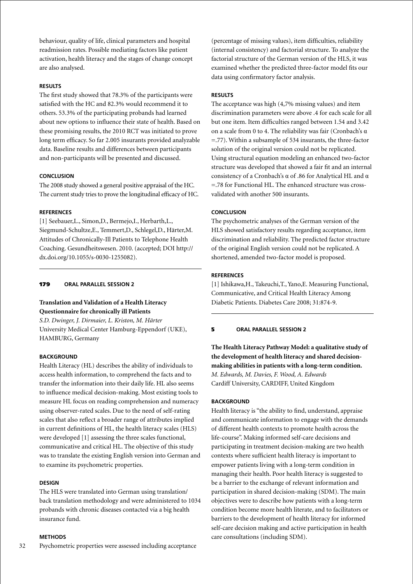behaviour, quality of life, clinical parameters and hospital readmission rates. Possible mediating factors like patient activation, health literacy and the stages of change concept are also analysed.

# **Results**

The first study showed that 78.3% of the participants were satisfied with the HC and 82.3% would recommend it to others. 53.3% of the participating probands had learned about new options to influence their state of health. Based on these promising results, the 2010 RCT was initiated to prove long term efficacy. So far 2.005 insurants provided analyzable data. Baseline results and differences between participants and non-participants will be presented and discussed.

### **Conclusion**

The 2008 study showed a general positive appraisal of the HC. The current study tries to prove the longitudinal efficacy of HC.

### **References**

[1] Seebauer,L., Simon,D., Bermejo,I., Herbarth,L., Siegmund-Schultze,E., Temmert,D., Schlegel,D., Härter,M. Attitudes of Chronically-Ill Patients to Telephone Health Coaching. Gesundheitswesen. 2010. (accepted; DOI http:// dx.doi.org/10.1055/s-0030-1255082).

# 179 **Oral parallel session 2**

# **Translation and Validation of a Health Literacy Questionnaire for chronically ill Patients**

*S.D. Dwinger, J. Dirmaier, L. Kriston, M. Härter* University Medical Center Hamburg-Eppendorf (UKE), HAMBURG, Germany

### **BACKGROUND**

Health Literacy (HL) describes the ability of individuals to access health information, to comprehend the facts and to transfer the information into their daily life. HL also seems to influence medical decision-making. Most existing tools to measure HL focus on reading comprehension and numeracy using observer-rated scales. Due to the need of self-rating scales that also reflect a broader range of attributes implied in current definitions of HL, the health literacy scales (HLS) were developed [1] assessing the three scales functional, communicative and critical HL. The objective of this study was to translate the existing English version into German and to examine its psychometric properties.

### **Design**

The HLS were translated into German using translation/ back translation methodology and were administered to 1034 probands with chronic diseases contacted via a big health insurance fund.

# **Methods**

(percentage of missing values), item difficulties, reliability (internal consistency) and factorial structure. To analyze the factorial structure of the German version of the HLS, it was examined whether the predicted three-factor model fits our data using confirmatory factor analysis.

### **Results**

The acceptance was high (4,7% missing values) and item discrimination parameters were above .4 for each scale for all but one item. Item difficulties ranged between 1.54 and 3.42 on a scale from 0 to 4. The reliability was fair (Cronbach's α =.77). Within a subsample of 534 insurants, the three-factor solution of the original version could not be replicated. Using structural equation modeling an enhanced two-factor structure was developed that showed a fair fit and an internal consistency of a Cronbach's α of .86 for Analytical HL and α =.78 for Functional HL. The enhanced structure was crossvalidated with another 500 insurants.

### **Conclusion**

The psychometric analyses of the German version of the HLS showed satisfactory results regarding acceptance, item discrimination and reliability. The predicted factor structure of the original English version could not be replicated. A shortened, amended two-factor model is proposed.

### **References**

[1] Ishikawa,H., Takeuchi,T., Yano,E. Measuring Functional, Communicative, and Critical Health Literacy Among Diabetic Patients. Diabetes Care 2008; 31:874-9.

### 5 **oral parallel session 2**

**The Health Literacy Pathway Model: a qualitative study of the development of health literacy and shared decisionmaking abilities in patients with a long-term condition.** *M. Edwards, M. Davies, F. Wood, A. Edwards* Cardiff University, CARDIFF, United Kingdom

#### **BACKGROUND**

Health literacy is "the ability to find, understand, appraise and communicate information to engage with the demands of different health contexts to promote health across the life-course". Making informed self-care decisions and participating in treatment decision-making are two health contexts where sufficient health literacy is important to empower patients living with a long-term condition in managing their health. Poor health literacy is suggested to be a barrier to the exchange of relevant information and participation in shared decision-making (SDM). The main objectives were to describe how patients with a long-term condition become more health literate, and to facilitators or barriers to the development of health literacy for informed self-care decision making and active participation in health care consultations (including SDM).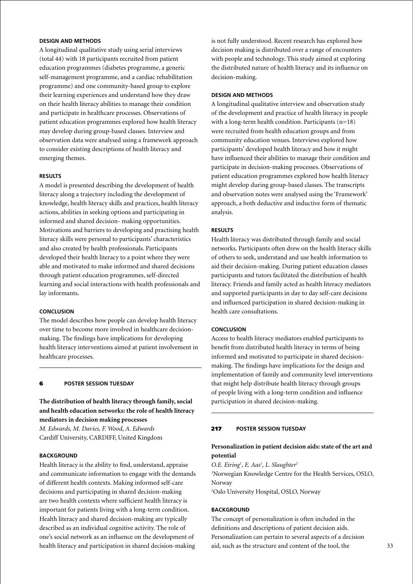# **Design and Methods**

A longitudinal qualitative study using serial interviews (total 44) with 18 participants recruited from patient education programmes (diabetes programme, a generic self-management programme, and a cardiac rehabilitation programme) and one community-based group to explore their learning experiences and understand how they draw on their health literacy abilities to manage their condition and participate in healthcare processes. Observations of patient education programmes explored how health literacy may develop during group-based classes. Interview and observation data were analysed using a framework approach to consider existing descriptions of health literacy and emerging themes.

#### **Results**

A model is presented describing the development of health literacy along a trajectory including the development of knowledge, health literacy skills and practices, health literacy actions, abilities in seeking options and participating in informed and shared decision- making opportunities. Motivations and barriers to developing and practising health literacy skills were personal to participants' characteristics and also created by health professionals. Participants developed their health literacy to a point where they were able and motivated to make informed and shared decisions through patient education programmes, self-directed learning and social interactions with health professionals and lay informants.

#### **Conclusion**

The model describes how people can develop health literacy over time to become more involved in healthcare decisionmaking. The findings have implications for developing health literacy interventions aimed at patient involvement in healthcare processes.

### 6 **poster session Tuesday**

**The distribution of health literacy through family, social and health education networks: the role of health literacy mediators in decision making processes**

*M. Edwards, M. Davies, F. Wood, A. Edwards* Cardiff University, CARDIFF, United Kingdom

### **BACKGROUND**

Health literacy is the ability to find, understand, appraise and communicate information to engage with the demands of different health contexts. Making informed self-care decisions and participating in shared decision-making are two health contexts where sufficient health literacy is important for patients living with a long-term condition. Health literacy and shared decision-making are typically described as an individual cognitive activity. The role of one's social network as an influence on the development of health literacy and participation in shared decision-making

is not fully understood. Recent research has explored how decision making is distributed over a range of encounters with people and technology. This study aimed at exploring the distributed nature of health literacy and its influence on decision-making.

#### **Design and Methods**

A longitudinal qualitative interview and observation study of the development and practice of health literacy in people with a long-term health condition. Participants  $(n=18)$ were recruited from health education groups and from community education venues. Interviews explored how participants' developed health literacy and how it might have influenced their abilities to manage their condition and participate in decision-making processes. Observations of patient education programmes explored how health literacy might develop during group-based classes. The transcripts and observation notes were analysed using the 'Framework' approach, a both deductive and inductive form of thematic analysis.

# **Results**

Health literacy was distributed through family and social networks. Participants often drew on the health literacy skills of others to seek, understand and use health information to aid their decision-making. During patient education classes participants and tutors facilitated the distribution of health literacy. Friends and family acted as health literacy mediators and supported participants in day to day self-care decisions and influenced participation in shared decision-making in health care consultations.

# **Conclusion**

Access to health literacy mediators enabled participants to benefit from distributed health literacy in terms of being informed and motivated to participate in shared decisionmaking. The findings have implications for the design and implementation of family and community level interventions that might help distribute health literacy through groups of people living with a long-term condition and influence participation in shared decision-making.

### 217 **poster session Tuesday**

# **Personalization in patient decision aids: state of the art and potential**

*O.E. Eiring1 , E. Aas1 , L. Slaughter2*

1 Norwegian Knowledge Centre for the Health Services, OSLO, Norway

2 Oslo University Hospital, OSLO, Norway

#### **BACKGROUND**

The concept of personalization is often included in the definitions and descriptions of patient decision aids. Personalization can pertain to several aspects of a decision aid, such as the structure and content of the tool, the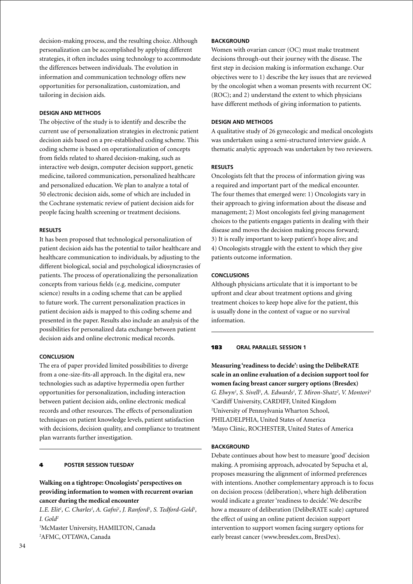decision-making process, and the resulting choice. Although personalization can be accomplished by applying different strategies, it often includes using technology to accommodate the differences between individuals. The evolution in information and communication technology offers new opportunities for personalization, customization, and tailoring in decision aids.

### **Design and methods**

The objective of the study is to identify and describe the current use of personalization strategies in electronic patient decision aids based on a pre-established coding scheme. This coding scheme is based on operationalization of concepts from fields related to shared decision-making, such as interactive web design, computer decision support, genetic medicine, tailored communication, personalized healthcare and personalized education. We plan to analyze a total of 50 electronic decision aids, some of which are included in the Cochrane systematic review of patient decision aids for people facing health screening or treatment decisions.

# **Results**

It has been proposed that technological personalization of patient decision aids has the potential to tailor healthcare and healthcare communication to individuals, by adjusting to the different biological, social and psychological idiosyncrasies of patients. The process of operationalizing the personalization concepts from various fields (e.g. medicine, computer science) results in a coding scheme that can be applied to future work. The current personalization practices in patient decision aids is mapped to this coding scheme and presented in the paper. Results also include an analysis of the possibilities for personalized data exchange between patient decision aids and online electronic medical records.

### **Conclusion**

The era of paper provided limited possibilities to diverge from a one-size-fits-all approach. In the digital era, new technologies such as adaptive hypermedia open further opportunities for personalization, including interaction between patient decision aids, online electronic medical records and other resources. The effects of personalization techniques on patient knowledge levels, patient satisfaction with decisions, decision quality, and compliance to treatment plan warrants further investigation.

### 4 **poster session Tuesday**

# **Walking on a tightrope: Oncologists' perspectives on providing information to women with recurrent ovarian cancer during the medical encounter**

L.E. Elit<sup>1</sup>, C. Charles<sup>1</sup>, A. Gafni<sup>1</sup>, J. Ranford<sup>1</sup>, S. Tedford-Gold<sup>1</sup>, *I. Gold2*

1 McMaster University, HAMILTON, Canada 2 AFMC, OTTAWA, Canada

# **BACKGROUND**

Women with ovarian cancer (OC) must make treatment decisions through-out their journey with the disease. The first step in decision making is information exchange. Our objectives were to 1) describe the key issues that are reviewed by the oncologist when a woman presents with recurrent OC (ROC); and 2) understand the extent to which physicians have different methods of giving information to patients.

# **Design and Methods**

A qualitative study of 26 gynecologic and medical oncologists was undertaken using a semi-structured interview guide. A thematic analytic approach was undertaken by two reviewers.

### **Results**

Oncologists felt that the process of information giving was a required and important part of the medical encounter. The four themes that emerged were: 1) Oncologists vary in their approach to giving information about the disease and management; 2) Most oncologists feel giving management choices to the patients engages patients in dealing with their disease and moves the decision making process forward; 3) It is really important to keep patient's hope alive; and 4) Oncologists struggle with the extent to which they give patients outcome information.

# **Conclusions**

Although physicians articulate that it is important to be upfront and clear about treatment options and giving treatment choices to keep hope alive for the patient, this is usually done in the context of vague or no survival information.

# 183 **oral parallel session 1**

**Measuring 'readiness to decide': using the DelibeRATE scale in an online evaluation of a decision support tool for women facing breast cancer surgery options (Bresdex)** *G. Elwyn1 , S. Sivell1 , A. Edwards1 , T. Miron-Shatz2 , V. Montori3* 1 Cardiff University, CARDIFF, United Kingdom 2 University of Pennsylvania Wharton School, PHILADELPHIA, United States of America 3 Mayo Clinic, ROCHESTER, United States of America

### **BACKGROUND**

Debate continues about how best to measure 'good' decision making. A promising approach, advocated by Sepucha et al, proposes measuring the alignment of informed preferences with intentions. Another complementary approach is to focus on decision process (deliberation), where high deliberation would indicate a greater 'readiness to decide'. We describe how a measure of deliberation (DelibeRATE scale) captured the effect of using an online patient decision support intervention to support women facing surgery options for early breast cancer (www.bresdex.com, BresDex).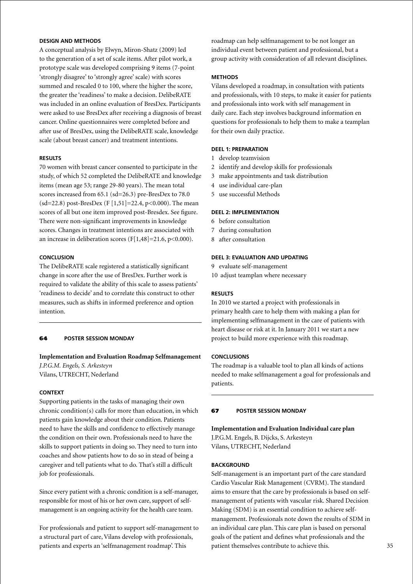# **Design and Methods**

A conceptual analysis by Elwyn, Miron-Shatz (2009) led to the generation of a set of scale items. After pilot work, a prototype scale was developed comprising 9 items (7-point 'strongly disagree' to 'strongly agree' scale) with scores summed and rescaled 0 to 100, where the higher the score, the greater the 'readiness' to make a decision. DelibeRATE was included in an online evaluation of BresDex. Participants were asked to use BresDex after receiving a diagnosis of breast cancer. Online questionnaires were completed before and after use of BresDex, using the DelibeRATE scale, knowledge scale (about breast cancer) and treatment intentions.

# **Results**

70 women with breast cancer consented to participate in the study, of which 52 completed the DelibeRATE and knowledge items (mean age 53; range 29-80 years). The mean total scores increased from 65.1 (sd=26.3) pre-BresDex to 78.0  $(sd=22.8)$  post-BresDex (F [1,51]=22.4, p<0.000). The mean scores of all but one item improved post-Bresdex. See figure. There were non-significant improvements in knowledge scores. Changes in treatment intentions are associated with an increase in deliberation scores (F[1,48]=21.6, p<0.000).

# **Conclusion**

The DelibeRATE scale registered a statistically significant change in score after the use of BresDex. Further work is required to validate the ability of this scale to assess patients' 'readiness to decide' and to correlate this construct to other measures, such as shifts in informed preference and option intention.

### 64 **poster Session Monday**

**Implementation and Evaluation Roadmap Selfmanagement** *J.P.G.M. Engels, S. Arkesteyn* Vilans, UTRECHT, Nederland

### **Context**

Supporting patients in the tasks of managing their own chronic condition(s) calls for more than education, in which patients gain knowledge about their condition. Patients need to have the skills and confidence to effectively manage the condition on their own. Professionals need to have the skills to support patients in doing so. They need to turn into coaches and show patients how to do so in stead of being a caregiver and tell patients what to do. That's still a difficult job for professionals.

Since every patient with a chronic condition is a self-manager, responsible for most of his or her own care, support of selfmanagement is an ongoing activity for the health care team.

For professionals and patient to support self-management to a structural part of care, Vilans develop with professionals, patients and experts an 'selfmanagement roadmap'. This

roadmap can help selfmanagement to be not longer an individual event between patient and professional, but a group activity with consideration of all relevant disciplines.

### **Methods**

Vilans developed a roadmap, in consultation with patients and professionals, with 10 steps, to make it easier for patients and professionals into work with self management in daily care. Each step involves background information en questions for professionals to help them to make a teamplan for their own daily practice.

# **Deel 1: preparation**

- 1 develop teamvision
- 2 identify and develop skills for professionals
- 3 make appointments and task distribution
- 4 use individual care-plan
- 5 use successful Methods

### **Deel 2: implementation**

- 6 before consultation
- 7 during consultation
- 8 after consultation

# **Deel 3: evaluation and updating**

9 evaluate self-management

10 adjust teamplan where necessary

### **Results**

In 2010 we started a project with professionals in primary health care to help them with making a plan for implementing selfmanagement in the care of patients with heart disease or risk at it. In January 2011 we start a new project to build more experience with this roadmap.

### **Conclusions**

The roadmap is a valuable tool to plan all kinds of actions needed to make selfmanagement a goal for professionals and patients.

### 67 **poster Session Monday**

**Implementation and Evaluation Individual care plan** J.P.G.M. Engels, B. Dijcks, S. Arkesteyn Vilans, UTRECHT, Nederland

### **BACKGROUND**

Self-management is an important part of the care standard Cardio Vascular Risk Management (CVRM). The standard aims to ensure that the care by professionals is based on selfmanagement of patients with vascular risk. Shared Decision Making (SDM) is an essential condition to achieve selfmanagement. Professionals note down the results of SDM in an individual care plan. This care plan is based on personal goals of the patient and defines what professionals and the patient themselves contribute to achieve this.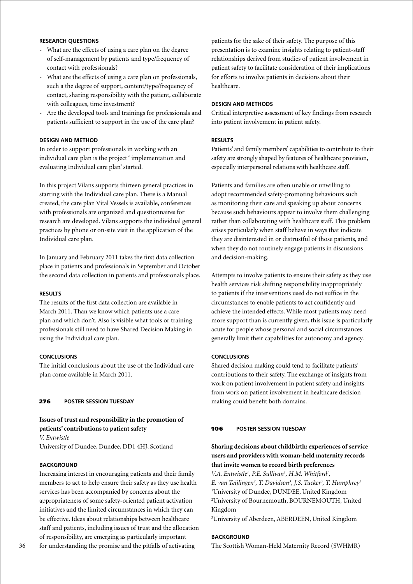# **Research questions**

- What are the effects of using a care plan on the degree of self-management by patients and type/frequency of contact with professionals?
- What are the effects of using a care plan on professionals, such a the degree of support, content/type/frequency of contact, sharing responsibility with the patient, collaborate with colleagues, time investment?
- Are the developed tools and trainings for professionals and patients sufficient to support in the use of the care plan?

# **Design and method**

In order to support professionals in working with an individual care plan is the project ' implementation and evaluating Individual care plan' started.

In this project Vilans supports thirteen general practices in starting with the Individual care plan. There is a Manual created, the care plan Vital Vessels is available, conferences with professionals are organized and questionnaires for research are developed. Vilans supports the individual general practices by phone or on-site visit in the application of the Individual care plan.

In January and February 2011 takes the first data collection place in patients and professionals in September and October the second data collection in patients and professionals place.

### **Results**

The results of the first data collection are available in March 2011. Than we know which patients use a care plan and which don't. Also is visible what tools or training professionals still need to have Shared Decision Making in using the Individual care plan.

### **Conclusions**

The initial conclusions about the use of the Individual care plan come available in March 2011.

# 276 **poster session Tuesday**

# **Issues of trust and responsibility in the promotion of patients' contributions to patient safety**

*V. Entwistle*

University of Dundee, Dundee, DD1 4HJ, Scotland

#### **BACKGROUND**

Increasing interest in encouraging patients and their family members to act to help ensure their safety as they use health services has been accompanied by concerns about the appropriateness of some safety-oriented patient activation initiatives and the limited circumstances in which they can be effective. Ideas about relationships between healthcare staff and patients, including issues of trust and the allocation of responsibility, are emerging as particularly important for understanding the promise and the pitfalls of activating

patients for the sake of their safety. The purpose of this presentation is to examine insights relating to patient-staff relationships derived from studies of patient involvement in patient safety to facilitate consideration of their implications for efforts to involve patients in decisions about their healthcare.

# **Design and methods**

Critical interpretive assessment of key findings from research into patient involvement in patient safety.

#### **Results**

Patients' and family members' capabilities to contribute to their safety are strongly shaped by features of healthcare provision, especially interpersonal relations with healthcare staff.

Patients and families are often unable or unwilling to adopt recommended safety-promoting behaviours such as monitoring their care and speaking up about concerns because such behaviours appear to involve them challenging rather than collaborating with healthcare staff. This problem arises particularly when staff behave in ways that indicate they are disinterested in or distrustful of those patients, and when they do not routinely engage patients in discussions and decision-making.

Attempts to involve patients to ensure their safety as they use health services risk shifting responsibility inappropriately to patients if the interventions used do not suffice in the circumstances to enable patients to act confidently and achieve the intended effects. While most patients may need more support than is currently given, this issue is particularly acute for people whose personal and social circumstances generally limit their capabilities for autonomy and agency.

### **Conclusions**

Shared decision making could tend to facilitate patients' contributions to their safety. The exchange of insights from work on patient involvement in patient safety and insights from work on patient involvement in healthcare decision making could benefit both domains.

# 106 **poster session Tuesday**

# **Sharing decisions about childbirth: experiences of service users and providers with woman-held maternity records that invite women to record birth preferences**

*V.A. Entwistle<sup>1</sup>*, *P.E. Sullivan<sup>1</sup>, H.M. Whitford<sup>1</sup>, E. van Teijlingen2 , T. Davidson3 , J.S. Tucker3 , T. Humphrey3* 1 University of Dundee, DUNDEE, United Kingdom 2 University of Bournemouth, BOURNEMOUTH, United Kingdom

3 University of Aberdeen, ABERDEEN, United Kingdom

### **BACKGROUND**

The Scottish Woman-Held Maternity Record (SWHMR)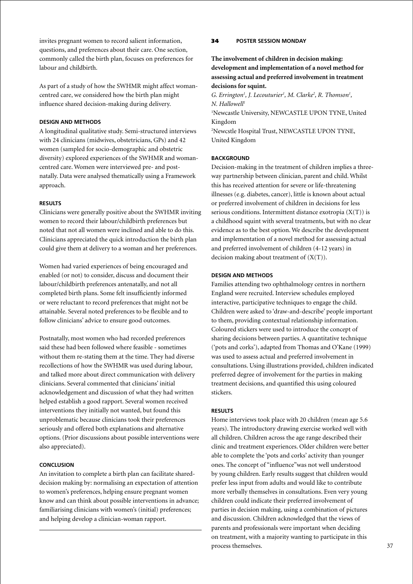invites pregnant women to record salient information, questions, and preferences about their care. One section, commonly called the birth plan, focuses on preferences for labour and childbirth.

As part of a study of how the SWHMR might affect womancentred care, we considered how the birth plan might influence shared decision-making during delivery.

### **Design and Methods**

A longitudinal qualitative study. Semi-structured interviews with 24 clinicians (midwives, obstetricians, GPs) and 42 women (sampled for socio-demographic and obstetric diversity) explored experiences of the SWHMR and womancentred care. Women were interviewed pre- and postnatally. Data were analysed thematically using a Framework approach.

### **Results**

Clinicians were generally positive about the SWHMR inviting women to record their labour/childbirth preferences but noted that not all women were inclined and able to do this. Clinicians appreciated the quick introduction the birth plan could give them at delivery to a woman and her preferences.

Women had varied experiences of being encouraged and enabled (or not) to consider, discuss and document their labour/childbirth preferences antenatally, and not all completed birth plans. Some felt insufficiently informed or were reluctant to record preferences that might not be attainable. Several noted preferences to be flexible and to follow clinicians' advice to ensure good outcomes.

Postnatally, most women who had recorded preferences said these had been followed where feasible - sometimes without them re-stating them at the time. They had diverse recollections of how the SWHMR was used during labour, and talked more about direct communication with delivery clinicians. Several commented that clinicians' initial acknowledgement and discussion of what they had written helped establish a good rapport. Several women received interventions they initially not wanted, but found this unproblematic because clinicians took their preferences seriously and offered both explanations and alternative options. (Prior discussions about possible interventions were also appreciated).

### **Conclusion**

An invitation to complete a birth plan can facilitate shareddecision making by: normalising an expectation of attention to women's preferences, helping ensure pregnant women know and can think about possible interventions in advance; familiarising clinicians with women's (initial) preferences; and helping develop a clinician-woman rapport.

### 34 **poster Session Monday**

**The involvement of children in decision making: development and implementation of a novel method for assessing actual and preferred involvement in treatment decisions for squint.**

G. Errington<sup>1</sup>, J. Lecouturier<sup>1</sup>, M. Clarke<sup>2</sup>, R. Thomson<sup>1</sup>, *N. Hallowell1*

<sup>1</sup>Newcastle University, NEWCASTLE UPON TYNE, United Kingdom

2 Newcstle Hospital Trust, NEWCASTLE UPON TYNE, United Kingdom

### **BACKGROUND**

Decision-making in the treatment of children implies a threeway partnership between clinician, parent and child. Whilst this has received attention for severe or life-threatening illnesses (e.g. diabetes, cancer), little is known about actual or preferred involvement of children in decisions for less serious conditions. Intermittent distance exotropia (X(T)) is a childhood squint with several treatments, but with no clear evidence as to the best option. We describe the development and implementation of a novel method for assessing actual and preferred involvement of children (4-12 years) in decision making about treatment of  $(X(T))$ .

### **Design and Methods**

Families attending two ophthalmology centres in northern England were recruited. Interview schedules employed interactive, participative techniques to engage the child. Children were asked to 'draw-and-describe' people important to them, providing contextual relationship information. Coloured stickers were used to introduce the concept of sharing decisions between parties. A quantitative technique ('pots and corks'), adapted from Thomas and O'Kane (1999) was used to assess actual and preferred involvement in consultations. Using illustrations provided, children indicated preferred degree of involvement for the parties in making treatment decisions, and quantified this using coloured stickers.

#### **Results**

Home interviews took place with 20 children (mean age 5.6 years). The introductory drawing exercise worked well with all children. Children across the age range described their clinic and treatment experiences. Older children were better able to complete the 'pots and corks' activity than younger ones. The concept of "influence"was not well understood by young children. Early results suggest that children would prefer less input from adults and would like to contribute more verbally themselves in consultations. Even very young children could indicate their preferred involvement of parties in decision making, using a combination of pictures and discussion. Children acknowledged that the views of parents and professionals were important when deciding on treatment, with a majority wanting to participate in this process themselves.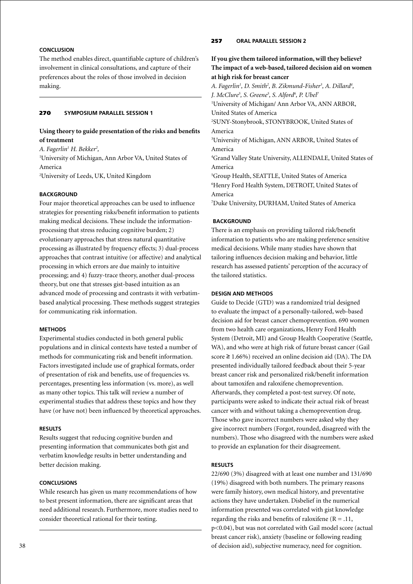# **Conclusion**

The method enables direct, quantifiable capture of children's involvement in clinical consultations, and capture of their preferences about the roles of those involved in decision making.

### 270 **Symposium parallel session 1**

# **Using theory to guide presentation of the risks and benefits of treatment**

*A. Fagerlin1 H. Bekker2 ,* 1 University of Michigan, Ann Arbor VA, United States of America 2 University of Leeds, UK, United Kingdom

# **BACKGROUND**

Four major theoretical approaches can be used to influence strategies for presenting risks/benefit information to patients making medical decisions. These include the informationprocessing that stress reducing cognitive burden; 2) evolutionary approaches that stress natural quantitative processing as illustrated by frequency effects; 3) dual-process approaches that contrast intuitive (or affective) and analytical processing in which errors are due mainly to intuitive processing; and 4) fuzzy-trace theory, another dual-process theory, but one that stresses gist-based intuition as an advanced mode of processing and contrasts it with verbatimbased analytical processing. These methods suggest strategies for communicating risk information.

### **Methods**

Experimental studies conducted in both general public populations and in clinical contexts have tested a number of methods for communicating risk and benefit information. Factors investigated include use of graphical formats, order of presentation of risk and benefits, use of frequencies vs. percentages, presenting less information (vs. more), as well as many other topics. This talk will review a number of experimental studies that address these topics and how they have (or have not) been influenced by theoretical approaches.

### **Results**

Results suggest that reducing cognitive burden and presenting information that communicates both gist and verbatim knowledge results in better understanding and better decision making.

### **Conclusions**

While research has given us many recommendations of how to best present information, there are significant areas that need additional research. Furthermore, more studies need to consider theoretical rational for their testing.

# 257 **oral parallel session 2**

**If you give them tailored information, will they believe? The impact of a web-based, tailored decision aid on women at high risk for breast cancer**

*A. Fagerlin1 , D. Smith2 , B. Zikmund-Fisher3 , A. Dillard4 , J. McClure5 , S. Greene5 , S. Alford6 , P. Ubel7* 1 University of Michigan/ Ann Arbor VA, ANN ARBOR, United States of America 2 SUNY-Stonybrook, STONYBROOK, United States of America 3 University of Michigan, ANN ARBOR, United States of America 4 Grand Valley State University, ALLENDALE, United States of America 5 Group Health, SEATTLE, United States of America 6 Henry Ford Health System, DETROIT, United States of America

7 Duke University, DURHAM, United States of America

### **Background**

There is an emphasis on providing tailored risk/benefit information to patients who are making preference sensitive medical decisions. While many studies have shown that tailoring influences decision making and behavior, little research has assessed patients' perception of the accuracy of the tailored statistics.

### **Design and Methods**

Guide to Decide (GTD) was a randomized trial designed to evaluate the impact of a personally-tailored, web-based decision aid for breast cancer chemoprevention. 690 women from two health care organizations, Henry Ford Health System (Detroit, MI) and Group Health Cooperative (Seattle, WA), and who were at high risk of future breast cancer (Gail score  $\geq 1.66\%$ ) received an online decision aid (DA). The DA presented individually tailored feedback about their 5-year breast cancer risk and personalized risk/benefit information about tamoxifen and raloxifene chemoprevention. Afterwards, they completed a post-test survey. Of note, participants were asked to indicate their actual risk of breast cancer with and without taking a chemoprevention drug. Those who gave incorrect numbers were asked why they give incorrect numbers (Forgot, rounded, disagreed with the numbers). Those who disagreed with the numbers were asked to provide an explanation for their disagreement.

#### **Results**

22/690 (3%) disagreed with at least one number and 131/690 (19%) disagreed with both numbers. The primary reasons were family history, own medical history, and preventative actions they have undertaken. Disbelief in the numerical information presented was correlated with gist knowledge regarding the risks and benefits of raloxifene ( $R = .11$ , p<0.04), but was not correlated with Gail model score (actual breast cancer risk), anxiety (baseline or following reading of decision aid), subjective numeracy, need for cognition.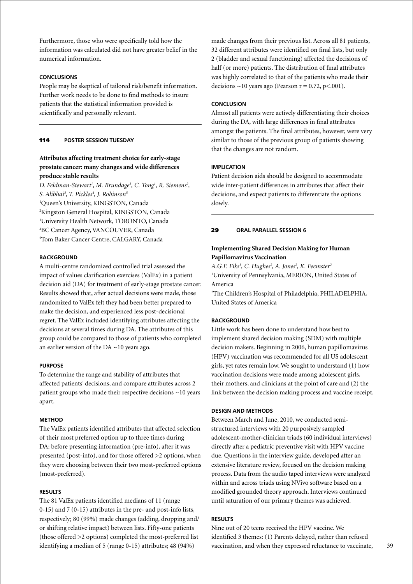Furthermore, those who were specifically told how the information was calculated did not have greater belief in the numerical information.

# **Conclusions**

People may be skeptical of tailored risk/benefit information. Further work needs to be done to find methods to insure patients that the statistical information provided is scientifically and personally relevant.

# 114 **poster session Tuesday**

# **Attributes affecting treatment choice for early-stage prostate cancer: many changes and wide differences produce stable results**

D. Feldman-Stewart<sup>1</sup>, M. Brundage<sup>1</sup>, C. Tong<sup>1</sup>, R. Siemens<sup>2</sup>, *S. Alibhai3 , T. Pickles4 , J. Robinson5* Queen's University, KINGSTON, Canada Kingston General Hospital, KINGSTON, Canada University Health Network, TORONTO, Canada BC Cancer Agency, VANCOUVER, Canada Tom Baker Cancer Centre, CALGARY, Canada

### **BACKGROUND**

A multi-centre randomized controlled trial assessed the impact of values clarification exercises (ValEx) in a patient decision aid (DA) for treatment of early-stage prostate cancer. Results showed that, after actual decisions were made, those randomized to ValEx felt they had been better prepared to make the decision, and experienced less post-decisional regret. The ValEx included identifying attributes affecting the decisions at several times during DA. The attributes of this group could be compared to those of patients who completed an earlier version of the DA ~10 years ago.

#### **Purpose**

To determine the range and stability of attributes that affected patients' decisions, and compare attributes across 2 patient groups who made their respective decisions ~10 years apart.

#### **Method**

The ValEx patients identified attributes that affected selection of their most preferred option up to three times during DA: before presenting information (pre-info), after it was presented (post-info), and for those offered >2 options, when they were choosing between their two most-preferred options (most-preferred).

### **Results**

The 81 ValEx patients identified medians of 11 (range 0-15) and 7 (0-15) attributes in the pre- and post-info lists, respectively; 80 (99%) made changes (adding, dropping and/ or shifting relative impact) between lists. Fifty-one patients (those offered >2 options) completed the most-preferred list identifying a median of 5 (range 0-15) attributes; 48 (94%)

made changes from their previous list. Across all 81 patients, 32 different attributes were identified on final lists, but only 2 (bladder and sexual functioning) affected the decisions of half (or more) patients. The distribution of final attributes was highly correlated to that of the patients who made their decisions  $\sim$ 10 years ago (Pearson r = 0.72, p<.001).

### **Conclusion**

Almost all patients were actively differentiating their choices during the DA, with large differences in final attributes amongst the patients. The final attributes, however, were very similar to those of the previous group of patients showing that the changes are not random.

### **Implication**

Patient decision aids should be designed to accommodate wide inter-patient differences in attributes that affect their decisions, and expect patients to differentiate the options slowly.

### 29 **oral parallel session 6**

# **Implementing Shared Decision Making for Human Papillomavirus Vaccination**

*A.G.F. Fiks1 , C. Hughes2 , A. Jones2 , K. Feemster2* 1 University of Pennsylvania, MERION, United States of America

2 The Children's Hospital of Philadelphia, PHILADELPHIA, United States of America

### **BACKGROUND**

Little work has been done to understand how best to implement shared decision making (SDM) with multiple decision makers. Beginning in 2006, human papillomavirus (HPV) vaccination was recommended for all US adolescent girls, yet rates remain low. We sought to understand (1) how vaccination decisions were made among adolescent girls, their mothers, and clinicians at the point of care and (2) the link between the decision making process and vaccine receipt.

#### **Design and Methods**

Between March and June, 2010, we conducted semistructured interviews with 20 purposively sampled adolescent-mother-clinician triads (60 individual interviews) directly after a pediatric preventive visit with HPV vaccine due. Questions in the interview guide, developed after an extensive literature review, focused on the decision making process. Data from the audio taped interviews were analyzed within and across triads using NVivo software based on a modified grounded theory approach. Interviews continued until saturation of our primary themes was achieved.

### **Results**

Nine out of 20 teens received the HPV vaccine. We identified 3 themes: (1) Parents delayed, rather than refused vaccination, and when they expressed reluctance to vaccinate,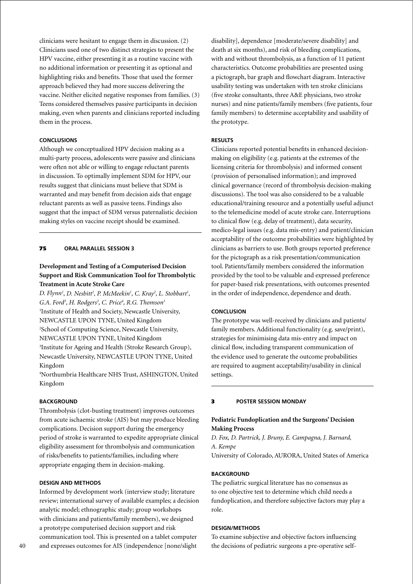clinicians were hesitant to engage them in discussion. (2) Clinicians used one of two distinct strategies to present the HPV vaccine, either presenting it as a routine vaccine with no additional information or presenting it as optional and highlighting risks and benefits. Those that used the former approach believed they had more success delivering the vaccine. Neither elicited negative responses from families. (3) Teens considered themselves passive participants in decision making, even when parents and clinicians reported including them in the process.

### **Conclusions**

Although we conceptualized HPV decision making as a multi-party process, adolescents were passive and clinicians were often not able or willing to engage reluctant parents in discussion. To optimally implement SDM for HPV, our results suggest that clinicians must believe that SDM is warranted and may benefit from decision aids that engage reluctant parents as well as passive teens. Findings also suggest that the impact of SDM versus paternalistic decision making styles on vaccine receipt should be examined.

#### 75 **oral parallel session 3**

# **Development and Testing of a Computerised Decision Support and Risk Communication Tool for Thrombolytic Treatment in Acute Stroke Care**

*D. Flynn<sup>1</sup>, D. Nesbitt<sup>2</sup>, P. McMeekin<sup>1</sup>, C. Kray<sup>2</sup>, L. Stobbart<sup>1</sup>, G.A. Ford3 , H. Rodgers3 , C. Price4 , R.G. Thomson1* 1 Institute of Health and Society, Newcastle University, NEWCASTLE UPON TYNE, United Kingdom 2 School of Computing Science, Newcastle University, NEWCASTLE UPON TYNE, United Kingdom 3 Institute for Ageing and Health (Stroke Research Group), Newcastle University, NEWCASTLE UPON TYNE, United Kingdom

4 Northumbria Healthcare NHS Trust, ASHINGTON, United Kingdom

#### **Background**

Thrombolysis (clot-busting treatment) improves outcomes from acute ischaemic stroke (AIS) but may produce bleeding complications. Decision support during the emergency period of stroke is warranted to expedite appropriate clinical eligibility assessment for thrombolysis and communication of risks/benefits to patients/families, including where appropriate engaging them in decision-making.

### **Design and Methods**

Informed by development work (interview study; literature review; international survey of available examples; a decision analytic model; ethnographic study; group workshops with clinicians and patients/family members), we designed a prototype computerised decision support and risk communication tool. This is presented on a tablet computer and expresses outcomes for AIS (independence [none/slight

disability], dependence [moderate/severe disability] and death at six months), and risk of bleeding complications, with and without thrombolysis, as a function of 11 patient characteristics. Outcome probabilities are presented using a pictograph, bar graph and flowchart diagram. Interactive usability testing was undertaken with ten stroke clinicians (five stroke consultants, three A&E physicians, two stroke nurses) and nine patients/family members (five patients, four family members) to determine acceptability and usability of the prototype.

#### **Results**

Clinicians reported potential benefits in enhanced decisionmaking on eligibility (e.g. patients at the extremes of the licensing criteria for thrombolysis) and informed consent (provision of personalised information); and improved clinical governance (record of thrombolysis decision-making discussions). The tool was also considered to be a valuable educational/training resource and a potentially useful adjunct to the telemedicine model of acute stroke care. Interruptions to clinical flow (e.g. delay of treatment), data security, medico-legal issues (e.g. data mis-entry) and patient/clinician acceptability of the outcome probabilities were highlighted by clinicians as barriers to use. Both groups reported preference for the pictograph as a risk presentation/communication tool. Patients/family members considered the information provided by the tool to be valuable and expressed preference for paper-based risk presentations, with outcomes presented in the order of independence, dependence and death.

#### **Conclusion**

The prototype was well-received by clinicians and patients/ family members. Additional functionality (e.g. save/print), strategies for minimising data mis-entry and impact on clinical flow, including transparent communication of the evidence used to generate the outcome probabilities are required to augment acceptability/usability in clinical settings.

#### 3 **poster Session Monday**

### **Pediatric Fundoplication and the Surgeons' Decision Making Process**

*D. Fox, D. Partrick, J. Bruny, E. Campagna, J. Barnard, A. Kempe*

University of Colorado, AURORA, United States of America

### **BACKGROUND**

The pediatric surgical literature has no consensus as to one objective test to determine which child needs a fundoplication, and therefore subjective factors may play a role.

### **Design/Methods**

To examine subjective and objective factors influencing the decisions of pediatric surgeons a pre-operative self-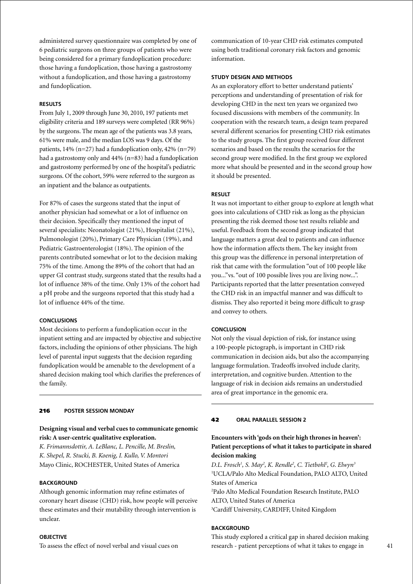administered survey questionnaire was completed by one of 6 pediatric surgeons on three groups of patients who were being considered for a primary fundoplication procedure: those having a fundoplication, those having a gastrostomy without a fundoplication, and those having a gastrostomy and fundoplication.

### **Results**

From July 1, 2009 through June 30, 2010, 197 patients met eligibility criteria and 189 surveys were completed (RR 96%) by the surgeons. The mean age of the patients was 3.8 years, 61% were male, and the median LOS was 9 days. Of the patients,  $14\%$  (n=27) had a fundoplication only,  $42\%$  (n=79) had a gastrostomy only and 44% (n=83) had a fundoplication and gastrostomy performed by one of the hospital's pediatric surgeons. Of the cohort, 59% were referred to the surgeon as an inpatient and the balance as outpatients.

For 87% of cases the surgeons stated that the input of another physician had somewhat or a lot of influence on their decision. Specifically they mentioned the input of several specialists: Neonatologist (21%), Hospitalist (21%), Pulmonologist (20%), Primary Care Physician (19%), and Pediatric Gastroenterologist (18%). The opinion of the parents contributed somewhat or lot to the decision making 75% of the time. Among the 89% of the cohort that had an upper GI contrast study, surgeons stated that the results had a lot of influence 38% of the time. Only 13% of the cohort had a pH probe and the surgeons reported that this study had a lot of influence 44% of the time.

### **Conclusions**

Most decisions to perform a fundoplication occur in the inpatient setting and are impacted by objective and subjective factors, including the opinions of other physicians. The high level of parental input suggests that the decision regarding fundoplication would be amenable to the development of a shared decision making tool which clarifies the preferences of the family.

#### 216 **poster Session Monday**

### **Designing visual and verbal cues to communicate genomic risk: A user-centric qualitative exploration.**

*K. Frimannsdottir, A. LeBlanc, L. Pencille, M. Breslin, K. Shepel, R. Stucki, B. Koenig, I. Kullo, V. Montori* Mayo Clinic, ROCHESTER, United States of America

### **BACKGROUND**

Although genomic information may refine estimates of coronary heart disease (CHD) risk, how people will perceive these estimates and their mutability through intervention is unclear.

#### **OBJECTIVE**

To assess the effect of novel verbal and visual cues on

communication of 10-year CHD risk estimates computed using both traditional coronary risk factors and genomic information.

### **Study Design and Methods**

As an exploratory effort to better understand patients' perceptions and understanding of presentation of risk for developing CHD in the next ten years we organized two focused discussions with members of the community. In cooperation with the research team, a design team prepared several different scenarios for presenting CHD risk estimates to the study groups. The first group received four different scenarios and based on the results the scenarios for the second group were modified. In the first group we explored more what should be presented and in the second group how it should be presented.

### **Result**

It was not important to either group to explore at length what goes into calculations of CHD risk as long as the physician presenting the risk deemed those test results reliable and useful. Feedback from the second group indicated that language matters a great deal to patients and can influence how the information affects them. The key insight from this group was the difference in personal interpretation of risk that came with the formulation "out of 100 people like you..."vs. "out of 100 possible lives you are living now...". Participants reported that the latter presentation conveyed the CHD risk in an impactful manner and was difficult to dismiss. They also reported it being more difficult to grasp and convey to others.

# **Conclusion**

Not only the visual depiction of risk, for instance using a 100-people pictograph, is important in CHD risk communication in decision aids, but also the accompanying language formulation. Tradeoffs involved include clarity, interpretation, and cognitive burden. Attention to the language of risk in decision aids remains an understudied area of great importance in the genomic era.

#### 42 **oral parallel session 2**

# **Encounters with 'gods on their high thrones in heaven': Patient perceptions of what it takes to participate in shared decision making**

D.L. Frosch<sup>1</sup>, S. May<sup>2</sup>, K. Rendle<sup>2</sup>, C. Tietbohl<sup>2</sup>, G. Elwyn<sup>3</sup> 1 UCLA/Palo Alto Medical Foundation, PALO ALTO, United States of America

2 Palo Alto Medical Foundation Research Institute, PALO ALTO, United States of America

3 Cardiff University, CARDIFF, United Kingdom

### **BACKGROUND**

This study explored a critical gap in shared decision making research - patient perceptions of what it takes to engage in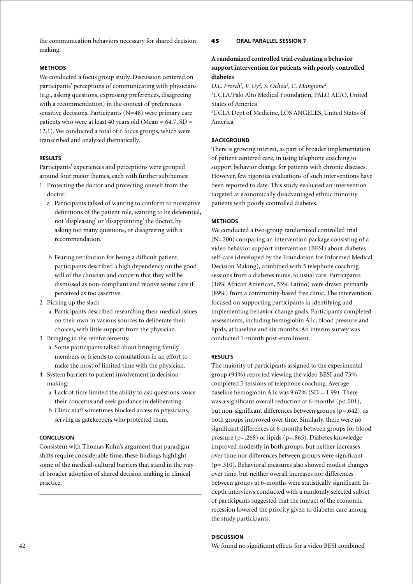the communication behaviors necessary for shared decision making.

### **Methods**

We conducted a focus group study. Discussion centered on participants' perceptions of communicating with physicians (e.g., asking questions, expressing preferences, disagreeing with a recommendation) in the context of preferences sensitive decisions. Participants (N=48) were primary care patients who were at least 40 years old (Mean =  $64.7$ , SD = 12.1). We conducted a total of 6 focus groups, which were transcribed and analyzed thematically.

### **Results**

Participants' experiences and perceptions were grouped around four major themes, each with further subthemes:

- 1 Protecting the doctor and protecting oneself from the doctor:
	- a Participants talked of wanting to conform to normative definitions of the patient role, wanting to be deferential, not 'displeasing' or 'disappointing' the doctor, by asking too many questions, or disagreeing with a recommendation.
	- b Fearing retribution for being a difficult patient, participants described a high dependency on the good will of the clinician and concern that they will be dismissed as non-compliant and receive worse care if perceived as too assertive.
- 2 Picking up the slack
	- a Participants described researching their medical issues on their own in various sources to deliberate their choices, with little support from the physician.
- 3 Bringing in the reinforcements:
	- a Some participants talked about bringing family members or friends to consultations in an effort to make the most of limited time with the physician.
- 4 System barriers to patient involvement in decisionmaking:
	- a Lack of time limited the ability to ask questions, voice their concerns and seek guidance in deliberating.
	- b Clinic staff sometimes blocked access to physicians, serving as gatekeepers who protected them.

### **Conclusion**

Consistent with Thomas Kuhn's argument that paradigm shifts require considerable time, these findings highlight some of the medical-cultural barriers that stand in the way of broader adoption of shared decision making in clinical practice.

### 45 **oral parallel session 7**

# **A randomized controlled trial evaluating a behavior support intervention for patients with poorly controlled diabetes**

D.L. Frosch<sup>1</sup>, V. Uy<sup>2</sup>, S. Ochoa<sup>2</sup>, C. Mangione<sup>2</sup>

1 UCLA/Palo Alto Medical Foundation, PALO ALTO, United States of America

2 UCLA Dept of Medicine, LOS ANGELES, United States of America

### **BACKGROUND**

There is growing interest, as part of broader implementation of patient centered care, in using telephone coaching to support behavior change for patients with chronic diseases. However, few rigorous evaluations of such interventions have been reported to date. This study evaluated an intervention targeted at economically disadvantaged ethnic minority patients with poorly controlled diabetes.

#### **Methods**

We conducted a two-group randomized controlled trial (N=200) comparing an intervention package consisting of a video behavior support intervention (BESI) about diabetes self-care (developed by the Foundation for Informed Medical Decision Making), combined with 5 telephone coaching sessions from a diabetes nurse, to usual care. Participants (18% African American, 53% Latino) were drawn primarily (89%) from a community-based free clinic. The intervention focused on supporting participants in identifying and implementing behavior change goals. Participants completed assessments, including hemoglobin A1c, blood pressure and lipids, at baseline and six months. An interim survey was conducted 1-month post-enrollment.

#### **Results**

The majority of participants assigned to the experimental group (94%) reported viewing the video BESI and 73% completed 5 sessions of telephone coaching. Average baseline hemoglobin A1c was  $9.67\%$  (SD = 1.99). There was a significant overall reduction at 6-months  $(p<0.001)$ , but non-significant differences between groups (p=.642), as both groups improved over time. Similarly, there were no significant differences at 6-months between groups for blood pressure (p=.268) or lipids (p=.865). Diabetes knowledge improved modestly in both groups, but neither increases over time nor differences between groups were significant (p=.310). Behavioral measures also showed modest changes over time, but neither overall increases nor differences between groups at 6-months were statistically significant. Indepth interviews conducted with a randomly selected subset of participants suggested that the impact of the economic recession lowered the priority given to diabetes care among the study participants.

### **Discussion**

We found no significant effects for a video BESI combined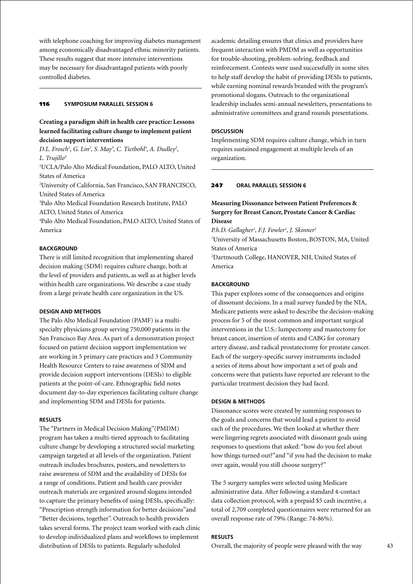with telephone coaching for improving diabetes management among economically disadvantaged ethnic minority patients. These results suggest that more intensive interventions may be necessary for disadvantaged patients with poorly controlled diabetes.

### 116 **Symposium parallel session 6**

# **Creating a paradigm shift in health care practice: Lessons learned facilitating culture change to implement patient decision support interventions**

*D.L. Frosch<sup>1</sup>, G. Lin<sup>2</sup>, S. May<sup>3</sup>, C. Tietbohl<sup>3</sup>, A. Dudley<sup>2</sup>, L. Trujillo4*

1 UCLA/Palo Alto Medical Foundation, PALO ALTO, United States of America

2 University of California, San Francisco, SAN FRANCISCO, United States of America

3 Palo Alto Medical Foundation Research Institute, PALO ALTO, United States of America

4 Palo Alto Medical Foundation, PALO ALTO, United States of America

# **BACKGROUND**

There is still limited recognition that implementing shared decision making (SDM) requires culture change, both at the level of providers and patients, as well as at higher levels within health care organizations. We describe a case study from a large private health care organization in the US.

#### **Design and Methods**

The Palo Alto Medical Foundation (PAMF) is a multispecialty physicians group serving 750,000 patients in the San Francisco Bay Area. As part of a demonstration project focused on patient decision support implementation we are working in 5 primary care practices and 3 Community Health Resource Centers to raise awareness of SDM and provide decision support interventions (DESIs) to eligible patients at the point-of-care. Ethnographic field notes document day-to-day experiences facilitating culture change and implementing SDM and DESIs for patients.

#### **Results**

The "Partners in Medical Decision Making"(PMDM) program has taken a multi-tiered approach to facilitating culture change by developing a structured social marketing campaign targeted at all levels of the organization. Patient outreach includes brochures, posters, and newsletters to raise awareness of SDM and the availability of DESIs for a range of conditions. Patient and health care provider outreach materials are organized around slogans intended to capture the primary benefits of using DESIs, specifically: "Prescription strength information for better decisions"and "Better decisions, together". Outreach to health providers takes several forms. The project team worked with each clinic to develop individualized plans and workflows to implement distribution of DESIs to patients. Regularly scheduled

academic detailing ensures that clinics and providers have frequent interaction with PMDM as well as opportunities for trouble-shooting, problem-solving, feedback and reinforcement. Contests were used successfully in some sites to help staff develop the habit of providing DESIs to patients, while earning nominal rewards branded with the program's promotional slogans. Outreach to the organizational leadership includes semi-annual newsletters, presentations to administrative committees and grand rounds presentations.

#### **Discussion**

Implementing SDM requires culture change, which in turn requires sustained engagement at multiple levels of an organization.

### 247 **oral parallel session 6**

# **Measuring Dissonance between Patient Preferences & Surgery for Breast Cancer, Prostate Cancer & Cardiac Disease**

*P.h.D. Gallagher1 , F.J. Fowler1 , J. Skinner2* 1 University of Massachusetts Boston, BOSTON, MA, United States of America 2 Dartmouth College, HANOVER, NH, United States of America

### **BACKGROUND**

This paper explores some of the consequences and origins of dissonant decisions. In a mail survey funded by the NIA, Medicare patients were asked to describe the decision-making process for 5 of the most common and important surgical interventions in the U.S.: lumpectomy and mastectomy for breast cancer, insertion of stents and CABG for coronary artery disease, and radical prostatectomy for prostate cancer. Each of the surgery-specific survey instruments included a series of items about how important a set of goals and concerns were that patients have reported are relevant to the particular treatment decision they had faced.

#### **Design & Methods**

Dissonance scores were created by summing responses to the goals and concerns that would lead a patient to avoid each of the procedures. We then looked at whether there were lingering regrets associated with dissonant goals using responses to questions that asked: "how do you feel about how things turned out?"and "if you had the decision to make over again, would you still choose surgery?"

The 5 surgery samples were selected using Medicare administrative data. After following a standard 4-contact data collection protocol, with a prepaid \$5 cash incentive, a total of 2,709 completed questionnaires were returned for an overall response rate of 79% (Range: 74-86%).

#### **Results**

Overall, the majority of people were pleased with the way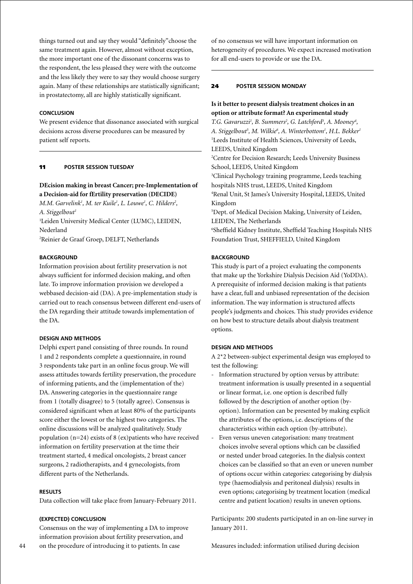things turned out and say they would "definitely"choose the same treatment again. However, almost without exception, the more important one of the dissonant concerns was to the respondent, the less pleased they were with the outcome and the less likely they were to say they would choose surgery again. Many of these relationships are statistically significant; in prostatectomy, all are highly statistically significant.

#### **Conclusion**

We present evidence that dissonance associated with surgical decisions across diverse procedures can be measured by patient self reports.

#### 11 **poster session Tuesday**

# **DEcision making in breast Cancer; pre-Implementation of a Decision-aid for fErtility preservation (DECIDE)**

*M.M. Garvelink<sup>1</sup>, M. ter Kuile<sup>1</sup>, L. Louwe<sup>1</sup>, C. Hilders<sup>2</sup>, A. Stiggelbout1*

1 Leiden University Medical Center (LUMC), LEIDEN, Nederland

2 Reinier de Graaf Groep, DELFT, Netherlands

### **BACKGROUND**

Information provision about fertility preservation is not always sufficient for informed decision making, and often late. To improve information provision we developed a webbased decision-aid (DA). A pre-implementation study is carried out to reach consensus between different end-users of the DA regarding their attitude towards implementation of the DA.

#### **Design and methods**

Delphi expert panel consisting of three rounds. In round 1 and 2 respondents complete a questionnaire, in round 3 respondents take part in an online focus group. We will assess attitudes towards fertility preservation, the procedure of informing patients, and the (implementation of the) DA. Answering categories in the questionnaire range from 1 (totally disagree) to 5 (totally agree). Consensus is considered significant when at least 80% of the participants score either the lowest or the highest two categories. The online discussions will be analyzed qualitatively. Study population (n=24) exists of 8 (ex)patients who have received information on fertility preservation at the time their treatment started, 4 medical oncologists, 2 breast cancer surgeons, 2 radiotherapists, and 4 gynecologists, from different parts of the Netherlands.

#### **Results**

Data collection will take place from January-February 2011.

### **(Expected) Conclusion**

Consensus on the way of implementing a DA to improve information provision about fertility preservation, and on the procedure of introducing it to patients. In case

of no consensus we will have important information on heterogeneity of procedures. We expect increased motivation for all end-users to provide or use the DA.

#### 24 **poster Session Monday**

# **Is it better to present dialysis treatment choices in an option or attribute format? An experimental study**

T.G. Gavaruzzi<sup>1</sup>, B. Summers<sup>2</sup>, G. Latchford<sup>3</sup>, A. Mooney<sup>4</sup>, *A. Stiggelbout5 , M. Wilkie6 , A. Winterbottom1 , H.L. Bekker1* <sup>1</sup>Leeds Institute of Health Sciences, University of Leeds, LEEDS, United Kingdom 2 Centre for Decision Research; Leeds University Business School, LEEDS, United Kingdom 3 Clinical Psychology training programme, Leeds teaching hospitals NHS trust, LEEDS, United Kingdom 4 Renal Unit, St James's University Hospital, LEEDS, United Kingdom 5 Dept. of Medical Decision Making, University of Leiden, LEIDEN, The Netherlands 6 Sheffield Kidney Institute, Sheffield Teaching Hospitals NHS Foundation Trust, SHEFFIELD, United Kingdom

### **BACKGROUND**

This study is part of a project evaluating the components that make up the Yorkshire Dialysis Decision Aid (YoDDA). A prerequisite of informed decision making is that patients have a clear, full and unbiased representation of the decision information. The way information is structured affects people's judgments and choices. This study provides evidence on how best to structure details about dialysis treatment options.

### **Design and Methods**

A 2\*2 between-subject experimental design was employed to test the following:

- Information structured by option versus by attribute: treatment information is usually presented in a sequential or linear format, i.e. one option is described fully followed by the description of another option (byoption). Information can be presented by making explicit the attributes of the options, i.e. descriptions of the characteristics within each option (by-attribute).
- Even versus uneven categorisation: many treatment choices involve several options which can be classified or nested under broad categories. In the dialysis context choices can be classified so that an even or uneven number of options occur within categories: categorising by dialysis type (haemodialysis and peritoneal dialysis) results in even options; categorising by treatment location (medical centre and patient location) results in uneven options.

Participants: 200 students participated in an on-line survey in January 2011.

Measures included: information utilised during decision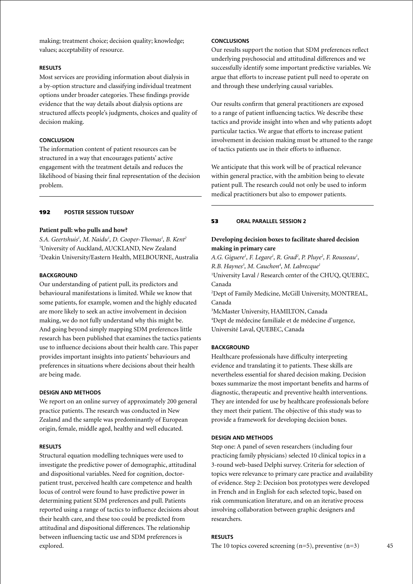making; treatment choice; decision quality; knowledge; values; acceptability of resource.

### **Results**

Most services are providing information about dialysis in a by-option structure and classifying individual treatment options under broader categories. These findings provide evidence that the way details about dialysis options are structured affects people's judgments, choices and quality of decision making.

# **Conclusion**

The information content of patient resources can be structured in a way that encourages patients' active engagement with the treatment details and reduces the likelihood of biasing their final representation of the decision problem.

### 192 **poster session Tuesday**

### **Patient pull: who pulls and how?**

*S.A. Geertshuis1 , M. Naidu1 , D. Cooper-Thomas1 , B. Kent2* 1 University of Auckland, AUCKLAND, New Zealand 2 Deakin University/Eastern Health, MELBOURNE, Australia

#### **BACKGROUND**

Our understanding of patient pull, its predictors and behavioural manifestations is limited. While we know that some patients, for example, women and the highly educated are more likely to seek an active involvement in decision making, we do not fully understand why this might be. And going beyond simply mapping SDM preferences little research has been published that examines the tactics patients use to influence decisions about their health care. This paper provides important insights into patients' behaviours and preferences in situations where decisions about their health are being made.

# **Design and Methods**

We report on an online survey of approximately 200 general practice patients. The research was conducted in New Zealand and the sample was predominantly of European origin, female, middle aged, healthy and well educated.

#### **Results**

Structural equation modelling techniques were used to investigate the predictive power of demographic, attitudinal and dispositional variables. Need for cognition, doctorpatient trust, perceived health care competence and health locus of control were found to have predictive power in determining patient SDM preferences and pull. Patients reported using a range of tactics to influence decisions about their health care, and these too could be predicted from attitudinal and dispositional differences. The relationship between influencing tactic use and SDM preferences is explored.

# **Conclusions**

Our results support the notion that SDM preferences reflect underlying psychosocial and attitudinal differences and we successfully identify some important predictive variables. We argue that efforts to increase patient pull need to operate on and through these underlying causal variables.

Our results confirm that general practitioners are exposed to a range of patient influencing tactics. We describe these tactics and provide insight into when and why patients adopt particular tactics. We argue that efforts to increase patient involvement in decision making must be attuned to the range of tactics patients use in their efforts to influence.

We anticipate that this work will be of practical relevance within general practice, with the ambition being to elevate patient pull. The research could not only be used to inform medical practitioners but also to empower patients.

#### 53 **oral parallel session 2**

# **Developing decision boxes to facilitate shared decision making in primary care**

A.G. Giguere<sup>1</sup>, F. Legare<sup>1</sup>, R. Grad<sup>2</sup>, P. Pluye<sup>2</sup>, F. Rousseau<sup>1</sup>, *R.B. Haynes3 , M. Cauchon4 , M. Labrecque1* 1 University Laval / Research center of the CHUQ, QUEBEC, Canada 2 Dept of Family Medicine, McGill University, MONTREAL, Canada 3 McMaster University, HAMILTON, Canada 4 Dept de médecine familiale et de médecine d'urgence, Université Laval, QUEBEC, Canada

### **BACKGROUND**

Healthcare professionals have difficulty interpreting evidence and translating it to patients. These skills are nevertheless essential for shared decision making. Decision boxes summarize the most important benefits and harms of diagnostic, therapeutic and preventive health interventions. They are intended for use by healthcare professionals before they meet their patient. The objective of this study was to provide a framework for developing decision boxes.

#### **Design and Methods**

Step one: A panel of seven researchers (including four practicing family physicians) selected 10 clinical topics in a 3-round web-based Delphi survey. Criteria for selection of topics were relevance to primary care practice and availability of evidence. Step 2: Decision box prototypes were developed in French and in English for each selected topic, based on risk communication literature, and on an iterative process involving collaboration between graphic designers and researchers.

#### **Results**

The 10 topics covered screening  $(n=5)$ , preventive  $(n=3)$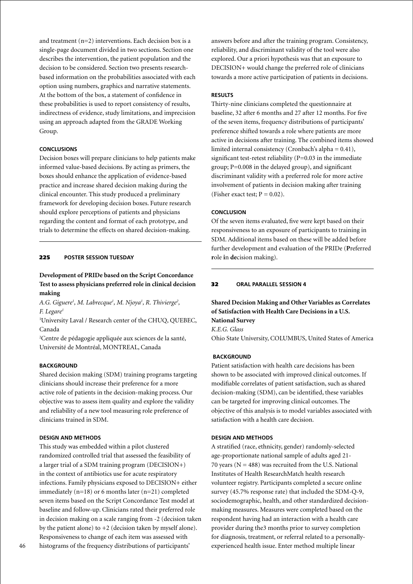and treatment (n=2) interventions. Each decision box is a single-page document divided in two sections. Section one describes the intervention, the patient population and the decision to be considered. Section two presents researchbased information on the probabilities associated with each option using numbers, graphics and narrative statements. At the bottom of the box, a statement of confidence in these probabilities is used to report consistency of results, indirectness of evidence, study limitations, and imprecision using an approach adapted from the GRADE Working Group.

### **Conclusions**

Decision boxes will prepare clinicians to help patients make informed value-based decisions. By acting as primers, the boxes should enhance the application of evidence-based practice and increase shared decision making during the clinical encounter. This study produced a preliminary framework for developing decision boxes. Future research should explore perceptions of patients and physicians regarding the content and format of each prototype, and trials to determine the effects on shared decision-making.

### 225 **poster session Tuesday**

# **Development of PRIDe based on the Script Concordance Test to assess physicians preferred role in clinical decision making**

A.G. Giguere<sup>1</sup>, M. Labrecque<sup>1</sup>, M. Njoya<sup>1</sup>, R. Thivierge<sup>2</sup>, *F. Legare1*

<sup>1</sup>University Laval / Research center of the CHUQ, QUEBEC, Canada

2 Centre de pédagogie appliquée aux sciences de la santé, Université de Montréal, MONTREAL, Canada

### **BACKGROUND**

Shared decision making (SDM) training programs targeting clinicians should increase their preference for a more active role of patients in the decision-making process. Our objective was to assess item quality and explore the validity and reliability of a new tool measuring role preference of clinicians trained in SDM.

### **Design and Methods**

This study was embedded within a pilot clustered randomized controlled trial that assessed the feasibility of a larger trial of a SDM training program (DECISION+) in the context of antibiotics use for acute respiratory infections. Family physicians exposed to DECISION+ either immediately (n=18) or 6 months later (n=21) completed seven items based on the Script Concordance Test model at baseline and follow-up. Clinicians rated their preferred role in decision making on a scale ranging from -2 (decision taken by the patient alone) to  $+2$  (decision taken by myself alone). Responsiveness to change of each item was assessed with histograms of the frequency distributions of participants'

answers before and after the training program. Consistency, reliability, and discriminant validity of the tool were also explored. Our a priori hypothesis was that an exposure to DECISION+ would change the preferred role of clinicians towards a more active participation of patients in decisions.

#### **Results**

Thirty-nine clinicians completed the questionnaire at baseline, 32 after 6 months and 27 after 12 months. For five of the seven items, frequency distributions of participants' preference shifted towards a role where patients are more active in decisions after training. The combined items showed limited internal consistency (Cronbach's alpha =  $0.41$ ), significant test-retest reliability (P=0.03 in the immediate group;  $P=0.008$  in the delayed group), and significant discriminant validity with a preferred role for more active involvement of patients in decision making after training (Fisher exact test;  $P = 0.02$ ).

### **Conclusion**

Of the seven items evaluated, five were kept based on their responsiveness to an exposure of participants to training in SDM. Additional items based on these will be added before further development and evaluation of the PRIDe (**P**referred **r**ole **i**n **de**cision making).

# 32 **oral parallel session 4**

# **Shared Decision Making and Other Variables as Correlates of Satisfaction with Health Care Decisions in a U.S. National Survey**

*K.E.G. Glass*

Ohio State University, COLUMBUS, United States of America

#### **Background**

Patient satisfaction with health care decisions has been shown to be associated with improved clinical outcomes. If modifiable correlates of patient satisfaction, such as shared decision-making (SDM), can be identified, these variables can be targeted for improving clinical outcomes. The objective of this analysis is to model variables associated with satisfaction with a health care decision.

#### **Design and Methods**

A stratified (race, ethnicity, gender) randomly-selected age-proportionate national sample of adults aged 21- 70 years ( $N = 488$ ) was recruited from the U.S. National Institutes of Health ResearchMatch health research volunteer registry. Participants completed a secure online survey (45.7% response rate) that included the SDM-Q-9, sociodemographic, health, and other standardized decisionmaking measures. Measures were completed based on the respondent having had an interaction with a health care provider during the3 months prior to survey completion for diagnosis, treatment, or referral related to a personallyexperienced health issue. Enter method multiple linear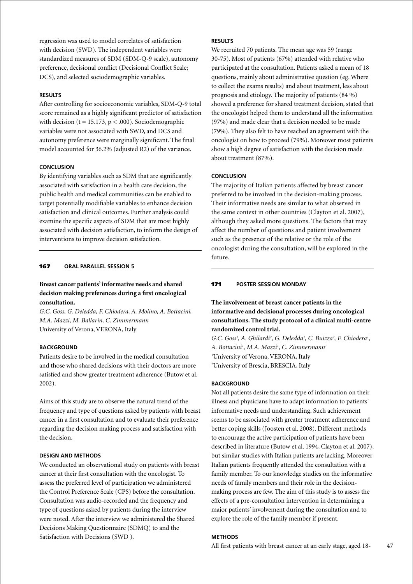regression was used to model correlates of satisfaction with decision (SWD). The independent variables were standardized measures of SDM (SDM-Q-9 scale), autonomy preference, decisional conflict (Decisional Conflict Scale; DCS), and selected sociodemographic variables.

### **Results**

After controlling for socioeconomic variables, SDM-Q-9 total score remained as a highly significant predictor of satisfaction with decision ( $t = 15.173$ ,  $p < .000$ ). Sociodemographic variables were not associated with SWD, and DCS and autonomy preference were marginally significant. The final model accounted for 36.2% (adjusted R2) of the variance.

### **Conclusion**

By identifying variables such as SDM that are significantly associated with satisfaction in a health care decision, the public health and medical communities can be enabled to target potentially modifiable variables to enhance decision satisfaction and clinical outcomes. Further analysis could examine the specific aspects of SDM that are most highly associated with decision satisfaction, to inform the design of interventions to improve decision satisfaction.

#### 167 **oral parallel session 5**

# **Breast cancer patients' informative needs and shared decision making preferences during a first oncological consultation.**

*G.C. Goss, G. Deledda, F. Chiodera, A. Molino, A. Bottacini, M.A. Mazzi, M. Ballarin, C. Zimmermann* University of Verona, VERONA, Italy

# **BACKGROUND**

Patients desire to be involved in the medical consultation and those who shared decisions with their doctors are more satisfied and show greater treatment adherence (Butow et al. 2002).

Aims of this study are to observe the natural trend of the frequency and type of questions asked by patients with breast cancer in a first consultation and to evaluate their preference regarding the decision making process and satisfaction with the decision.

#### **Design and methods**

We conducted an observational study on patients with breast cancer at their first consultation with the oncologist. To assess the preferred level of participation we administered the Control Preference Scale (CPS) before the consultation. Consultation was audio-recorded and the frequency and type of questions asked by patients during the interview were noted. After the interview we administered the Shared Decisions Making Questionnaire (SDMQ) to and the Satisfaction with Decisions (SWD ).

# **Results**

We recruited 70 patients. The mean age was 59 (range 30-75). Most of patients (67%) attended with relative who participated at the consultation. Patients asked a mean of 18 questions, mainly about administrative question (eg. Where to collect the exams results) and about treatment, less about prognosis and etiology. The majority of patients (84 %) showed a preference for shared treatment decision, stated that the oncologist helped them to understand all the information (97%) and made clear that a decision needed to be made (79%). They also felt to have reached an agreement with the oncologist on how to proceed (79%). Moreover most patients show a high degree of satisfaction with the decision made about treatment (87%).

#### **Conclusion**

The majority of Italian patients affected by breast cancer preferred to be involved in the decision-making process. Their informative needs are similar to what observed in the same context in other countries (Clayton et al. 2007), although they asked more questions. The factors that may affect the number of questions and patient involvement such as the presence of the relative or the role of the oncologist during the consultation, will be explored in the future.

### 171 **poster Session Monday**

**The involvement of breast cancer patients in the informative and decisional processes during oncological consultations. The study protocol of a clinical multi-centre randomized control trial.**

G.C. Goss<sup>1</sup>, A. Ghilardi<sup>2</sup>, G. Deledda<sup>1</sup>, C. Buizza<sup>2</sup>, F. Chiodera<sup>1</sup>, *A. Bottacini1 , M.A. Mazzi1 , C. Zimmermann1* 1 University of Verona, VERONA, Italy 2 University of Brescia, BRESCIA, Italy

### **Background**

Not all patients desire the same type of information on their illness and physicians have to adapt information to patients' informative needs and understanding. Such achievement seems to be associated with greater treatment adherence and better coping skills (Joosten et al. 2008). Different methods to encourage the active participation of patients have been described in literature (Butow et al. 1994, Clayton et al. 2007), but similar studies with Italian patients are lacking. Moreover Italian patients frequently attended the consultation with a family member. To our knowledge studies on the informative needs of family members and their role in the decisionmaking process are few. The aim of this study is to assess the effects of a pre-consultation intervention in determining a major patients' involvement during the consultation and to explore the role of the family member if present.

### **Methods**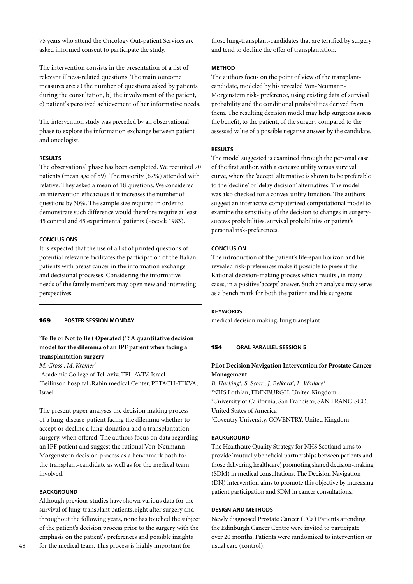75 years who attend the Oncology Out-patient Services are asked informed consent to participate the study.

The intervention consists in the presentation of a list of relevant illness-related questions. The main outcome measures are: a) the number of questions asked by patients during the consultation, b) the involvement of the patient, c) patient's perceived achievement of her informative needs.

The intervention study was preceded by an observational phase to explore the information exchange between patient and oncologist.

# **Results**

The observational phase has been completed. We recruited 70 patients (mean age of 59). The majority (67%) attended with relative. They asked a mean of 18 questions. We considered an intervention efficacious if it increases the number of questions by 30%. The sample size required in order to demonstrate such difference would therefore require at least 45 control and 45 experimental patients (Pocock 1983).

### **Conclusions**

It is expected that the use of a list of printed questions of potential relevance facilitates the participation of the Italian patients with breast cancer in the information exchange and decisional processes. Considering the informative needs of the family members may open new and interesting perspectives.

#### 169 **poster Session Monday**

# **'To Be or Not to Be ( Operated )' ? A quantitative decision model for the dilemma of an IPF patient when facing a transplantation surgery**

*M. Gross1 , M. Kremer2*

<sup>1</sup>Academic College of Tel-Aviv, TEL-AVIV, Israel 2 Beilinson hospital ,Rabin medical Center, PETACH-TIKVA, Israel

The present paper analyses the decision making process of a lung-disease-patient facing the dilemma whether to accept or decline a lung-donation and a transplantation surgery, when offered. The authors focus on data regarding an IPF patient and suggest the rational Von-Neumann-Morgenstern decision process as a benchmark both for the transplant-candidate as well as for the medical team involved.

### **BACKGROUND**

Although previous studies have shown various data for the survival of lung-transplant patients, right after surgery and throughout the following years, none has touched the subject of the patient's decision process prior to the surgery with the emphasis on the patient's preferences and possible insights for the medical team. This process is highly important for

those lung-transplant-candidates that are terrified by surgery and tend to decline the offer of transplantation.

### **Method**

The authors focus on the point of view of the transplantcandidate, modeled by his revealed Von-Neumann-Morgenstern risk- preference, using existing data of survival probability and the conditional probabilities derived from them. The resulting decision model may help surgeons assess the benefit, to the patient, of the surgery compared to the assessed value of a possible negative answer by the candidate.

### **Results**

The model suggested is examined through the personal case of the first author, with a concave utility versus survival curve, where the 'accept' alternative is shown to be preferable to the 'decline' or 'delay decision' alternatives. The model was also checked for a convex utility function. The authors suggest an interactive computerized computational model to examine the sensitivity of the decision to changes in surgerysuccess probabilities, survival probabilities or patient's personal risk-preferences.

#### **Conclusion**

The introduction of the patient's life-span horizon and his revealed risk-preferences make it possible to present the Rational decision-making process which results , in many cases, in a positive 'accept' answer. Such an analysis may serve as a bench mark for both the patient and his surgeons

#### **Keywords**

medical decision making, lung transplant

### 154 **oral parallel session 5**

### **Pilot Decision Navigation Intervention for Prostate Cancer Management**

*B. Hacking1 , S. Scott1 , J. Belkora2 , L. Wallace3* 1 NHS Lothian, EDINBURGH, United Kingdom 2 University of California, San Francisco, SAN FRANCISCO, United States of America 3 Coventry University, COVENTRY, United Kingdom

#### **BACKGROUND**

The Healthcare Quality Strategy for NHS Scotland aims to provide 'mutually beneficial partnerships between patients and those delivering healthcare', promoting shared decision-making (SDM) in medical consultations. The Decision Navigation (DN) intervention aims to promote this objective by increasing patient participation and SDM in cancer consultations.

#### **Design and Methods**

Newly diagnosed Prostate Cancer (PCa) Patients attending the Edinburgh Cancer Centre were invited to participate over 20 months. Patients were randomized to intervention or usual care (control).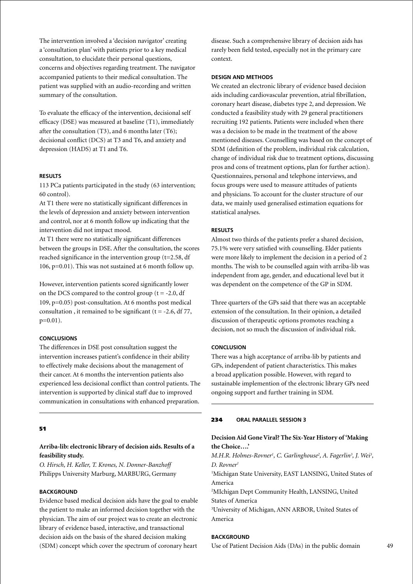The intervention involved a 'decision navigator' creating a 'consultation plan' with patients prior to a key medical consultation, to elucidate their personal questions, concerns and objectives regarding treatment. The navigator accompanied patients to their medical consultation. The patient was supplied with an audio-recording and written summary of the consultation.

To evaluate the efficacy of the intervention, decisional self efficacy (DSE) was measured at baseline (T1), immediately after the consultation (T3), and 6 months later (T6); decisional conflict (DCS) at T3 and T6, and anxiety and depression (HADS) at T1 and T6.

#### **Results**

113 PCa patients participated in the study (63 intervention; 60 control).

At T1 there were no statistically significant differences in the levels of depression and anxiety between intervention and control, nor at 6 month follow up indicating that the intervention did not impact mood.

At T1 there were no statistically significant differences between the groups in DSE. After the consultation, the scores reached significance in the intervention group (t=2.58, df 106, p=0.01). This was not sustained at 6 month follow up.

However, intervention patients scored significantly lower on the DCS compared to the control group  $(t = -2.0, df)$ 109, p=0.05) post-consultation. At 6 months post medical consultation, it remained to be significant ( $t = -2.6$ , df 77, p=0.01).

#### **Conclusions**

The differences in DSE post consultation suggest the intervention increases patient's confidence in their ability to effectively make decisions about the management of their cancer. At 6 months the intervention patients also experienced less decisional conflict than control patients. The intervention is supported by clinical staff due to improved communication in consultations with enhanced preparation.

### 51

**Arriba-lib: electronic library of decision aids. Results of a feasibility study.**

*O. Hirsch, H. Keller, T. Krones, N. Donner-Banzhoff* Philipps University Marburg, MARBURG, Germany

#### **BACKGROUND**

Evidence based medical decision aids have the goal to enable the patient to make an informed decision together with the physician. The aim of our project was to create an electronic library of evidence based, interactive, and transactional decision aids on the basis of the shared decision making (SDM) concept which cover the spectrum of coronary heart

disease. Such a comprehensive library of decision aids has rarely been field tested, especially not in the primary care context.

#### **Design and Methods**

We created an electronic library of evidence based decision aids including cardiovascular prevention, atrial fibrillation, coronary heart disease, diabetes type 2, and depression. We conducted a feasibility study with 29 general practitioners recruiting 192 patients. Patients were included when there was a decision to be made in the treatment of the above mentioned diseases. Counselling was based on the concept of SDM (definition of the problem, individual risk calculation, change of individual risk due to treatment options, discussing pros and cons of treatment options, plan for further action). Questionnaires, personal and telephone interviews, and focus groups were used to measure attitudes of patients and physicians. To account for the cluster structure of our data, we mainly used generalised estimation equations for statistical analyses.

### **Results**

Almost two thirds of the patients prefer a shared decision, 75.1% were very satisfied with counselling. Elder patients were more likely to implement the decision in a period of 2 months. The wish to be counselled again with arriba-lib was independent from age, gender, and educational level but it was dependent on the competence of the GP in SDM.

Three quarters of the GPs said that there was an acceptable extension of the consultation. In their opinion, a detailed discussion of therapeutic options promotes reaching a decision, not so much the discussion of individual risk.

### **Conclusion**

There was a high acceptance of arriba-lib by patients and GPs, independent of patient characteristics. This makes a broad application possible. However, with regard to sustainable implemention of the electronic library GPs need ongoing support and further training in SDM.

#### 234 **oral parallel session 3**

# **Decision Aid Gone Viral? The Six-Year History of 'Making the Choice….'**

*M.H.R. Holmes-Rovner<sup>1</sup>, C. Garlinghouse<sup>2</sup>, A. Fagerlin<sup>3</sup>, J. Wei<sup>3</sup>, D. Rovner1*

1 Michigan State University, EAST LANSING, United States of America

2 MIchigan Dept Community Health, LANSING, United States of America

3 University of Michigan, ANN ARBOR, United States of America

### **BACKGROUND**

Use of Patient Decision Aids (DAs) in the public domain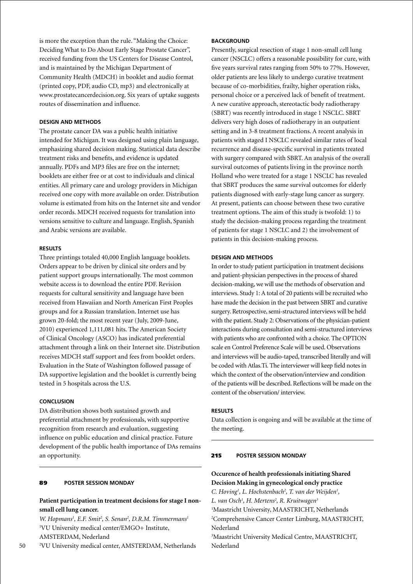is more the exception than the rule. "Making the Choice: Deciding What to Do About Early Stage Prostate Cancer", received funding from the US Centers for Disease Control, and is maintained by the Michigan Department of Community Health (MDCH) in booklet and audio format (printed copy, PDF, audio CD, mp3) and electronically at www.prostatecancerdecision.org. Six years of uptake suggests routes of dissemination and influence.

### **Design and Methods**

The prostate cancer DA was a public health initiative intended for Michigan. It was designed using plain language, emphasizing shared decision making. Statistical data describe treatment risks and benefits, and evidence is updated annually. PDFs and MP3 files are free on the internet; booklets are either free or at cost to individuals and clinical entities. All primary care and urology providers in Michigan received one copy with more available on order. Distribution volume is estimated from hits on the Internet site and vendor order records. MDCH received requests for translation into versions sensitive to culture and language. English, Spanish and Arabic versions are available.

#### **Results**

Three printings totaled 40,000 English language booklets. Orders appear to be driven by clinical site orders and by patient support groups internationally. The most common website access is to download the entire PDF. Revision requests for cultural sensitivity and language have been received from Hawaiian and North American First Peoples groups and for a Russian translation. Internet use has grown 20-fold; the most recent year (July, 2009-June, 2010) experienced 1,111,081 hits. The American Society of Clinical Oncology (ASCO) has indicated preferential attachment through a link on their Internet site. Distribution receives MDCH staff support and fees from booklet orders. Evaluation in the State of Washington followed passage of DA supportive legislation and the booklet is currently being tested in 5 hospitals across the U.S.

### **Conclusion**

DA distribution shows both sustained growth and preferential attachment by professionals, with supportive recognition from research and evaluation, suggesting influence on public education and clinical practice. Future development of the public health importance of DAs remains an opportunity.

#### 89 **poster Session Monday**

### **Patient participation in treatment decisions for stage I nonsmall cell lung cancer.**

W. Hopmans<sup>1</sup>, E.F. Smit<sup>2</sup>, S. Senan<sup>2</sup>, D.R.M. Timmermans<sup>1</sup> 1 VU University medical center/EMGO+ Institute, AMSTERDAM, Nederland

2 VU University medical center, AMSTERDAM, Netherlands

Presently, surgical resection of stage 1 non-small cell lung cancer (NSCLC) offers a reasonable possibility for cure, with five years survival rates ranging from 50% to 77%. However, older patients are less likely to undergo curative treatment because of co-morbidities, frailty, higher operation risks, personal choice or a perceived lack of benefit of treatment. A new curative approach, stereotactic body radiotherapy (SBRT) was recently introduced in stage 1 NSCLC. SBRT delivers very high doses of radiotherapy in an outpatient setting and in 3-8 treatment fractions. A recent analysis in patients with staged I NSCLC revealed similar rates of local recurrence and disease-specific survival in patients treated with surgery compared with SBRT. An analysis of the overall survival outcomes of patients living in the province north Holland who were treated for a stage 1 NSCLC has revealed that SBRT produces the same survival outcomes for elderly patients diagnosed with early-stage lung cancer as surgery. At present, patients can choose between these two curative treatment options. The aim of this study is twofold: 1) to study the decision-making process regarding the treatment of patients for stage 1 NSCLC and 2) the involvement of patients in this decision-making process.

### **Design and Methods**

In order to study patient participation in treatment decisions and patient-physician perspectives in the process of shared decision-making, we will use the methods of observation and interviews. Study 1: A total of 20 patients will be recruited who have made the decision in the past between SBRT and curative surgery. Retrospective, semi-structured interviews will be held with the patient. Study 2: Observations of the physician-patient interactions during consultation and semi-structured interviews with patients who are confronted with a choice. The OPTION scale en Control Preference Scale will be used. Observations and interviews will be audio-taped, transcribed literally and will be coded with Atlas.Ti. The interviewer will keep field notes in which the context of the observation/interview and condition of the patients will be described. Reflections will be made on the content of the observation/ interview.

#### **Results**

Data collection is ongoing and will be available at the time of the meeting.

#### 215 **poster Session Monday**

# **Occurence of health professionals initiating Shared Decision Making in gynecological oncly practice**

C. Hoving<sup>1</sup>, L. Hochstenbach<sup>2</sup>, T. van der Weijden<sup>1</sup>, *L. van Osch1 , H. Mertens2 , R. Kruitwagen3* <sup>1</sup>Maastricht University, MAASTRICHT, Netherlands 2 Comprehensive Cancer Center Limburg, MAASTRICHT, Nederland 3 Maastricht University Medical Centre, MAASTRICHT, Nederland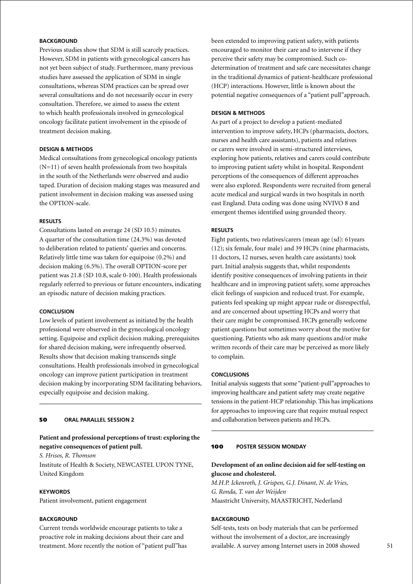# **BACKGROUND**

Previous studies show that SDM is still scarcely practices. However, SDM in patients with gynecological cancers has not yet been subject of study. Furthermore, many previous studies have assessed the application of SDM in single consultations, whereas SDM practices can be spread over several consultations and do not necessarily occur in every consultation. Therefore, we aimed to assess the extent to which health professionals involved in gynecological oncology facilitate patient involvement in the episode of treatment decision making.

# **Design & Methods**

Medical consultations from gynecological oncology patients  $(N=11)$  of seven health professionals from two hospitals in the south of the Netherlands were observed and audio taped. Duration of decision making stages was measured and patient involvement in decision making was assessed using the OPTION-scale.

#### **Results**

Consultations lasted on average 24 (SD 10.5) minutes. A quarter of the consultation time (24.3%) was devoted to deliberation related to patients' queries and concerns. Relatively little time was taken for equipoise (0.2%) and decision making (6.5%). The overall OPTION-score per patient was 21.8 (SD 10.8, scale 0-100). Health professionals regularly referred to previous or future encounters, indicating an episodic nature of decision making practices.

#### **Conclusion**

Low levels of patient involvement as initiated by the health professional were observed in the gynecological oncology setting. Equipoise and explicit decision making, prerequisites for shared decision making, were infrequently observed. Results show that decision making transcends single consultations. Health professionals involved in gynecological oncology can improve patient participation in treatment decision making by incorporating SDM facilitating behaviors, especially equipoise and decision making.

#### 50 **oral parallel session 2**

# **Patient and professional perceptions of trust: exploring the negative consequences of patient pull.**

*S. Hrisos, R. Thomson*

Institute of Health & Society, NEWCASTEL UPON TYNE, United Kingdom

### **Keywords**

Patient involvement, patient engagement

### **BACKGROUND**

Current trends worldwide encourage patients to take a proactive role in making decisions about their care and treatment. More recently the notion of "patient pull"has been extended to improving patient safety, with patients encouraged to monitor their care and to intervene if they perceive their safety may be compromised. Such codetermination of treatment and safe care necessitates change in the traditional dynamics of patient-healthcare professional (HCP) interactions. However, little is known about the potential negative consequences of a "patient pull"approach.

#### **Design & Methods**

As part of a project to develop a patient-mediated intervention to improve safety, HCPs (pharmacists, doctors, nurses and health care assistants), patients and relatives or carers were involved in semi-structured interviews, exploring how patients, relatives and carers could contribute to improving patient safety whilst in hospital. Respondent perceptions of the consequences of different approaches were also explored. Respondents were recruited from general acute medical and surgical wards in two hospitals in north east England. Data coding was done using NVIVO 8 and emergent themes identified using grounded theory.

# **Results**

Eight patients, two relatives/carers (mean age (sd): 61years (12); six female, four male) and 39 HCPs (nine pharmacists, 11 doctors, 12 nurses, seven health care assistants) took part. Initial analysis suggests that, whilst respondents identify positive consequences of involving patients in their healthcare and in improving patient safety, some approaches elicit feelings of suspicion and reduced trust. For example, patients feel speaking up might appear rude or disrespectful, and are concerned about upsetting HCPs and worry that their care might be compromised. HCPs generally welcome patient questions but sometimes worry about the motive for questioning. Patients who ask many questions and/or make written records of their care may be perceived as more likely to complain.

#### **Conclusions**

Initial analysis suggests that some "patient-pull"approaches to improving healthcare and patient safety may create negative tensions in the patient-HCP relationship. This has implications for approaches to improving care that require mutual respect and collaboration between patients and HCPs.

### 100 **poster Session Monday**

# **Development of an online decision aid for self-testing on glucose and cholesterol.**

*M.H.P. Ickenroth, J. Grispen, G.J. Dinant, N. de Vries, G. Ronda, T. van der Weijden* Maastricht University, MAASTRICHT, Nederland

### **BACKGROUND**

Self-tests, tests on body materials that can be performed without the involvement of a doctor, are increasingly available. A survey among Internet users in 2008 showed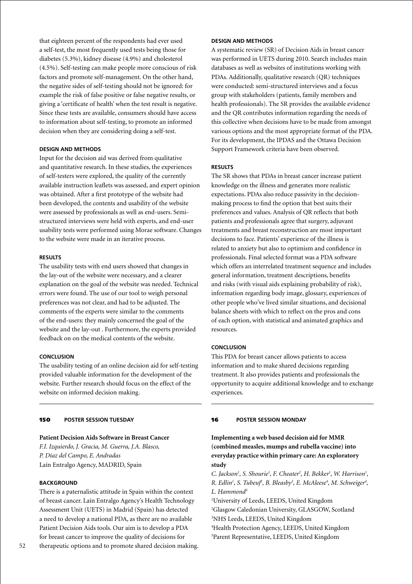that eighteen percent of the respondents had ever used a self-test, the most frequently used tests being those for diabetes (5.3%), kidney disease (4.9%) and cholesterol (4.5%). Self-testing can make people more conscious of risk factors and promote self-management. On the other hand, the negative sides of self-testing should not be ignored: for example the risk of false positive or false negative results, or giving a 'certificate of health' when the test result is negative. Since these tests are available, consumers should have access to information about self-testing, to promote an informed decision when they are considering doing a self-test.

### **Design and methods**

Input for the decision aid was derived from qualitative and quantitative research. In these studies, the experiences of self-testers were explored, the quality of the currently available instruction leaflets was assessed, and expert opinion was obtained. After a first prototype of the website had been developed, the contents and usability of the website were assessed by professionals as well as end-users. Semistructured interviews were held with experts, and end-user usability tests were performed using Morae software. Changes to the website were made in an iterative process.

#### **Results**

The usability tests with end users showed that changes in the lay-out of the website were necessary, and a clearer explanation on the goal of the website was needed. Technical errors were found. The use of our tool to weigh personal preferences was not clear, and had to be adjusted. The comments of the experts were similar to the comments of the end-users: they mainly concerned the goal of the website and the lay-out . Furthermore, the experts provided feedback on on the medical contents of the website.

#### **Conclusion**

The usability testing of an online decision aid for self-testing provided valuable information for the development of the website. Further research should focus on the effect of the website on informed decision making.

#### 150 **poster session Tuesday**

### **Patient Decision Aids Software in Breast Cancer** *F.I. Izquierdo, J. Gracia, M. Guerra, J.A. Blasco,*

*P. Díaz del Campo, E. Andradas* Laín Entralgo Agency, MADRID, Spain

### **BACKGROUND**

There is a paternalistic attitude in Spain within the context of breast cancer. Laín Entralgo Agency's Health Technology Assessment Unit (UETS) in Madrid (Spain) has detected a need to develop a national PDA, as there are no available Patient Decision Aids tools. Our aim is to develop a PDA for breast cancer to improve the quality of decisions for therapeutic options and to promote shared decision making.

### **Design and Methods**

A systematic review (SR) of Decision Aids in breast cancer was performed in UETS during 2010. Search includes main databases as well as websites of institutions working with PDAs. Additionally, qualitative research (QR) techniques were conducted: semi-structured interviews and a focus group with stakeholders (patients, family members and health professionals). The SR provides the available evidence and the QR contributes information regarding the needs of this collective when decisions have to be made from amongst various options and the most appropriate format of the PDA. For its development, the IPDAS and the Ottawa Decision Support Framework criteria have been observed.

#### **Results**

The SR shows that PDAs in breast cancer increase patient knowledge on the illness and generates more realistic expectations. PDAs also reduce passivity in the decisionmaking process to find the option that best suits their preferences and values. Analysis of QR reflects that both patients and professionals agree that surgery, adjuvant treatments and breast reconstruction are most important decisions to face. Patients' experience of the illness is related to anxiety but also to optimism and confidence in professionals. Final selected format was a PDA software which offers an interrelated treatment sequence and includes general information, treatment descriptions, benefits and risks (with visual aids explaining probability of risk), information regarding body image, glossary, experiences of other people who've lived similar situations, and decisional balance sheets with which to reflect on the pros and cons of each option, with statistical and animated graphics and resources.

### **Conclusion**

This PDA for breast cancer allows patients to access information and to make shared decisions regarding treatment. It also provides patients and professionals the opportunity to acquire additional knowledge and to exchange experiences.

#### 16 **poster Session Monday**

# **Implementing a web based decision aid for MMR (combined measles, mumps and rubella vaccine) into everyday practice within primary care: An exploratory study**

C. Jackson<sup>1</sup>, S. Shourie<sup>1</sup>, F. Cheater<sup>2</sup>, H. Bekker<sup>1</sup>, W. Harrison<sup>1</sup>, *R. Edlin<sup>1</sup>, S. Tubeuf<sup>1</sup>, B. Bleasby<sup>3</sup>, E. McAleese<sup>4</sup>, M. Schweiger<sup>4</sup>, L. Hammond5*

 University of Leeds, LEEDS, United Kingdom Glasgow Caledonian University, GLASGOW, Scotland NHS Leeds, LEEDS, United Kingdom Health Protection Agency, LEEDS, United Kingdom

5 Parent Representative, LEEDS, United Kingdom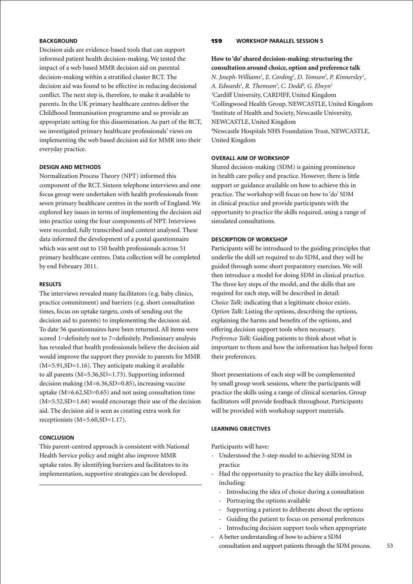# **BACKGROUND**

Decision aids are evidence-based tools that can support informed patient health decision-making. We tested the impact of a web based MMR decision aid on parental decision-making within a stratified cluster RCT. The decision aid was found to be effective in reducing decisional conflict. The next step is, therefore, to make it available to parents. In the UK primary healthcare centres deliver the Childhood Immunisation programme and so provide an appropriate setting for this dissemination. As part of the RCT, we investigated primary healthcare professionals' views on implementing the web based decision aid for MMR into their everyday practice.

#### **Design and Methods**

Normalization Process Theory (NPT) informed this component of the RCT. Sixteen telephone interviews and one focus group were undertaken with health professionals from seven primary healthcare centres in the north of England. We explored key issues in terms of implementing the decision aid into practice using the four components of NPT. Interviews were recorded, fully transcribed and content analysed. These data informed the development of a postal questionnaire which was sent out to 150 health professionals across 51 primary healthcare centres. Data collection will be completed by end February 2011.

# **Results**

The interviews revealed many facilitators (e.g. baby clinics, practice commitment) and barriers (e.g. short consultation times, focus on uptake targets, costs of sending out the decision aid to parents) to implementing the decision aid. To date 56 questionnaires have been returned. All items were scored 1=definitely not to 7=definitely. Preliminary analysis has revealed that health professionals believe the decision aid would improve the support they provide to parents for MMR (M=5.91,SD=1.16). They anticipate making it available to all parents (M=5.36,SD=1.73). Supporting informed decision making (M=6.36,SD=0.85), increasing vaccine uptake  $(M=6.62, SD=0.65)$  and not using consultation time (M=5.52,SD=1.64) would encourage their use of the decision aid. The decision aid is seen as creating extra work for receptionists (M=5.60,SD=1.17).

#### **Conclusion**

This parent-centred approach is consistent with National Health Service policy and might also improve MMR uptake rates. By identifying barriers and facilitators to its implementation, supportive strategies can be developed.

### 159 **Workshop parallel session 5**

# **How to 'do' shared decision-making: structuring the consultation around choice, option and preference talk**

*N.* Joseph-Williams<sup>1</sup>, E. Cording<sup>1</sup>, D. Tomson<sup>2</sup>, P. Kinnersley<sup>1</sup>, *A. Edwards1 , R. Thomson3 , C. Dodd4 , G. Elwyn1* 1 Cardiff University, CARDIFF, United Kingdom 2 Collingwood Health Group, NEWCASTLE, United Kingdom 3 Institute of Health and Society, Newcastle University, NEWCASTLE, United Kingdom 4 Newcastle Hospitals NHS Foundation Trust, NEWCASTLE, United Kingdom

# **Overall aim of workshop**

Shared decision-making (SDM) is gaining prominence in health care policy and practice. However, there is little support or guidance available on how to achieve this in practice. The workshop will focus on how to 'do' SDM in clinical practice and provide participants with the opportunity to practice the skills required, using a range of simulated consultations.

#### **Description of workshop**

Participants will be introduced to the guiding principles that underlie the skill set required to do SDM, and they will be guided through some short preparatory exercises. We will then introduce a model for doing SDM in clinical practice. The three key steps of the model, and the skills that are required for each step, will be described in detail: *Choice Talk*: indicating that a legitimate choice exists. *Option Talk*: Listing the options, describing the options, explaining the harms and benefits of the options, and offering decision support tools when necessary. *Preference Talk*: Guiding patients to think about what is important to them and how the information has helped form their preferences.

Short presentations of each step will be complemented by small group work sessions, where the participants will practice the skills using a range of clinical scenarios. Group facilitators will provide feedback throughout. Participants will be provided with workshop support materials.

### **Learning objectives**

Participants will have:

- Understood the 3-step model to achieving SDM in practice
- Had the opportunity to practice the key skills involved, including:
	- Introducing the idea of choice during a consultation
	- Portraying the options available
	- Supporting a patient to deliberate about the options
	- Guiding the patient to focus on personal preferences
	- Introducing decision support tools when appropriate
- A better understanding of how to achieve a SDM consultation and support patients through the SDM process.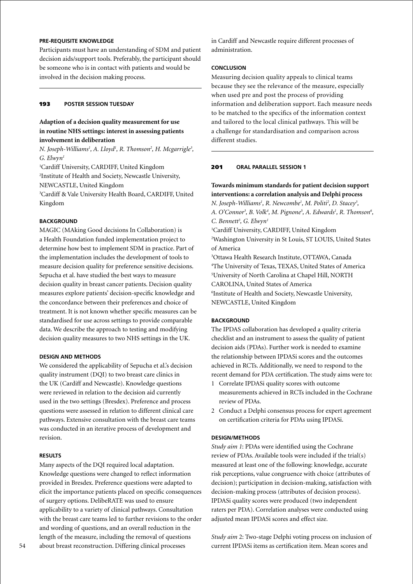# **Pre-requisite knowledge**

Participants must have an understanding of SDM and patient decision aids/support tools. Preferably, the participant should be someone who is in contact with patients and would be involved in the decision making process.

# 193 **poster session Tuesday**

# **Adaption of a decision quality measurement for use in routine NHS settings: interest in assessing patients involvement in deliberation**

*N. Joseph-Williams<sup>1</sup>, A. Lloyd<sup>1</sup>, R. Thomson<sup>2</sup>, H. Mcgarrigle<sup>3</sup>, G. Elwyn1*

1 Cardiff University, CARDIFF, United Kingdom

2 Institute of Health and Society, Newcastle University, NEWCASTLE, United Kingdom

3 Cardiff & Vale University Health Board, CARDIFF, United Kingdom

### **BACKGROUND**

MAGIC (MAking Good decisions In Collaboration) is a Health Foundation funded implementation project to determine how best to implement SDM in practice. Part of the implementation includes the development of tools to measure decision quality for preference sensitive decisions. Sepucha et al. have studied the best ways to measure decision quality in breast cancer patients. Decision quality measures explore patients' decision-specific knowledge and the concordance between their preferences and choice of treatment. It is not known whether specific measures can be standardised for use across settings to provide comparable data. We describe the approach to testing and modifying decision quality measures to two NHS settings in the UK.

### **Design and methods**

We considered the applicability of Sepucha et al.'s decision quality instrument (DQI) to two breast care clinics in the UK (Cardiff and Newcastle). Knowledge questions were reviewed in relation to the decision aid currently used in the two settings (Bresdex). Preference and process questions were assessed in relation to different clinical care pathways. Extensive consultation with the breast care teams was conducted in an iterative process of development and revision.

#### **Results**

Many aspects of the DQI required local adaptation. Knowledge questions were changed to reflect information provided in Bresdex. Preference questions were adapted to elicit the importance patients placed on specific consequences of surgery options. DelibeRATE was used to ensure applicability to a variety of clinical pathways. Consultation with the breast care teams led to further revisions to the order and wording of questions, and an overall reduction in the length of the measure, including the removal of questions about breast reconstruction. Differing clinical processes

in Cardiff and Newcastle require different processes of administration.

### **Conclusion**

Measuring decision quality appeals to clinical teams because they see the relevance of the measure, especially when used pre and post the process of providing information and deliberation support. Each measure needs to be matched to the specifics of the information context and tailored to the local clinical pathways. This will be a challenge for standardisation and comparison across different studies.

### 201 **oral parallel session 1**

### **Towards minimum standards for patient decision support interventions: a correlation analysis and Delphi process**

*N.* Joseph-Williams<sup>1</sup>, R. Newcombe<sup>1</sup>, M. Politi<sup>2</sup>, D. Stacey<sup>3</sup>, A. O'Connor<sup>3</sup>, B. Volk<sup>4</sup>, M. Pignone<sup>5</sup>, A. Edwards<sup>1</sup>, R. Thomson<sup>6</sup>, *C. Bennett3 , G. Elwyn1*

1 Cardiff University, CARDIFF, United Kingdom 2 Washington University in St Louis, ST LOUIS, United States of America

 Ottawa Health Research Institute, OTTAWA, Canada The University of Texas, TEXAS, United States of America University of North Carolina at Chapel Hill, NORTH CAROLINA, United States of America Institute of Health and Society, Newcastle University, NEWCASTLE, United Kingdom

### **BACKGROUND**

The IPDAS collaboration has developed a quality criteria checklist and an instrument to assess the quality of patient decision aids (PDAs). Further work is needed to examine the relationship between IPDASi scores and the outcomes achieved in RCTs. Additionally, we need to respond to the recent demand for PDA certification. The study aims were to:

- 1 Correlate IPDASi quality scores with outcome measurements achieved in RCTs included in the Cochrane review of PDAs.
- 2 Conduct a Delphi consensus process for expert agreement on certification criteria for PDAs using IPDASi.

### **Design/Methods**

*Study aim 1*: PDAs were identified using the Cochrane review of PDAs. Available tools were included if the trial(s) measured at least one of the following: knowledge, accurate risk perceptions, value congruence with choice (attributes of decision); participation in decision-making, satisfaction with decision-making process (attributes of decision process). IPDASi quality scores were produced (two independent raters per PDA). Correlation analyses were conducted using adjusted mean IPDASi scores and effect size.

*Study aim* 2: Two-stage Delphi voting process on inclusion of current IPDASi items as certification item. Mean scores and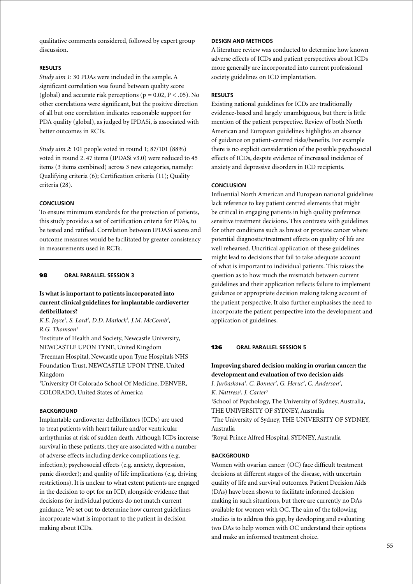qualitative comments considered, followed by expert group discussion.

### **Results**

*Study aim 1*: 30 PDAs were included in the sample. A significant correlation was found between quality score (global) and accurate risk perceptions ( $p = 0.02$ ,  $P < .05$ ). No other correlations were significant, but the positive direction of all but one correlation indicates reasonable support for PDA quality (global), as judged by IPDASi, is associated with better outcomes in RCTs.

*Study aim 2*: 101 people voted in round 1; 87/101 (88%) voted in round 2. 47 items (IPDASi v3.0) were reduced to 45 items (3 items combined) across 3 new categories, namely: Qualifying criteria (6); Certification criteria (11); Quality criteria (28).

### **Conclusion**

To ensure minimum standards for the protection of patients, this study provides a set of certification criteria for PDAs, to be tested and ratified. Correlation between IPDASi scores and outcome measures would be facilitated by greater consistency in measurements used in RCTs.

#### 98 **oral parallel session 3**

# **Is what is important to patients incorporated into current clinical guidelines for implantable cardioverter defibrillators?**

K.E. Joyce<sup>1</sup>, S. Lord<sup>2</sup>, D.D. Matlock<sup>3</sup>, J.M. McComb<sup>2</sup>, *R.G. Thomson1*

1 Institute of Health and Society, Newcastle University, NEWCASTLE UPON TYNE, United Kingdom

2 Freeman Hospital, Newcastle upon Tyne Hospitals NHS Foundation Trust, NEWCASTLE UPON TYNE, United Kingdom

3 University Of Colorado School Of Medicine, DENVER, COLORADO, United States of America

#### **BACKGROUND**

Implantable cardioverter defibrillators (ICDs) are used to treat patients with heart failure and/or ventricular arrhythmias at risk of sudden death. Although ICDs increase survival in these patients, they are associated with a number of adverse effects including device complications (e.g. infection); psychosocial effects (e.g. anxiety, depression, panic disorder); and quality of life implications (e.g. driving restrictions). It is unclear to what extent patients are engaged in the decision to opt for an ICD, alongside evidence that decisions for individual patients do not match current guidance. We set out to determine how current guidelines incorporate what is important to the patient in decision making about ICDs.

### **Design and Methods**

A literature review was conducted to determine how known adverse effects of ICDs and patient perspectives about ICDs more generally are incorporated into current professional society guidelines on ICD implantation.

#### **Results**

Existing national guidelines for ICDs are traditionally evidence-based and largely unambiguous, but there is little mention of the patient perspective. Review of both North American and European guidelines highlights an absence of guidance on patient-centred risks/benefits. For example there is no explicit consideration of the possible psychosocial effects of ICDs, despite evidence of increased incidence of anxiety and depressive disorders in ICD recipients.

#### **Conclusion**

Influential North American and European national guidelines lack reference to key patient centred elements that might be critical in engaging patients in high quality preference sensitive treatment decisions. This contrasts with guidelines for other conditions such as breast or prostate cancer where potential diagnostic/treatment effects on quality of life are well rehearsed. Uncritical application of these guidelines might lead to decisions that fail to take adequate account of what is important to individual patients. This raises the question as to how much the mismatch between current guidelines and their application reflects failure to implement guidance or appropriate decision making taking account of the patient perspective. It also further emphasises the need to incorporate the patient perspective into the development and application of guidelines.

# 126 **oral parallel session 5**

### **Improving shared decision making in ovarian cancer: the development and evaluation of two decision aids**

*I. Jur0askova<sup>1</sup>, C. Bonner<sup>2</sup>, G. Heruc<sup>2</sup>, C. Anderson<sup>2</sup>, K. Nattress3 , J. Carter3* 1 School of Psychology, The University of Sydney, Australia, THE UNIVERSITY OF SYDNEY, Australia 2 The University of Sydney, THE UNIVERSITY OF SYDNEY, Australia

3 Royal Prince Alfred Hospital, SYDNEY, Australia

#### **BACKGROUND**

Women with ovarian cancer (OC) face difficult treatment decisions at different stages of the disease, with uncertain quality of life and survival outcomes. Patient Decision Aids (DAs) have been shown to facilitate informed decision making in such situations, but there are currently no DAs available for women with OC. The aim of the following studies is to address this gap, by developing and evaluating two DAs to help women with OC understand their options and make an informed treatment choice.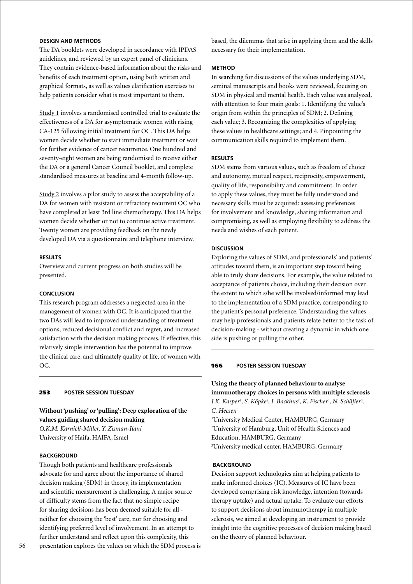# **Design and Methods**

The DA booklets were developed in accordance with IPDAS guidelines, and reviewed by an expert panel of clinicians. They contain evidence-based information about the risks and benefits of each treatment option, using both written and graphical formats, as well as values clarification exercises to help patients consider what is most important to them.

Study 1 involves a randomised controlled trial to evaluate the effectiveness of a DA for asymptomatic women with rising CA-125 following initial treatment for OC. This DA helps women decide whether to start immediate treatment or wait for further evidence of cancer recurrence. One hundred and seventy-eight women are being randomised to receive either the DA or a general Cancer Council booklet, and complete standardised measures at baseline and 4-month follow-up.

Study 2 involves a pilot study to assess the acceptability of a DA for women with resistant or refractory recurrent OC who have completed at least 3rd line chemotherapy. This DA helps women decide whether or not to continue active treatment. Twenty women are providing feedback on the newly developed DA via a questionnaire and telephone interview.

#### **Results**

Overview and current progress on both studies will be presented.

### **Conclusion**

This research program addresses a neglected area in the management of women with OC. It is anticipated that the two DAs will lead to improved understanding of treatment options, reduced decisional conflict and regret, and increased satisfaction with the decision making process. If effective, this relatively simple intervention has the potential to improve the clinical care, and ultimately quality of life, of women with OC.

#### 253 **poster session Tuesday**

**Without 'pushing' or 'pulling': Deep exploration of the values guiding shared decision making** *O.K.M. Karnieli-Miller, Y. Zisman-Ilani*

University of Haifa, HAIFA, Israel

#### **BACKGROUND**

Though both patients and healthcare professionals advocate for and agree about the importance of shared decision making (SDM) in theory, its implementation and scientific measurement is challenging. A major source of difficulty stems from the fact that no simple recipe for sharing decisions has been deemed suitable for all neither for choosing the 'best' care, nor for choosing and identifying preferred level of involvement. In an attempt to further understand and reflect upon this complexity, this presentation explores the values on which the SDM process is

### **Method**

In searching for discussions of the values underlying SDM, seminal manuscripts and books were reviewed, focusing on SDM in physical and mental health. Each value was analyzed, with attention to four main goals: 1. Identifying the value's origin from within the principles of SDM; 2. Defining each value; 3. Recognizing the complexities of applying these values in healthcare settings; and 4. Pinpointing the communication skills required to implement them.

#### **Results**

SDM stems from various values, such as freedom of choice and autonomy, mutual respect, reciprocity, empowerment, quality of life, responsibility and commitment. In order to apply these values, they must be fully understood and necessary skills must be acquired: assessing preferences for involvement and knowledge, sharing information and compromising, as well as employing flexibility to address the needs and wishes of each patient.

### **Discussion**

Exploring the values of SDM, and professionals' and patients' attitudes toward them, is an important step toward being able to truly share decisions. For example, the value related to acceptance of patients choice, including their decision over the extent to which s/he will be involved/informed may lead to the implementation of a SDM practice, corresponding to the patient's personal preference. Understanding the values may help professionals and patients relate better to the task of decision-making - without creating a dynamic in which one side is pushing or pulling the other.

#### 166 **poster session Tuesday**

**Using the theory of planned behaviour to analyse immunotherapy choices in persons with multiple sclerosis** *J.K. Kasper1 , S. Köpke2 , I. Backhus2 , K. Fischer3 , N. Schäfler3 , C. Heesen3*

 University Medical Center, HAMBURG, Germany University of Hamburg, Unit of Health Sciences and Education, HAMBURG, Germany University medical center, HAMBURG, Germany

#### **Background**

Decision support technologies aim at helping patients to make informed choices (IC). Measures of IC have been developed comprising risk knowledge, intention (towards therapy uptake) and actual uptake. To evaluate our efforts to support decisions about immunotherapy in multiple sclerosis, we aimed at developing an instrument to provide insight into the cognitive processes of decision making based on the theory of planned behaviour.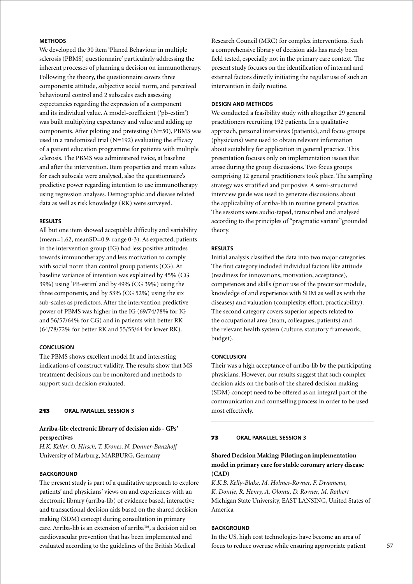# **Methods**

We developed the 30 item 'Planed Behaviour in multiple sclerosis (PBMS) questionnaire' particularly addressing the inherent processes of planning a decision on immunotherapy. Following the theory, the questionnaire covers three components: attitude, subjective social norm, and perceived behavioural control and 2 subscales each assessing expectancies regarding the expression of a component and its individual value. A model-coefficient ('pb-estim') was built multiplying expectancy and value and adding up components. After piloting and pretesting (N=50), PBMS was used in a randomized trial  $(N=192)$  evaluating the efficacy of a patient education programme for patients with multiple sclerosis. The PBMS was administered twice, at baseline and after the intervention. Item properties and mean values for each subscale were analysed, also the questionnaire's predictive power regarding intention to use immunotherapy using regression analyses. Demographic and disease related data as well as risk knowledge (RK) were surveyed.

#### **Results**

All but one item showed acceptable difficulty and variability (mean=1.62, meanSD=0.9, range 0-3). As expected, patients in the intervention group (IG) had less positive attitudes towards immunotherapy and less motivation to comply with social norm than control group patients (CG). At baseline variance of intention was explained by 45% (CG 39%) using 'PB-estim' and by 49% (CG 39%) using the three components, and by 53% (CG 52%) using the six sub-scales as predictors. After the intervention predictive power of PBMS was higher in the IG (69/74/78% for IG and 56/57/64% for CG) and in patients with better RK (64/78/72% for better RK and 55/55/64 for lower RK).

# **Conclusion**

The PBMS shows excellent model fit and interesting indications of construct validity. The results show that MS treatment decisions can be monitored and methods to support such decision evaluated.

#### 213 **oral parallel session 3**

# **Arriba-lib: electronic library of decision aids - GPs' perspectives**

*H.K. Keller, O. Hirsch, T. Krones, N. Donner-Banzhoff* University of Marburg, MARBURG, Germany

## **BACKGROUND**

The present study is part of a qualitative approach to explore patients' and physicians' views on and experiences with an electronic library (arriba-lib) of evidence based, interactive and transactional decision aids based on the shared decision making (SDM) concept during consultation in primary care. Arriba-lib is an extension of arriba™, a decision aid on cardiovascular prevention that has been implemented and evaluated according to the guidelines of the British Medical

Research Council (MRC) for complex interventions. Such a comprehensive library of decision aids has rarely been field tested, especially not in the primary care context. The present study focuses on the identification of internal and external factors directly initiating the regular use of such an intervention in daily routine.

### **Design and Methods**

We conducted a feasibility study with altogether 29 general practitioners recruiting 192 patients. In a qualitative approach, personal interviews (patients), and focus groups (physicians) were used to obtain relevant information about suitability for application in general practice. This presentation focuses only on implementation issues that arose during the group discussions. Two focus groups comprising 12 general practitioners took place. The sampling strategy was stratified and purposive. A semi-structured interview guide was used to generate discussions about the applicability of arriba-lib in routine general practice. The sessions were audio-taped, transcribed and analysed according to the principles of "pragmatic variant"grounded theory.

#### **Results**

Initial analysis classified the data into two major categories. The first category included individual factors like attitude (readiness for innovations, motivation, acceptance), competences and skills (prior use of the precursor module, knowledge of and experience with SDM as well as with the diseases) and valuation (complexity, effort, practicability). The second category covers superior aspects related to the occupational area (team, colleagues, patients) and the relevant health system (culture, statutory framework, budget).

#### **Conclusion**

Their was a high acceptance of arriba-lib by the participating physicians. However, our results suggest that such complex decision aids on the basis of the shared decision making (SDM) concept need to be offered as an integral part of the communication and counselling process in order to be used most effectively.

#### 73 **oral parallel session 3**

# **Shared Decision Making: Piloting an implementation model in primary care for stable coronary artery disease (CAD)**

*K.K.B. Kelly-Blake, M. Holmes-Rovner, F. Dwamena, K. Dontje, R. Henry, A. Olomu, D. Rovner, M. Rothert* Michigan State University, EAST LANSING, United States of America

# **Background**

In the US, high cost technologies have become an area of focus to reduce overuse while ensuring appropriate patient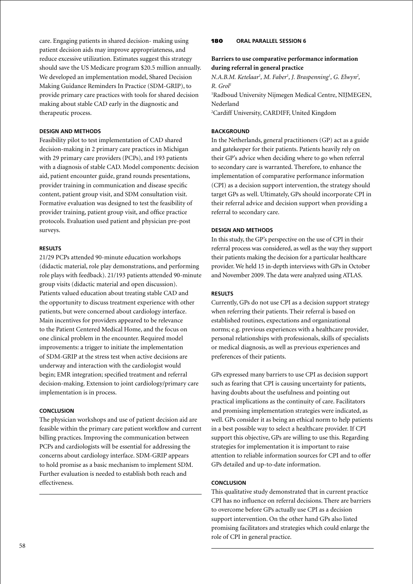care. Engaging patients in shared decision- making using patient decision aids may improve appropriateness, and reduce excessive utilization. Estimates suggest this strategy should save the US Medicare program \$20.5 million annually. We developed an implementation model, Shared Decision Making Guidance Reminders In Practice (SDM-GRIP), to provide primary care practices with tools for shared decision making about stable CAD early in the diagnostic and therapeutic process.

### **Design and Methods**

Feasibility pilot to test implementation of CAD shared decision-making in 2 primary care practices in Michigan with 29 primary care providers (PCPs), and 193 patients with a diagnosis of stable CAD. Model components: decision aid, patient encounter guide, grand rounds presentations, provider training in communication and disease specific content, patient group visit, and SDM consultation visit. Formative evaluation was designed to test the feasibility of provider training, patient group visit, and office practice protocols. Evaluation used patient and physician pre-post surveys.

#### **Results**

21/29 PCPs attended 90-minute education workshops (didactic material, role play demonstrations, and performing role plays with feedback). 21/193 patients attended 90-minute group visits (didactic material and open discussion). Patients valued education about treating stable CAD and the opportunity to discuss treatment experience with other patients, but were concerned about cardiology interface. Main incentives for providers appeared to be relevance to the Patient Centered Medical Home, and the focus on one clinical problem in the encounter. Required model improvements: a trigger to initiate the implementation of SDM-GRIP at the stress test when active decisions are underway and interaction with the cardiologist would begin; EMR integration; specified treatment and referral decision-making. Extension to joint cardiology/primary care implementation is in process.

#### **Conclusion**

The physician workshops and use of patient decision aid are feasible within the primary care patient workflow and current billing practices. Improving the communication between PCPs and cardiologists will be essential for addressing the concerns about cardiology interface. SDM-GRIP appears to hold promise as a basic mechanism to implement SDM. Further evaluation is needed to establish both reach and effectiveness.

### 180 **oral parallel session 6**

# **Barriers to use comparative performance information during referral in general practice**

*N.A.B.M. Ketelaar<sup>1</sup>, M. Faber<sup>1</sup>, J. Braspenning<sup>1</sup>, G. Elwyn<sup>2</sup>, R. Grol1*

1 Radboud University Nijmegen Medical Centre, NIJMEGEN, Nederland 2 Cardiff University, CARDIFF, United Kingdom

### **BACKGROUND**

In the Netherlands, general practitioners (GP) act as a guide and gatekeeper for their patients. Patients heavily rely on their GP's advice when deciding where to go when referral to secondary care is warranted. Therefore, to enhance the implementation of comparative performance information (CPI) as a decision support intervention, the strategy should target GPs as well. Ultimately, GPs should incorporate CPI in their referral advice and decision support when providing a referral to secondary care.

#### **Design and Methods**

In this study, the GP's perspective on the use of CPI in their referral process was considered, as well as the way they support their patients making the decision for a particular healthcare provider. We held 15 in-depth interviews with GPs in October and November 2009. The data were analyzed using ATLAS.

### **Results**

Currently, GPs do not use CPI as a decision support strategy when referring their patients. Their referral is based on established routines, expectations and organizational norms; e.g. previous experiences with a healthcare provider, personal relationships with professionals, skills of specialists or medical diagnosis, as well as previous experiences and preferences of their patients.

GPs expressed many barriers to use CPI as decision support such as fearing that CPI is causing uncertainty for patients, having doubts about the usefulness and pointing out practical implications as the continuity of care. Facilitators and promising implementation strategies were indicated, as well. GPs consider it as being an ethical norm to help patients in a best possible way to select a healthcare provider. If CPI support this objective, GPs are willing to use this. Regarding strategies for implementation it is important to raise attention to reliable information sources for CPI and to offer GPs detailed and up-to-date information.

### **Conclusion**

This qualitative study demonstrated that in current practice CPI has no influence on referral decisions. There are barriers to overcome before GPs actually use CPI as a decision support intervention. On the other hand GPs also listed promising facilitators and strategies which could enlarge the role of CPI in general practice.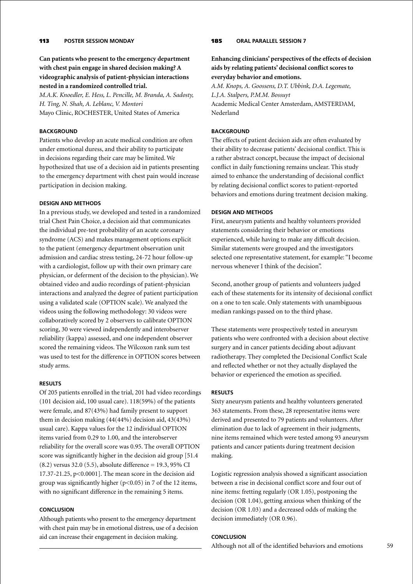# 113 **poster Session Monday**

**Can patients who present to the emergency department with chest pain engage in shared decision making? A videographic analysis of patient-physician interactions nested in a randomized controlled trial.**

*M.A.K. Knoedler, E. Hess, L. Pencille, M. Branda, A. Sadosty, H. Ting, N. Shah, A. Leblanc, V. Montori* Mayo Clinic, ROCHESTER, United States of America

### **BACKGROUND**

Patients who develop an acute medical condition are often under emotional duress, and their ability to participate in decisions regarding their care may be limited. We hypothesized that use of a decision aid in patients presenting to the emergency department with chest pain would increase participation in decision making.

### **Design and Methods**

In a previous study, we developed and tested in a randomized trial Chest Pain Choice, a decision aid that communicates the individual pre-test probability of an acute coronary syndrome (ACS) and makes management options explicit to the patient (emergency department observation unit admission and cardiac stress testing, 24-72 hour follow-up with a cardiologist, follow up with their own primary care physician, or deferment of the decision to the physician). We obtained video and audio recordings of patient-physician interactions and analyzed the degree of patient participation using a validated scale (OPTION scale). We analyzed the videos using the following methodology: 30 videos were collaboratively scored by 2 observers to calibrate OPTION scoring, 30 were viewed independently and interobserver reliability (kappa) assessed, and one independent observer scored the remaining videos. The Wilcoxon rank sum test was used to test for the difference in OPTION scores between study arms.

#### **Results**

Of 205 patients enrolled in the trial, 201 had video recordings (101 decision aid, 100 usual care). 118(59%) of the patients were female, and 87(43%) had family present to support them in decision making (44(44%) decision aid, 43(43%) usual care). Kappa values for the 12 individual OPTION items varied from 0.29 to 1.00, and the interobserver reliability for the overall score was 0.95. The overall OPTION score was significantly higher in the decision aid group [51.4 (8.2) versus 32.0 (5.5), absolute difference = 19.3, 95% CI 17.37-21.25, p<0.0001]. The mean score in the decision aid group was significantly higher  $(p<0.05)$  in 7 of the 12 items, with no significant difference in the remaining 5 items.

#### **Conclusion**

Although patients who present to the emergency department with chest pain may be in emotional distress, use of a decision aid can increase their engagement in decision making.

# 185 **oral parallel session 7**

# **Enhancing clinicians' perspectives of the effects of decision aids by relating patients' decisional conflict scores to everyday behavior and emotions.**

*A.M. Knops, A. Goossens, D.T. Ubbink, D.A. Legemate, L.J.A. Stalpers, P.M.M. Bossuyt* Academic Medical Center Amsterdam, AMSTERDAM, Nederland

### **BACKGROUND**

The effects of patient decision aids are often evaluated by their ability to decrease patients' decisional conflict. This is a rather abstract concept, because the impact of decisional conflict in daily functioning remains unclear. This study aimed to enhance the understanding of decisional conflict by relating decisional conflict scores to patient-reported behaviors and emotions during treatment decision making.

### **Design and Methods**

First, aneurysm patients and healthy volunteers provided statements considering their behavior or emotions experienced, while having to make any difficult decision. Similar statements were grouped and the investigators selected one representative statement, for example: "I become nervous whenever I think of the decision".

Second, another group of patients and volunteers judged each of these statements for its intensity of decisional conflict on a one to ten scale. Only statements with unambiguous median rankings passed on to the third phase.

These statements were prospectively tested in aneurysm patients who were confronted with a decision about elective surgery and in cancer patients deciding about adjuvant radiotherapy. They completed the Decisional Conflict Scale and reflected whether or not they actually displayed the behavior or experienced the emotion as specified.

#### **Results**

Sixty aneurysm patients and healthy volunteers generated 363 statements. From these, 28 representative items were derived and presented to 79 patients and volunteers. After elimination due to lack of agreement in their judgments, nine items remained which were tested among 93 aneurysm patients and cancer patients during treatment decision making.

Logistic regression analysis showed a significant association between a rise in decisional conflict score and four out of nine items: fretting regularly (OR 1.05), postponing the decision (OR 1.04), getting anxious when thinking of the decision (OR 1.03) and a decreased odds of making the decision immediately (OR 0.96).

### **Conclusion**

Although not all of the identified behaviors and emotions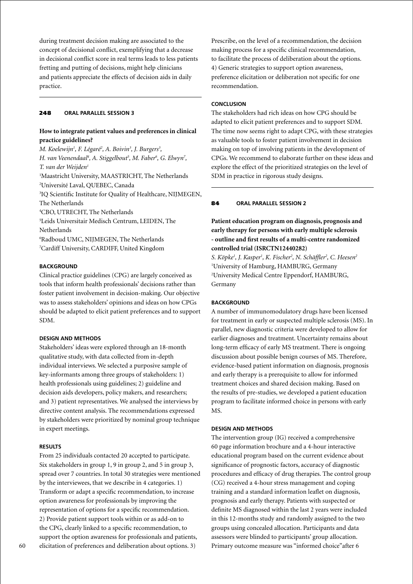during treatment decision making are associated to the concept of decisional conflict, exemplifying that a decrease in decisional conflict score in real terms leads to less patients fretting and putting of decisions, might help clinicians and patients appreciate the effects of decision aids in daily practice.

### 248 **oral parallel session 3**

### **How to integrate patient values and preferences in clinical practice guidelines?**

*M. Koelewijn<sup>1</sup>, F. Légaré<sup>2</sup>, A. Boivin<sup>3</sup>, J. Burgers<sup>3</sup>,* H. van Veenendaal<sup>4</sup>, A. Stiggelbout<sup>5</sup>, M. Faber<sup>6</sup>, G. Elwyn<sup>7</sup>, *T. van der Weijden1* 1 Maastricht University, MAASTRICHT, The Netherlands 2 Université Laval, QUEBEC, Canada 3 IQ Scientific Institute for Quality of Healthcare, NIJMEGEN, The Netherlands 4 CBO, UTRECHT, The Netherlands 5 Leids Universitair Medisch Centrum, LEIDEN, The Netherlands

6 Radboud UMC, NIJMEGEN, The Netherlands 7 Cardiff University, CARDIFF, United Kingdom

#### **BACKGROUND**

Clinical practice guidelines (CPG) are largely conceived as tools that inform health professionals' decisions rather than foster patient involvement in decision-making. Our objective was to assess stakeholders' opinions and ideas on how CPGs should be adapted to elicit patient preferences and to support SDM.

### **Design and Methods**

Stakeholders' ideas were explored through an 18-month qualitative study, with data collected from in-depth individual interviews. We selected a purposive sample of key-informants among three groups of stakeholders: 1) health professionals using guidelines; 2) guideline and decision aids developers, policy makers, and researchers; and 3) patient representatives. We analysed the interviews by directive content analysis. The recommendations expressed by stakeholders were prioritized by nominal group technique in expert meetings.

#### **Results**

From 25 individuals contacted 20 accepted to participate. Six stakeholders in group 1, 9 in group 2, and 5 in group 3, spread over 7 countries. In total 30 strategies were mentioned by the interviewees, that we describe in 4 categories. 1) Transform or adapt a specific recommendation, to increase option awareness for professionals by improving the representation of options for a specific recommendation. 2) Provide patient support tools within or as add-on to the CPG, clearly linked to a specific recommendation, to support the option awareness for professionals and patients, elicitation of preferences and deliberation about options. 3)

Prescribe, on the level of a recommendation, the decision making process for a specific clinical recommendation, to facilitate the process of deliberation about the options. 4) Generic strategies to support option awareness, preference elicitation or deliberation not specific for one recommendation.

### **Conclusion**

The stakeholders had rich ideas on how CPG should be adapted to elicit patient preferences and to support SDM. The time now seems right to adapt CPG, with these strategies as valuable tools to foster patient involvement in decision making on top of involving patients in the development of CPGs. We recommend to elaborate further on these ideas and explore the effect of the prioritized strategies on the level of SDM in practice in rigorous study designs.

### 84 **oral parallel session 2**

**Patient education program on diagnosis, prognosis and early therapy for persons with early multiple sclerosis - outline and first results of a multi-centre randomized controlled trial (ISRCTN12440282)**

*S. Köpke1 , J. Kasper1 , K. Fischer2 , N. Schäffler2 , C. Heesen2* 1 University of Hamburg, HAMBURG, Germany 2 University Medical Centre Eppendorf, HAMBURG, Germany

## **BACKGROUND**

A number of immunomodulatory drugs have been licensed for treatment in early or suspected multiple sclerosis (MS). In parallel, new diagnostic criteria were developed to allow for earlier diagnoses and treatment. Uncertainty remains about long-term efficacy of early MS treatment. There is ongoing discussion about possible benign courses of MS. Therefore, evidence-based patient information on diagnosis, prognosis and early therapy is a prerequisite to allow for informed treatment choices and shared decision making. Based on the results of pre-studies, we developed a patient education program to facilitate informed choice in persons with early MS.

#### **Design and Methods**

The intervention group (IG) received a comprehensive 60 page information brochure and a 4-hour interactive educational program based on the current evidence about significance of prognostic factors, accuracy of diagnostic procedures and efficacy of drug therapies. The control group (CG) received a 4-hour stress management and coping training and a standard information leaflet on diagnosis, prognosis and early therapy. Patients with suspected or definite MS diagnosed within the last 2 years were included in this 12-months study and randomly assigned to the two groups using concealed allocation. Participants and data assessors were blinded to participants' group allocation. Primary outcome measure was "informed choice"after 6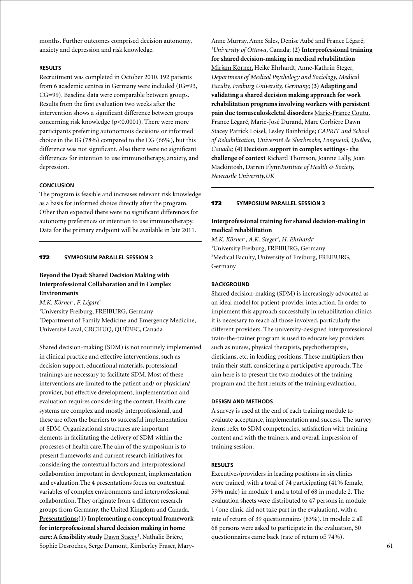months. Further outcomes comprised decision autonomy, anxiety and depression and risk knowledge.

### **Results**

Recruitment was completed in October 2010. 192 patients from 6 academic centres in Germany were included (IG=93, CG=99). Baseline data were comparable between groups. Results from the first evaluation two weeks after the intervention shows a significant difference between groups concerning risk knowledge (p<0.0001). There were more participants preferring autonomous decisions or informed choice in the IG (78%) compared to the CG (66%), but this difference was not significant. Also there were no significant differences for intention to use immunotherapy, anxiety, and depression.

### **Conclusion**

The program is feasible and increases relevant risk knowledge as a basis for informed choice directly after the program. Other than expected there were no significant differences for autonomy preferences or intention to use immunotherapy. Data for the primary endpoint will be available in late 2011.

#### 172 **Symposium parallel session 3**

# **Beyond the Dyad: Shared Decision Making with Interprofessional Collaboration and in Complex Environments**

*M.K. Körner1 , F. Légaré2*

1 University Freiburg, FREIBURG, Germany 2 Department of Family Medicine and Emergency Medicine, Université Laval, CRCHUQ, QUÉBEC, Canada

Shared decision-making (SDM) is not routinely implemented in clinical practice and effective interventions, such as decision support, educational materials, professional trainings are necessary to facilitate SDM. Most of these interventions are limited to the patient and/ or physician/ provider, but effective development, implementation and evaluation requires considering the context. Health care systems are complex and mostly interprofessional, and these are often the barriers to successful implementation of SDM. Organizational structures are important elements in facilitating the delivery of SDM within the processes of health care.The aim of the symposium is to present frameworks and current research initiatives for considering the contextual factors and interprofessional collaboration important in development, implementation and evaluation.The 4 presentations focus on contextual variables of complex environments and interprofessional collaboration. They originate from 4 different research groups from Germany, the United Kingdom and Canada. **Presentations:(1) Implementing a conceptual framework for interprofessional shared decision making in home**  care: A feasibility study **Dawn Stacey<sup>1</sup>, Nathalie Brière**, Sophie Desroches, Serge Dumont, Kimberley Fraser, MaryAnne Murray, Anne Sales, Denise Aubé and France Légaré; *1 University of Ottawa*, Canada; **(2) Interprofessional training for shared decision-making in medical rehabilitation** Mirjam Körner, Heike Ehrhardt, Anne-Kathrin Steger, *Department of Medical Psychology and Sociology, Medical Faculty, Freiburg University, Germany***; (3) Adapting and validating a shared decision making approach for work rehabilitation programs involving workers with persistent pain due tomusculoskeletal disorders** Marie-France Coutu, France Légaré, Marie-José Durand, Marc Corbière Dawn Stacey, Patrick Loisel, Lesley Bainbridge; *CAPRIT and School of Rehabilitation, Université de Sherbrooke, Longueuil, Québec, Canada;* **(4) Decision support in complex settings - the challenge of context** Richard Thomson, Joanne Lally, Joan Mackintosh, Darren Flynn*Institute of Health & Society, Newcastle University,UK*

### 173 **Symposium parallel session 3**

# **Interprofessional training for shared decision-making in medical rehabilitation**

 $M.K.$  Körner<sup>1</sup>, A.K. Steger<sup>2</sup>, H. Ehrhardt<sup>1</sup> 1 University Freiburg, FREIBURG, Germany 2 Medical Faculty, University of Freiburg, FREIBURG, Germany

### **Background**

Shared decision-making (SDM) is increasingly advocated as an ideal model for patient-provider interaction. In order to implement this approach successfully in rehabilitation clinics it is necessary to reach all those involved, particularly the different providers. The university-designed interprofessional train-the-trainer program is used to educate key providers such as nurses, physical therapists, psychotherapists, dieticians, etc. in leading positions. These multipliers then train their staff, considering a participative approach. The aim here is to present the two modules of the training program and the first results of the training evaluation.

#### **Design and Methods**

A survey is used at the end of each training module to evaluate acceptance, implementation and success. The survey items refer to SDM competencies, satisfaction with training content and with the trainers, and overall impression of training session.

#### **Results**

Executives/providers in leading positions in six clinics were trained, with a total of 74 participating (41% female, 59% male) in module 1 and a total of 68 in module 2. The evaluation sheets were distributed to 47 persons in module 1 (one clinic did not take part in the evaluation), with a rate of return of 39 questionnaires (83%). In module 2 all 68 persons were asked to participate in the evaluation, 50 questionnaires came back (rate of return of: 74%).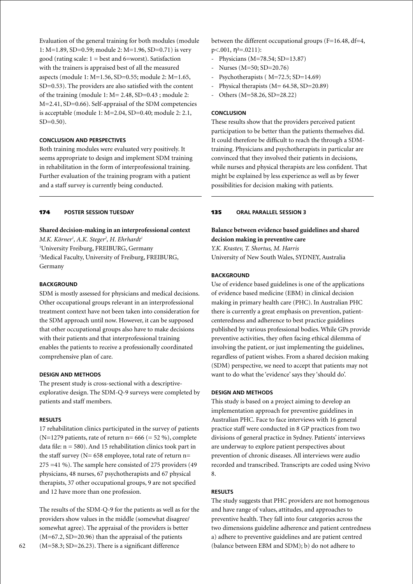Evaluation of the general training for both modules (module 1: M=1.89, SD=0.59; module 2: M=1.96, SD=0.71) is very good (rating scale:  $1 = \text{best}$  and  $6 = \text{worst}$ ). Satisfaction with the trainers is appraised best of all the measured aspects (module 1: M=1.56, SD=0.55; module 2: M=1.65, SD=0.53). The providers are also satisfied with the content of the training (module 1: M= 2.48, SD=0.43 ; module 2: M=2.41, SD=0.66). Self-appraisal of the SDM competencies is acceptable (module 1: M=2.04, SD=0.40; module 2: 2.1,  $SD=0.50$ ).

# **Conclusion and Perspectives**

Both training modules were evaluated very positively. It seems appropriate to design and implement SDM training in rehabilitation in the form of interprofessional training. Further evaluation of the training program with a patient and a staff survey is currently being conducted.

### 174 **poster session Tuesday**

# **Shared decision-making in an interprofessional context**

*M.K. Körner1 , A.K. Steger2 , H. Ehrhardt1* 1 University Freiburg, FREIBURG, Germany 2 Medical Faculty, University of Freiburg, FREIBURG, Germany

### **Background**

SDM is mostly assessed for physicians and medical decisions. Other occupational groups relevant in an interprofessional treatment context have not been taken into consideration for the SDM approach until now. However, it can be supposed that other occupational groups also have to make decisions with their patients and that interprofessional training enables the patients to receive a professionally coordinated comprehensive plan of care.

#### **Design and Methods**

The present study is cross-sectional with a descriptiveexplorative design. The SDM-Q-9 surveys were completed by patients and staff members.

#### **Results**

17 rehabilitation clinics participated in the survey of patients (N=1279 patients, rate of return n=  $666 (= 52\%)$ , complete data file:  $n = 580$ ). And 15 rehabilitation clinics took part in the staff survey ( $N= 658$  employee, total rate of return n= 275 =41 %). The sample here consisted of 275 providers (49 physicians, 48 nurses, 67 psychotherapists and 67 physical therapists, 37 other occupational groups, 9 are not specified and 12 have more than one profession.

The results of the SDM-Q-9 for the patients as well as for the providers show values in the middle (somewhat disagree/ somewhat agree). The appraisal of the providers is better (M=67.2, SD=20.96) than the appraisal of the patients (M=58.3; SD=26.23). There is a significant difference

between the different occupational groups (F=16.48, df=4,  $p<.001$ ,  $\eta^2 = .0211$ ):

- Physicians (M=78.54; SD=13.87)
- Nurses (M=50; SD=20.76)
- Psychotherapists ( $M=72.5$ ; SD=14.69)
- Physical therapists (M= 64.58, SD=20.89)
- Others (M=58.26, SD=28.22)

#### **Conclusion**

These results show that the providers perceived patient participation to be better than the patients themselves did. It could therefore be difficult to reach the through a SDMtraining. Physicians and psychotherapists in particular are convinced that they involved their patients in decisions, while nurses and physical therapists are less confident. That might be explained by less experience as well as by fewer possibilities for decision making with patients.

### 135 **oral parallel session 3**

# **Balance between evidence based guidelines and shared decision making in preventive care**

*Y.K. Krastev, T. Shortus, M. Harris* University of New South Wales, SYDNEY, Australia

#### **BACKGROUND**

Use of evidence based guidelines is one of the applications of evidence based medicine (EBM) in clinical decision making in primary health care (PHC). In Australian PHC there is currently a great emphasis on prevention, patientcenteredness and adherence to best practice guidelines published by various professional bodies. While GPs provide preventive activities, they often facing ethical dilemma of involving the patient, or just implementing the guidelines, regardless of patient wishes. From a shared decision making (SDM) perspective, we need to accept that patients may not want to do what the 'evidence' says they 'should do'.

#### **Design and Methods**

This study is based on a project aiming to develop an implementation approach for preventive guidelines in Australian PHC. Face to face interviews with 16 general practice staff were conducted in 8 GP practices from two divisions of general practice in Sydney. Patients' interviews are underway to explore patient perspectives about prevention of chronic diseases. All interviews were audio recorded and transcribed. Transcripts are coded using Nvivo 8.

### **Results**

The study suggests that PHC providers are not homogenous and have range of values, attitudes, and approaches to preventive health. They fall into four categories across the two dimensions guideline adherence and patient centredness a) adhere to preventive guidelines and are patient centred (balance between EBM and SDM); b) do not adhere to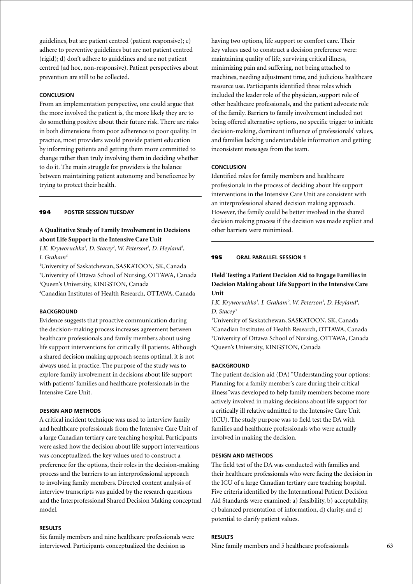guidelines, but are patient centred (patient responsive); c) adhere to preventive guidelines but are not patient centred (rigid); d) don't adhere to guidelines and are not patient centred (ad hoc, non-responsive). Patient perspectives about prevention are still to be collected.

### **Conclusion**

From an implementation perspective, one could argue that the more involved the patient is, the more likely they are to do something positive about their future risk. There are risks in both dimensions from poor adherence to poor quality. In practice, most providers would provide patient education by informing patients and getting them more committed to change rather than truly involving them in deciding whether to do it. The main struggle for providers is the balance between maintaining patient autonomy and beneficence by trying to protect their health.

#### 194 **poster session Tuesday**

# **A Qualitative Study of Family Involvement in Decisions about Life Support in the Intensive Care Unit**

*J.K. Kryworuchko1 , D. Stacey2 , W. Peterson2 , D. Heyland3 , I. Graham4*

1 University of Saskatchewan, SASKATOON, SK, Canada

2 University of Ottawa School of Nursing, OTTAWA, Canada 3 Queen's University, KINGSTON, Canada

4 Canadian Institutes of Health Research, OTTAWA, Canada

### **BACKGROUND**

Evidence suggests that proactive communication during the decision-making process increases agreement between healthcare professionals and family members about using life support interventions for critically ill patients. Although a shared decision making approach seems optimal, it is not always used in practice. The purpose of the study was to explore family involvement in decisions about life support with patients' families and healthcare professionals in the Intensive Care Unit.

#### **Design and methods**

A critical incident technique was used to interview family and healthcare professionals from the Intensive Care Unit of a large Canadian tertiary care teaching hospital. Participants were asked how the decision about life support interventions was conceptualized, the key values used to construct a preference for the options, their roles in the decision-making process and the barriers to an interprofessional approach to involving family members. Directed content analysis of interview transcripts was guided by the research questions and the Interprofessional Shared Decision Making conceptual model.

### **Results**

Six family members and nine healthcare professionals were interviewed. Participants conceptualized the decision as

having two options, life support or comfort care. Their key values used to construct a decision preference were: maintaining quality of life, surviving critical illness, minimizing pain and suffering, not being attached to machines, needing adjustment time, and judicious healthcare resource use. Participants identified three roles which included the leader role of the physician, support role of other healthcare professionals, and the patient advocate role of the family. Barriers to family involvement included not being offered alternative options, no specific trigger to initiate decision-making, dominant influence of professionals' values, and families lacking understandable information and getting inconsistent messages from the team.

#### **Conclusion**

Identified roles for family members and healthcare professionals in the process of deciding about life support interventions in the Intensive Care Unit are consistent with an interprofessional shared decision making approach. However, the family could be better involved in the shared decision making process if the decision was made explicit and other barriers were minimized.

#### 195 **oral parallel session 1**

# **Field Testing a Patient Decision Aid to Engage Families in Decision Making about Life Support in the Intensive Care Unit**

*J.K. Kryworuchko1 , I. Graham2 , W. Peterson3 , D. Heyland4 , D. Stacey3*

 University of Saskatchewan, SASKATOON, SK, Canada Canadian Institutes of Health Research, OTTAWA, Canada University of Ottawa School of Nursing, OTTAWA, Canada Queen's University, KINGSTON, Canada

#### **BACKGROUND**

The patient decision aid (DA) "Understanding your options: Planning for a family member's care during their critical illness"was developed to help family members become more actively involved in making decisions about life support for a critically ill relative admitted to the Intensive Care Unit (ICU). The study purpose was to field test the DA with families and healthcare professionals who were actually involved in making the decision.

#### **Design and methods**

The field test of the DA was conducted with families and their healthcare professionals who were facing the decision in the ICU of a large Canadian tertiary care teaching hospital. Five criteria identified by the International Patient Decision Aid Standards were examined: a) feasibility, b) acceptability, c) balanced presentation of information, d) clarity, and e) potential to clarify patient values.

#### **Results**

Nine family members and 5 healthcare professionals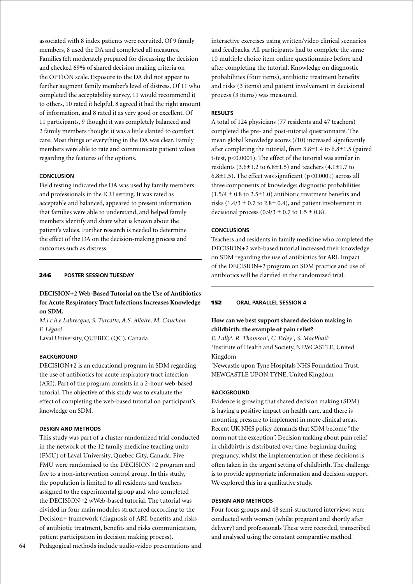associated with 8 index patients were recruited. Of 9 family members, 8 used the DA and completed all measures. Families felt moderately prepared for discussing the decision and checked 69% of shared decision making criteria on the OPTION scale. Exposure to the DA did not appear to further augment family member's level of distress. Of 11 who completed the acceptability survey, 11 would recommend it to others, 10 rated it helpful, 8 agreed it had the right amount of information, and 8 rated it as very good or excellent. Of 11 participants, 9 thought it was completely balanced and 2 family members thought it was a little slanted to comfort care. Most things or everything in the DA was clear. Family members were able to rate and communicate patient values regarding the features of the options.

#### **Conclusion**

Field testing indicated the DA was used by family members and professionals in the ICU setting. It was rated as acceptable and balanced, appeared to present information that families were able to understand, and helped family members identify and share what is known about the patient's values. Further research is needed to determine the effect of the DA on the decision-making process and outcomes such as distress.

### 246 **poster session Tuesday**

**DECISION+2 Web-Based Tutorial on the Use of Antibiotics for Acute Respiratory Tract Infections Increases Knowledge on SDM.**

*M.i.c.h.e Labrecque, S. Turcotte, A.S. Allaire, M. Cauchon, F. Légaré*

Laval University, QUEBEC (QC), Canada

### **BACKGROUND**

DECISION+2 is an educational program in SDM regarding the use of antibiotics for acute respiratory tract infection (ARI). Part of the program consists in a 2-hour web-based tutorial. The objective of this study was to evaluate the effect of completing the web-based tutorial on participant's knowledge on SDM.

### **Design and Methods**

This study was part of a cluster randomized trial conducted in the network of the 12 family medicine teaching units (FMU) of Laval University, Quebec City, Canada. Five FMU were randomised to the DECISION+2 program and five to a non-intervention control group. In this study, the population is limited to all residents and teachers assigned to the experimental group and who completed the DECISION+2 wWeb-based tutorial. The tutorial was divided in four main modules structured according to the Decision+ framework (diagnosis of ARI, benefits and risks of antibiotic treatment, benefits and risks communication, patient participation in decision making process).

Pedagogical methods include audio-video presentations and

interactive exercises using written/video clinical scenarios and feedbacks. All participants had to complete the same 10 multiple choice item online questionnaire before and after completing the tutorial. Knowledge on diagnostic probabilities (four items), antibiotic treatment benefits and risks (3 items) and patient involvement in decisional process (3 items) was measured.

### **Results**

A total of 124 physicians (77 residents and 47 teachers) completed the pre- and post-tutorial questionnaire. The mean global knowledge scores (/10) increased significantly after completing the tutorial, from 3.8±1.4 to 6.8±1.5 (paired t-test, p<0.0001). The effect of the tutorial was similar in residents  $(3.6\pm1.2 \text{ to } 6.8\pm1.5)$  and teachers  $(4.1\pm1.7 \text{ to }$ 6.8 $\pm$ 1.5). The effect was significant (p<0.0001) across all three components of knowledge: diagnostic probabilities  $(1.5/4 \pm 0.8$  to 2.5 $\pm$ 1.0) antibiotic treatment benefits and risks (1.4/3  $\pm$  0.7 to 2.8 $\pm$  0.4), and patient involvement in decisional process  $(0.9/3 \pm 0.7 \text{ to } 1.5 \pm 0.8)$ .

### **Conclusions**

Teachers and residents in family medicine who completed the DECISION+2 web-based tutorial increased their knowledge on SDM regarding the use of antibiotics for ARI. Impact of the DECISION+2 program on SDM practice and use of antibiotics will be clarified in the randomized trial.

## 152 **oral parallel session 4**

# **How can we best support shared decision making in childbirth: the example of pain relief?**

*E. Lally<sup>1</sup>*, *R. Thomson<sup>1</sup>, <i>C. Exley<sup>1</sup>*, *S. MacPhail<sup>2</sup>* <sup>1</sup>Institute of Health and Society, NEWCASTLE, United Kingdom 2 Newcastle upon Tyne Hospitals NHS Foundation Trust,

NEWCASTLE UPON TYNE, United Kingdom

#### **BACKGROUND**

Evidence is growing that shared decision making (SDM) is having a positive impact on health care, and there is mounting pressure to implement in more clinical areas. Recent UK NHS policy demands that SDM become "the norm not the exception". Decision making about pain relief in childbirth is distributed over time, beginning during pregnancy, whilst the implementation of these decisions is often taken in the urgent setting of childbirth. The challenge is to provide appropriate information and decision support. We explored this in a qualitative study.

### **Design and Methods**

Four focus groups and 48 semi-structured interviews were conducted with women (whilst pregnant and shortly after delivery) and professionals These were recorded, transcribed and analysed using the constant comparative method.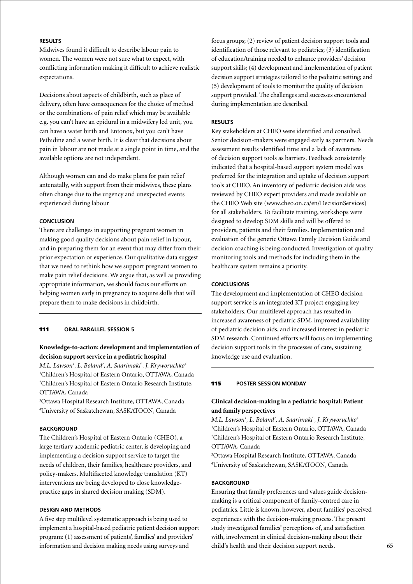# **Results**

Midwives found it difficult to describe labour pain to women. The women were not sure what to expect, with conflicting information making it difficult to achieve realistic expectations.

Decisions about aspects of childbirth, such as place of delivery, often have consequences for the choice of method or the combinations of pain relief which may be available e.g. you can't have an epidural in a midwifery led unit, you can have a water birth and Entonox, but you can't have Pethidine and a water birth. It is clear that decisions about pain in labour are not made at a single point in time, and the available options are not independent.

Although women can and do make plans for pain relief antenatally, with support from their midwives, these plans often change due to the urgency and unexpected events experienced during labour

### **Conclusion**

There are challenges in supporting pregnant women in making good quality decisions about pain relief in labour, and in preparing them for an event that may differ from their prior expectation or experience. Our qualitative data suggest that we need to rethink how we support pregnant women to make pain relief decisions. We argue that, as well as providing appropriate information, we should focus our efforts on helping women early in pregnancy to acquire skills that will prepare them to make decisions in childbirth.

111 **oral parallel session 5**

# **Knowledge-to-action: development and implementation of decision support service in a pediatric hospital**

*M.L. Lawson1 , L. Boland2 , A. Saarimaki3 , J. Kryworuchko4* 1 Children's Hospital of Eastern Ontario, OTTAWA, Canada 2 Children's Hospital of Eastern Ontario Research Institute, OTTAWA, Canada

3 Ottawa Hospital Research Institute, OTTAWA, Canada 4 University of Saskatchewan, SASKATOON, Canada

# **BACKGROUND**

The Children's Hospital of Eastern Ontario (CHEO), a large tertiary academic pediatric center, is developing and implementing a decision support service to target the needs of children, their families, healthcare providers, and policy-makers. Multifaceted knowledge translation (KT) interventions are being developed to close knowledgepractice gaps in shared decision making (SDM).

### **Design and Methods**

A five step multilevel systematic approach is being used to implement a hospital-based pediatric patient decision support program: (1) assessment of patients', families' and providers' information and decision making needs using surveys and

focus groups; (2) review of patient decision support tools and identification of those relevant to pediatrics; (3) identification of education/training needed to enhance providers' decision support skills; (4) development and implementation of patient decision support strategies tailored to the pediatric setting; and (5) development of tools to monitor the quality of decision support provided. The challenges and successes encountered during implementation are described.

#### **Results**

Key stakeholders at CHEO were identified and consulted. Senior decision-makers were engaged early as partners. Needs assessment results identified time and a lack of awareness of decision support tools as barriers. Feedback consistently indicated that a hospital-based support system model was preferred for the integration and uptake of decision support tools at CHEO. An inventory of pediatric decision aids was reviewed by CHEO expert providers and made available on the CHEO Web site (www.cheo.on.ca/en/DecisionServices) for all stakeholders. To facilitate training, workshops were designed to develop SDM skills and will be offered to providers, patients and their families. Implementation and evaluation of the generic Ottawa Family Decision Guide and decision coaching is being conducted. Investigation of quality monitoring tools and methods for including them in the healthcare system remains a priority.

### **Conclusions**

The development and implementation of CHEO decision support service is an integrated KT project engaging key stakeholders. Our multilevel approach has resulted in increased awareness of pediatric SDM, improved availability of pediatric decision aids, and increased interest in pediatric SDM research. Continued efforts will focus on implementing decision support tools in the processes of care, sustaining knowledge use and evaluation.

### 115 **poster Session Monday**

# **Clinical decision-making in a pediatric hospital: Patient and family perspectives**

*M.L. Lawson1 , L. Boland2 , A. Saarimaki3 , J. Kryworuchko4* 1 Children's Hospital of Eastern Ontario, OTTAWA, Canada 2 Children's Hospital of Eastern Ontario Research Institute, OTTAWA, Canada

3 Ottawa Hospital Research Institute, OTTAWA, Canada 4 University of Saskatchewan, SASKATOON, Canada

#### **BACKGROUND**

Ensuring that family preferences and values guide decisionmaking is a critical component of family-centred care in pediatrics. Little is known, however, about families' perceived experiences with the decision-making process. The present study investigated families' perceptions of, and satisfaction with, involvement in clinical decision-making about their child's health and their decision support needs.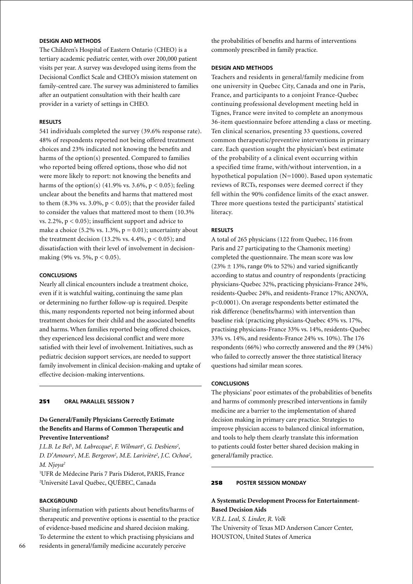# **Design and Methods**

The Children's Hospital of Eastern Ontario (CHEO) is a tertiary academic pediatric center, with over 200,000 patient visits per year. A survey was developed using items from the Decisional Conflict Scale and CHEO's mission statement on family-centred care. The survey was administered to families after an outpatient consultation with their health care provider in a variety of settings in CHEO.

### **Results**

541 individuals completed the survey (39.6% response rate). 48% of respondents reported not being offered treatment choices and 23% indicated not knowing the benefits and harms of the option(s) presented. Compared to families who reported being offered options, those who did not were more likely to report: not knowing the benefits and harms of the option(s) (41.9% vs. 3.6%,  $p < 0.05$ ); feeling unclear about the benefits and harms that mattered most to them  $(8.3\% \text{ vs. } 3.0\%, \text{ p} < 0.05)$ ; that the provider failed to consider the values that mattered most to them (10.3% vs. 2.2%,  $p < 0.05$ ; insufficient support and advice to make a choice  $(5.2\% \text{ vs. } 1.3\%, \text{ p} = 0.01)$ ; uncertainty about the treatment decision (13.2% vs.  $4.4\%$ ,  $p < 0.05$ ); and dissatisfaction with their level of involvement in decisionmaking (9% vs. 5%,  $p < 0.05$ ).

#### **Conclusions**

Nearly all clinical encounters include a treatment choice, even if it is watchful waiting, continuing the same plan or determining no further follow-up is required. Despite this, many respondents reported not being informed about treatment choices for their child and the associated benefits and harms. When families reported being offered choices, they experienced less decisional conflict and were more satisfied with their level of involvement. Initiatives, such as pediatric decision support services, are needed to support family involvement in clinical decision-making and uptake of effective decision-making interventions.

### 251 **oral parallel session 7**

### **Do General/Family Physicians Correctly Estimate the Benefits and Harms of Common Therapeutic and Preventive Interventions?**

*J.L.B. Le Bel<sup>1</sup>, M. Labrecque<sup>2</sup>, F. Wilmart<sup>1</sup>, G. Desbiens<sup>2</sup>,* D. D'Amours<sup>2</sup>, M.E. Bergeron<sup>2</sup>, M.E. Larivière<sup>2</sup>, J.C. Ochoa<sup>2</sup>, *M. Njoya2*

1 UFR de Médecine Paris 7 Paris Diderot, PARIS, France 2 Université Laval Québec, QUÉBEC, Canada

# **BACKGROUND**

Sharing information with patients about benefits/harms of therapeutic and preventive options is essential to the practice of evidence-based medicine and shared decision making. To determine the extent to which practising physicians and residents in general/family medicine accurately perceive

the probabilities of benefits and harms of interventions commonly prescribed in family practice.

#### **Design and Methods**

Teachers and residents in general/family medicine from one university in Quebec City, Canada and one in Paris, France, and participants to a conjoint France-Quebec continuing professional development meeting held in Tignes, France were invited to complete an anonymous 36-item questionnaire before attending a class or meeting. Ten clinical scenarios, presenting 33 questions, covered common therapeutic/preventive interventions in primary care. Each question sought the physician's best estimate of the probability of a clinical event occurring within a specified time frame, with/without intervention, in a hypothetical population (N=1000). Based upon systematic reviews of RCTs, responses were deemed correct if they fell within the 90% confidence limits of the exact answer. Three more questions tested the participants' statistical literacy.

### **Results**

A total of 265 physicians (122 from Quebec, 116 from Paris and 27 participating to the Chamonix meeting) completed the questionnaire. The mean score was low  $(23% \pm 13%$ , range 0% to 52%) and varied significantly according to status and country of respondents (practicing physicians-Quebec 32%, practicing physicians-France 24%, residents-Quebec 24%, and residents-France 17%; ANOVA, p<0.0001). On average respondents better estimated the risk difference (benefits/harms) with intervention than baseline risk (practicing physicians-Quebec 45% vs. 17%, practising physicians-France 33% vs. 14%, residents-Quebec 33% vs. 14%, and residents-France 24% vs. 10%). The 176 respondents (66%) who correctly answered and the 89 (34%) who failed to correctly answer the three statistical literacy questions had similar mean scores.

#### **Conclusions**

The physicians' poor estimates of the probabilities of benefits and harms of commonly prescribed interventions in family medicine are a barrier to the implementation of shared decision making in primary care practice. Strategies to improve physician access to balanced clinical information, and tools to help them clearly translate this information to patients could foster better shared decision making in general/family practice.

#### 258 **poster Session Monday**

# **A Systematic Development Process for Entertainment-Based Decision Aids**

*V.B.L. Leal, S. Linder, R. Volk* The University of Texas MD Anderson Cancer Center, HOUSTON, United States of America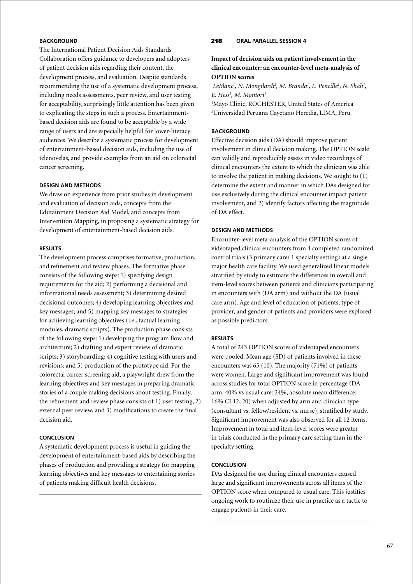# **BACKGROUND**

The International Patient Decision Aids Standards Collaboration offers guidance to developers and adopters of patient decision aids regarding their content, the development process, and evaluation. Despite standards recommending the use of a systematic development process, including needs assessments, peer review, and user testing for acceptability, surprisingly little attention has been given to explicating the steps in such a process. Entertainmentbased decision aids are found to be acceptable by a wide range of users and are especially helpful for lower-literacy audiences. We describe a systematic process for development of entertainment-based decision aids, including the use of telenovelas, and provide examples from an aid on colorectal cancer screening.

#### **Design and Methods**

We draw on experience from prior studies in development and evaluation of decision aids, concepts from the Edutainment Decision Aid Model, and concepts from Intervention Mapping, in proposing a systematic strategy for development of entertainment-based decision aids.

### **Results**

The development process comprises formative, production, and refinement and review phases. The formative phase consists of the following steps: 1) specifying design requirements for the aid; 2) performing a decisional and informational needs assessment; 3) determining desired decisional outcomes; 4) developing learning objectives and key messages; and 5) mapping key messages to strategies for achieving learning objectives (i.e., factual learning modules, dramatic scripts). The production phase consists of the following steps: 1) developing the program flow and architecture; 2) drafting and expert review of dramatic scripts; 3) storyboarding; 4) cognitive testing with users and revisions; and 5) production of the prototype aid. For the colorectal cancer screening aid, a playwright drew from the learning objectives and key messages in preparing dramatic stories of a couple making decisions about testing. Finally, the refinement and review phase consists of 1) user testing, 2) external peer review, and 3) modifications to create the final decision aid.

### **Conclusion**

A systematic development process is useful in guiding the development of entertainment-based aids by describing the phases of production and providing a strategy for mapping learning objectives and key messages to entertaining stories of patients making difficult health decisions.

### 218 **oral parallel session 4**

# **Impact of decision aids on patient involvement in the clinical encounter: an encounter-level meta-analysis of OPTION scores**

LeBlanc<sup>1</sup>, N. Mongilardi<sup>2</sup>, M. Branda<sup>1</sup>, L. Pencille<sup>1</sup>, N. Shah<sup>1</sup>, *E. Hess1 , M. Montori1*

<sup>1</sup>Mayo Clinic, ROCHESTER, United States of America 2 Universidad Peruana Cayetano Heredia, LIMA, Peru

### **BACKGROUND**

Effective decision aids (DA) should improve patient involvement in clinical decision making. The OPTION scale can validly and reproducibly assess in video recordings of clinical encounters the extent to which the clinician was able to involve the patient in making decisions. We sought to (1) determine the extent and manner in which DAs designed for use exclusively during the clinical encounter impact patient involvement, and 2) identify factors affecting the magnitude of DA effect.

### **Design and methods**

Encounter-level meta-analysis of the OPTION scores of videotaped clinical encounters from 4 completed randomized control trials (3 primary care/ 1 specialty setting) at a single major health care facility. We used generalized linear models stratified by study to estimate the differences in overall and item-level scores between patients and clinicians participating in encounters with (DA arm) and without the DA (usual care arm). Age and level of education of patients, type of provider, and gender of patients and providers were explored as possible predictors.

### **Results**

A total of 243 OPTION scores of videotaped encounters were pooled. Mean age (SD) of patients involved in these encounters was 65 (10). The majority (71%) of patients were women. Large and significant improvement was found across studies for total OPTION score in percentage (DA arm: 40% vs usual care: 24%, absolute mean difference: 16% CI 12, 20) when adjusted by arm and clinician type (consultant vs. fellow/resident vs. nurse), stratified by study. Significant improvement was also observed for all 12 items. Improvement in total and item-level scores were greater in trials conducted in the primary care setting than in the specialty setting.

### **Conclusion**

DAs designed for use during clinical encounters caused large and significant improvements across all items of the OPTION score when compared to usual care. This justifies ongoing work to routinize their use in practice as a tactic to engage patients in their care.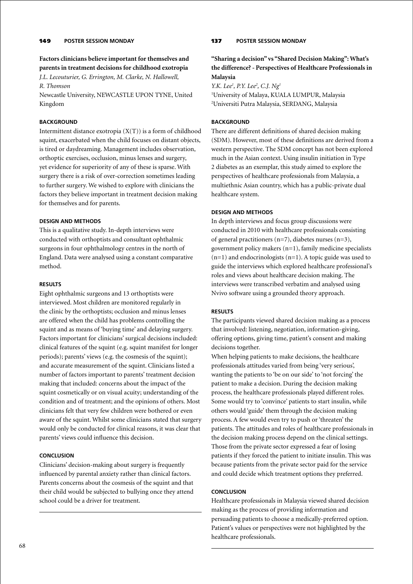### 149 **poster Session Monday**

**Factors clinicians believe important for themselves and parents in treatment decisions for childhood exotropia** *J.L. Lecouturier, G. Errington, M. Clarke, N. Hallowell,* 

*R. Thomson*

Newcastle University, NEWCASTLE UPON TYNE, United Kingdom

### **BACKGROUND**

Intermittent distance exotropia  $(X(T))$  is a form of childhood squint, exacerbated when the child focuses on distant objects, is tired or daydreaming. Management includes observation, orthoptic exercises, occlusion, minus lenses and surgery, yet evidence for superiority of any of these is sparse. With surgery there is a risk of over-correction sometimes leading to further surgery. We wished to explore with clinicians the factors they believe important in treatment decision making for themselves and for parents.

### **Design and Methods**

This is a qualitative study. In-depth interviews were conducted with orthoptists and consultant ophthalmic surgeons in four ophthalmology centres in the north of England. Data were analysed using a constant comparative method.

### **Results**

Eight ophthalmic surgeons and 13 orthoptists were interviewed. Most children are monitored regularly in the clinic by the orthoptists; occlusion and minus lenses are offered when the child has problems controlling the squint and as means of 'buying time' and delaying surgery. Factors important for clinicians' surgical decisions included: clinical features of the squint (e.g. squint manifest for longer periods); parents' views (e.g. the cosmesis of the squint); and accurate measurement of the squint. Clinicians listed a number of factors important to parents' treatment decision making that included: concerns about the impact of the squint cosmetically or on visual acuity; understanding of the condition and of treatment; and the opinions of others. Most clinicians felt that very few children were bothered or even aware of the squint. Whilst some clinicians stated that surgery would only be conducted for clinical reasons, it was clear that parents' views could influence this decision.

### **Conclusion**

Clinicians' decision-making about surgery is frequently influenced by parental anxiety rather than clinical factors. Parents concerns about the cosmesis of the squint and that their child would be subjected to bullying once they attend school could be a driver for treatment.

### 137 **poster Session Monday**

# **"Sharing a decision" vs "Shared Decision Making": What's the difference? - Perspectives of Healthcare Professionals in Malaysia**

*Y.K. Lee<sup>1</sup>, P.Y. Lee<sup>2</sup>, C.J. Ng<sup>1</sup>* 1 University of Malaya, KUALA LUMPUR, Malaysia 2 Universiti Putra Malaysia, SERDANG, Malaysia

### **BACKGROUND**

There are different definitions of shared decision making (SDM). However, most of these definitions are derived from a western perspective. The SDM concept has not been explored much in the Asian context. Using insulin initiation in Type 2 diabetes as an exemplar, this study aimed to explore the perspectives of healthcare professionals from Malaysia, a multiethnic Asian country, which has a public-private dual healthcare system.

### **Design and Methods**

In depth interviews and focus group discussions were conducted in 2010 with healthcare professionals consisting of general practitioners (n=7), diabetes nurses (n=3), government policy makers (n=1), family medicine specialists  $(n=1)$  and endocrinologists  $(n=1)$ . A topic guide was used to guide the interviews which explored healthcare professional's roles and views about healthcare decision making. The interviews were transcribed verbatim and analysed using Nvivo software using a grounded theory approach.

#### **Results**

The participants viewed shared decision making as a process that involved: listening, negotiation, information-giving, offering options, giving time, patient's consent and making decisions together.

When helping patients to make decisions, the healthcare professionals attitudes varied from being 'very serious', wanting the patients to 'be on our side' to 'not forcing' the patient to make a decision. During the decision making process, the healthcare professionals played different roles. Some would try to 'convince' patients to start insulin, while others would 'guide' them through the decision making process. A few would even try to push or 'threaten' the patients. The attitudes and roles of healthcare professionals in the decision making process depend on the clinical settings. Those from the private sector expressed a fear of losing patients if they forced the patient to initiate insulin. This was because patients from the private sector paid for the service and could decide which treatment options they preferred.

#### **Conclusion**

Healthcare professionals in Malaysia viewed shared decision making as the process of providing information and persuading patients to choose a medically-preferred option. Patient's values or perspectives were not highlighted by the healthcare professionals.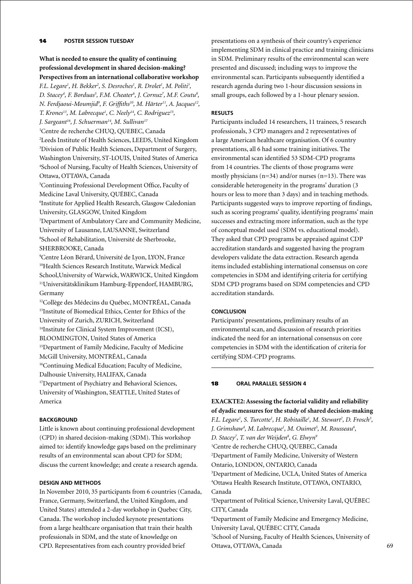# 14 **poster session Tuesday**

# **What is needed to ensure the quality of continuing professional development in shared decision-making? Perspectives from an international collaborative workshop**

*F.L. Legare<sup>1</sup>, H. Bekker<sup>2</sup>, S. Desroches<sup>1</sup>, R. Drolet<sup>1</sup>, M. Politi<sup>3</sup>, D. Stacey4 , F. Borduas5 , F.M. Cheater6 , J. Cornuz7 , M.F. Coutu8 , N. Ferdjaoui-Moumjid9 , F. Griffiths10, M. Härter11, A. Jacques12, T. Krones13, M. Labrecque1 , C. Neely14, C. Rodriguez15,* 

*J. Sargeant16, J. Schuerman14, M. Sullivan17*

 Centre de recherche CHUQ, QUEBEC, Canada Leeds Institute of Health Sciences, LEEDS, United Kingdom Division of Public Health Sciences, Department of Surgery, Washington University, ST-LOUIS, United States of America School of Nursing, Faculty of Health Sciences, University of Ottawa, OTTAWA, Canada

5 Continuing Professional Development Office, Faculty of Medicine Laval University, QUÉBEC, Canada

6 Institute for Applied Health Research, Glasgow Caledonian University, GLASGOW, United Kingdom

7 Department of Ambulatory Care and Community Medicine, University of Lausanne, LAUSANNE, Switzerland 8 School of Rehabilitation, Université de Sherbrooke, SHERBROOKE, Canada

9 Centre Léon Bérard, Université de Lyon, LYON, France 10Health Sciences Research Institute, Warwick Medical School,University of Warwick, WARWICK, United Kingdom 11Universitätsklinikum Hamburg-Eppendorf, HAMBURG, Germany

<sup>12</sup>Collège des Médecins du Québec, MONTRÉAL, Canada <sup>13</sup>Institute of Biomedical Ethics, Center for Ethics of the University of Zurich, ZURICH, Switzerland <sup>14</sup>Institute for Clinical System Improvement (ICSI), BLOOMINGTON, United States of America 15Department of Family Medicine, Faculty of Medicine McGill University, MONTRÉAL, Canada <sup>16</sup>Continuing Medical Education; Faculty of Medicine, Dalhousie University, HALIFAX, Canada <sup>17</sup>Department of Psychiatry and Behavioral Sciences,

University of Washington, SEATTLE, United States of America

### **BACKGROUND**

Little is known about continuing professional development (CPD) in shared decision-making (SDM). This workshop aimed to: identify knowledge gaps based on the preliminary results of an environmental scan about CPD for SDM; discuss the current knowledge; and create a research agenda.

### **Design and Methods**

In November 2010, 35 participants from 6 countries (Canada, France, Germany, Switzerland, the United Kingdom, and United States) attended a 2-day workshop in Quebec City, Canada. The workshop included keynote presentations from a large healthcare organisation that train their health professionals in SDM, and the state of knowledge on CPD. Representatives from each country provided brief

presentations on a synthesis of their country's experience implementing SDM in clinical practice and training clinicians in SDM. Preliminary results of the environmental scan were presented and discussed; including ways to improve the environmental scan. Participants subsequently identified a research agenda during two 1-hour discussion sessions in small groups, each followed by a 1-hour plenary session.

#### **Results**

Participants included 14 researchers, 11 trainees, 5 research professionals, 3 CPD managers and 2 representatives of a large American healthcare organisation. Of 6 country presentations, all 6 had some training initiatives. The environmental scan identified 53 SDM-CPD programs from 14 countries. The clients of those programs were mostly physicians (n=34) and/or nurses (n=13). There was considerable heterogeneity in the programs' duration (3 hours or less to more than 3 days) and in teaching methods. Participants suggested ways to improve reporting of findings, such as scoring programs' quality, identifying programs' main successes and extracting more information, such as the type of conceptual model used (SDM vs. educational model). They asked that CPD programs be appraised against CDP accreditation standards and suggested having the program developers validate the data extraction. Research agenda items included establishing international consensus on core competencies in SDM and identifying criteria for certifying SDM CPD programs based on SDM competencies and CPD accreditation standards.

### **Conclusion**

Participants' presentations, preliminary results of an environmental scan, and discussion of research priorities indicated the need for an international consensus on core competencies in SDM with the identification of criteria for certifying SDM-CPD programs.

### 18 **oral parallel session 4**

**EXACKTE2: Assessing the factorial validity and reliability of dyadic measures for the study of shared decision-making** *F.L. Legare<sup>1</sup>, S. Turcotte<sup>1</sup>, H. Robitaille<sup>1</sup>, M. Stewart<sup>2</sup>, D. Frosch<sup>3</sup>, J. Grimshaw<sup>4</sup>, M. Labrecque<sup>1</sup>, M. Ouimet<sup>5</sup>, M. Rousseau<sup>6</sup>,* D. Stacey<sup>7</sup>, T. van der Weijden<sup>8</sup>, G. Elwyn<sup>s</sup> 1 Centre de recherche CHUQ, QUEBEC, Canada 2 Department of Family Medicine, University of Western Ontario, LONDON, ONTARIO, Canada 3 Department of Medicine, UCLA, United States of America 4 Ottawa Health Research Institute, OTTAWA, ONTARIO, Canada 5 Department of Political Science, University Laval, QUÉBEC CITY, Canada 6 Department of Family Medicine and Emergency Medicine, University Laval, QUÉBEC CITY, Canada 7 School of Nursing, Faculty of Health Sciences, University of Ottawa, OTTAWA, Canada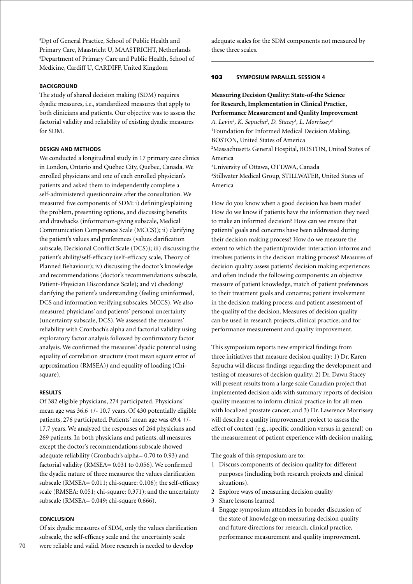8 Dpt of General Practice, School of Public Health and Primary Care, Maastricht U, MAASTRICHT, Netherlands 9 Department of Primary Care and Public Health, School of Medicine, Cardiff U, CARDIFF, United Kingdom

### **BACKGROUND**

The study of shared decision making (SDM) requires dyadic measures, i.e., standardized measures that apply to both clinicians and patients. Our objective was to assess the factorial validity and reliability of existing dyadic measures for SDM.

# **Design and Methods**

We conducted a longitudinal study in 17 primary care clinics in London, Ontario and Québec City, Quebec, Canada. We enrolled physicians and one of each enrolled physician's patients and asked them to independently complete a self-administered questionnaire after the consultation. We measured five components of SDM: i) defining/explaining the problem, presenting options, and discussing benefits and drawbacks (information-giving subscale, Medical Communication Competence Scale (MCCS)); ii) clarifying the patient's values and preferences (values clarification subscale, Decisional Conflict Scale (DCS)); iii) discussing the patient's ability/self-efficacy (self-efficacy scale, Theory of Planned Behaviour); iv) discussing the doctor's knowledge and recommendations (doctor's recommendations subscale, Patient-Physician Discordance Scale); and v) checking/ clarifying the patient's understanding (feeling uninformed, DCS and information verifying subscales, MCCS). We also measured physicians' and patients' personal uncertainty (uncertainty subscale, DCS). We assessed the measures' reliability with Cronbach's alpha and factorial validity using exploratory factor analysis followed by confirmatory factor analysis. We confirmed the measures' dyadic potential using equality of correlation structure (root mean square error of approximation (RMSEA)) and equality of loading (Chisquare).

#### **Results**

Of 382 eligible physicians, 274 participated. Physicians' mean age was 36.6 +/- 10.7 years. Of 430 potentially eligible patients, 276 participated. Patients' mean age was 49.4 +/- 17.7 years. We analyzed the responses of 264 physicians and 269 patients. In both physicians and patients, all measures except the doctor's recommendations subscale showed adequate reliability (Cronbach's alpha= 0.70 to 0.93) and factorial validity (RMSEA= 0.031 to 0.056). We confirmed the dyadic nature of three measures: the values clarification subscale (RMSEA= 0.011; chi-square: 0.106); the self-efficacy scale (RMSEA: 0.051; chi-square: 0.371); and the uncertainty subscale (RMSEA= 0.049; chi-square 0.666).

# **Conclusion**

Of six dyadic measures of SDM, only the values clarification subscale, the self-efficacy scale and the uncertainty scale were reliable and valid. More research is needed to develop

adequate scales for the SDM components not measured by these three scales.

#### 103 **Symposium parallel session 4**

# **Measuring Decision Quality: State-of-the Science for Research, Implementation in Clinical Practice, Performance Measurement and Quality Improvement**

*A. Levin1 , K. Sepucha2 , D. Stacey3 , L. Morrissey4* 1 Foundation for Informed Medical Decision Making, BOSTON, United States of America 2 Massachusetts General Hospital, BOSTON, United States of America

3 University of Ottawa, OTTAWA, Canada 4 Stillwater Medical Group, STILLWATER, United States of America

How do you know when a good decision has been made? How do we know if patients have the information they need to make an informed decision? How can we ensure that patients' goals and concerns have been addressed during their decision making process? How do we measure the extent to which the patient/provider interaction informs and involves patients in the decision making process? Measures of decision quality assess patients' decision making experiences and often include the following components: an objective measure of patient knowledge, match of patient preferences to their treatment goals and concerns; patient involvement in the decision making process; and patient assessment of the quality of the decision. Measures of decision quality can be used in research projects, clinical practice; and for performance measurement and quality improvement.

This symposium reports new empirical findings from three initiatives that measure decision quality: 1) Dr. Karen Sepucha will discuss findings regarding the development and testing of measures of decision quality; 2) Dr. Dawn Stacey will present results from a large scale Canadian project that implemented decision aids with summary reports of decision quality measures to inform clinical practice in for all men with localized prostate cancer; and 3) Dr. Lawrence Morrissey will describe a quality improvement project to assess the effect of context (e.g., specific condition versus in general) on the measurement of patient experience with decision making.

The goals of this symposium are to:

- 1 Discuss components of decision quality for different purposes (including both research projects and clinical situations).
- 2 Explore ways of measuring decision quality
- 3 Share lessons learned
- 4 Engage symposium attendees in broader discussion of the state of knowledge on measuring decision quality and future directions for research, clinical practice, performance measurement and quality improvement.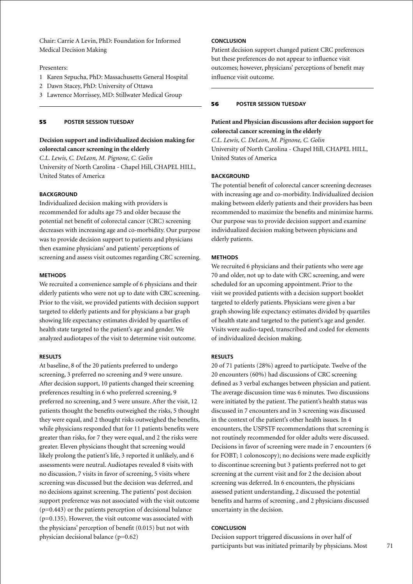Chair: Carrie A Levin, PhD: Foundation for Informed Medical Decision Making

### Presenters:

- 1 Karen Sepucha, PhD: Massachusetts General Hospital
- 2 Dawn Stacey, PhD: University of Ottawa
- 3 Lawrence Morrissey, MD: Stillwater Medical Group

### 55 **poster session Tuesday**

# **Decision support and individualized decision making for colorectal cancer screening in the elderly**

*C.L. Lewis, C. DeLeon, M. Pignone, C. Golin* University of North Carolina - Chapel Hill, CHAPEL HILL, United States of America

# **BACKGROUND**

Individualized decision making with providers is recommended for adults age 75 and older because the potential net benefit of colorectal cancer (CRC) screening decreases with increasing age and co-morbidity. Our purpose was to provide decision support to patients and physicians then examine physicians' and patients' perceptions of screening and assess visit outcomes regarding CRC screening.

#### **Methods**

We recruited a convenience sample of 6 physicians and their elderly patients who were not up to date with CRC screening. Prior to the visit, we provided patients with decision support targeted to elderly patients and for physicians a bar graph showing life expectancy estimates divided by quartiles of health state targeted to the patient's age and gender. We analyzed audiotapes of the visit to determine visit outcome.

#### **Results**

At baseline, 8 of the 20 patients preferred to undergo screening, 3 preferred no screening and 9 were unsure. After decision support, 10 patients changed their screening preferences resulting in 6 who preferred screening, 9 preferred no screening, and 5 were unsure. After the visit, 12 patients thought the benefits outweighed the risks, 5 thought they were equal, and 2 thought risks outweighed the benefits, while physicians responded that for 11 patients benefits were greater than risks, for 7 they were equal, and 2 the risks were greater. Eleven physicians thought that screening would likely prolong the patient's life, 3 reported it unlikely, and 6 assessments were neutral. Audiotapes revealed 8 visits with no discussion, 7 visits in favor of screening, 5 visits where screening was discussed but the decision was deferred, and no decisions against screening. The patients' post decision support preference was not associated with the visit outcome  $(p=0.443)$  or the patients perception of decisional balance (p=0.135). However, the visit outcome was associated with the physicians' perception of benefit (0.015) but not with physician decisional balance (p=0.62)

# **Conclusion**

Patient decision support changed patient CRC preferences but these preferences do not appear to influence visit outcomes; however, physicians' perceptions of benefit may influence visit outcome.

### 56 **poster session Tuesday**

## **Patient and Physician discussions after decision support for colorectal cancer screening in the elderly**

*C.L. Lewis, C. DeLeon, M. Pignone, C. Golin* University of North Carolina - Chapel Hill, CHAPEL HILL, United States of America

#### **BACKGROUND**

The potential benefit of colorectal cancer screening decreases with increasing age and co-morbidity. Individualized decision making between elderly patients and their providers has been recommended to maximize the benefits and minimize harms. Our purpose was to provide decision support and examine individualized decision making between physicians and elderly patients.

#### **Methods**

We recruited 6 physicians and their patients who were age 70 and older, not up to date with CRC screening, and were scheduled for an upcoming appointment. Prior to the visit we provided patients with a decision support booklet targeted to elderly patients. Physicians were given a bar graph showing life expectancy estimates divided by quartiles of health state and targeted to the patient's age and gender. Visits were audio-taped, transcribed and coded for elements of individualized decision making.

#### **Results**

20 of 71 patients (28%) agreed to participate. Twelve of the 20 encounters (60%) had discussions of CRC screening defined as 3 verbal exchanges between physician and patient. The average discussion time was 6 minutes. Two discussions were initiated by the patient. The patient's health status was discussed in 7 encounters and in 3 screening was discussed in the context of the patient's other health issues. In 4 encounters, the USPSTF recommendations that screening is not routinely recommended for older adults were discussed. Decisions in favor of screening were made in 7 encounters (6 for FOBT; 1 colonoscopy); no decisions were made explicitly to discontinue screening but 3 patients preferred not to get screening at the current visit and for 2 the decision about screening was deferred. In 6 encounters, the physicians assessed patient understanding, 2 discussed the potential benefits and harms of screening , and 2 physicians discussed uncertainty in the decision.

### **Conclusion**

Decision support triggered discussions in over half of participants but was initiated primarily by physicians. Most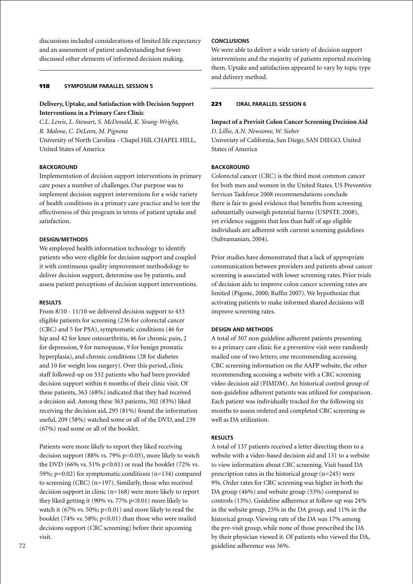discussions included considerations of limited life expectancy and an assessment of patient understanding but fewer discussed other elements of informed decision making.

### 118 **Symposium parallel session 5**

# **Delivery, Uptake, and Satisfaction with Decision Support Interventions in a Primary Care Clinic**

*C.L. Lewis, L. Stewart, S. McDonald, K. Young-Wright, R. Malone, C. DeLeon, M. Pignone* University of North Carolina - Chapel Hill, CHAPEL HILL, United States of America

### **BACKGROUND**

Implementation of decision support interventions in primary care poses a number of challenges. Our purpose was to implement decision support interventions for a wide variety of health conditions in a primary care practice and to test the effectiveness of this program in terms of patient uptake and satisfaction.

#### **Design/Methods**

We employed health information technology to identify patients who were eligible for decision support and coupled it with continuous quality improvement methodology to deliver decision support, determine use by patients, and assess patient perceptions of decision support interventions.

### **Results**

From 8/10 - 11/10 we delivered decision support to 433 eligible patients for screening (236 for colorectal cancer (CRC) and 5 for PSA), symptomatic conditions (46 for hip and 42 for knee osteoarthritis, 46 for chronic pain, 2 for depression, 9 for menopause, 9 for benign prostatic hyperplasia), and chronic conditions (28 for diabetes and 10 for weight loss surgery). Over this period, clinic staff followed-up on 532 patients who had been provided decision support within 6 months of their clinic visit. Of these patients, 363 (68%) indicated that they had received a decision aid. Among these 363 patients, 302 (83%) liked receiving the decision aid, 295 (81%) found the information useful, 209 (58%) watched some or all of the DVD, and 239 (67%) read some or all of the booklet.

Patients were more likely to report they liked receiving decision support (88% vs. 79% p=0.03), more likely to watch the DVD (66% vs. 51% p<0.01) or read the booklet (72% vs. 59%; p=0.02) for symptomatic conditions (n=134) compared to screening (CRC) (n=197). Similarly, those who received decision support in clinic (n=168) were more likely to report they liked getting it (90% vs. 77%  $p<0.01$ ) more likely to watch it (67% vs. 50%;  $p<0.01$ ) and more likely to read the booklet (74% vs. 58%; p<0.01) than those who were mailed decisions support (CRC screening) before their upcoming visit.

# **Conclusions**

We were able to deliver a wide variety of decision support interventions and the majority of patients reported receiving them. Uptake and satisfaction appeared to vary by topic type and delivery method.

# 221 **oral parallel session 6**

**Impact of a Previsit Colon Cancer Screening Decision Aid** *D. Lillie, A.N. Newsome, W. Sieber* Univeristy of California, San Diego, SAN DIEGO, United States of America

### **BACKGROUND**

Colorectal cancer (CRC) is the third most common cancer for both men and women in the United States. US Preventive Services Taskforce 2008 recommendations conclude there is fair to good evidence that benefits from screening substantially outweigh potential harms (USPSTF, 2008), yet evidence suggests that less than half of age eligible individuals are adherent with current screening guidelines (Subramanian, 2004).

Prior studies have demonstrated that a lack of appropriate communication between providers and patients about cancer screening is associated with lower screening rates. Prior trials of decision aids to improve colon cancer screening rates are limited (Pigone, 2000; Ruffin 2007). We hypothesize that activating patients to make informed shared decisions will improve screening rates.

### **Design and Methods**

A total of 307 non guideline adherent patients presenting to a primary care clinic for a preventive visit were randomly mailed one of two letters; one recommending accessing CRC screening information on the AAFP website, the other recommending accessing a website with a CRC screening video decision aid (FIMDM). An historical control group of non-guideline adherent patients was utilized for comparison. Each patient was individually tracked for the following six months to assess ordered and completed CRC screening as well as DA utilization.

### **Results**

A total of 137 patients received a letter directing them to a website with a video-based decision aid and 131 to a website to view information about CRC screening. Visit based DA prescription rates in the historical group (n=245) were 9%. Order rates for CRC screening was higher in both the DA group (46%) and website group (53%) compared to controls (13%). Guideline adherence at follow-up was 24% in the website group, 25% in the DA group, and 11% in the historical group. Viewing rate of the DA was 17% among the pre-visit group, while none of those prescribed the DA by their physician viewed it. Of patients who viewed the DA, guideline adherence was 36%.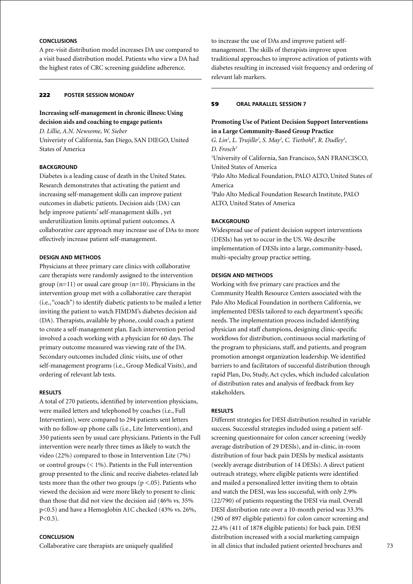# **Conclusions**

A pre-visit distribution model increases DA use compared to a visit based distribution model. Patients who view a DA had the highest rates of CRC screening guideline adherence.

### 222 **poster Session Monday**

# **Increasing self-management in chronic illness: Using decision aids and coaching to engage patients**

*D. Lillie, A.N. Newsome, W. Sieber* Univeristy of California, San Diego, SAN DIEGO, United States of America

### **BACKGROUND**

Diabetes is a leading cause of death in the United States. Research demonstrates that activating the patient and increasing self-management skills can improve patient outcomes in diabetic patients. Decision aids (DA) can help improve patients' self-management skills , yet underutilization limits optimal patient outcomes. A collaborative care approach may increase use of DAs to more effectively increase patient self-management.

# **Design and Methods**

Physicians at three primary care clinics with collaborative care therapists were randomly assigned to the intervention group  $(n=11)$  or usual care group  $(n=10)$ . Physicians in the intervention group met with a collaborative care therapist (i.e., "coach") to identify diabetic patients to be mailed a letter inviting the patient to watch FIMDM's diabetes decision aid (DA). Therapists, available by phone, could coach a patient to create a self-management plan. Each intervention period involved a coach working with a physician for 60 days. The primary outcome measured was viewing rate of the DA. Secondary outcomes included clinic visits, use of other self-management programs (i.e., Group Medical Visits), and ordering of relevant lab tests.

#### **Results**

A total of 270 patients, identified by intervention physicians, were mailed letters and telephoned by coaches (i.e., Full Intervention), were compared to 294 patients sent letters with no follow-up phone calls (i.e., Lite Intervention), and 350 patients seen by usual care physicians. Patients in the Full intervention were nearly three times as likely to watch the video (22%) compared to those in Intervention Lite (7%) or control groups  $(< 1\%)$ . Patients in the Full intervention group presented to the clinic and receive diabetes-related lab tests more than the other two groups ( $p < 0.05$ ). Patients who viewed the decision aid were more likely to present to clinic than those that did not view the decision aid (46% vs. 35% p<0.5) and have a Hemoglobin A1C checked (43% vs. 26%,  $P < 0.5$ ).

### **Conclusion**

Collaborative care therapists are uniquely qualified

to increase the use of DAs and improve patient selfmanagement. The skills of therapists improve upon traditional approaches to improve activation of patients with diabetes resulting in increased visit frequency and ordering of relevant lab markers.

## 59 **oral parallel session 7**

# **Promoting Use of Patient Decision Support Interventions in a Large Community-Based Group Practice**

*G. Lin<sup>1</sup>, L. Trujillo<sup>2</sup>, S. May<sup>3</sup>, C. Tietbohl<sup>3</sup>, R. Dudley<sup>1</sup>, D. Frosch3* 1 University of California, San Francisco, SAN FRANCISCO, United States of America 2 Palo Alto Medical Foundation, PALO ALTO, United States of America 3 Palo Alto Medical Foundation Research Institute, PALO ALTO, United States of America

### **BACKGROUND**

Widespread use of patient decision support interventions (DESIs) has yet to occur in the US. We describe implementation of DESIs into a large, community-based, multi-specialty group practice setting.

# **Design and Methods**

Working with five primary care practices and the Community Health Resource Centers associated with the Palo Alto Medical Foundation in northern California, we implemented DESIs tailored to each department's specific needs. The implementation process included identifying physician and staff champions, designing clinic-specific workflows for distribution, continuous social marketing of the program to physicians, staff, and patients, and program promotion amongst organization leadership. We identified barriers to and facilitators of successful distribution through rapid Plan, Do, Study, Act cycles, which included calculation of distribution rates and analysis of feedback from key stakeholders.

#### **Results**

Different strategies for DESI distribution resulted in variable success. Successful strategies included using a patient selfscreening questionnaire for colon cancer screening (weekly average distribution of 29 DESIs), and in-clinic, in-room distribution of four back pain DESIs by medical assistants (weekly average distribution of 14 DESIs). A direct patient outreach strategy, where eligible patients were identified and mailed a personalized letter inviting them to obtain and watch the DESI, was less successful, with only 2.9% (22/790) of patients requesting the DESI via mail. Overall DESI distribution rate over a 10-month period was 33.3% (290 of 897 eligible patients) for colon cancer screening and 22.4% (411 of 1878 eligible patients) for back pain. DESI distribution increased with a social marketing campaign in all clinics that included patient oriented brochures and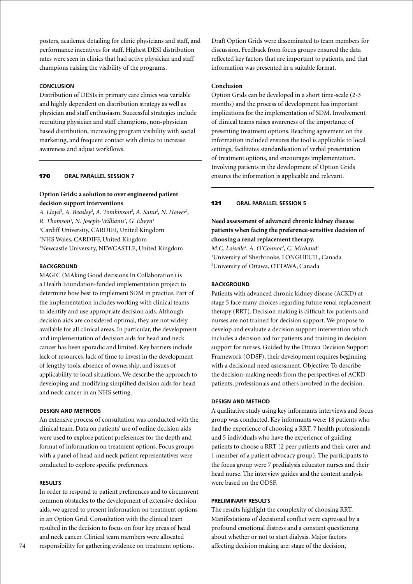posters, academic detailing for clinic physicians and staff, and performance incentives for staff. Highest DESI distribution rates were seen in clinics that had active physician and staff champions raising the visibility of the programs.

### **Conclusion**

Distribution of DESIs in primary care clinics was variable and highly dependent on distribution strategy as well as physician and staff enthusiasm. Successful strategies include recruiting physician and staff champions, non-physician based distribution, increasing program visibility with social marketing, and frequent contact with clinics to increase awareness and adjust workflows.

### 170 **oral parallel session 7**

# **Option Grids: a solution to over engineered patient decision support interventions**

A. Lloyd<sup>1</sup>, A. Beasley<sup>2</sup>, A. Tomkinson<sup>2</sup>, A. Sanu<sup>2</sup>, N. Howes<sup>2</sup>, *R. Thomson3 , N. Joseph-Williams1 , G. Elwyn1* 1 Cardiff University, CARDIFF, United Kingdom 2 NHS Wales, CARDIFF, United Kingdom 3 Newcastle University, NEWCASTLE, United Kingdom

## **BACKGROUND**

MAGIC (MAking Good decisions In Collaboration) is a Health Foundation-funded implementation project to determine how best to implement SDM in practice. Part of the implementation includes working with clinical teams to identify and use appropriate decision aids. Although decision aids are considered optimal, they are not widely available for all clinical areas. In particular, the development and implementation of decision aids for head and neck cancer has been sporadic and limited. Key barriers include lack of resources, lack of time to invest in the development of lengthy tools, absence of ownership, and issues of applicability to local situations. We describe the approach to developing and modifying simplified decision aids for head and neck cancer in an NHS setting.

### **Design and methods**

An extensive process of consultation was conducted with the clinical team. Data on patients' use of online decision aids were used to explore patient preferences for the depth and format of information on treatment options. Focus groups with a panel of head and neck patient representatives were conducted to explore specific preferences.

### **Results**

In order to respond to patient preferences and to circumvent common obstacles to the development of extensive decision aids, we agreed to present information on treatment options in an Option Grid. Consultation with the clinical team resulted in the decision to focus on four key areas of head and neck cancer. Clinical team members were allocated responsibility for gathering evidence on treatment options.

Draft Option Grids were disseminated to team members for discussion. Feedback from focus groups ensured the data reflected key factors that are important to patients, and that information was presented in a suitable format.

### **Conclusion**

Option Grids can be developed in a short time-scale (2-3 months) and the process of development has important implications for the implementation of SDM. Involvement of clinical teams raises awareness of the importance of presenting treatment options. Reaching agreement on the information included ensures the tool is applicable to local settings, facilitates standardisation of verbal presentation of treatment options, and encourages implementation. Involving patients in the development of Option Grids ensures the information is applicable and relevant.

# 121 **oral parallel session 5**

# **Need assessment of advanced chronic kidney disease patients when facing the preference-sensitive decision of choosing a renal replacement therapy.**

*M.C. Loiselle1 , A. O'Connor2 , C. Michaud1* 1 University of Sherbrooke, LONGUEUIL, Canada 2 University of Ottawa, OTTAWA, Canada

### **BACKGROUND**

Patients with advanced chronic kidney disease (ACKD) at stage 5 face many choices regarding future renal replacement therapy (RRT). Decision making is difficult for patients and nurses are not trained for decision support. We propose to develop and evaluate a decision support intervention which includes a decision aid for patients and training in decision support for nurses. Guided by the Ottawa Decision Support Framework (ODSF), their development requires beginning with a decisional need assessment. Objective: To describe the decision-making needs from the perspectives of ACKD patients, professionals and others involved in the decision.

### **Design and method**

A qualitative study using key informants interviews and focus group was conducted. Key informants were: 18 patients who had the experience of choosing a RRT, 7 health professionals and 5 individuals who have the experience of guiding patients to choose a RRT (2 peer patients and their carer and 1 member of a patient advocacy group). The participants to the focus group were 7 predialysis educator nurses and their head nurse. The interview guides and the content analysis were based on the ODSF.

#### **Preliminary Results**

The results highlight the complexity of choosing RRT. Manifestations of decisional conflict were expressed by a profound emotional distress and a constant questioning about whether or not to start dialysis. Major factors affecting decision making are: stage of the decision,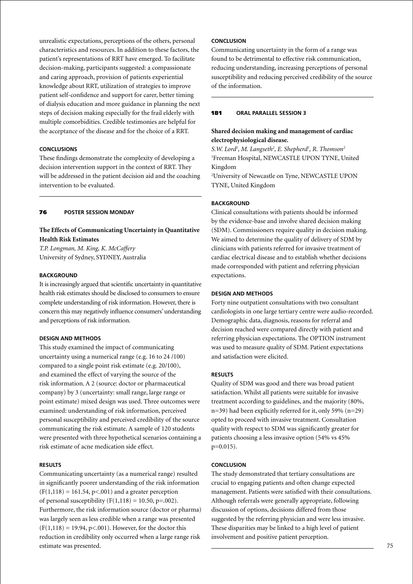unrealistic expectations, perceptions of the others, personal characteristics and resources. In addition to these factors, the patient's representations of RRT have emerged. To facilitate decision-making, participants suggested: a compassionate and caring approach, provision of patients experiential knowledge about RRT, utilization of strategies to improve patient self-confidence and support for carer, better timing of dialysis education and more guidance in planning the next steps of decision making especially for the frail elderly with multiple comorbidities. Credible testimonies are helpful for the acceptance of the disease and for the choice of a RRT.

# **Conclusions**

These findings demonstrate the complexity of developing a decision intervention support in the context of RRT. They will be addressed in the patient decision aid and the coaching intervention to be evaluated.

### 76 **poster Session Monday**

# **The Effects of Communicating Uncertainty in Quantitative Health Risk Estimates**

*T.P. Longman, M. King, K. McCaffery* University of Sydney, SYDNEY, Australia

#### **BACKGROUND**

It is increasingly argued that scientific uncertainty in quantitative health risk estimates should be disclosed to consumers to ensure complete understanding of risk information. However, there is concern this may negatively influence consumers' understanding and perceptions of risk information.

## **Design and Methods**

This study examined the impact of communicating uncertainty using a numerical range (e.g. 16 to 24 /100) compared to a single point risk estimate (e.g. 20/100), and examined the effect of varying the source of the risk information. A 2 (source: doctor or pharmaceutical company) by 3 (uncertainty: small range, large range or point estimate) mixed design was used. Three outcomes were examined: understanding of risk information, perceived personal susceptibility and perceived credibility of the source communicating the risk estimate. A sample of 120 students were presented with three hypothetical scenarios containing a risk estimate of acne medication side effect.

#### **Results**

Communicating uncertainty (as a numerical range) resulted in significantly poorer understanding of the risk information  $(F(1,118) = 161.54, p<0.01)$  and a greater perception of personal susceptibility ( $F(1,118) = 10.50, p = .002$ ). Furthermore, the risk information source (doctor or pharma) was largely seen as less credible when a range was presented  $(F(1,118) = 19.94, p < .001)$ . However, for the doctor this reduction in credibility only occurred when a large range risk estimate was presented.

# **Conclusion**

Communicating uncertainty in the form of a range was found to be detrimental to effective risk communication, reducing understanding, increasing perceptions of personal susceptibility and reducing perceived credibility of the source of the information.

### 181 **oral parallel session 3**

# **Shared decision making and management of cardiac electrophysiological disease.**

*S.W. Lord1 , M. Langseth2 , E. Shepherd1 , R. Thomson2* 1 Freeman Hospital, NEWCASTLE UPON TYNE, United Kingdom

2 University of Newcastle on Tyne, NEWCASTLE UPON TYNE, United Kingdom

### **BACKGROUND**

Clinical consultations with patients should be informed by the evidence-base and involve shared decision making (SDM). Commissioners require quality in decision making. We aimed to determine the quality of delivery of SDM by clinicians with patients referred for invasive treatment of cardiac electrical disease and to establish whether decisions made corresponded with patient and referring physician expectations.

#### **Design and methods**

Forty nine outpatient consultations with two consultant cardiologists in one large tertiary centre were audio-recorded. Demographic data, diagnosis, reasons for referral and decision reached were compared directly with patient and referring physician expectations. The OPTION instrument was used to measure quality of SDM. Patient expectations and satisfaction were elicited.

#### **Results**

Quality of SDM was good and there was broad patient satisfaction. Whilst all patients were suitable for invasive treatment according to guidelines, and the majority (80%, n=39) had been explicitly referred for it, only 59% (n=29) opted to proceed with invasive treatment. Consultation quality with respect to SDM was significantly greater for patients choosing a less invasive option (54% vs 45% p=0.015).

#### **Conclusion**

The study demonstrated that tertiary consultations are crucial to engaging patients and often change expected management. Patients were satisfied with their consultations. Although referrals were generally appropriate, following discussion of options, decisions differed from those suggested by the referring physician and were less invasive. These disparities may be linked to a high level of patient involvement and positive patient perception.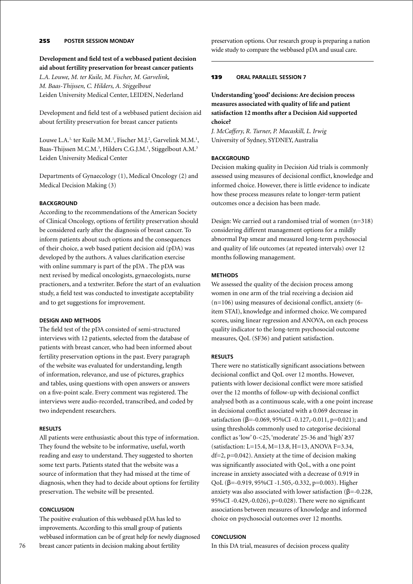# 255 **poster Session Monday**

**Development and field test of a webbased patient decision aid about fertility preservation for breast cancer patients** *L.A. Louwe, M. ter Kuile, M. Fischer, M. Garvelink, M. Baas-Thijssen, C. Hilders, A. Stiggelbout* Leiden University Medical Center, LEIDEN, Nederland

Development and field test of a webbased patient decision aid about fertility preservation for breast cancer patients

Louwe L.A.<sup>1,</sup> ter Kuile M.M.<sup>1</sup>, Fischer M.J.<sup>2</sup>, Garvelink M.M.<sup>1</sup>, Baas-Thijssen M.C.M.<sup>3</sup>, Hilders C.G.J.M.<sup>1</sup>, Stiggelbout A.M.<sup>3</sup> Leiden University Medical Center

Departments of Gynaecology (1), Medical Oncology (2) and Medical Decision Making (3)

# **BACKGROUND**

According to the recommendations of the American Society of Clinical Oncology, options of fertility preservation should be considered early after the diagnosis of breast cancer. To inform patients about such options and the consequences of their choice, a web based patient decision aid (pDA) was developed by the authors. A values clarification exercise with online summary is part of the pDA . The pDA was next revised by medical oncologists, gynaecologists, nurse practioners, and a textwriter. Before the start of an evaluation study, a field test was conducted to investigate acceptability and to get suggestions for improvement.

## **Design and Methods**

The field test of the pDA consisted of semi-structured interviews with 12 patients, selected from the database of patients with breast cancer, who had been informed about fertility preservation options in the past. Every paragraph of the website was evaluated for understanding, length of information, relevance, and use of pictures, graphics and tables, using questions with open answers or answers on a five-point scale. Every comment was registered. The interviews were audio-recorded, transcribed, and coded by two independent researchers.

### **Results**

All patients were enthusiastic about this type of information. They found the website to be informative, useful, worth reading and easy to understand. They suggested to shorten some text parts. Patients stated that the website was a source of information that they had missed at the time of diagnosis, when they had to decide about options for fertility preservation. The website will be presented.

# **Conclusion**

The positive evaluation of this webbased pDA has led to improvements. According to this small group of patients webbased information can be of great help for newly diagnosed breast cancer patients in decision making about fertility

preservation options. Our research group is preparing a nation wide study to compare the webbased pDA and usual care.

### 139 **oral parallel session 7**

**Understanding 'good' decisions: Are decision process measures associated with quality of life and patient satisfaction 12 months after a Decision Aid supported choice?**

*J. McCaffery, R. Turner, P. Macaskill, L. Irwig* University of Sydney, SYDNEY, Australia

### **BACKGROUND**

Decision making quality in Decision Aid trials is commonly assessed using measures of decisional conflict, knowledge and informed choice. However, there is little evidence to indicate how these process measures relate to longer-term patient outcomes once a decision has been made.

Design: We carried out a randomised trial of women (n=318) considering different management options for a mildly abnormal Pap smear and measured long-term psychosocial and quality of life outcomes (at repeated intervals) over 12 months following management.

### **Methods**

We assessed the quality of the decision process among women in one arm of the trial receiving a decision aid  $(n=106)$  using measures of decisional conflict, anxiety (6item STAI), knowledge and informed choice. We compared scores, using linear regression and ANOVA, on each process quality indicator to the long-term psychosocial outcome measures, QoL (SF36) and patient satisfaction.

### **Results**

There were no statistically significant associations between decisional conflict and QoL over 12 months. However, patients with lower decisional conflict were more satisfied over the 12 months of follow-up with decisional conflict analysed both as a continuous scale, with a one point increase in decisional conflict associated with a 0.069 decrease in satisfaction (β=-0.069, 95%CI -0.127,-0.011, p=0.021); and using thresholds commonly used to categorise decisional conflict as 'low' 0-<25, 'moderate' 25-36 and 'high' ≥37 (satisfaction: L=15.4, M=13.8, H=13, ANOVA F=3.34,  $df=2$ ,  $p=0.042$ ). Anxiety at the time of decision making was significantly associated with QoL, with a one point increase in anxiety associated with a decrease of 0.919 in QoL (β=-0.919, 95%CI -1.505,-0.332, p=0.003). Higher anxiety was also associated with lower satisfaction ( $\beta$ =-0.228, 95%CI -0.429,-0.026), p=0.028). There were no significant associations between measures of knowledge and informed choice on psychosocial outcomes over 12 months.

# **Conclusion**

In this DA trial, measures of decision process quality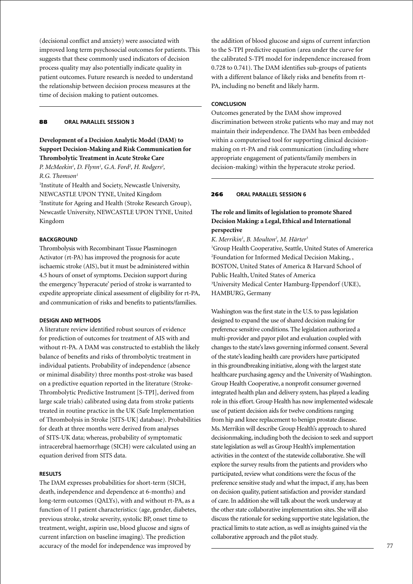(decisional conflict and anxiety) were associated with improved long term psychosocial outcomes for patients. This suggests that these commonly used indicators of decision process quality may also potentially indicate quality in patient outcomes. Future research is needed to understand the relationship between decision process measures at the time of decision making to patient outcomes.

### 88 **oral parallel session 3**

# **Development of a Decision Analytic Model (DAM) to Support Decision-Making and Risk Communication for Thrombolytic Treatment in Acute Stroke Care**

P. McMeekin<sup>1</sup>, D. Flynn<sup>1</sup>, G.A. Ford<sup>2</sup>, H. Rodgers<sup>2</sup>, *R.G. Thomson1*

1 Institute of Health and Society, Newcastle University, NEWCASTLE UPON TYNE, United Kingdom 2 Institute for Ageing and Health (Stroke Research Group), Newcastle University, NEWCASTLE UPON TYNE, United Kingdom

## **Background**

Thrombolysis with Recombinant Tissue Plasminogen Activator (rt-PA) has improved the prognosis for acute ischaemic stroke (AIS), but it must be administered within 4.5 hours of onset of symptoms. Decision support during the emergency 'hyperacute' period of stroke is warranted to expedite appropriate clinical assessment of eligibility for rt-PA, and communication of risks and benefits to patients/families.

### **Design and Methods**

A literature review identified robust sources of evidence for prediction of outcomes for treatment of AIS with and without rt-PA. A DAM was constructed to establish the likely balance of benefits and risks of thrombolytic treatment in individual patients. Probability of independence (absence or minimal disability) three months post-stroke was based on a predictive equation reported in the literature (Stroke-Thrombolytic Predictive Instrument [S-TPI], derived from large scale trials) calibrated using data from stroke patients treated in routine practice in the UK (Safe Implementation of Thrombolysis in Stroke [SITS-UK] database). Probabilities for death at three months were derived from analyses of SITS-UK data; whereas, probability of symptomatic intracerebral haemorrhage (SICH) were calculated using an equation derived from SITS data.

# **Results**

The DAM expresses probabilities for short-term (SICH, death, independence and dependence at 6-months) and long-term outcomes (QALYs), with and without rt-PA, as a function of 11 patient characteristics: (age, gender, diabetes, previous stroke, stroke severity, systolic BP, onset time to treatment, weight, aspirin use, blood glucose and signs of current infarction on baseline imaging). The prediction accuracy of the model for independence was improved by

the addition of blood glucose and signs of current infarction to the S-TPI predictive equation (area under the curve for the calibrated S-TPI model for independence increased from 0.728 to 0.741). The DAM identifies sub-groups of patients with a different balance of likely risks and benefits from rt-PA, including no benefit and likely harm.

### **Conclusion**

Outcomes generated by the DAM show improved discrimination between stroke patients who may and may not maintain their independence. The DAM has been embedded within a computerised tool for supporting clinical decisionmaking on rt-PA and risk communication (including where appropriate engagement of patients/family members in decision-making) within the hyperacute stroke period.

## 266 **oral parallel session 6**

# **The role and limits of legislation to promote Shared Decision Making: a Legal, Ethical and International perspective**

*K. Merrikin1 , B. Moulton2 , M. Härter3* 1 Group Health Cooperative, Seattle, United States of Amererica 2 Foundation for Informed Medical Decision Making, , BOSTON, United States of America & Harvard School of Public Health, United States of America 3 University Medical Center Hamburg-Eppendorf (UKE), HAMBURG, Germany

Washington was the first state in the U.S. to pass legislation designed to expand the use of shared decision making for preference sensitive conditions. The legislation authorized a multi-provider and payor pilot and evaluation coupled with changes to the state's laws governing informed consent. Several of the state's leading health care providers have participated in this groundbreaking initiative, along with the largest state healthcare purchasing agency and the University of Washington. Group Health Cooperative, a nonprofit consumer governed integrated health plan and delivery system, has played a leading role in this effort. Group Health has now implemented widescale use of patient decision aids for twelve conditions ranging from hip and knee replacement to benign prostate disease. Ms. Merrikin will describe Group Health's approach to shared decisionmaking, including both the decision to seek and support state legislation as well as Group Health's implementation activities in the context of the statewide collaborative. She will explore the survey results from the patients and providers who participated, review what conditions were the focus of the preference sensitive study and what the impact, if any, has been on decision quality, patient satisfaction and provider standard of care. In addition she will talk about the work underway at the other state collaborative implementation sites. She will also discuss the rationale for seeking supportive state legislation, the practical limits to state action, as well as insights gained via the collaborative approach and the pilot study.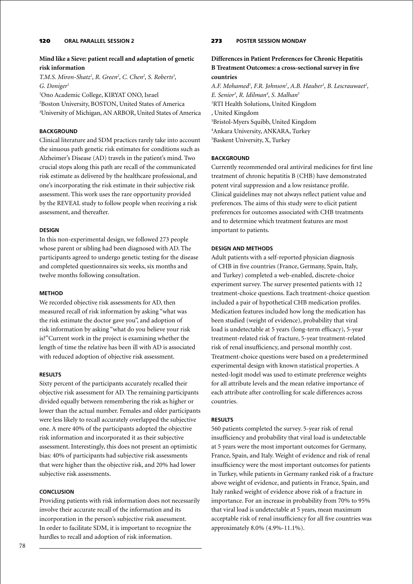# 78

# 120 **oral parallel session 2**

# **Mind like a Sieve: patient recall and adaptation of genetic risk information**

*T.M.S. Miron-Shatz1 , R. Green2 , C. Chen2 , S. Roberts3 , G. Doniger1*

1 Ono Academic College, KIRYAT ONO, Israel 2 Boston University, BOSTON, United States of America 3 University of Michigan, AN ARBOR, United States of America

## **BACKGROUND**

Clinical literature and SDM practices rarely take into account the sinuous path genetic risk estimates for conditions such as Alzheimer's Disease (AD) travels in the patient's mind. Two crucial stops along this path are recall of the communicated risk estimate as delivered by the healthcare professional, and one's incorporating the risk estimate in their subjective risk assessment. This work uses the rare opportunity provided by the REVEAL study to follow people when receiving a risk assessment, and thereafter.

### **Design**

In this non-experimental design, we followed 273 people whose parent or sibling had been diagnosed with AD. The participants agreed to undergo genetic testing for the disease and completed questionnaires six weeks, six months and twelve months following consultation.

### **Method**

We recorded objective risk assessments for AD, then measured recall of risk information by asking "what was the risk estimate the doctor gave you", and adoption of risk information by asking "what do you believe your risk is?"Current work in the project is examining whether the length of time the relative has been ill with AD is associated with reduced adoption of objective risk assessment.

### **Results**

Sixty percent of the participants accurately recalled their objective risk assessment for AD. The remaining participants divided equally between remembering the risk as higher or lower than the actual number. Females and older participants were less likely to recall accurately overlapped the subjective one. A mere 40% of the participants adopted the objective risk information and incorporated it as their subjective assessment. Interestingly, this does not present an optimistic bias: 40% of participants had subjective risk assessments that were higher than the objective risk, and 20% had lower subjective risk assessments.

### **Conclusion**

Providing patients with risk information does not necessarily involve their accurate recall of the information and its incorporation in the person's subjective risk assessment. In order to facilitate SDM, it is important to recognize the hurdles to recall and adoption of risk information.

# 273 **poster Session Monday**

# **Differences in Patient Preferences for Chronic Hepatitis B Treatment Outcomes: a cross-sectional survey in five countries**

A.F. Mohamed<sup>1</sup>, F.R. Johnson<sup>1</sup>, A.B. Hauber<sup>1</sup>, B. Lescrauwaet<sup>2</sup>, *E. Senior3 , R. Idilman4 , S. Malhan5* 1 RTI Health Solutions, United Kingdom , United Kingdom 3 Bristol-Myers Squibb, United Kingdom 4 Ankara University, ANKARA, Turkey 5 Baskent University, X, Turkey

# **BACKGROUND**

Currently recommended oral antiviral medicines for first line treatment of chronic hepatitis B (CHB) have demonstrated potent viral suppression and a low resistance profile. Clinical guidelines may not always reflect patient value and preferences. The aims of this study were to elicit patient preferences for outcomes associated with CHB treatments and to determine which treatment features are most important to patients.

### **Design and Methods**

Adult patients with a self-reported physician diagnosis of CHB in five countries (France, Germany, Spain, Italy, and Turkey) completed a web-enabled, discrete-choice experiment survey. The survey presented patients with 12 treatment-choice questions. Each treatment-choice question included a pair of hypothetical CHB medication profiles. Medication features included how long the medication has been studied (weight of evidence), probability that viral load is undetectable at 5 years (long-term efficacy), 5-year treatment-related risk of fracture, 5-year treatment-related risk of renal insufficiency, and personal monthly cost. Treatment-choice questions were based on a predetermined experimental design with known statistical properties. A nested-logit model was used to estimate preference weights for all attribute levels and the mean relative importance of each attribute after controlling for scale differences across countries.

### **Results**

560 patients completed the survey. 5-year risk of renal insufficiency and probability that viral load is undetectable at 5 years were the most important outcomes for Germany, France, Spain, and Italy. Weight of evidence and risk of renal insufficiency were the most important outcomes for patients in Turkey, while patients in Germany ranked risk of a fracture above weight of evidence, and patients in France, Spain, and Italy ranked weight of evidence above risk of a fracture in importance. For an increase in probability from 70% to 95% that viral load is undetectable at 5 years, mean maximum acceptable risk of renal insufficiency for all five countries was approximately 8.0% (4.9%-11.1%).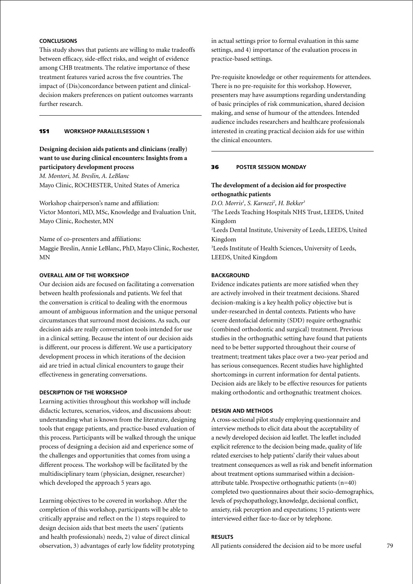# **Conclusions**

This study shows that patients are willing to make tradeoffs between efficacy, side-effect risks, and weight of evidence among CHB treatments. The relative importance of these treatment features varied across the five countries. The impact of (Dis)concordance between patient and clinicaldecision makers preferences on patient outcomes warrants further research.

### 151 **Workshop parallelsession 1**

# **Designing decision aids patients and clinicians (really) want to use during clinical encounters: Insights from a participatory development process**

*M. Montori, M. Breslin, A. LeBlanc* Mayo Clinic, ROCHESTER, United States of America

Workshop chairperson's name and affiliation: Victor Montori, MD, MSc, Knowledge and Evaluation Unit, Mayo Clinic, Rochester, MN

Name of co-presenters and affiliations: Maggie Breslin, Annie LeBlanc, PhD, Mayo Clinic, Rochester, MN

### **Overall aim of the workshop**

Our decision aids are focused on facilitating a conversation between health professionals and patients. We feel that the conversation is critical to dealing with the enormous amount of ambiguous information and the unique personal circumstances that surround most decisions. As such, our decision aids are really conversation tools intended for use in a clinical setting. Because the intent of our decision aids is different, our process is different. We use a participatory development process in which iterations of the decision aid are tried in actual clinical encounters to gauge their effectiveness in generating conversations.

### **Description of the workshop**

Learning activities throughout this workshop will include didactic lectures, scenarios, videos, and discussions about: understanding what is known from the literature, designing tools that engage patients, and practice-based evaluation of this process. Participants will be walked through the unique process of designing a decision aid and experience some of the challenges and opportunities that comes from using a different process. The workshop will be facilitated by the multidisciplinary team (physician, designer, researcher) which developed the approach 5 years ago.

Learning objectives to be covered in workshop. After the completion of this workshop, participants will be able to critically appraise and reflect on the 1) steps required to design decision aids that best meets the users' (patients and health professionals) needs, 2) value of direct clinical observation, 3) advantages of early low fidelity prototyping in actual settings prior to formal evaluation in this same settings, and 4) importance of the evaluation process in practice-based settings.

Pre-requisite knowledge or other requirements for attendees. There is no pre-requisite for this workshop. However, presenters may have assumptions regarding understanding of basic principles of risk communication, shared decision making, and sense of humour of the attendees. Intended audience includes researchers and healthcare professionals interested in creating practical decision aids for use within the clinical encounters.

#### 36 **poster Session Monday**

## **The development of a decision aid for prospective orthognathic patients**

*D.O. Morris1 , S. Karnezi2 , H. Bekker3*

<sup>1</sup>The Leeds Teaching Hospitals NHS Trust, LEEDS, United Kingdom

2 Leeds Dental Institute, University of Leeds, LEEDS, United Kingdom

3 Leeds Institute of Health Sciences, University of Leeds, LEEDS, United Kingdom

### **BACKGROUND**

Evidence indicates patients are more satisfied when they are actively involved in their treatment decisions. Shared decision-making is a key health policy objective but is under-researched in dental contexts. Patients who have severe dentofacial deformity (SDD) require orthognathic (combined orthodontic and surgical) treatment. Previous studies in the orthognathic setting have found that patients need to be better supported throughout their course of treatment; treatment takes place over a two-year period and has serious consequences. Recent studies have highlighted shortcomings in current information for dental patients. Decision aids are likely to be effective resources for patients making orthodontic and orthognathic treatment choices.

#### **Design and methods**

A cross-sectional pilot study employing questionnaire and interview methods to elicit data about the acceptability of a newly developed decision aid leaflet. The leaflet included explicit reference to the decision being made, quality of life related exercises to help patients' clarify their values about treatment consequences as well as risk and benefit information about treatment options summarised within a decisionattribute table. Prospective orthognathic patients  $(n=40)$ completed two questionnaires about their socio-demographics, levels of psychopathology, knowledge, decisional conflict, anxiety, risk perception and expectations; 15 patients were interviewed either face-to-face or by telephone.

# **Results**

All patients considered the decision aid to be more useful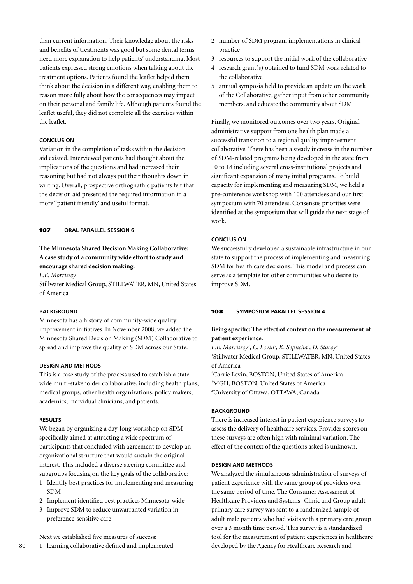than current information. Their knowledge about the risks and benefits of treatments was good but some dental terms need more explanation to help patients' understanding. Most patients expressed strong emotions when talking about the treatment options. Patients found the leaflet helped them think about the decision in a different way, enabling them to reason more fully about how the consequences may impact on their personal and family life. Although patients found the leaflet useful, they did not complete all the exercises within the leaflet.

# **Conclusion**

Variation in the completion of tasks within the decision aid existed. Interviewed patients had thought about the implications of the questions and had increased their reasoning but had not always put their thoughts down in writing. Overall, prospective orthognathic patients felt that the decision aid presented the required information in a more "patient friendly"and useful format.

### 107 **oral parallel session 6**

# **The Minnesota Shared Decision Making Collaborative: A case study of a community wide effort to study and encourage shared decision making.**

*L.E. Morrissey*

Stillwater Medical Group, STILLWATER, MN, United States of America

#### **BACKGROUND**

Minnesota has a history of community-wide quality improvement initiatives. In November 2008, we added the Minnesota Shared Decision Making (SDM) Collaborative to spread and improve the quality of SDM across our State.

### **Design and Methods**

This is a case study of the process used to establish a statewide multi-stakeholder collaborative, including health plans, medical groups, other health organizations, policy makers, academics, individual clinicians, and patients.

#### **Results**

We began by organizing a day-long workshop on SDM specifically aimed at attracting a wide spectrum of participants that concluded with agreement to develop an organizational structure that would sustain the original interest. This included a diverse steering committee and subgroups focusing on the key goals of the collaborative:

- 1 Identify best practices for implementing and measuring SDM
- 2 Implement identified best practices Minnesota-wide
- 3 Improve SDM to reduce unwarranted variation in preference-sensitive care

Next we established five measures of success:

1 learning collaborative defined and implemented

- 2 number of SDM program implementations in clinical practice
- 3 resources to support the initial work of the collaborative
- 4 research grant(s) obtained to fund SDM work related to the collaborative
- 5 annual symposia held to provide an update on the work of the Collaborative, gather input from other community members, and educate the community about SDM.

Finally, we monitored outcomes over two years. Original administrative support from one health plan made a successful transition to a regional quality improvement collaborative. There has been a steady increase in the number of SDM-related programs being developed in the state from 10 to 18 including several cross-institutional projects and significant expansion of many initial programs. To build capacity for implementing and measuring SDM, we held a pre-conference workshop with 100 attendees and our first symposium with 70 attendees. Consensus priorities were identified at the symposium that will guide the next stage of work.

### **Conclusion**

We successfully developed a sustainable infrastructure in our state to support the process of implementing and measuring SDM for health care decisions. This model and process can serve as a template for other communities who desire to improve SDM.

#### 108 **Symposium parallel session 4**

# **Being specific: The effect of context on the measurement of patient experience.**

L.E. Morrissey<sup>1</sup>, C. Levin<sup>2</sup>, K. Sepucha<sup>3</sup>, D. Stacey<sup>4</sup> 1 Stillwater Medical Group, STILLWATER, MN, United States of America

2 Carrie Levin, BOSTON, United States of America 3 MGH, BOSTON, United States of America 4 University of Ottawa, OTTAWA, Canada

### **BACKGROUND**

There is increased interest in patient experience surveys to assess the delivery of healthcare services. Provider scores on these surveys are often high with minimal variation. The effect of the context of the questions asked is unknown.

#### **Design and Methods**

We analyzed the simultaneous administration of surveys of patient experience with the same group of providers over the same period of time. The Consumer Assessment of Healthcare Providers and Systems -Clinic and Group adult primary care survey was sent to a randomized sample of adult male patients who had visits with a primary care group over a 3 month time period. This survey is a standardized tool for the measurement of patient experiences in healthcare developed by the Agency for Healthcare Research and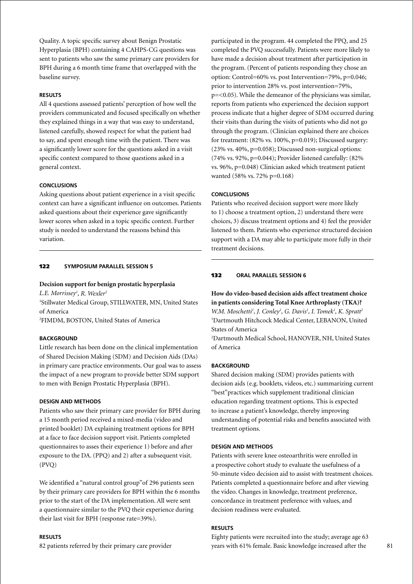Quality. A topic specific survey about Benign Prostatic Hyperplasia (BPH) containing 4 CAHPS-CG questions was sent to patients who saw the same primary care providers for BPH during a 6 month time frame that overlapped with the baseline survey.

### **Results**

All 4 questions assessed patients' perception of how well the providers communicated and focused specifically on whether they explained things in a way that was easy to understand, listened carefully, showed respect for what the patient had to say, and spent enough time with the patient. There was a significantly lower score for the questions asked in a visit specific context compared to those questions asked in a general context.

### **Conclusions**

Asking questions about patient experience in a visit specific context can have a significant influence on outcomes. Patients asked questions about their experience gave significantly lower scores when asked in a topic specific context. Further study is needed to understand the reasons behind this variation.

### 122 **Symposium parallel session 5**

### **Decision support for benign prostatic hyperplasia**

*L.E. Morrissey1 , R. Wexler2*

1 Stillwater Medical Group, STILLWATER, MN, United States of America

2 FIMDM, BOSTON, United States of America

### **BACKGROUND**

Little research has been done on the clinical implementation of Shared Decision Making (SDM) and Decision Aids (DAs) in primary care practice environments. Our goal was to assess the impact of a new program to provide better SDM support to men with Benign Prostatic Hyperplasia (BPH).

### **Design and Methods**

Patients who saw their primary care provider for BPH during a 15 month period received a mixed-media (video and printed booklet) DA explaining treatment options for BPH at a face to face decision support visit. Patients completed questionnaires to asses their experience 1) before and after exposure to the DA. (PPQ) and 2) after a subsequent visit. (PVQ)

We identified a "natural control group"of 296 patients seen by their primary care providers for BPH within the 6 months prior to the start of the DA implementation. All were sent a questionnaire similar to the PVQ their experience during their last visit for BPH (response rate=39%).

#### **Results**

82 patients referred by their primary care provider

participated in the program. 44 completed the PPQ, and 25 completed the PVQ successfully. Patients were more likely to have made a decision about treatment after participation in the program. (Percent of patients responding they chose an option: Control=60% vs. post Intervention=79%, p=0.046; prior to intervention 28% vs. post intervention=79%, p=<0.05). While the demeanor of the physicians was similar, reports from patients who experienced the decision support process indicate that a higher degree of SDM occurred during their visits than during the visits of patients who did not go through the program. (Clinician explained there are choices for treatment: (82% vs. 100%, p=0.019); Discussed surgery: (23% vs. 40%, p=0.058); Discussed non-surgical options: (74% vs. 92%, p=0.044); Provider listened carefully: (82% vs. 96%, p=0.048) Clinician asked which treatment patient wanted (58% vs. 72% p=0.168)

# **Conclusions**

Patients who received decision support were more likely to 1) choose a treatment option, 2) understand there were choices, 3) discuss treatment options and 4) feel the provider listened to them. Patients who experience structured decision support with a DA may able to participate more fully in their treatment decisions.

#### 132 **oral parallel session 6**

**How do video-based decision aids affect treatment choice in patients considering Total Knee Arthroplasty (TKA)?** *W.M. Moschetti<sup>1</sup>, J. Conley<sup>1</sup>, G. Davis<sup>1</sup>, I. Tomek<sup>1</sup>, K. Spratt<sup>2</sup>* 1 Dartmouth Hitchcock Medical Center, LEBANON, United States of America

2 Dartmouth Medical School, HANOVER, NH, United States of America

### **BACKGROUND**

Shared decision making (SDM) provides patients with decision aids (e.g. booklets, videos, etc.) summarizing current "best"practices which supplement traditional clinician education regarding treatment options. This is expected to increase a patient's knowledge, thereby improving understanding of potential risks and benefits associated with treatment options.

### **Design and Methods**

Patients with severe knee osteoarthritis were enrolled in a prospective cohort study to evaluate the usefulness of a 50-minute video decision aid to assist with treatment choices. Patients completed a questionnaire before and after viewing the video. Changes in knowledge, treatment preference, concordance in treatment preference with values, and decision readiness were evaluated.

### **Results**

Eighty patients were recruited into the study; average age 63 years with 61% female. Basic knowledge increased after the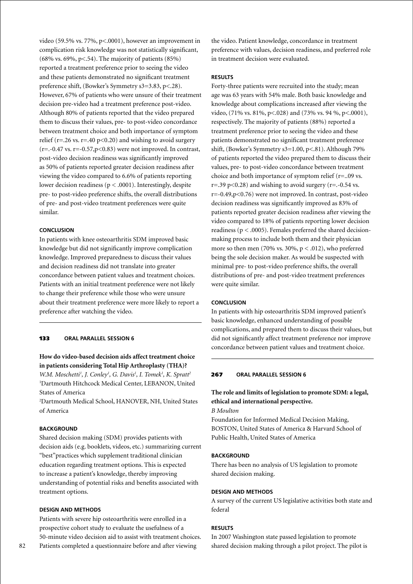video (59.5% vs. 77%, p<.0001), however an improvement in complication risk knowledge was not statistically significant,  $(68\% \text{ vs. } 69\%, \text{ p} < 0.54)$ . The majority of patients  $(85\%)$ reported a treatment preference prior to seeing the video and these patients demonstrated no significant treatment preference shift, (Bowker's Symmetry s3=3.83, p<.28). However, 67% of patients who were unsure of their treatment decision pre-video had a treatment preference post-video. Although 80% of patients reported that the video prepared them to discuss their values, pre- to post-video concordance between treatment choice and both importance of symptom relief ( $r = 0.26$  vs.  $r = 0.40$   $p < 0.20$ ) and wishing to avoid surgery  $(r=-0.47 \text{ vs. } r=-0.57, p<0.83)$  were not improved. In contrast, post-video decision readiness was significantly improved as 50% of patients reported greater decision readiness after viewing the video compared to 6.6% of patients reporting lower decision readiness ( $p < .0001$ ). Interestingly, despite pre- to post-video preference shifts, the overall distributions of pre- and post-video treatment preferences were quite similar.

### **Conclusion**

In patients with knee osteoarthritis SDM improved basic knowledge but did not significantly improve complication knowledge. Improved preparedness to discuss their values and decision readiness did not translate into greater concordance between patient values and treatment choices. Patients with an initial treatment preference were not likely to change their preference while those who were unsure about their treatment preference were more likely to report a preference after watching the video.

### 133 **oral parallel session 6**

# **How do video-based decision aids affect treatment choice in patients considering Total Hip Arthroplasty (THA)?**

*W.M. Moschetti<sup>1</sup>, J. Conley<sup>1</sup>, G. Davis<sup>1</sup>, I. Tomek<sup>1</sup>, K. Spratt<sup>2</sup>* 1 Dartmouth Hitchcock Medical Center, LEBANON, United States of America

2 Dartmouth Medical School, HANOVER, NH, United States of America

# **BACKGROUND**

Shared decision making (SDM) provides patients with decision aids (e.g. booklets, videos, etc.) summarizing current "best"practices which supplement traditional clinician education regarding treatment options. This is expected to increase a patient's knowledge, thereby improving understanding of potential risks and benefits associated with treatment options.

#### **Design and Methods**

Patients with severe hip osteoarthritis were enrolled in a prospective cohort study to evaluate the usefulness of a 50-minute video decision aid to assist with treatment choices. Patients completed a questionnaire before and after viewing

the video. Patient knowledge, concordance in treatment preference with values, decision readiness, and preferred role in treatment decision were evaluated.

### **Results**

Forty-three patients were recruited into the study; mean age was 63 years with 54% male. Both basic knowledge and knowledge about complications increased after viewing the video, (71% vs. 81%, p<.028) and (73% vs. 94 %, p<.0001), respectively. The majority of patients (88%) reported a treatment preference prior to seeing the video and these patients demonstrated no significant treatment preference shift, (Bowker's Symmetry  $s3=1.00$ ,  $p<.81$ ). Although 79% of patients reported the video prepared them to discuss their values, pre- to post-video concordance between treatment choice and both importance of symptom relief (r=..09 vs.  $r=.39$  p<0.28) and wishing to avoid surgery ( $r=.0.54$  vs. r=-0.49,p<0.76) were not improved. In contrast, post-video decision readiness was significantly improved as 83% of patients reported greater decision readiness after viewing the video compared to 18% of patients reporting lower decision readiness (p < .0005). Females preferred the shared decisionmaking process to include both them and their physician more so then men (70% vs. 30%,  $p < .012$ ), who preferred being the sole decision maker. As would be suspected with minimal pre- to post-video preference shifts, the overall distributions of pre- and post-video treatment preferences were quite similar.

### **Conclusion**

In patients with hip osteoarthritis SDM improved patient's basic knowledge, enhanced understanding of possible complications, and prepared them to discuss their values, but did not significantly affect treatment preference nor improve concordance between patient values and treatment choice.

### 267 **Oral parallel session 6**

# **The role and limits of legislation to promote SDM: a legal, ethical and international perspective.**

### *B Moulton*

Foundation for Informed Medical Decision Making, BOSTON, United States of America & Harvard School of Public Health, United States of America

#### **BACKGROUND**

There has been no analysis of US legislation to promote shared decision making.

#### **Design and Methods**

A survey of the current US legislative activities both state and federal

### **Results**

In 2007 Washington state passed legislation to promote shared decision making through a pilot project. The pilot is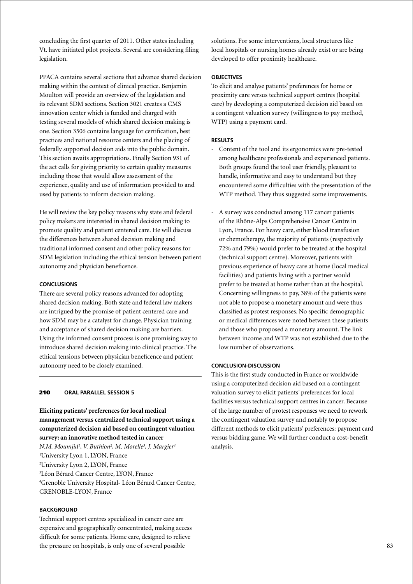concluding the first quarter of 2011. Other states including Vt. have initiated pilot projects. Several are considering filing legislation.

PPACA contains several sections that advance shared decision making within the context of clinical practice. Benjamin Moulton will provide an overview of the legislation and its relevant SDM sections. Section 3021 creates a CMS innovation center which is funded and charged with testing several models of which shared decision making is one. Section 3506 contains language for certification, best practices and national resource centers and the placing of federally supported decision aids into the public domain. This section awaits appropriations. Finally Section 931 of the act calls for giving priority to certain quality measures including those that would allow assessment of the experience, quality and use of information provided to and used by patients to inform decision making.

He will review the key policy reasons why state and federal policy makers are interested in shared decision making to promote quality and patient centered care. He will discuss the differences between shared decision making and traditional informed consent and other policy reasons for SDM legislation including the ethical tension between patient autonomy and physician beneficence.

## **Conclusions**

There are several policy reasons advanced for adopting shared decision making. Both state and federal law makers are intrigued by the promise of patient centered care and how SDM may be a catalyst for change. Physician training and acceptance of shared decision making are barriers. Using the informed consent process is one promising way to introduce shared decision making into clinical practice. The ethical tensions between physician beneficence and patient autonomy need to be closely examined.

### 210 **oral parallel session 5**

**Eliciting patients' preferences for local medical management versus centralized technical support using a computerized decision aid based on contingent valuation survey: an innovative method tested in cancer**

*N.M. Moumjid1 , V. Buthion2 , M. Morelle3 , J. Margier4* University Lyon 1, LYON, France University Lyon 2, LYON, France Léon Bérard Cancer Centre, LYON, France Grenoble University Hospital- Léon Bérard Cancer Centre, GRENOBLE-LYON, France

## **BACKGROUND**

Technical support centres specialized in cancer care are expensive and geographically concentrated, making access difficult for some patients. Home care, designed to relieve the pressure on hospitals, is only one of several possible

solutions. For some interventions, local structures like local hospitals or nursing homes already exist or are being developed to offer proximity healthcare.

### **Objectives**

To elicit and analyse patients' preferences for home or proximity care versus technical support centres (hospital care) by developing a computerized decision aid based on a contingent valuation survey (willingness to pay method, WTP) using a payment card.

#### **Results**

- Content of the tool and its ergonomics were pre-tested among healthcare professionals and experienced patients. Both groups found the tool user friendly, pleasant to handle, informative and easy to understand but they encountered some difficulties with the presentation of the WTP method. They thus suggested some improvements.
- A survey was conducted among 117 cancer patients of the Rhône-Alps Comprehensive Cancer Centre in Lyon, France. For heavy care, either blood transfusion or chemotherapy, the majority of patients (respectively 72% and 79%) would prefer to be treated at the hospital (technical support centre). Moreover, patients with previous experience of heavy care at home (local medical facilities) and patients living with a partner would prefer to be treated at home rather than at the hospital. Concerning willingness to pay, 38% of the patients were not able to propose a monetary amount and were thus classified as protest responses. No specific demographic or medical differences were noted between these patients and those who proposed a monetary amount. The link between income and WTP was not established due to the low number of observations.

## **Conclusion-Discussion**

This is the first study conducted in France or worldwide using a computerized decision aid based on a contingent valuation survey to elicit patients' preferences for local facilities versus technical support centres in cancer. Because of the large number of protest responses we need to rework the contingent valuation survey and notably to propose different methods to elicit patients' preferences: payment card versus bidding game. We will further conduct a cost-benefit analysis.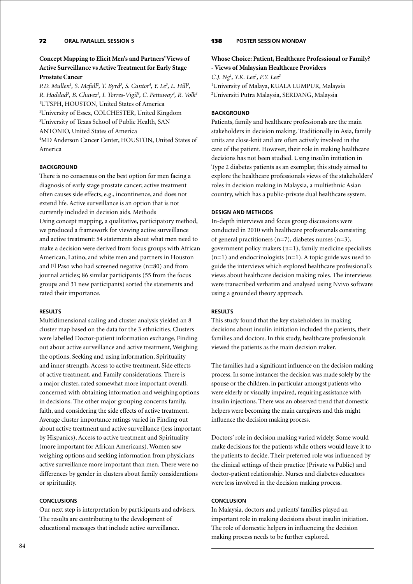# **Concept Mapping to Elicit Men's and Partners' Views of Active Surveillance vs Active Treatment for Early Stage Prostate Cancer**

*P.D. Mullen<sup>1</sup>, S. Mcfall<sup>2</sup>, T. Byrd<sup>3</sup>, S. Cantor<sup>4</sup>, Y. Le<sup>3</sup>, L. Hill<sup>3</sup>, R. Haddad3 , B. Chavez3 , I. Torres-Vigil4 , C. Pettaway4 , R. Volk4* 1 UTSPH, HOUSTON, United States of America 2 University of Essex, COLCHESTER, United Kingdom 3 University of Texas School of Public Health, SAN ANTONIO, United States of America 4 MD Anderson Cancer Center, HOUSTON, United States of America

# **BACKGROUND**

There is no consensus on the best option for men facing a diagnosis of early stage prostate cancer; active treatment often causes side effects, e.g., incontinence, and does not extend life. Active surveillance is an option that is not currently included in decision aids. Methods Using concept mapping, a qualitative, participatory method, we produced a framework for viewing active surveillance and active treatment: 54 statements about what men need to make a decision were derived from focus groups with African American, Latino, and white men and partners in Houston and El Paso who had screened negative (n=80) and from journal articles; 86 similar participants (55 from the focus groups and 31 new participants) sorted the statements and rated their importance.

# **Results**

Multidimensional scaling and cluster analysis yielded an 8 cluster map based on the data for the 3 ethnicities. Clusters were labelled Doctor-patient information exchange, Finding out about active surveillance and active treatment, Weighing the options, Seeking and using information, Spirituality and inner strength, Access to active treatment, Side effects of active treatment, and Family considerations. There is a major cluster, rated somewhat more important overall, concerned with obtaining information and weighing options in decisions. The other major grouping concerns family, faith, and considering the side effects of active treatment. Average cluster importance ratings varied in Finding out about active treatment and active surveillance (less important by Hispanics), Access to active treatment and Spirituality (more important for African Americans). Women saw weighing options and seeking information from physicians active surveillance more important than men. There were no differences by gender in clusters about family considerations or spirituality.

# **Conclusions**

Our next step is interpretation by participants and advisers. The results are contributing to the development of educational messages that include active surveillance.

# 138 **poster Session Monday**

# **Whose Choice: Patient, Healthcare Professional or Family? - Views of Malaysian Healthcare Providers**

*C.J. Ng1 , Y.K. Lee1 , P.Y. Lee2* 1 University of Malaya, KUALA LUMPUR, Malaysia 2 Universiti Putra Malaysia, SERDANG, Malaysia

## **BACKGROUND**

Patients, family and healthcare professionals are the main stakeholders in decision making. Traditionally in Asia, family units are close-knit and are often actively involved in the care of the patient. However, their role in making healthcare decisions has not been studied. Using insulin initiation in Type 2 diabetes patients as an exemplar, this study aimed to explore the healthcare professionals views of the stakeholders' roles in decision making in Malaysia, a multiethnic Asian country, which has a public-private dual healthcare system.

### **Design and Methods**

In-depth interviews and focus group discussions were conducted in 2010 with healthcare professionals consisting of general practitioners (n=7), diabetes nurses (n=3), government policy makers (n=1), family medicine specialists  $(n=1)$  and endocrinologists  $(n=1)$ . A topic guide was used to guide the interviews which explored healthcare professional's views about healthcare decision making roles. The interviews were transcribed verbatim and analysed using Nvivo software using a grounded theory approach.

### **Results**

This study found that the key stakeholders in making decisions about insulin initiation included the patients, their families and doctors. In this study, healthcare professionals viewed the patients as the main decision maker.

The families had a significant influence on the decision making process. In some instances the decision was made solely by the spouse or the children, in particular amongst patients who were elderly or visually impaired, requiring assistance with insulin injections. There was an observed trend that domestic helpers were becoming the main caregivers and this might influence the decision making process.

Doctors' role in decision making varied widely. Some would make decisions for the patients while others would leave it to the patients to decide. Their preferred role was influenced by the clinical settings of their practice (Private vs Public) and doctor-patient relationship. Nurses and diabetes educators were less involved in the decision making process.

### **Conclusion**

In Malaysia, doctors and patients' families played an important role in making decisions about insulin initiation. The role of domestic helpers in influencing the decision making process needs to be further explored.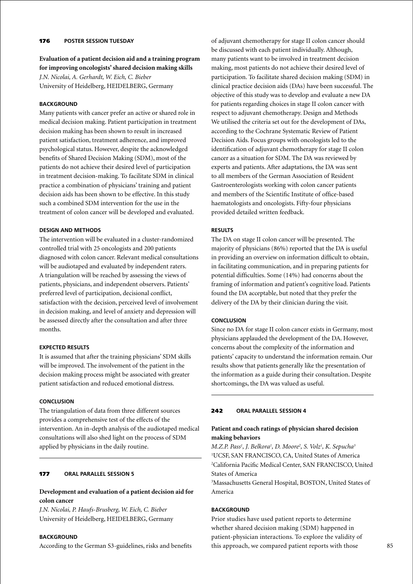# 176 **poster session Tuesday**

**Evaluation of a patient decision aid and a training program for improving oncologists' shared decision making skills** *J.N. Nicolai, A. Gerhardt, W. Eich, C. Bieber* University of Heidelberg, HEIDELBERG, Germany

# **BACKGROUND**

Many patients with cancer prefer an active or shared role in medical decision making. Patient participation in treatment decision making has been shown to result in increased patient satisfaction, treatment adherence, and improved psychological status. However, despite the acknowledged benefits of Shared Decision Making (SDM), most of the patients do not achieve their desired level of participation in treatment decision-making. To facilitate SDM in clinical practice a combination of physicians' training and patient decision aids has been shown to be effective. In this study such a combined SDM intervention for the use in the treatment of colon cancer will be developed and evaluated.

### **Design and Methods**

The intervention will be evaluated in a cluster-randomized controlled trial with 25 oncologists and 200 patients diagnosed with colon cancer. Relevant medical consultations will be audiotaped and evaluated by independent raters. A triangulation will be reached by assessing the views of patients, physicians, and independent observers. Patients' preferred level of participation, decisional conflict, satisfaction with the decision, perceived level of involvement in decision making, and level of anxiety and depression will be assessed directly after the consultation and after three months.

## **Expected Results**

It is assumed that after the training physicians' SDM skills will be improved. The involvement of the patient in the decision making process might be associated with greater patient satisfaction and reduced emotional distress.

### **Conclusion**

The triangulation of data from three different sources provides a comprehensive test of the effects of the intervention. An in-depth analysis of the audiotaped medical consultations will also shed light on the process of SDM applied by physicians in the daily routine.

# 177 **oral parallel session 5**

# **Development and evaluation of a patient decision aid for colon cancer**

*J.N. Nicolai, P. Haufs-Brusberg, W. Eich, C. Bieber* University of Heidelberg, HEIDELBERG, Germany

### **BACKGROUND**

According to the German S3-guidelines, risks and benefits

of adjuvant chemotherapy for stage II colon cancer should be discussed with each patient individually. Although, many patients want to be involved in treatment decision making, most patients do not achieve their desired level of participation. To facilitate shared decision making (SDM) in clinical practice decision aids (DAs) have been successful. The objective of this study was to develop and evaluate a new DA for patients regarding choices in stage II colon cancer with respect to adjuvant chemotherapy. Design and Methods We utilised the criteria set out for the development of DAs, according to the Cochrane Systematic Review of Patient Decision Aids. Focus groups with oncologists led to the identification of adjuvant chemotherapy for stage II colon cancer as a situation for SDM. The DA was reviewed by experts and patients. After adaptations, the DA was sent to all members of the German Association of Resident Gastroenterologists working with colon cancer patients and members of the Scientific Institute of office-based haematologists and oncologists. Fifty-four physicians provided detailed written feedback.

## **Results**

The DA on stage II colon cancer will be presented. The majority of physicians (86%) reported that the DA is useful in providing an overview on information difficult to obtain, in facilitating communication, and in preparing patients for potential difficulties. Some (14%) had concerns about the framing of information and patient's cognitive load. Patients found the DA acceptable, but noted that they prefer the delivery of the DA by their clinician during the visit.

### **Conclusion**

Since no DA for stage II colon cancer exists in Germany, most physicians applauded the development of the DA. However, concerns about the complexity of the information and patients' capacity to understand the information remain. Our results show that patients generally like the presentation of the information as a guide during their consultation. Despite shortcomings, the DA was valued as useful.

#### 242 **oral parallel session 4**

# **Patient and coach ratings of physician shared decision making behaviors**

*M.Z.P. Pass1 , J. Belkora1 , D. Moore2 , S. Volz1 , K. Sepucha3* 1 UCSF, SAN FRANCISCO, CA, United States of America 2 California Pacific Medical Center, SAN FRANCISCO, United States of America

3 Massachusetts General Hospital, BOSTON, United States of America

### **BACKGROUND**

Prior studies have used patient reports to determine whether shared decision making (SDM) happened in patient-physician interactions. To explore the validity of this approach, we compared patient reports with those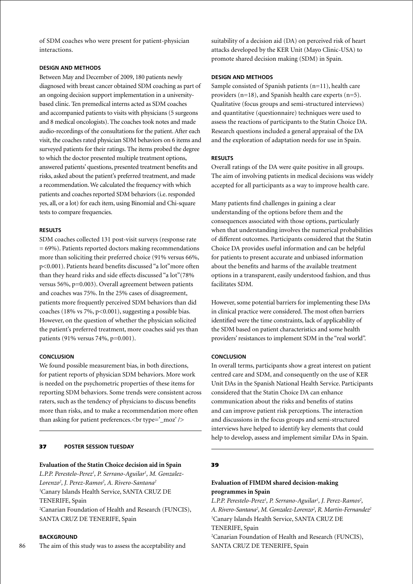of SDM coaches who were present for patient-physician interactions.

### **Design and Methods**

Between May and December of 2009, 180 patients newly diagnosed with breast cancer obtained SDM coaching as part of an ongoing decision support implementation in a universitybased clinic. Ten premedical interns acted as SDM coaches and accompanied patients to visits with physicians (5 surgeons and 8 medical oncologists). The coaches took notes and made audio-recordings of the consultations for the patient. After each visit, the coaches rated physician SDM behaviors on 6 items and surveyed patients for their ratings. The items probed the degree to which the doctor presented multiple treatment options, answered patients' questions, presented treatment benefits and risks, asked about the patient's preferred treatment, and made a recommendation. We calculated the frequency with which patients and coaches reported SDM behaviors (i.e. responded yes, all, or a lot) for each item, using Binomial and Chi-square tests to compare frequencies.

### **Results**

SDM coaches collected 131 post-visit surveys (response rate = 69%). Patients reported doctors making recommendations more than soliciting their preferred choice (91% versus 66%, p<0.001). Patients heard benefits discussed "a lot"more often than they heard risks and side effects discussed "a lot"(78% versus 56%, p=0.003). Overall agreement between patients and coaches was 75%. In the 25% cases of disagreement, patients more frequently perceived SDM behaviors than did coaches (18% vs 7%,  $p<0.001$ ), suggesting a possible bias. However, on the question of whether the physician solicited the patient's preferred treatment, more coaches said yes than patients (91% versus 74%, p=0.001).

### **Conclusion**

We found possible measurement bias, in both directions, for patient reports of physician SDM behaviors. More work is needed on the psychometric properties of these items for reporting SDM behaviors. Some trends were consistent across raters, such as the tendency of physicians to discuss benefits more than risks, and to make a recommendation more often than asking for patient preferences.<br/>>br type='\_moz' />

### 37 **poster session Tuesday**

#### **Evaluation of the Statin Choice decision aid in Spain**

*L.P.P. Perestelo-Perez1 , P. Serrano-Aguilar1 , M. Gonzalez-Lorenzo2 , J. Perez-Ramos2 , A. Rivero-Santana2* 1 Canary Islands Health Service, SANTA CRUZ DE TENERIFE, Spain 2 Canarian Foundation of Health and Research (FUNCIS), SANTA CRUZ DE TENERIFE, Spain

# **BACKGROUND**

The aim of this study was to assess the acceptability and

suitability of a decision aid (DA) on perceived risk of heart attacks developed by the KER Unit (Mayo Clinic-USA) to promote shared decision making (SDM) in Spain.

### **Design and Methods**

Sample consisted of Spanish patients (n=11), health care providers (n=18), and Spanish health care experts (n=5). Qualitative (focus groups and semi-structured interviews) and quantitative (questionnaire) techniques were used to assess the reactions of participants to the Statin Choice DA. Research questions included a general appraisal of the DA and the exploration of adaptation needs for use in Spain.

### **Results**

Overall ratings of the DA were quite positive in all groups. The aim of involving patients in medical decisions was widely accepted for all participants as a way to improve health care.

Many patients find challenges in gaining a clear understanding of the options before them and the consequences associated with those options, particularly when that understanding involves the numerical probabilities of different outcomes. Participants considered that the Statin Choice DA provides useful information and can be helpful for patients to present accurate and unbiased information about the benefits and harms of the available treatment options in a transparent, easily understood fashion, and thus facilitates SDM.

However, some potential barriers for implementing these DAs in clinical practice were considered. The most often barriers identified were the time constraints, lack of applicability of the SDM based on patient characteristics and some health providers' resistances to implement SDM in the "real world".

### **Conclusion**

In overall terms, participants show a great interest on patient centred care and SDM, and consequently on the use of KER Unit DAs in the Spanish National Health Service. Participants considered that the Statin Choice DA can enhance communication about the risks and benefits of statins and can improve patient risk perceptions. The interaction and discussions in the focus groups and semi-structured interviews have helped to identify key elements that could help to develop, assess and implement similar DAs in Spain.

### 39

# **Evaluation of FIMDM shared decision-making programmes in Spain**

L.P.P. Perestelo-Perez<sup>1</sup>, P. Serrano-Aguilar<sup>1</sup>, J. Perez-Ramos<sup>2</sup>, A. Rivero-Santana<sup>2</sup>, M. Gonzalez-Lorenzo<sup>2</sup>, R. Martin-Fernandez<sup>2</sup> 1 Canary Islands Health Service, SANTA CRUZ DE TENERIFE, Spain 2 Canarian Foundation of Health and Research (FUNCIS),

SANTA CRUZ DE TENERIFE, Spain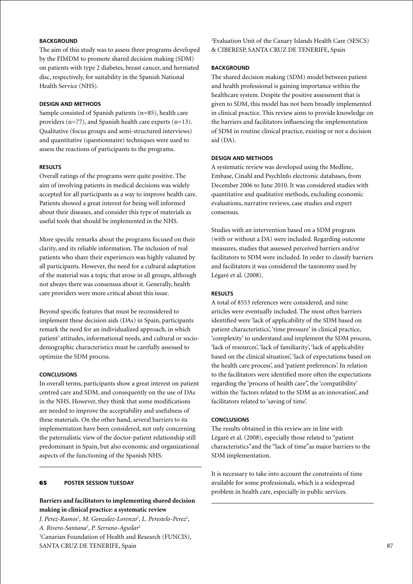# **BACKGROUND**

The aim of this study was to assess three programs developed by the FIMDM to promote shared decision making (SDM) on patients with type 2 diabetes, breast cancer, and herniated disc, respectively, for suitability in the Spanish National Health Service (NHS).

# **Design and Methods**

Sample consisted of Spanish patients (n=85), health care providers (n=77), and Spanish health care experts (n=13). Qualitative (focus groups and semi-structured interviews) and quantitative (questionnaire) techniques were used to assess the reactions of participants to the programs.

# **Results**

Overall ratings of the programs were quite positive. The aim of involving patients in medical decisions was widely accepted for all participants as a way to improve health care. Patients showed a great interest for being well informed about their diseases, and consider this type of materials as useful tools that should be implemented in the NHS.

More specific remarks about the programs focused on their clarity, and its reliable information. The inclusion of real patients who share their experiences was highly valuated by all participants. However, the need for a cultural adaptation of the material was a topic that arose in all groups, although not always there was consensus about it. Generally, health care providers were more critical about this issue.

Beyond specific features that must be reconsidered to implement these decision aids (DAs) in Spain, participants remark the need for an individualized approach, in which patient' attitudes, informational needs, and cultural or sociodemographic characteristics must be carefully assessed to optimize the SDM process.

### **Conclusions**

In overall terms, participants show a great interest on patient centred care and SDM, and consequently on the use of DAs in the NHS. However, they think that some modifications are needed to improve the acceptability and usefulness of these materials. On the other hand, several barriers to its implementation have been considered, not only concerning the paternalistic view of the doctor-patient relationship still predominant in Spain, but also economic and organizational aspects of the functioning of the Spanish NHS.

# 65 **poster session Tuesday**

# **Barriers and facilitators to implementing shared decision making in clinical practice: a systematic review**

*J. Perez-Ramos<sup>1</sup>, M. Gonzalez-Lorenzo<sup>1</sup>, L. Perestelo-Perez<sup>2</sup>, A. Rivero-Santana1 , P. Serrano-Aguilar2* 1 Canarian Foundation of Health and Research (FUNCIS), SANTA CRUZ DE TENERIFE, Spain

2 Evaluation Unit of the Canary Islands Health Care (SESCS) & CIBERESP, SANTA CRUZ DE TENERIFE, Spain

### **BACKGROUND**

The shared decision making (SDM) model between patient and health professional is gaining importance within the healthcare system. Despite the positive assessment that is given to SDM, this model has not been broadly implemented in clinical practice. This review aims to provide knowledge on the barriers and facilitators influencing the implementation of SDM in routine clinical practice, existing or not a decision aid (DA).

# **Design and Methods**

A systematic review was developed using the Medline, Embase, Cinahl and PsychInfo electronic databases, from December 2006 to June 2010. It was considered studies with quantitative and qualitative methods, excluding economic evaluations, narrative reviews, case studies and expert consensus.

Studies with an intervention based on a SDM program (with or without a DA) were included. Regarding outcome measures, studies that assessed perceived barriers and/or facilitators to SDM were included. In order to classify barriers and facilitators it was considered the taxonomy used by Légaré et al. (2008).

# **Results**

A total of 8553 references were considered, and nine articles were eventually included. The most often barriers identified were 'lack of applicability of the SDM based on patient characteristics', 'time pressure' in clinical practice, 'complexity' to understand and implement the SDM process, 'lack of resources', 'lack of familiarity', 'lack of applicability based on the clinical situation', 'lack of expectations based on the health care process', and 'patient preferences'. In relation to the facilitators were identified more often the expectations regarding the 'process of health care", the 'compatibility' within the 'factors related to the SDM as an innovation', and facilitators related to 'saving of time'.

### **Conclusions**

The results obtained in this review are in line with Lègarè et al. (2008), especially those related to "patient characteristics"and the "lack of time"as major barriers to the SDM implementation.

It is necessary to take into account the constraints of time available for some professionals, which is a widespread problem in health care, especially in public services.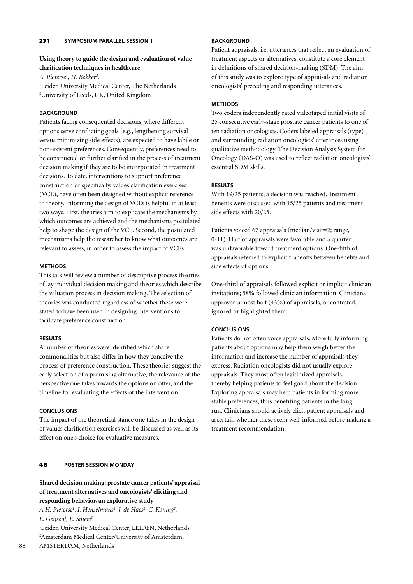# 271 **Symposium parallel session 1**

# **Using theory to guide the design and evaluation of value clarification techniques in healthcare**

*A. Pieterse1 , H. Bekker2 ,*

<sup>1</sup>Leiden University Medical Center, The Netherlands 2 University of Leeds, UK, United Kingdom

## **BACKGROUND**

Patients facing consequential decisions, where different options serve conflicting goals (e.g., lengthening survival versus minimizing side effects), are expected to have labile or non-existent preferences. Consequently, preferences need to be constructed or further clarified in the process of treatment decision making if they are to be incorporated in treatment decisions. To date, interventions to support preference construction or specifically, values clarification exercises (VCE), have often been designed without explicit reference to theory. Informing the design of VCEs is helpful in at least two ways. First, theories aim to explicate the mechanisms by which outcomes are achieved and the mechanisms postulated help to shape the design of the VCE. Second, the postulated mechanisms help the researcher to know what outcomes are relevant to assess, in order to assess the impact of VCEs.

### **Methods**

This talk will review a number of descriptive process theories of lay individual decision making and theories which describe the valuation process in decision making. The selection of theories was conducted regardless of whether these were stated to have been used in designing interventions to facilitate preference construction.

### **Results**

A number of theories were identified which share commonalities but also differ in how they conceive the process of preference construction. These theories suggest the early selection of a promising alternative, the relevance of the perspective one takes towards the options on offer, and the timeline for evaluating the effects of the intervention.

### **Conclusions**

The impact of the theoretical stance one takes in the design of values clarification exercises will be discussed as well as its effect on one's choice for evaluative measures.

# 48 **poster Session Monday**

**Shared decision making: prostate cancer patients' appraisal of treatment alternatives and oncologists' eliciting and responding behavior, an explorative study**

A.H. Pieterse<sup>1</sup>, I. Henselmans<sup>2</sup>, J. de Haes<sup>2</sup>, C. Koning<sup>2</sup>, *E. Geijsen2 , E. Smets2*

1 Leiden University Medical Center, LEIDEN, Netherlands 2 Amsterdam Medical Center/University of Amsterdam,

# **BACKGROUND**

Patient appraisals, i.e. utterances that reflect an evaluation of treatment aspects or alternatives, constitute a core element in definitions of shared decision-making (SDM). The aim of this study was to explore type of appraisals and radiation oncologists' preceding and responding utterances.

# **Methods**

Two coders independently rated videotaped initial visits of 25 consecutive early-stage prostate cancer patients to one of ten radiation oncologists. Coders labeled appraisals (type) and surrounding radiation oncologists' utterances using qualitative methodology. The Decision Analysis System for Oncology (DAS-O) was used to reflect radiation oncologists' essential SDM skills.

## **Results**

With 19/25 patients, a decision was reached. Treatment benefits were discussed with 15/25 patients and treatment side effects with 20/25.

Patients voiced 67 appraisals (median/visit=2; range, 0-11). Half of appraisals were favorable and a quarter was unfavorable toward treatment options. One-fifth of appraisals referred to explicit tradeoffs between benefits and side effects of options.

One-third of appraisals followed explicit or implicit clinician invitations; 58% followed clinician information. Clinicians approved almost half (43%) of appraisals, or contested, ignored or highlighted them.

# **Conclusions**

Patients do not often voice appraisals. More fully informing patients about options may help them weigh better the information and increase the number of appraisals they express. Radiation oncologists did not usually explore appraisals. They most often legitimized appraisals, thereby helping patients to feel good about the decision. Exploring appraisals may help patients in forming more stable preferences, thus benefiting patients in the long run. Clinicians should actively elicit patient appraisals and ascertain whether these seem well-informed before making a treatment recommendation.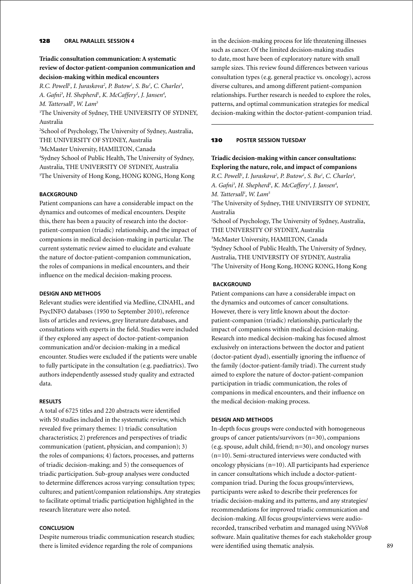## 128 **oral parallel session 4**

# **Triadic consultation communication: A systematic review of doctor-patient-companion communication and decision-making within medical encounters**

*R.C. Powell<sup>1</sup>, I. Juraskova<sup>2</sup>, P. Butow<sup>1</sup>, S. Bu<sup>1</sup>, C. Charles<sup>3</sup>, A. Gafni3 , H. Shepherd1 , K. McCaffery1 , J. Jansen4 , M. Tattersall1 , W. Lam5*

1 The University of Sydney, THE UNIVERSITY OF SYDNEY, Australia

 School of Psychology, The University of Sydney, Australia, THE UNIVERSITY OF SYDNEY, Australia McMaster University, HAMILTON, Canada Sydney School of Public Health, The University of Sydney, Australia, THE UNIVERSITY OF SYDNEY, Australia The University of Hong Kong, HONG KONG, Hong Kong

# **BACKGROUND**

Patient companions can have a considerable impact on the dynamics and outcomes of medical encounters. Despite this, there has been a paucity of research into the doctorpatient-companion (triadic) relationship, and the impact of companions in medical decision-making in particular. The current systematic review aimed to elucidate and evaluate the nature of doctor-patient-companion communication, the roles of companions in medical encounters, and their influence on the medical decision-making process.

### **Design and Methods**

Relevant studies were identified via Medline, CINAHL, and PsycINFO databases (1950 to September 2010), reference lists of articles and reviews, grey literature databases, and consultations with experts in the field. Studies were included if they explored any aspect of doctor-patient-companion communication and/or decision-making in a medical encounter. Studies were excluded if the patients were unable to fully participate in the consultation (e.g. paediatrics). Two authors independently assessed study quality and extracted data.

### **Results**

A total of 6725 titles and 220 abstracts were identified with 50 studies included in the systematic review, which revealed five primary themes: 1) triadic consultation characteristics; 2) preferences and perspectives of triadic communication (patient, physician, and companion); 3) the roles of companions; 4) factors, processes, and patterns of triadic decision-making; and 5) the consequences of triadic participation. Sub-group analyses were conducted to determine differences across varying: consultation types; cultures; and patient/companion relationships. Any strategies to facilitate optimal triadic participation highlighted in the research literature were also noted.

## **Conclusion**

Despite numerous triadic communication research studies; there is limited evidence regarding the role of companions

in the decision-making process for life threatening illnesses such as cancer. Of the limited decision-making studies to date, most have been of exploratory nature with small sample sizes. This review found differences between various consultation types (e.g. general practice vs. oncology), across diverse cultures, and among different patient-companion relationships. Further research is needed to explore the roles, patterns, and optimal communication strategies for medical decision-making within the doctor-patient-companion triad.

# 130 **poster session Tuesday**

# **Triadic decision-making within cancer consultations: Exploring the nature, role, and impact of companions**

*R.C. Powell<sup>1</sup>, I. Juraskova<sup>2</sup>, P. Butow<sup>1</sup>, S. Bu<sup>1</sup>, C. Charles<sup>3</sup>,* A. Gafni<sup>3</sup>, H. Shepherd<sup>1</sup>, K. McCaffery<sup>1</sup>, J. Jansen<sup>4</sup>, *M. Tattersall1 , W. Lam5* <sup>1</sup>The University of Sydney, THE UNIVERSITY OF SYDNEY, Australia 2 School of Psychology, The University of Sydney, Australia, THE UNIVERSITY OF SYDNEY, Australia 3 McMaster University, HAMILTON, Canada 4 Sydney School of Public Health, The University of Sydney, Australia, THE UNIVERSITY OF SYDNEY, Australia 5 The University of Hong Kong, HONG KONG, Hong Kong

# **Background**

Patient companions can have a considerable impact on the dynamics and outcomes of cancer consultations. However, there is very little known about the doctorpatient-companion (triadic) relationship, particularly the impact of companions within medical decision-making. Research into medical decision-making has focused almost exclusively on interactions between the doctor and patient (doctor-patient dyad), essentially ignoring the influence of the family (doctor-patient-family triad). The current study aimed to explore the nature of doctor-patient-companion participation in triadic communication, the roles of companions in medical encounters, and their influence on the medical decision-making process.

### **Design and Methods**

In-depth focus groups were conducted with homogeneous groups of cancer patients/survivors (n=30), companions (e.g. spouse, adult child, friend; n=30), and oncology nurses (n=10). Semi-structured interviews were conducted with oncology physicians (n=10). All participants had experience in cancer consultations which include a doctor-patientcompanion triad. During the focus groups/interviews, participants were asked to describe their preferences for triadic decision-making and its patterns, and any strategies/ recommendations for improved triadic communication and decision-making. All focus groups/interviews were audiorecorded, transcribed verbatim and managed using NViVo8 software. Main qualitative themes for each stakeholder group were identified using thematic analysis.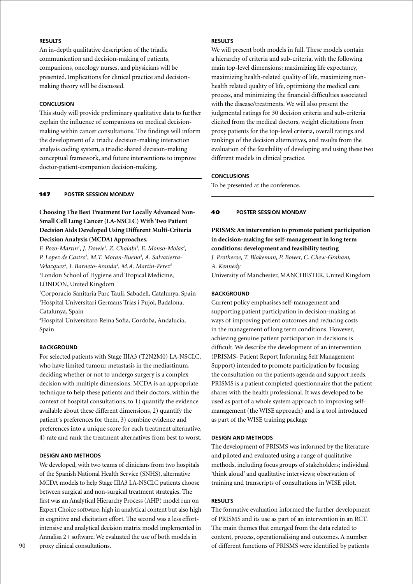# **Results**

An in-depth qualitative description of the triadic communication and decision-making of patients, companions, oncology nurses, and physicians will be presented. Implications for clinical practice and decisionmaking theory will be discussed.

# **Conclusion**

This study will provide preliminary qualitative data to further explain the influence of companions on medical decisionmaking within cancer consultations. The findings will inform the development of a triadic decision-making interaction analysis coding system, a triadic shared decision-making conceptual framework, and future interventions to improve doctor-patient-companion decision-making.

# 147 **poster Session Monday**

# **Choosing The Best Treatment For Locally Advanced Non-Small Cell Lung Cancer (LA-NSCLC) With Two Patient Decision Aids Developed Using Different Multi-Criteria Decision Analysis (MCDA) Approaches.**

*F. Pozo-Martin1 , J. Dowie1 , Z. Chalabi1 , E. Monso-Molas2 , P. Lopez de Castro3 , M.T. Moran-Bueno3 , A. Salvatierra-Velazquez4 , I. Barneto-Aranda4 , M.A. Martin-Perez4* 1 London School of Hygiene and Tropical Medicine, LONDON, United Kingdom

2 Corporacio Sanitaria Parc Tauli, Sabadell, Catalunya, Spain 3 Hospital Universitari Germans Trias i Pujol, Badalona, Catalunya, Spain

4 Hospital Universitaro Reina Sofia, Cordoba, Andalucia, Spain

# **BACKGROUND**

For selected patients with Stage IIIA3 (T2N2M0) LA-NSCLC, who have limited tumour metastasis in the mediastinum, deciding whether or not to undergo surgery is a complex decision with multiple dimensions. MCDA is an appropriate technique to help these patients and their doctors, within the context of hospital consultations, to 1) quantify the evidence available about these different dimensions, 2) quantify the patient´s preferences for them, 3) combine evidence and preferences into a unique score for each treatment alternative, 4) rate and rank the treatment alternatives from best to worst.

### **Design and Methods**

We developed, with two teams of clinicians from two hospitals of the Spanish National Health Service (SNHS), alternative MCDA models to help Stage IIIA3 LA-NSCLC patients choose between surgical and non-surgical treatment strategies. The first was an Analytical Hierarchy Process (AHP) model run on Expert Choice software, high in analytical content but also high in cognitive and elicitation effort. The second was a less effortintensive and analytical decision matrix model implemented in Annalisa 2+ software. We evaluated the use of both models in proxy clinical consultations.

We will present both models in full. These models contain a hierarchy of criteria and sub-criteria, with the following main top-level dimensions: maximizing life expectancy, maximizing health-related quality of life, maximizing nonhealth related quality of life, optimizing the medical care process, and minimizing the financial difficulties associated with the disease/treatments. We will also present the judgmental ratings for 30 decision criteria and sub-criteria elicited from the medical doctors, weight elicitations from proxy patients for the top-level criteria, overall ratings and rankings of the decision alternatives, and results from the evaluation of the feasibility of developing and using these two different models in clinical practice.

### **Conclusions**

To be presented at the conference.

## 40 **poster Session Monday**

**PRISMS: An intervention to promote patient participation in decision-making for self-management in long term conditions: development and feasibility testing**

*J. Protheroe, T. Blakeman, P. Bower, C. Chew-Graham, A. Kennedy*

University of Manchester, MANCHESTER, United Kingdom

## **BACKGROUND**

Current policy emphasises self-management and supporting patient participation in decision-making as ways of improving patient outcomes and reducing costs in the management of long term conditions. However, achieving genuine patient participation in decisions is difficult. We describe the development of an intervention (PRISMS- Patient Report Informing Self Management Support) intended to promote participation by focusing the consultation on the patients agenda and support needs. PRISMS is a patient completed questionnaire that the patient shares with the health professional. It was developed to be used as part of a whole system approach to improving selfmanagement (the WISE approach) and is a tool introduced as part of the WISE training package

### **Design and Methods**

The development of PRISMS was informed by the literature and piloted and evaluated using a range of qualitative methods, including focus groups of stakeholders; individual 'think aloud' and qualitative interviews; observation of training and transcripts of consultations in WISE pilot.

### **Results**

The formative evaluation informed the further development of PRISMS and its use as part of an intervention in an RCT. The main themes that emerged from the data related to content, process, operationalising and outcomes. A number of different functions of PRISMS were identified by patients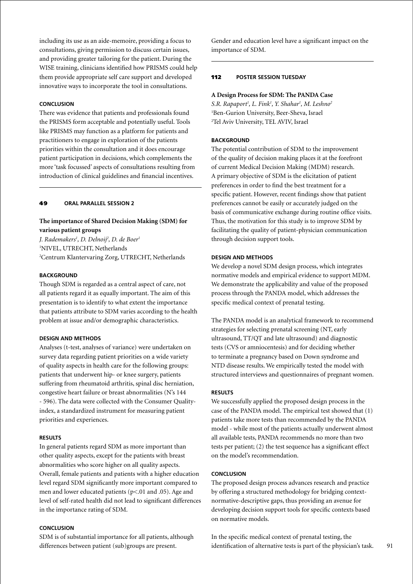including its use as an aide-memoire, providing a focus to consultations, giving permission to discuss certain issues, and providing greater tailoring for the patient. During the WISE training, clinicians identified how PRISMS could help them provide appropriate self care support and developed innovative ways to incorporate the tool in consultations.

# **Conclusion**

There was evidence that patients and professionals found the PRISMS form acceptable and potentially useful. Tools like PRISMS may function as a platform for patients and practitioners to engage in exploration of the patients priorities within the consultation and it does encourage patient participation in decisions, which complements the more 'task focussed' aspects of consultations resulting from introduction of clinical guidelines and financial incentives.

### 49 **oral parallel session 2**

## **The importance of Shared Decision Making (SDM) for various patient groups**

*J. Rademakers1 , D. Delnoij2 , D. de Boer1* 1 NIVEL, UTRECHT, Netherlands 2 Centrum Klantervaring Zorg, UTRECHT, Netherlands

#### **BACKGROUND**

Though SDM is regarded as a central aspect of care, not all patients regard it as equally important. The aim of this presentation is to identify to what extent the importance that patients attribute to SDM varies according to the health problem at issue and/or demographic characteristics.

#### **Design and Methods**

Analyses (t-test, analyses of variance) were undertaken on survey data regarding patient priorities on a wide variety of quality aspects in health care for the following groups: patients that underwent hip- or knee surgery, patients suffering from rheumatoid arthritis, spinal disc herniation, congestive heart failure or breast abnormalities (N's 144 - 596). The data were collected with the Consumer Qualityindex, a standardized instrument for measuring patient priorities and experiences.

### **Results**

In general patients regard SDM as more important than other quality aspects, except for the patients with breast abnormalities who score higher on all quality aspects. Overall, female patients and patients with a higher education level regard SDM significantly more important compared to men and lower educated patients (p<.01 and .05). Age and level of self-rated health did not lead to significant differences in the importance rating of SDM.

### **Conclusion**

SDM is of substantial importance for all patients, although differences between patient (sub)groups are present.

Gender and education level have a significant impact on the importance of SDM.

#### 112 **poster session Tuesday**

#### **A Design Process for SDM: The PANDA Case**

*S.R. Rapaport1 , L. Fink1 , Y. Shahar1 , M. Leshno2* 1 Ben-Gurion University, Beer-Sheva, Israel 2 Tel Aviv University, TEL AVIV, Israel

#### **BACKGROUND**

The potential contribution of SDM to the improvement of the quality of decision making places it at the forefront of current Medical Decision Making (MDM) research. A primary objective of SDM is the elicitation of patient preferences in order to find the best treatment for a specific patient. However, recent findings show that patient preferences cannot be easily or accurately judged on the basis of communicative exchange during routine office visits. Thus, the motivation for this study is to improve SDM by facilitating the quality of patient-physician communication through decision support tools.

### **Design and Methods**

We develop a novel SDM design process, which integrates normative models and empirical evidence to support MDM. We demonstrate the applicability and value of the proposed process through the PANDA model, which addresses the specific medical context of prenatal testing.

The PANDA model is an analytical framework to recommend strategies for selecting prenatal screening (NT, early ultrasound, TT/QT and late ultrasound) and diagnostic tests (CVS or amniocentesis) and for deciding whether to terminate a pregnancy based on Down syndrome and NTD disease results. We empirically tested the model with structured interviews and questionnaires of pregnant women.

#### **Results**

We successfully applied the proposed design process in the case of the PANDA model. The empirical test showed that (1) patients take more tests than recommended by the PANDA model - while most of the patients actually underwent almost all available tests, PANDA recommends no more than two tests per patient; (2) the test sequence has a significant effect on the model's recommendation.

# **Conclusion**

The proposed design process advances research and practice by offering a structured methodology for bridging contextnormative-descriptive gaps, thus providing an avenue for developing decision support tools for specific contexts based on normative models.

In the specific medical context of prenatal testing, the identification of alternative tests is part of the physician's task.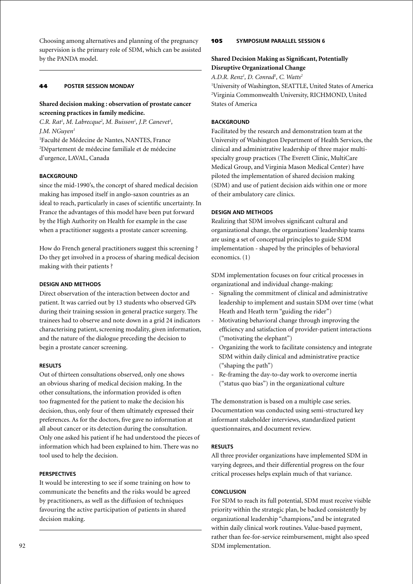Choosing among alternatives and planning of the pregnancy supervision is the primary role of SDM, which can be assisted by the PANDA model.

# 44 **poster Session Monday**

# **Shared decision making : observation of prostate cancer screening practices in family medicine.**

C.R. Rat<sup>1</sup>, M. Labrecque<sup>2</sup>, M. Buisson<sup>1</sup>, J.P. Canevet<sup>1</sup>, *J.M. NGuyen1*

1 Faculté de Médecine de Nantes, NANTES, France 2 Département de médecine familiale et de médecine d'urgence, LAVAL, Canada

# **BACKGROUND**

since the mid-1990's, the concept of shared medical decision making has imposed itself in anglo-saxon countries as an ideal to reach, particularly in cases of scientific uncertainty. In France the advantages of this model have been put forward by the High Authority on Health for example in the case when a practitioner suggests a prostate cancer screening.

How do French general practitioners suggest this screening ? Do they get involved in a process of sharing medical decision making with their patients ?

# **Design and methods**

Direct observation of the interaction between doctor and patient. It was carried out by 13 students who observed GPs during their training session in general practice surgery. The trainees had to observe and note down in a grid 24 indicators characterising patient, screening modality, given information, and the nature of the dialogue preceding the decision to begin a prostate cancer screening.

# **Results**

Out of thirteen consultations observed, only one shows an obvious sharing of medical decision making. In the other consultations, the information provided is often too fragmented for the patient to make the decision his decision, thus, only four of them ultimately expressed their preferences. As for the doctors, five gave no information at all about cancer or its detection during the consultation. Only one asked his patient if he had understood the pieces of information which had been explained to him. There was no tool used to help the decision.

# **Perspectives**

It would be interesting to see if some training on how to communicate the benefits and the risks would be agreed by practitioners, as well as the diffusion of techniques favouring the active participation of patients in shared decision making.

# 105 **Symposium parallel session 6**

# **Shared Decision Making as Significant, Potentially Disruptive Organizational Change**

*A.D.R. Renz1 , D. Conrad1 , C. Watts2*

1 University of Washington, SEATTLE, United States of America 2 Virginia Commonwealth University, RICHMOND, United States of America

# **BACKGROUND**

Facilitated by the research and demonstration team at the University of Washington Department of Health Services, the clinical and administrative leadership of three major multispecialty group practices (The Everett Clinic, MultiCare Medical Group, and Virginia Mason Medical Center) have piloted the implementation of shared decision making (SDM) and use of patient decision aids within one or more of their ambulatory care clinics.

# **Design and Methods**

Realizing that SDM involves significant cultural and organizational change, the organizations' leadership teams are using a set of conceptual principles to guide SDM implementation - shaped by the principles of behavioral economics. (1)

SDM implementation focuses on four critical processes in organizational and individual change-making:

- Signaling the commitment of clinical and administrative leadership to implement and sustain SDM over time (what Heath and Heath term "guiding the rider")
- Motivating behavioral change through improving the efficiency and satisfaction of provider-patient interactions ("motivating the elephant")
- Organizing the work to facilitate consistency and integrate SDM within daily clinical and administrative practice ("shaping the path")
- Re-framing the day-to-day work to overcome inertia ("status quo bias") in the organizational culture

The demonstration is based on a multiple case series. Documentation was conducted using semi-structured key informant stakeholder interviews, standardized patient questionnaires, and document review.

# **Results**

All three provider organizations have implemented SDM in varying degrees, and their differential progress on the four critical processes helps explain much of that variance.

# **Conclusion**

For SDM to reach its full potential, SDM must receive visible priority within the strategic plan, be backed consistently by organizational leadership "champions,"and be integrated within daily clinical work routines. Value-based payment, rather than fee-for-service reimbursement, might also speed SDM implementation.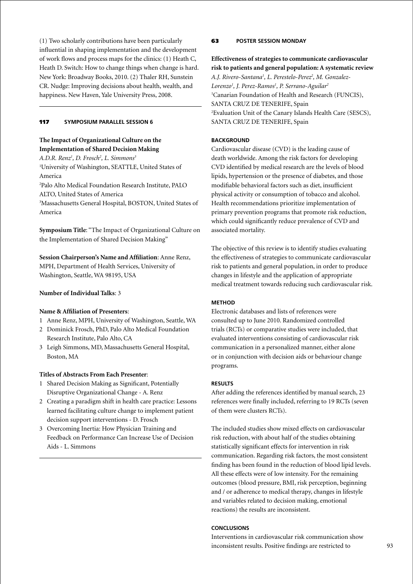(1) Two scholarly contributions have been particularly influential in shaping implementation and the development of work flows and process maps for the clinics: (1) Heath C, Heath D. Switch: How to change things when change is hard. New York: Broadway Books, 2010. (2) Thaler RH, Sunstein CR. Nudge: Improving decisions about health, wealth, and happiness. New Haven, Yale University Press, 2008.

#### 117 **Symposium parallel session 6**

# **The Impact of Organizational Culture on the Implementation of Shared Decision Making**

*A.D.R. Renz1 , D. Frosch2 , L. Simmons3*

1 University of Washington, SEATTLE, United States of America

2 Palo Alto Medical Foundation Research Institute, PALO ALTO, United States of America

3 Massachusetts General Hospital, BOSTON, United States of America

**Symposium Title**: "The Impact of Organizational Culture on the Implementation of Shared Decision Making"

**Session Chairperson's Name and Affiliation**: Anne Renz, MPH, Department of Health Services, University of Washington, Seattle, WA 98195, USA

# **Number of Individual Talks**: 3

#### **Name & Affiliation of Presenters**:

- 1 Anne Renz, MPH, University of Washington, Seattle, WA
- 2 Dominick Frosch, PhD, Palo Alto Medical Foundation Research Institute, Palo Alto, CA
- 3 Leigh Simmons, MD, Massachusetts General Hospital, Boston, MA

#### **Titles of Abstracts From Each Presenter**:

- 1 Shared Decision Making as Significant, Potentially Disruptive Organizational Change - A. Renz
- 2 Creating a paradigm shift in health care practice: Lessons learned facilitating culture change to implement patient decision support interventions - D. Frosch
- 3 Overcoming Inertia: How Physician Training and Feedback on Performance Can Increase Use of Decision Aids - L. Simmons

### 63 **poster Session Monday**

**Effectiveness of strategies to communicate cardiovascular risk to patients and general population: A systematic review** *A.J. Rivero-Santana1 , L. Perestelo-Perez2 , M. Gonzalez-Lorenzo1 , J. Perez-Ramos1 , P. Serrano-Aguilar2* 1 Canarian Foundation of Health and Research (FUNCIS), SANTA CRUZ DE TENERIFE, Spain 2 Evaluation Unit of the Canary Islands Health Care (SESCS), SANTA CRUZ DE TENERIFE, Spain

### **BACKGROUND**

Cardiovascular disease (CVD) is the leading cause of death worldwide. Among the risk factors for developing CVD identified by medical research are the levels of blood lipids, hypertension or the presence of diabetes, and those modifiable behavioral factors such as diet, insufficient physical activity or consumption of tobacco and alcohol. Health recommendations prioritize implementation of primary prevention programs that promote risk reduction, which could significantly reduce prevalence of CVD and associated mortality.

The objective of this review is to identify studies evaluating the effectiveness of strategies to communicate cardiovascular risk to patients and general population, in order to produce changes in lifestyle and the application of appropriate medical treatment towards reducing such cardiovascular risk.

# **Method**

Electronic databases and lists of references were consulted up to June 2010. Randomized controlled trials (RCTs) or comparative studies were included, that evaluated interventions consisting of cardiovascular risk communication in a personalized manner, either alone or in conjunction with decision aids or behaviour change programs.

### **Results**

After adding the references identified by manual search, 23 references were finally included, referring to 19 RCTs (seven of them were clusters RCTs).

The included studies show mixed effects on cardiovascular risk reduction, with about half of the studies obtaining statistically significant effects for intervention in risk communication. Regarding risk factors, the most consistent finding has been found in the reduction of blood lipid levels. All these effects were of low intensity. For the remaining outcomes (blood pressure, BMI, risk perception, beginning and / or adherence to medical therapy, changes in lifestyle and variables related to decision making, emotional reactions) the results are inconsistent.

# **Conclusions**

Interventions in cardiovascular risk communication show inconsistent results. Positive findings are restricted to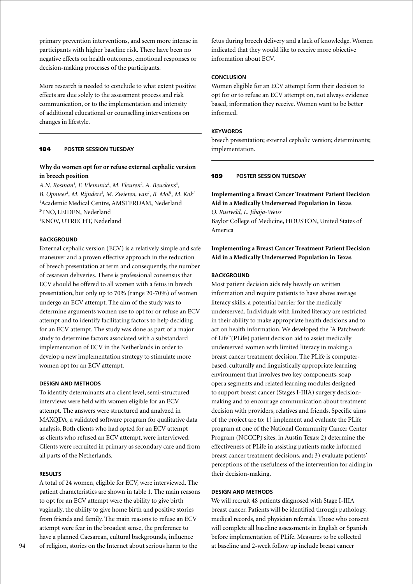primary prevention interventions, and seem more intense in participants with higher baseline risk. There have been no negative effects on health outcomes, emotional responses or decision-making processes of the participants.

More research is needed to conclude to what extent positive effects are due solely to the assessment process and risk communication, or to the implementation and intensity of additional educational or counselling interventions on changes in lifestyle.

# 184 **poster session Tuesday**

# **Why do women opt for or refuse external cephalic version in breech position**

A.N. Rosman<sup>1</sup>, F. Vlemmix<sup>1</sup>, M. Fleuren<sup>2</sup>, A. Beuckens<sup>3</sup>, *B. Opmeer1 , M. Rijnders2 , M. Zwieten, van1 , B. Mol1 , M. Kok1* 1 Academic Medical Centre, AMSTERDAM, Nederland 2 TNO, LEIDEN, Nederland 3 KNOV, UTRECHT, Nederland

### **Background**

External cephalic version (ECV) is a relatively simple and safe maneuver and a proven effective approach in the reduction of breech presentation at term and consequently, the number of cesarean deliveries. There is professional consensus that ECV should be offered to all women with a fetus in breech presentation, but only up to 70% (range 20-70%) of women undergo an ECV attempt. The aim of the study was to determine arguments women use to opt for or refuse an ECV attempt and to identify facilitating factors to help deciding for an ECV attempt. The study was done as part of a major study to determine factors associated with a substandard implementation of ECV in the Netherlands in order to develop a new implementation strategy to stimulate more women opt for an ECV attempt.

## **Design and Methods**

To identify determinants at a client level, semi-structured interviews were held with women eligible for an ECV attempt. The answers were structured and analyzed in MAXQDA, a validated software program for qualitative data analysis. Both clients who had opted for an ECV attempt as clients who refused an ECV attempt, were interviewed. Clients were recruited in primary as secondary care and from all parts of the Netherlands.

## **Results**

A total of 24 women, eligible for ECV, were interviewed. The patient characteristics are shown in table 1. The main reasons to opt for an ECV attempt were the ability to give birth vaginally, the ability to give home birth and positive stories from friends and family. The main reasons to refuse an ECV attempt were fear in the broadest sense, the preference to have a planned Caesarean, cultural backgrounds, influence of religion, stories on the Internet about serious harm to the

fetus during breech delivery and a lack of knowledge. Women indicated that they would like to receive more objective information about ECV.

#### **Conclusion**

Women eligible for an ECV attempt form their decision to opt for or to refuse an ECV attempt on, not always evidence based, information they receive. Women want to be better informed.

#### **Keywords**

breech presentation; external cephalic version; determinants; implementation.

### 189 **poster session Tuesday**

**Implementing a Breast Cancer Treatment Patient Decision Aid in a Medically Underserved Population in Texas**

*O. Rustveld, L. Jibaja-Weiss* Baylor College of Medicine, HOUSTON, United States of America

# **Implementing a Breast Cancer Treatment Patient Decision Aid in a Medically Underserved Population in Texas**

### **BACKGROUND**

Most patient decision aids rely heavily on written information and require patients to have above average literacy skills, a potential barrier for the medically underserved. Individuals with limited literacy are restricted in their ability to make appropriate health decisions and to act on health information. We developed the "A Patchwork of Life"(PLife) patient decision aid to assist medically underserved women with limited literacy in making a breast cancer treatment decision. The PLife is computerbased, culturally and linguistically appropriate learning environment that involves two key components, soap opera segments and related learning modules designed to support breast cancer (Stages I-IIIA) surgery decisionmaking and to encourage communication about treatment decision with providers, relatives and friends. Specific aims of the project are to: 1) implement and evaluate the PLife program at one of the National Community Cancer Center Program (NCCCP) sites, in Austin Texas; 2) determine the effectiveness of PLife in assisting patients make informed breast cancer treatment decisions, and; 3) evaluate patients' perceptions of the usefulness of the intervention for aiding in their decision-making.

# **Design and Methods**

We will recruit 48 patients diagnosed with Stage I-IIIA breast cancer. Patients will be identified through pathology, medical records, and physician referrals. Those who consent will complete all baseline assessments in English or Spanish before implementation of PLife. Measures to be collected at baseline and 2-week follow up include breast cancer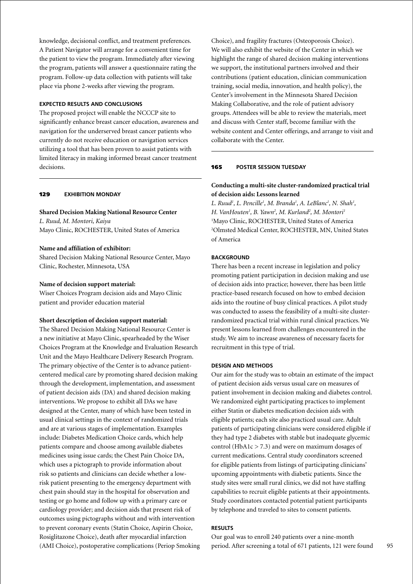knowledge, decisional conflict, and treatment preferences. A Patient Navigator will arrange for a convenient time for the patient to view the program. Immediately after viewing the program, patients will answer a questionnaire rating the program. Follow-up data collection with patients will take place via phone 2-weeks after viewing the program.

## **Expected Results and Conclusions**

The proposed project will enable the NCCCP site to significantly enhance breast cancer education, awareness and navigation for the underserved breast cancer patients who currently do not receive education or navigation services utilizing a tool that has been proven to assist patients with limited literacy in making informed breast cancer treatment decisions.

# 129 **exhibition Monday**

#### **Shared Decision Making National Resource Center**

*L. Ruud, M. Montori, Kaiya* Mayo Clinic, ROCHESTER, United States of America

### **Name and affiliation of exhibitor:**

Shared Decision Making National Resource Center, Mayo Clinic, Rochester, Minnesota, USA

#### **Name of decision support material:**

Wiser Choices Program decision aids and Mayo Clinic patient and provider education material

#### **Short description of decision support material:**

The Shared Decision Making National Resource Center is a new initiative at Mayo Clinic, spearheaded by the Wiser Choices Program at the Knowledge and Evaluation Research Unit and the Mayo Healthcare Delivery Research Program. The primary objective of the Center is to advance patientcentered medical care by promoting shared decision making through the development, implementation, and assessment of patient decision aids (DA) and shared decision making interventions. We propose to exhibit all DAs we have designed at the Center, many of which have been tested in usual clinical settings in the context of randomized trials and are at various stages of implementation. Examples include: Diabetes Medication Choice cards, which help patients compare and choose among available diabetes medicines using issue cards; the Chest Pain Choice DA, which uses a pictograph to provide information about risk so patients and clinicians can decide whether a lowrisk patient presenting to the emergency department with chest pain should stay in the hospital for observation and testing or go home and follow up with a primary care or cardiology provider; and decision aids that present risk of outcomes using pictographs without and with intervention to prevent coronary events (Statin Choice, Aspirin Choice, Rosiglitazone Choice), death after myocardial infarction (AMI Choice), postoperative complications (Periop Smoking

Choice), and fragility fractures (Osteoporosis Choice). We will also exhibit the website of the Center in which we highlight the range of shared decision making interventions we support, the institutional partners involved and their contributions (patient education, clinician communication training, social media, innovation, and health policy), the Center's involvement in the Minnesota Shared Decision Making Collaborative, and the role of patient advisory groups. Attendees will be able to review the materials, meet and discuss with Center staff, become familiar with the website content and Center offerings, and arrange to visit and collaborate with the Center.

#### 165 **poster session Tuesday**

# **Conducting a multi-site cluster-randomized practical trial of decision aids: Lessons learned**

L. Ruud<sup>1</sup>, L. Pencille<sup>1</sup>, M. Branda<sup>1</sup>, A. LeBlanc<sup>1</sup>, N. Shah<sup>1</sup>, H. VanHouten<sup>1</sup>, B. Yawn<sup>2</sup>, M. Kurland<sup>2</sup>, M. Montori<sup>1</sup> <sup>1</sup>Mayo Clinic, ROCHESTER, United States of America 2 Olmsted Medical Center, ROCHESTER, MN, United States of America

## **BACKGROUND**

There has been a recent increase in legislation and policy promoting patient participation in decision making and use of decision aids into practice; however, there has been little practice-based research focused on how to embed decision aids into the routine of busy clinical practices. A pilot study was conducted to assess the feasibility of a multi-site clusterrandomized practical trial within rural clinical practices. We present lessons learned from challenges encountered in the study. We aim to increase awareness of necessary facets for recruitment in this type of trial.

### **Design and Methods**

Our aim for the study was to obtain an estimate of the impact of patient decision aids versus usual care on measures of patient involvement in decision making and diabetes control. We randomized eight participating practices to implement either Statin or diabetes medication decision aids with eligible patients; each site also practiced usual care. Adult patients of participating clinicians were considered eligible if they had type 2 diabetes with stable but inadequate glycemic control (HbA1c  $>$  7.3) and were on maximum dosages of current medications. Central study coordinators screened for eligible patients from listings of participating clinicians' upcoming appointments with diabetic patients. Since the study sites were small rural clinics, we did not have staffing capabilities to recruit eligible patients at their appointments. Study coordinators contacted potential patient participants by telephone and traveled to sites to consent patients.

### **Results**

Our goal was to enroll 240 patients over a nine-month period. After screening a total of 671 patients, 121 were found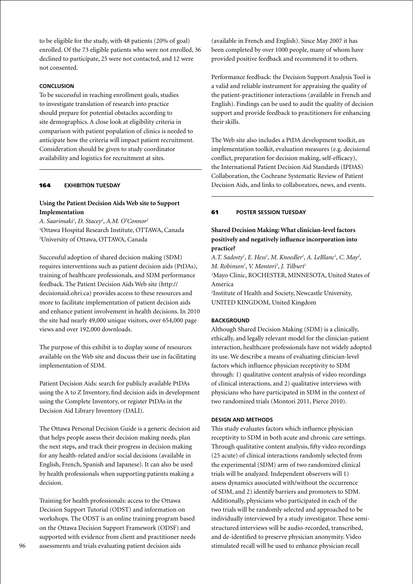to be eligible for the study, with 48 patients (20% of goal) enrolled. Of the 73 eligible patients who were not enrolled, 36 declined to participate, 25 were not contacted, and 12 were not consented.

# **Conclusion**

To be successful in reaching enrollment goals, studies to investigate translation of research into practice should prepare for potential obstacles according to site demographics. A close look at eligibility criteria in comparison with patient population of clinics is needed to anticipate how the criteria will impact patient recruitment. Consideration should be given to study coordinator availability and logistics for recruitment at sites.

# 164 **exhibition Tuesday**

# **Using the Patient Decision Aids Web site to Support Implementation**

*A. Saarimaki1 , D. Stacey1 , A.M. O'Connor2* 1 Ottawa Hospital Research Institute, OTTAWA, Canada 2 University of Ottawa, OTTAWA, Canada

Successful adoption of shared decision making (SDM) requires interventions such as patient decision aids (PtDAs), training of healthcare professionals, and SDM performance feedback. The Patient Decision Aids Web site (http:// decisionaid.ohri.ca) provides access to these resources and more to facilitate implementation of patient decision aids and enhance patient involvement in health decisions. In 2010 the site had nearly 49,000 unique visitors, over 654,000 page views and over 192,000 downloads.

The purpose of this exhibit is to display some of resources available on the Web site and discuss their use in facilitating implementation of SDM.

Patient Decision Aids: search for publicly available PtDAs using the A to Z Inventory, find decision aids in development using the Complete Inventory, or register PtDAs in the Decision Aid Library Inventory (DALI).

The Ottawa Personal Decision Guide is a generic decision aid that helps people assess their decision making needs, plan the next steps, and track their progress in decision making for any health-related and/or social decisions (available in English, French, Spanish and Japanese). It can also be used by health professionals when supporting patients making a decision.

Training for health professionals: access to the Ottawa Decision Support Tutorial (ODST) and information on workshops. The ODST is an online training program based on the Ottawa Decision Support Framework (ODSF) and supported with evidence from client and practitioner needs assessments and trials evaluating patient decision aids

(available in French and English). Since May 2007 it has been completed by over 1000 people, many of whom have provided positive feedback and recommend it to others.

Performance feedback: the Decision Support Analysis Tool is a valid and reliable instrument for appraising the quality of the patient-practitioner interactions (available in French and English). Findings can be used to audit the quality of decision support and provide feedback to practitioners for enhancing their skills.

The Web site also includes a PtDA development toolkit, an implementation toolkit, evaluation measures (e.g. decisional conflict, preparation for decision making, self-efficacy), the International Patient Decision Aid Standards (IPDAS) Collaboration, the Cochrane Systematic Review of Patient Decision Aids, and links to collaborators, news, and events.

# 61 **poster session Tuesday**

# **Shared Decision Making: What clinician-level factors positively and negatively influence incorporation into practice?**

A.T. Sadosty<sup>1</sup>, E. Hess<sup>1</sup>, M. Knoedler<sup>1</sup>, A. LeBlanc<sup>1</sup>, C. May<sup>2</sup>, *M. Robinson1 , V. Montori1 , J. Tilburt1* <sup>1</sup>Mayo Clinic, ROCHESTER, MINNESOTA, United States of America

2 Institute of Health and Society, Newcastle University, UNITED KINGDOM, United Kingdom

### **BACKGROUND**

Although Shared Decision Making (SDM) is a clinically, ethically, and legally relevant model for the clinician-patient interaction, healthcare professionals have not widely adopted its use. We describe a means of evaluating clinician-level factors which influence physician receptivity to SDM through: 1) qualitative content analysis of video recordings of clinical interactions, and 2) qualitative interviews with physicians who have participated in SDM in the context of two randomized trials (Montori 2011, Pierce 2010).

### **Design and Methods**

This study evaluates factors which influence physician receptivity to SDM in both acute and chronic care settings. Through qualitative content analysis, fifty video recordings (25 acute) of clinical interactions randomly selected from the experimental (SDM) arm of two randomized clinical trials will be analyzed. Independent observers will 1) assess dynamics associated with/without the occurrence of SDM, and 2) identify barriers and promoters to SDM. Additionally, physicians who participated in each of the two trials will be randomly selected and approached to be individually interviewed by a study investigator. These semistructured interviews will be audio-recorded, transcribed, and de-identified to preserve physician anonymity. Video stimulated recall will be used to enhance physician recall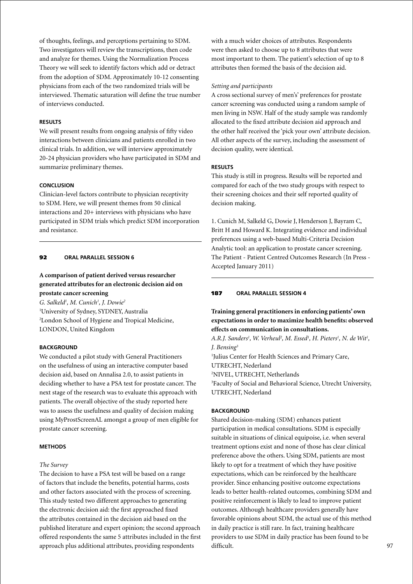of thoughts, feelings, and perceptions pertaining to SDM. Two investigators will review the transcriptions, then code and analyze for themes. Using the Normalization Process Theory we will seek to identify factors which add or detract from the adoption of SDM. Approximately 10-12 consenting physicians from each of the two randomized trials will be interviewed. Thematic saturation will define the true number of interviews conducted.

### **Results**

We will present results from ongoing analysis of fifty video interactions between clinicians and patients enrolled in two clinical trials. In addition, we will interview approximately 20-24 physician providers who have participated in SDM and summarize preliminary themes.

### **Conclusion**

Clinician-level factors contribute to physician receptivity to SDM. Here, we will present themes from 50 clinical interactions and 20+ interviews with physicians who have participated in SDM trials which predict SDM incorporation and resistance.

### 92 **oral parallel session 6**

# **A comparison of patient derived versus researcher generated attributes for an electronic decision aid on prostate cancer screening**

*G. Salkeld1 , M. Cunich1 , J. Dowie2* 1 University of Sydney, SYDNEY, Australia 2 London School of Hygiene and Tropical Medicine, LONDON, United Kingdom

# **BACKGROUND**

We conducted a pilot study with General Practitioners on the usefulness of using an interactive computer based decision aid, based on Annalisa 2.0, to assist patients in deciding whether to have a PSA test for prostate cancer. The next stage of the research was to evaluate this approach with patients. The overall objective of the study reported here was to assess the usefulness and quality of decision making using MyProstScreenAL amongst a group of men eligible for prostate cancer screening.

# **Methods**

#### *The Survey*

The decision to have a PSA test will be based on a range of factors that include the benefits, potential harms, costs and other factors associated with the process of screening. This study tested two different approaches to generating the electronic decision aid: the first approached fixed the attributes contained in the decision aid based on the published literature and expert opinion; the second approach offered respondents the same 5 attributes included in the first approach plus additional attributes, providing respondents

with a much wider choices of attributes. Respondents were then asked to choose up to 8 attributes that were most important to them. The patient's selection of up to 8 attributes then formed the basis of the decision aid.

#### *Setting and participants*

A cross sectional survey of men's' preferences for prostate cancer screening was conducted using a random sample of men living in NSW. Half of the study sample was randomly allocated to the fixed attribute decision aid approach and the other half received the 'pick your own' attribute decision. All other aspects of the survey, including the assessment of decision quality, were identical.

#### **Results**

This study is still in progress. Results will be reported and compared for each of the two study groups with respect to their screening choices and their self reported quality of decision making.

1. Cunich M, Salkeld G, Dowie J, Henderson J, Bayram C, Britt H and Howard K. Integrating evidence and individual preferences using a web-based Multi-Criteria Decision Analytic tool: an application to prostate cancer screening. The Patient - Patient Centred Outcomes Research (In Press - Accepted January 2011)

### 187 **oral parallel session 4**

# **Training general practitioners in enforcing patients' own expectations in order to maximize health benefits: observed effects on communication in consultations.**

A.R.J. Sanders<sup>1</sup>, W. Verheul<sup>2</sup>, M. Essed<sup>1</sup>, H. Pieters<sup>1</sup>, N. de Wit<sup>1</sup>, *J. Bensing3*

1 Julius Center for Health Sciences and Primary Care, UTRECHT, Nederland 2 NIVEL, UTRECHT, Netherlands

3 Faculty of Social and Behavioral Science, Utrecht University, UTRECHT, Nederland

### **BACKGROUND**

Shared decision-making (SDM) enhances patient participation in medical consultations. SDM is especially suitable in situations of clinical equipoise, i.e. when several treatment options exist and none of those has clear clinical preference above the others. Using SDM, patients are most likely to opt for a treatment of which they have positive expectations, which can be reinforced by the healthcare provider. Since enhancing positive outcome expectations leads to better health-related outcomes, combining SDM and positive reinforcement is likely to lead to improve patient outcomes. Although healthcare providers generally have favorable opinions about SDM, the actual use of this method in daily practice is still rare. In fact, training healthcare providers to use SDM in daily practice has been found to be difficult.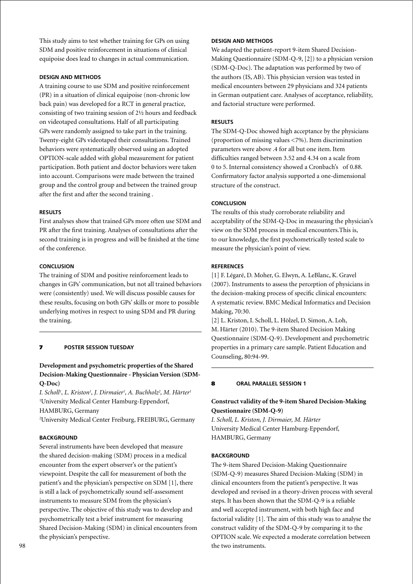This study aims to test whether training for GPs on using SDM and positive reinforcement in situations of clinical equipoise does lead to changes in actual communication.

## **Design and Methods**

A training course to use SDM and positive reinforcement (PR) in a situation of clinical equipoise (non-chronic low back pain) was developed for a RCT in general practice, consisting of two training session of 2½ hours and feedback on videotaped consultations. Half of all participating GPs were randomly assigned to take part in the training. Twenty-eight GPs videotaped their consultations. Trained behaviors were systematically observed using an adopted OPTION-scale added with global measurement for patient participation. Both patient and doctor behaviors were taken into account. Comparisons were made between the trained group and the control group and between the trained group after the first and after the second training .

### **Results**

First analyses show that trained GPs more often use SDM and PR after the first training. Analyses of consultations after the second training is in progress and will be finished at the time of the conference.

### **Conclusion**

The training of SDM and positive reinforcement leads to changes in GPs' communication, but not all trained behaviors were (consistently) used. We will discuss possible causes for these results, focusing on both GPs' skills or more to possible underlying motives in respect to using SDM and PR during the training.

# 7 **poster session Tuesday**

# **Development and psychometric properties of the Shared Decision-Making Questionnaire - Physician Version (SDM-Q-Doc)**

*I. Scholl1 , L. Kriston1 , J. Dirmaier1 , A. Buchholz2 , M. Härter1* 1 University Medical Center Hamburg-Eppendorf, HAMBURG, Germany

2 University Medical Center Freiburg, FREIBURG, Germany

# **BACKGROUND**

Several instruments have been developed that measure the shared decision-making (SDM) process in a medical encounter from the expert observer's or the patient's viewpoint. Despite the call for measurement of both the patient's and the physician's perspective on SDM [1], there is still a lack of psychometrically sound self-assessment instruments to measure SDM from the physician's perspective. The objective of this study was to develop and psychometrically test a brief instrument for measuring Shared Decision-Making (SDM) in clinical encounters from the physician's perspective.

# **Design and Methods**

We adapted the patient-report 9-item Shared Decision-Making Questionnaire (SDM-Q-9, [2]) to a physician version (SDM-Q-Doc). The adaptation was performed by two of the authors (IS, AB). This physician version was tested in medical encounters between 29 physicians and 324 patients in German outpatient care. Analyses of acceptance, reliability, and factorial structure were performed.

### **Results**

The SDM-Q-Doc showed high acceptance by the physicians (proportion of missing values <7%). Item discrimination parameters were above .4 for all but one item. Item difficulties ranged between 3.52 and 4.34 on a scale from 0 to 5. Internal consistency showed a Cronbach's of 0.88. Confirmatory factor analysis supported a one-dimensional structure of the construct.

### **Conclusion**

The results of this study corroborate reliability and acceptability of the SDM-Q-Doc in measuring the physician's view on the SDM process in medical encounters.This is, to our knowledge, the first psychometrically tested scale to measure the physician's point of view.

### **References**

[1] F. Légaré, D. Moher, G. Elwyn, A. LeBlanc, K. Gravel (2007). Instruments to assess the perception of physicians in the decision-making process of specific clinical encounters: A systematic review. BMC Medical Informatics and Decision Making, 70:30.

[2] L. Kriston, I. Scholl, L. Hölzel, D. Simon, A. Loh, M. Härter (2010). The 9-item Shared Decision Making Questionnaire (SDM-Q-9). Development and psychometric properties in a primary care sample. Patient Education and Counseling, 80:94-99.

## 8 **oral parallel session 1**

# **Construct validity of the 9-item Shared Decision-Making Questionnaire (SDM-Q-9)**

*I. Scholl, L. Kriston, J. Dirmaier, M. Härter* University Medical Center Hamburg-Eppendorf, HAMBURG, Germany

### **BACKGROUND**

The 9-item Shared Decision-Making Questionnaire (SDM-Q-9) measures Shared Decision-Making (SDM) in clinical encounters from the patient's perspective. It was developed and revised in a theory-driven process with several steps. It has been shown that the SDM-Q-9 is a reliable and well accepted instrument, with both high face and factorial validity [1]. The aim of this study was to analyse the construct validity of the SDM-Q-9 by comparing it to the OPTION scale. We expected a moderate correlation between the two instruments.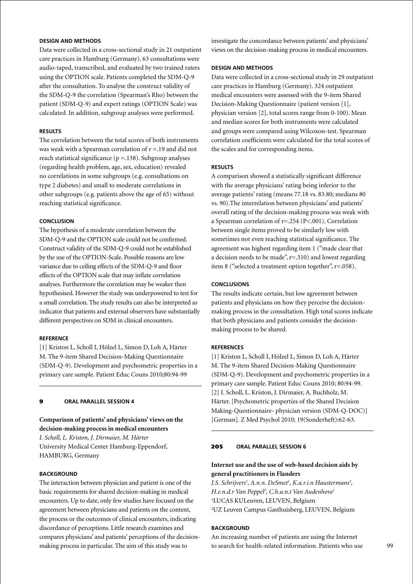# **Design and Methods**

Data were collected in a cross-sectional study in 21 outpatient care practices in Hamburg (Germany). 63 consultations were audio-taped, transcribed, and evaluated by two trained raters using the OPTION scale. Patients completed the SDM-Q-9 after the consultation. To analyse the construct validity of the SDM-Q-9 the correlation (Spearman's Rho) between the patient (SDM-Q-9) and expert ratings (OPTION Scale) was calculated. In addition, subgroup analyses were performed.

### **Results**

The correlation between the total scores of both instruments was weak with a Spearman correlation of  $r = 19$  and did not reach statistical significance ( $p = 138$ ). Subgroup analyses (regarding health problem, age, sex, education) revealed no correlations in some subgroups (e.g. consultations on type 2 diabetes) and small to moderate correlations in other subgroups (e.g. patients above the age of 65) without reaching statistical significance.

### **Conclusion**

The hypothesis of a moderate correlation between the SDM-Q-9 and the OPTION scale could not be confirmed. Construct validity of the SDM-Q-9 could not be established by the use of the OPTION-Scale. Possible reasons are low variance due to ceiling effects of the SDM-Q-9 and floor effects of the OPTION scale that may inflate correlation analyses. Furthermore the correlation may be weaker then hypothesised. However the study was underpowered to test for a small correlation. The study results can also be interpreted as indicator that patients and external observers have substantially different perspectives on SDM in clinical encounters.

#### **Reference**

[1] Kriston L, Scholl I, Hölzel L, Simon D, Loh A, Härter M. The 9-item Shared Decision-Making Questionnaire (SDM-Q-9). Development and psychometric properties in a primary care sample. Patient Educ Couns 2010;80:94-99

# 9 **oral parallel session 4**

# **Comparison of patients' and physicians' views on the decision-making process in medical encounters**

*I. Scholl, L. Kriston, J. Dirmaier, M. Härter* University Medical Center Hamburg-Eppendorf, HAMBURG, Germany

## **BACKGROUND**

The interaction between physician and patient is one of the basic requirements for shared decision-making in medical encounters. Up to date, only few studies have focused on the agreement between physicians and patients on the content, the process or the outcomes of clinical encounters, indicating discordance of perceptions. Little research examines and compares physicians' and patients' perceptions of the decisionmaking process in particular. The aim of this study was to

investigate the concordance between patients' and physicians' views on the decision-making process in medical encounters.

### **Design and Methods**

Data were collected in a cross-sectional study in 29 outpatient care practices in Hamburg (Germany). 324 outpatient medical encounters were assessed with the 9-item Shared Decision-Making Questionnaire (patient version [1], physician version [2], total scores range from 0-100). Mean and median scores for both instruments were calculated and groups were compared using Wilcoxon-test. Spearman correlation coefficients were calculated for the total scores of the scales and for corresponding items.

#### **Results**

A comparison showed a statistically significant difference with the average physicians' rating being inferior to the average patients' rating (means 77.18 vs. 83.80; medians 80 vs. 90).The interrelation between physicians' and patients' overall rating of the decision-making process was weak with a Spearman correlation of r=.254 (P<.001). Correlation between single items proved to be similarly low with sometimes not even reaching statistical significance. The agreement was highest regarding item 1 ("made clear that a decision needs to be made",  $r = .310$ ) and lowest regarding item 8 ("selected a treatment option together", r=.058).

# **Conclusions**

The results indicate certain, but low agreement between patients and physicians on how they perceive the decisionmaking process in the consultation. High total scores indicate that both physicians and patients consider the decisionmaking process to be shared.

### **References**

[1] Kriston L, Scholl I, Hölzel L, Simon D, Loh A, Härter M. The 9-item Shared Decision-Making Questionnaire (SDM-Q-9). Development and psychometric properties in a primary care sample. Patient Educ Couns 2010; 80:94-99. [2] I. Scholl, L. Kriston, J. Dirmaier, A. Buchholz, M. Härter. [Psychometric properties of the Shared Decision Making-Questionnaire- physician version (SDM-Q-DOC)] [German]. Z Med Psychol 2010; 19(Sonderheft):62-63.

### 205 **oral parallel session 6**

### **Internet use and the use of web-based decision aids by general practitioners in Flanders**

*J.S. Schrijvers<sup>1</sup>, A.n.n. DeSmet<sup>1</sup>, K.a.r.i.n Haustermans<sup>2</sup>, H.e.n.d.r Van Poppel2 , C.h.a.n.t Van Audenhove1* 1 LUCAS KULeuven, LEUVEN, Belgium 2 UZ Leuven Campus Gasthuisberg, LEUVEN, Belgium

### **BACKGROUND**

An increasing number of patients are using the Internet to search for health-related information. Patients who use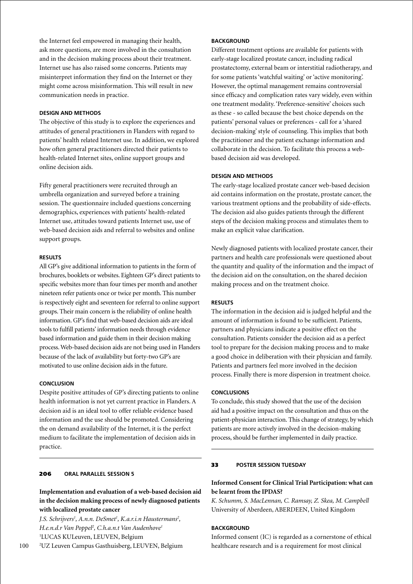the Internet feel empowered in managing their health, ask more questions, are more involved in the consultation and in the decision making process about their treatment. Internet use has also raised some concerns. Patients may misinterpret information they find on the Internet or they might come across misinformation. This will result in new communication needs in practice.

### **Design and Methods**

The objective of this study is to explore the experiences and attitudes of general practitioners in Flanders with regard to patients' health related Internet use. In addition, we explored how often general practitioners directed their patients to health-related Internet sites, online support groups and online decision aids.

Fifty general practitioners were recruited through an umbrella organization and surveyed before a training session. The questionnaire included questions concerning demographics, experiences with patients' health-related Internet use, attitudes toward patients Internet use, use of web-based decision aids and referral to websites and online support groups.

#### **Results**

All GP's give additional information to patients in the form of brochures, booklets or websites. Eighteen GP's direct patients to specific websites more than four times per month and another nineteen refer patients once or twice per month. This number is respectively eight and seventeen for referral to online support groups. Their main concern is the reliability of online health information. GP's find that web-based decision aids are ideal tools to fulfill patients' information needs through evidence based information and guide them in their decision making process. Web-based decision aids are not being used in Flanders because of the lack of availability but forty-two GP's are motivated to use online decision aids in the future.

## **Conclusion**

Despite positive attitudes of GP's directing patients to online health information is not yet current practice in Flanders. A decision aid is an ideal tool to offer reliable evidence based information and the use should be promoted. Considering the on demand availability of the Internet, it is the perfect medium to facilitate the implementation of decision aids in practice.

# 206 **oral parallel session 5**

# **Implementation and evaluation of a web-based decision aid in the decision making process of newly diagnosed patients with localized prostate cancer**

*J.S. Schrijvers1 , A.n.n. DeSmet1 , K.a.r.i.n Haustermans2 , H.e.n.d.r Van Poppel2 , C.h.a.n.t Van Audenhove1* 1 LUCAS KULeuven, LEUVEN, Belgium

100 2 UZ Leuven Campus Gasthuisberg, LEUVEN, Belgium

## **BACKGROUND**

Different treatment options are available for patients with early-stage localized prostate cancer, including radical prostatectomy, external beam or interstitial radiotherapy, and for some patients 'watchful waiting' or 'active monitoring'. However, the optimal management remains controversial since efficacy and complication rates vary widely, even within one treatment modality. 'Preference-sensitive' choices such as these - so called because the best choice depends on the patients' personal values or preferences - call for a 'shared decision-making' style of counseling. This implies that both the practitioner and the patient exchange information and collaborate in the decision. To facilitate this process a webbased decision aid was developed.

### **Design and Methods**

The early-stage localized prostate cancer web-based decision aid contains information on the prostate, prostate cancer, the various treatment options and the probability of side-effects. The decision aid also guides patients through the different steps of the decision making process and stimulates them to make an explicit value clarification.

Newly diagnosed patients with localized prostate cancer, their partners and health care professionals were questioned about the quantity and quality of the information and the impact of the decision aid on the consultation, on the shared decision making process and on the treatment choice.

# **Results**

The information in the decision aid is judged helpful and the amount of information is found to be sufficient. Patients, partners and physicians indicate a positive effect on the consultation. Patients consider the decision aid as a perfect tool to prepare for the decision making process and to make a good choice in deliberation with their physician and family. Patients and partners feel more involved in the decision process. Finally there is more dispersion in treatment choice.

#### **Conclusions**

To conclude, this study showed that the use of the decision aid had a positive impact on the consultation and thus on the patient-physician interaction. This change of strategy, by which patients are more actively involved in the decision-making process, should be further implemented in daily practice.

#### 33 **poster session Tuesday**

# **Informed Consent for Clinical Trial Participation: what can be learnt from the IPDAS?**

*K. Schumm, S. MacLennan, C. Ramsay, Z. Skea, M. Campbell* University of Aberdeen, ABERDEEN, United Kingdom

### **BACKGROUND**

Informed consent (IC) is regarded as a cornerstone of ethical healthcare research and is a requirement for most clinical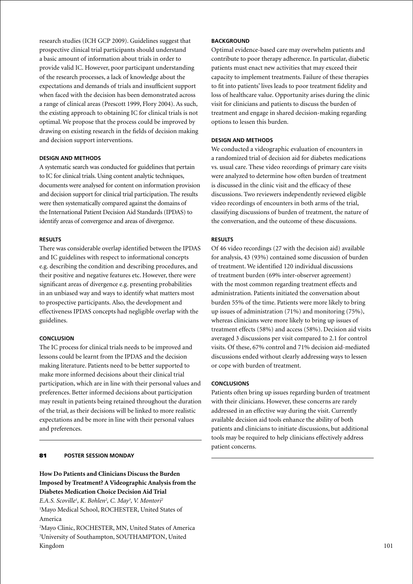research studies (ICH GCP 2009). Guidelines suggest that prospective clinical trial participants should understand a basic amount of information about trials in order to provide valid IC. However, poor participant understanding of the research processes, a lack of knowledge about the expectations and demands of trials and insufficient support when faced with the decision has been demonstrated across a range of clinical areas (Prescott 1999, Flory 2004). As such, the existing approach to obtaining IC for clinical trials is not optimal. We propose that the process could be improved by drawing on existing research in the fields of decision making and decision support interventions.

### **Design and Methods**

A systematic search was conducted for guidelines that pertain to IC for clinical trials. Using content analytic techniques, documents were analysed for content on information provision and decision support for clinical trial participation. The results were then systematically compared against the domains of the International Patient Decision Aid Standards (IPDAS) to identify areas of convergence and areas of divergence.

# **Results**

There was considerable overlap identified between the IPDAS and IC guidelines with respect to informational concepts e.g. describing the condition and describing procedures, and their positive and negative features etc. However, there were significant areas of divergence e.g. presenting probabilities in an unbiased way and ways to identify what matters most to prospective participants. Also, the development and effectiveness IPDAS concepts had negligible overlap with the guidelines.

#### **Conclusion**

The IC process for clinical trials needs to be improved and lessons could be learnt from the IPDAS and the decision making literature. Patients need to be better supported to make more informed decisions about their clinical trial participation, which are in line with their personal values and preferences. Better informed decisions about participation may result in patients being retained throughout the duration of the trial, as their decisions will be linked to more realistic expectations and be more in line with their personal values and preferences.

### 81 **poster Session Monday**

# **How Do Patients and Clinicians Discuss the Burden Imposed by Treatment? A Videographic Analysis from the Diabetes Medication Choice Decision Aid Trial**

*E.A.S. Scoville1 , K. Bohlen2 , C. May3 , V. Montori2* <sup>1</sup>Mayo Medical School, ROCHESTER, United States of America

2 Mayo Clinic, ROCHESTER, MN, United States of America 3 University of Southampton, SOUTHAMPTON, United Kingdom

# **BACKGROUND**

Optimal evidence-based care may overwhelm patients and contribute to poor therapy adherence. In particular, diabetic patients must enact new activities that may exceed their capacity to implement treatments. Failure of these therapies to fit into patients' lives leads to poor treatment fidelity and loss of healthcare value. Opportunity arises during the clinic visit for clinicians and patients to discuss the burden of treatment and engage in shared decision-making regarding options to lessen this burden.

# **Design and Methods**

We conducted a videographic evaluation of encounters in a randomized trial of decision aid for diabetes medications vs. usual care. These video recordings of primary care visits were analyzed to determine how often burden of treatment is discussed in the clinic visit and the efficacy of these discussions. Two reviewers independently reviewed eligible video recordings of encounters in both arms of the trial, classifying discussions of burden of treatment, the nature of the conversation, and the outcome of these discussions.

### **Results**

Of 46 video recordings (27 with the decision aid) available for analysis, 43 (93%) contained some discussion of burden of treatment. We identified 120 individual discussions of treatment burden (69% inter-observer agreement) with the most common regarding treatment effects and administration. Patients initiated the conversation about burden 55% of the time. Patients were more likely to bring up issues of administration (71%) and monitoring (75%), whereas clinicians were more likely to bring up issues of treatment effects (58%) and access (58%). Decision aid visits averaged 3 discussions per visit compared to 2.1 for control visits. Of these, 67% control and 71% decision aid-mediated discussions ended without clearly addressing ways to lessen or cope with burden of treatment.

### **Conclusions**

Patients often bring up issues regarding burden of treatment with their clinicians. However, these concerns are rarely addressed in an effective way during the visit. Currently available decision aid tools enhance the ability of both patients and clinicians to initiate discussions, but additional tools may be required to help clinicians effectively address patient concerns.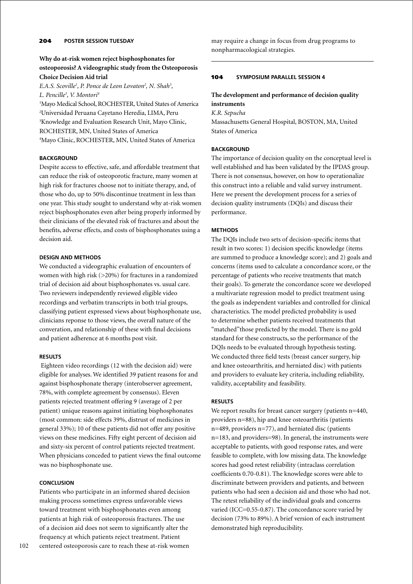# **Why do at-risk women reject bisphosphonates for osteoporosis? A videographic study from the Osteoporosis Choice Decision Aid trial**

*E.A.S. Scoville<sup>1</sup>, P. Ponce de Leon Lovaton<sup>2</sup>, N. Shah<sup>3</sup>,* 

*L. Pencille3 , V. Montori4* Mayo Medical School, ROCHESTER, United States of America Universidad Peruana Cayetano Heredia, LIMA, Peru Knowledge and Evaluation Research Unit, Mayo Clinic, ROCHESTER, MN, United States of America Mayo Clinic, ROCHESTER, MN, United States of America

# **BACKGROUND**

Despite access to effective, safe, and affordable treatment that can reduce the risk of osteoporotic fracture, many women at high risk for fractures choose not to initiate therapy, and, of those who do, up to 50% discontinue treatment in less than one year. This study sought to understand why at-risk women reject bisphosphonates even after being properly informed by their clinicians of the elevated risk of fractures and about the benefits, adverse effects, and costs of bisphosphonates using a decision aid.

# **Design and methods**

We conducted a videographic evaluation of encounters of women with high risk (>20%) for fractures in a randomized trial of decision aid about bisphosphonates vs. usual care. Two reviewers independently reviewed eligible video recordings and verbatim transcripts in both trial groups, classifying patient expressed views about bisphosphonate use, clinicians reponse to those views, the overall nature of the converation, and relationship of these with final decisions and patient adherence at 6 months post visit.

# **Results**

 Eighteen video recordings (12 with the decision aid) were eligible for analyses. We identified 39 patient reasons for and against bisphosphonate therapy (interobserver agreement, 78%, with complete agreement by consensus). Eleven patients rejected treatment offering 9 (average of 2 per patient) unique reasons against initiating bisphosphonates (most common: side effects 39%, distrust of medicines in general 33%); 10 of these patients did not offer any positive views on these medicines. Fifty eight percent of decision aid and sixty-six percent of control patients rejected treatment. When physicians conceded to patient views the final outcome was no bisphosphonate use.

# **Conclusion**

Patients who participate in an informed shared decision making process sometimes express unfavorable views toward treatment with bisphosphonates even among patients at high risk of osteoporosis fractures. The use of a decision aid does not seem to significantly alter the frequency at which patients reject treatment. Patient centered osteoporosis care to reach these at-risk women

may require a change in focus from drug programs to nonpharmacological strategies.

# 104 **Symposium parallel session 4**

# **The development and performance of decision quality instruments**

*K.R. Sepucha* Massachusetts General Hospital, BOSTON, MA, United States of America

# **BACKGROUND**

The importance of decision quality on the conceptual level is well established and has been validated by the IPDAS group. There is not consensus, however, on how to operationalize this construct into a reliable and valid survey instrument. Here we present the development process for a series of decision quality instruments (DQIs) and discuss their performance.

# **Methods**

The DQIs include two sets of decision-specific items that result in two scores: 1) decision specific knowledge (items are summed to produce a knowledge score); and 2) goals and concerns (items used to calculate a concordance score, or the percentage of patients who receive treatments that match their goals). To generate the concordance score we developed a multivariate regression model to predict treatment using the goals as independent variables and controlled for clinical characteristics. The model predicted probability is used to determine whether patients received treatments that "matched" those predicted by the model. There is no gold standard for these constructs, so the performance of the DQIs needs to be evaluated through hypothesis testing. We conducted three field tests (breast cancer surgery, hip and knee osteoarthritis, and herniated disc) with patients and providers to evaluate key criteria, including reliability, validity, acceptability and feasibility.

# **Results**

We report results for breast cancer surgery (patients n=440, providers n=88), hip and knee osteoarthritis (patients n=489, providers n=77), and herniated disc (patients n=183, and providers=98). In general, the instruments were acceptable to patients, with good response rates, and were feasible to complete, with low missing data. The knowledge scores had good retest reliability (intraclass correlation coefficients 0.70-0.81). The knowledge scores were able to discriminate between providers and patients, and between patients who had seen a decision aid and those who had not. The retest reliability of the individual goals and concerns varied (ICC=0.55-0.87). The concordance score varied by decision (73% to 89%). A brief version of each instrument demonstrated high reproducibility.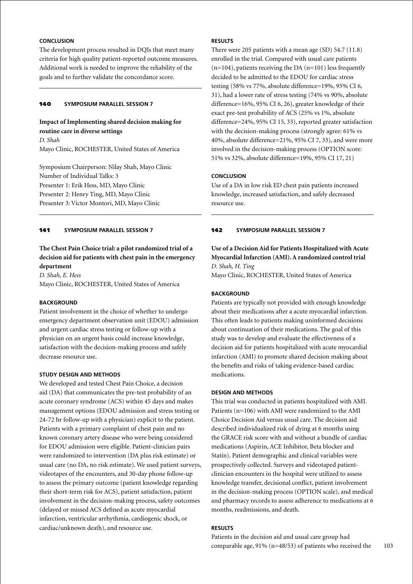# **Conclusion**

The development process resulted in DQIs that meet many criteria for high quality patient-reported outcome measures. Additional work is needed to improve the reliability of the goals and to further validate the concordance score.

# 140 **Symposium parallel session 7**

## **Impact of Implementing shared decision making for routine care in diverse settings**

*D. Shah* Mayo Clinic, ROCHESTER, United States of America

Symposium Chairperson: Nilay Shah, Mayo Clinic Number of Individual Talks: 3 Presenter 1: Erik Hess, MD, Mayo Clinic Presenter 2: Henry Ting, MD, Mayo Clinic Presenter 3: Victor Montori, MD, Mayo Clinic

### 141 **Symposium parallel session 7**

# **The Chest Pain Choice trial: a pilot randomized trial of a decision aid for patients with chest pain in the emergency department**

*D. Shah, E. Hess* Mayo Clinic, ROCHESTER, United States of America

# **BACKGROUND**

Patient involvement in the choice of whether to undergo emergency department observation unit (EDOU) admission and urgent cardiac stress testing or follow-up with a physician on an urgent basis could increase knowledge, satisfaction with the decision-making process and safely decrease resource use.

#### **Study Design and Methods**

We developed and tested Chest Pain Choice, a decision aid (DA) that communicates the pre-test probability of an acute coronary syndrome (ACS) within 45 days and makes management options (EDOU admission and stress testing or 24-72 hr follow-up with a physician) explicit to the patient. Patients with a primary complaint of chest pain and no known coronary artery disease who were being considered for EDOU admission were eligible. Patient-clinician pairs were randomized to intervention (DA plus risk estimate) or usual care (no DA, no risk estimate). We used patient surveys, videotapes of the encounters, and 30-day phone follow-up to assess the primary outcome (patient knowledge regarding their short-term risk for ACS), patient satisfaction, patient involvement in the decision-making process, safety outcomes (delayed or missed ACS defined as acute myocardial infarction, ventricular arrhythmia, cardiogenic shock, or cardiac/unknown death), and resource use.

# **Results**

There were 205 patients with a mean age (SD) 54.7 (11.8) enrolled in the trial. Compared with usual care patients  $(n=104)$ , patients receiving the DA  $(n=101)$  less frequently decided to be admitted to the EDOU for cardiac stress testing (58% vs 77%, absolute difference=19%, 95% CI 6, 31), had a lower rate of stress testing (74% vs 90%, absolute difference=16%, 95% CI 6, 26), greater knowledge of their exact pre-test probability of ACS (25% vs 1%, absolute difference=24%, 95% CI 15, 33), reported greater satisfaction with the decision-making process (strongly agree: 61% vs 40%, absolute difference=21%, 95% CI 7, 33), and were more involved in the decision-making process (OPTION score: 51% vs 32%, absolute difference=19%, 95% CI 17, 21)

### **Conclusion**

Use of a DA in low risk ED chest pain patients increased knowledge, increased satisfaction, and safely decreased resource use.

### 142 **Symposium parallel session 7**

# **Use of a Decision Aid for Patients Hospitalized with Acute Myocardial Infarction (AMI). A randomized control trial** *D. Shah, H. Ting*

Mayo Clinic, ROCHESTER, United States of America

#### **BACKGROUND**

Patients are typically not provided with enough knowledge about their medications after a acute myocardial infarction. This often leads to patients making uninformed decisions about continuation of their medications. The goal of this study was to develop and evaluate the effectiveness of a decision aid for patients hospitalized with acute myocardial infarction (AMI) to promote shared decision making about the benefits and risks of taking evidence-based cardiac medications.

#### **Design and Methods**

This trial was conducted in patients hospitalized with AMI. Patients (n=106) with AMI were randomized to the AMI Choice Decision Aid versus usual care. The decision aid described individualized risk of dying at 6 months using the GRACE risk score with and without a bundle of cardiac medications (Aspirin, ACE Inhibitor, Beta blocker and Statin). Patient demographic and clinical variables were prospectively collected. Surveys and videotaped patientclinician encounters in the hospital were utilized to assess knowledge transfer, decisional conflict, patient involvement in the decision-making process (OPTION scale), and medical and pharmacy records to assess adherence to medications at 6 months, readmissions, and death.

### **Results**

Patients in the decision aid and usual care group had comparable age, 91% (n=48/53) of patients who received the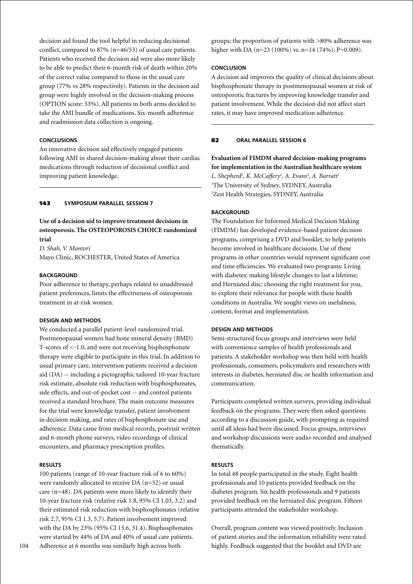decision aid found the tool helpful in reducing decisional conflict, compared to 87% (n=46/53) of usual care patients. Patients who received the decision aid were also more likely to be able to predict their 6-month risk of death within 20% of the correct value compared to those in the usual care group (77% vs 28% respectively). Patients in the decision aid group were highly involved in the decision-making process (OPTION score: 53%). All patients in both arms decided to take the AMI bundle of medications. Six-month adherence and readmission data collection is ongoing.

### **Conclusions**

An innovative decision aid effectively engaged patients following AMI in shared decision-making about their cardiac medications through reduction of decisional conflict and improving patient knowledge.

## 143 **Symposium parallel session 7**

# **Use of a decision aid to improve treatment decisions in osteoporosis. The OSTEOPOROSIS CHOICE randomized trial**

*D. Shah, V. Montori* Mayo Clinic, ROCHESTER, United States of America

#### **BACKGROUND**

Poor adherence to therapy, perhaps related to unaddressed patient preferences, limits the effectiveness of osteoporosis treatment in at-risk women.

### **Design and Methods**

We conducted a parallel patient-level randomized trial. Postmenopausal women had bone mineral density (BMD) T-scores of <-1.0, and were not receiving bisphosphonate therapy were eligible to participate in this trial. In addition to usual primary care, intervention patients received a decision aid (DA) -- including a pictographic tailored 10-year fracture risk estimate, absolute risk reduction with bisphosphonates, side effects, and out-of-pocket cost -- and control patients received a standard brochure. The main outcome measures for the trial were knowledge transfer, patient involvement in decision making, and rates of bisphosphonate use and adherence. Data came from medical records, postvisit written and 6-month phone surveys, video recordings of clinical encounters, and pharmacy prescription profiles.

#### **Results**

100 patients (range of 10-year fracture risk of 6 to 60%) were randomly allocated to receive DA (n=52) or usual care (n=48). DA patients were more likely to identify their 10-year fracture risk (relative risk 1.8, 95% CI 1.03, 3.2) and their estimated risk reduction with bisphosphonates (relative risk 2.7, 95% CI 1.3, 5.7). Patient involvement improved with the DA by 23% (95% CI 13.6, 31.4). Bisphosphonates were started by 44% of DA and 40% of usual care patients. Adherence at 6 months was similarly high across both

groups; the proportion of patients with >80% adherence was higher with DA (n=23 (100%) vs. n=14 (74%); P=0.009).

### **Conclusion**

A decision aid improves the quality of clinical decisions about bisphosphonate therapy in postmenopausal women at risk of osteoporotic fractures by improving knowledge transfer and patient involvement. While the decision did not affect start rates, it may have improved medication adherence.

### 82 **oral parallel session 6**

**Evaluation of FIMDM shared decision-making programs for implementation in the Australian healthcare system** L. Shepherd<sup>1</sup>, K. McCaffery<sup>1</sup>, A. Evans<sup>2</sup>, A. Barratt<sup>1</sup> 1 The University of Sydney, SYDNEY, Australia 2 Zest Health Strategies, SYDNEY, Australia

#### **BACKGROUND**

The Foundation for Informed Medical Decision Making (FIMDM) has developed evidence-based patient decision programs, comprising a DVD and booklet, to help patients become involved in healthcare decisions. Use of these programs in other countries would represent significant cost and time efficiencies. We evaluated two programs: Living with diabetes: making lifestyle changes to last a lifetime; and Herniated disc: choosing the right treatment for you, to explore their relevance for people with these health conditions in Australia. We sought views on usefulness, content, format and implementation.

## **Design and Methods**

Semi-structured focus groups and interviews were held with convenience samples of health professionals and patients. A stakeholder workshop was then held with health professionals, consumers, policymakers and researchers with interests in diabetes, herniated disc or health information and communication.

Participants completed written surveys, providing individual feedback on the programs. They were then asked questions according to a discussion guide, with prompting as required until all ideas had been discussed. Focus groups, interviews and workshop discussions were audio-recorded and analysed thematically.

#### **Results**

In total 48 people participated in the study. Eight health professionals and 10 patients provided feedback on the diabetes program. Six health professionals and 9 patients provided feedback on the herniated disc program. Fifteen participants attended the stakeholder workshop.

Overall, program content was viewed positively. Inclusion of patient stories and the information reliability were rated highly. Feedback suggested that the booklet and DVD are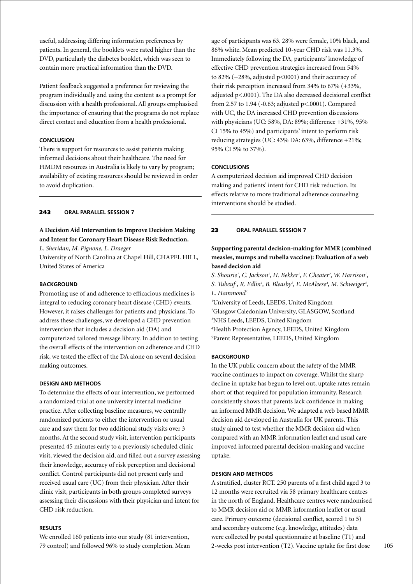useful, addressing differing information preferences by patients. In general, the booklets were rated higher than the DVD, particularly the diabetes booklet, which was seen to contain more practical information than the DVD.

Patient feedback suggested a preference for reviewing the program individually and using the content as a prompt for discussion with a health professional. All groups emphasised the importance of ensuring that the programs do not replace direct contact and education from a health professional.

## **Conclusion**

There is support for resources to assist patients making informed decisions about their healthcare. The need for FIMDM resources in Australia is likely to vary by program; availability of existing resources should be reviewed in order to avoid duplication.

### 243 **oral parallel session 7**

# **A Decision Aid Intervention to Improve Decision Making and Intent for Coronary Heart Disease Risk Reduction.**

*L. Sheridan, M. Pignone, L. Draeger*

University of North Carolina at Chapel Hill, CHAPEL HILL, United States of America

# **BACKGROUND**

Promoting use of and adherence to efficacious medicines is integral to reducing coronary heart disease (CHD) events. However, it raises challenges for patients and physicians. To address these challenges, we developed a CHD prevention intervention that includes a decision aid (DA) and computerized tailored message library. In addition to testing the overall effects of the intervention on adherence and CHD risk, we tested the effect of the DA alone on several decision making outcomes.

## **Design and Methods**

To determine the effects of our intervention, we performed a randomized trial at one university internal medicine practice. After collecting baseline measures, we centrally randomized patients to either the intervention or usual care and saw them for two additional study visits over 3 months. At the second study visit, intervention participants presented 45 minutes early to a previously scheduled clinic visit, viewed the decision aid, and filled out a survey assessing their knowledge, accuracy of risk perception and decisional conflict. Control participants did not present early and received usual care (UC) from their physician. After their clinic visit, participants in both groups completed surveys assessing their discussions with their physician and intent for CHD risk reduction.

# **Results**

We enrolled 160 patients into our study (81 intervention, 79 control) and followed 96% to study completion. Mean

age of participants was 63. 28% were female, 10% black, and 86% white. Mean predicted 10-year CHD risk was 11.3%. Immediately following the DA, participants' knowledge of effective CHD prevention strategies increased from 54% to 82% (+28%, adjusted p<0001) and their accuracy of their risk perception increased from 34% to 67% (+33%, adjusted p<.0001). The DA also decreased decisional conflict from 2.57 to 1.94 (-0.63; adjusted p<.0001). Compared with UC, the DA increased CHD prevention discussions with physicians (UC: 58%, DA: 89%; difference +31%, 95% CI 15% to 45%) and participants' intent to perform risk reducing strategies (UC: 43% DA: 63%, difference +21%; 95% CI 5% to 37%).

### **Conclusions**

A computerized decision aid improved CHD decision making and patients' intent for CHD risk reduction. Its effects relative to more traditional adherence counseling interventions should be studied.

### 23 **oral parallel session 7**

# **Supporting parental decision-making for MMR (combined measles, mumps and rubella vaccine): Evaluation of a web based decision aid**

S. Shourie<sup>1</sup>, C. Jackson<sup>1</sup>, H. Bekker<sup>1</sup>, F. Cheater<sup>2</sup>, W. Harrison<sup>1</sup>, *S. Tubeuf<sup>1</sup>*, *R. Edlin<sup>1</sup>*, *B. Bleasby<sup>3</sup>, <i>E. McAleese<sup>4</sup>, M. Schweiger<sup>4</sup>, L. Hammond5*

1 University of Leeds, LEEDS, United Kingdom 2 Glasgow Caledonian University, GLASGOW, Scotland 3 NHS Leeds, LEEDS, United Kingdom

4 Health Protection Agency, LEEDS, United Kingdom 5 Parent Representative, LEEDS, United Kingdom

### **BACKGROUND**

In the UK public concern about the safety of the MMR vaccine continues to impact on coverage. Whilst the sharp decline in uptake has begun to level out, uptake rates remain short of that required for population immunity. Research consistently shows that parents lack confidence in making an informed MMR decision. We adapted a web based MMR decision aid developed in Australia for UK parents. This study aimed to test whether the MMR decision aid when compared with an MMR information leaflet and usual care improved informed parental decision-making and vaccine uptake.

## **Design and Methods**

A stratified, cluster RCT. 250 parents of a first child aged 3 to 12 months were recruited via 58 primary healthcare centres in the north of England. Healthcare centres were randomised to MMR decision aid or MMR information leaflet or usual care. Primary outcome (decisional conflict, scored 1 to 5) and secondary outcome (e.g. knowledge, attitudes) data were collected by postal questionnaire at baseline (T1) and 2-weeks post intervention (T2). Vaccine uptake for first dose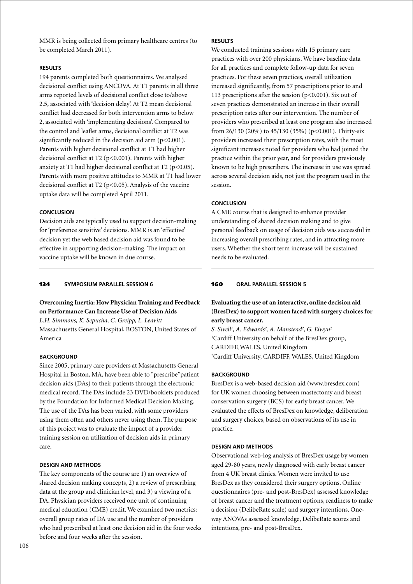MMR is being collected from primary healthcare centres (to be completed March 2011).

# **Results**

194 parents completed both questionnaires. We analysed decisional conflict using ANCOVA. At T1 parents in all three arms reported levels of decisional conflict close to/above 2.5, associated with 'decision delay'. At T2 mean decisional conflict had decreased for both intervention arms to below 2, associated with 'implementing decisions'. Compared to the control and leaflet arms, decisional conflict at T2 was significantly reduced in the decision aid arm  $(p<0.001)$ . Parents with higher decisional conflict at T1 had higher decisional conflict at T2 (p<0.001). Parents with higher anxiety at T1 had higher decisional conflict at T2 ( $p<0.05$ ). Parents with more positive attitudes to MMR at T1 had lower decisional conflict at T2 ( $p$ <0.05). Analysis of the vaccine uptake data will be completed April 2011.

# **Conclusion**

Decision aids are typically used to support decision-making for 'preference sensitive' decisions. MMR is an 'effective' decision yet the web based decision aid was found to be effective in supporting decision-making. The impact on vaccine uptake will be known in due course.

# 134 **Symposium parallel session 6**

# **Overcoming Inertia: How Physician Training and Feedback on Performance Can Increase Use of Decision Aids** *L.H. Simmons, K. Sepucha, C. Greipp, L. Leavitt*

Massachusetts General Hospital, BOSTON, United States of America

### **BACKGROUND**

Since 2005, primary care providers at Massachusetts General Hospital in Boston, MA, have been able to "prescribe"patient decision aids (DAs) to their patients through the electronic medical record. The DAs include 23 DVD/booklets produced by the Foundation for Informed Medical Decision Making. The use of the DAs has been varied, with some providers using them often and others never using them. The purpose of this project was to evaluate the impact of a provider training session on utilization of decision aids in primary care.

### **Design and Methods**

The key components of the course are 1) an overview of shared decision making concepts, 2) a review of prescribing data at the group and clinician level, and 3) a viewing of a DA. Physician providers received one unit of continuing medical education (CME) credit. We examined two metrics: overall group rates of DA use and the number of providers who had prescribed at least one decision aid in the four weeks before and four weeks after the session.

# **Results**

We conducted training sessions with 15 primary care practices with over 200 physicians. We have baseline data for all practices and complete follow-up data for seven practices. For these seven practices, overall utilization increased significantly, from 57 prescriptions prior to and 113 prescriptions after the session (p<0.001). Six out of seven practices demonstrated an increase in their overall prescription rates after our intervention. The number of providers who prescribed at least one program also increased from 26/130 (20%) to 45/130 (35%) (p<0.001). Thirty-six providers increased their prescription rates, with the most significant increases noted for providers who had joined the practice within the prior year, and for providers previously known to be high prescribers. The increase in use was spread across several decision aids, not just the program used in the session.

### **Conclusion**

A CME course that is designed to enhance provider understanding of shared decision making and to give personal feedback on usage of decision aids was successful in increasing overall prescribing rates, and in attracting more users. Whether the short term increase will be sustained needs to be evaluated.

# 160 **oral parallel session 5**

# **Evaluating the use of an interactive, online decision aid (BresDex) to support women faced with surgery choices for early breast cancer.**

*S. Sivell1 , A. Edwards2 , A. Manstead2 , G. Elwyn2* 1 Cardiff University on behalf of the BresDex group, CARDIFF, WALES, United Kingdom 2 Cardiff University, CARDIFF, WALES, United Kingdom

### **BACKGROUND**

BresDex is a web-based decision aid (www.bresdex.com) for UK women choosing between mastectomy and breast conservation surgery (BCS) for early breast cancer. We evaluated the effects of BresDex on knowledge, deliberation and surgery choices, based on observations of its use in practice.

### **Design and Methods**

Observational web-log analysis of BresDex usage by women aged 29-80 years, newly diagnosed with early breast cancer from 4 UK breast clinics. Women were invited to use BresDex as they considered their surgery options. Online questionnaires (pre- and post-BresDex) assessed knowledge of breast cancer and the treatment options, readiness to make a decision (DelibeRate scale) and surgery intentions. Oneway ANOVAs assessed knowledge, DelibeRate scores and intentions, pre- and post-BresDex.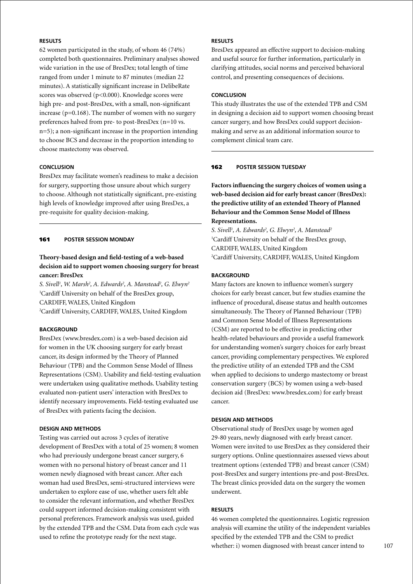# **Results**

62 women participated in the study, of whom 46 (74%) completed both questionnaires. Preliminary analyses showed wide variation in the use of BresDex; total length of time ranged from under 1 minute to 87 minutes (median 22 minutes). A statistically significant increase in DelibeRate scores was observed (p<0.000). Knowledge scores were high pre- and post-BresDex, with a small, non-significant increase ( $p=0.168$ ). The number of women with no surgery preferences halved from pre- to post-BresDex (n=10 vs. n=5); a non-significant increase in the proportion intending to choose BCS and decrease in the proportion intending to choose mastectomy was observed.

### **Conclusion**

BresDex may facilitate women's readiness to make a decision for surgery, supporting those unsure about which surgery to choose. Although not statistically significant, pre-existing high levels of knowledge improved after using BresDex, a pre-requisite for quality decision-making.

### 161 **poster Session Monday**

# **Theory-based design and field-testing of a web-based decision aid to support women choosing surgery for breast cancer: BresDex**

*S. Sivell1 , W. Marsh2 , A. Edwards2 , A. Manstead2 , G. Elwyn2* 1 Cardiff University on behalf of the BresDex group, CARDIFF, WALES, United Kingdom 2 Cardiff University, CARDIFF, WALES, United Kingdom

## **BACKGROUND**

BresDex (www.bresdex.com) is a web-based decision aid for women in the UK choosing surgery for early breast cancer, its design informed by the Theory of Planned Behaviour (TPB) and the Common Sense Model of Illness Representations (CSM). Usability and field-testing evaluation were undertaken using qualitative methods. Usability testing evaluated non-patient users' interaction with BresDex to identify necessary improvements. Field-testing evaluated use of BresDex with patients facing the decision.

# **Design and Methods**

Testing was carried out across 3 cycles of iterative development of BresDex with a total of 25 women; 8 women who had previously undergone breast cancer surgery, 6 women with no personal history of breast cancer and 11 women newly diagnosed with breast cancer. After each woman had used BresDex, semi-structured interviews were undertaken to explore ease of use, whether users felt able to consider the relevant information, and whether BresDex could support informed decision-making consistent with personal preferences. Framework analysis was used, guided by the extended TPB and the CSM. Data from each cycle was used to refine the prototype ready for the next stage.

# **Results**

BresDex appeared an effective support to decision-making and useful source for further information, particularly in clarifying attitudes, social norms and perceived behavioral control, and presenting consequences of decisions.

### **Conclusion**

This study illustrates the use of the extended TPB and CSM in designing a decision aid to support women choosing breast cancer surgery, and how BresDex could support decisionmaking and serve as an additional information source to complement clinical team care.

#### 162 **poster session Tuesday**

**Factors influencing the surgery choices of women using a web-based decision aid for early breast cancer (BresDex): the predictive utility of an extended Theory of Planned Behaviour and the Common Sense Model of Illness Representations.**

*S. Sivell1 , A. Edwards2 , G. Elwyn2 , A. Manstead2* 1 Cardiff University on behalf of the BresDex group, CARDIFF, WALES, United Kingdom 2 Cardiff University, CARDIFF, WALES, United Kingdom

### **BACKGROUND**

Many factors are known to influence women's surgery choices for early breast cancer, but few studies examine the influence of procedural, disease status and health outcomes simultaneously. The Theory of Planned Behaviour (TPB) and Common Sense Model of Illness Representations (CSM) are reported to be effective in predicting other health-related behaviours and provide a useful framework for understanding women's surgery choices for early breast cancer, providing complementary perspectives. We explored the predictive utility of an extended TPB and the CSM when applied to decisions to undergo mastectomy or breast conservation surgery (BCS) by women using a web-based decision aid (BresDex: www.bresdex.com) for early breast cancer.

### **Design and Methods**

Observational study of BresDex usage by women aged 29-80 years, newly diagnosed with early breast cancer. Women were invited to use BresDex as they considered their surgery options. Online questionnaires assessed views about treatment options (extended TPB) and breast cancer (CSM) post-BresDex and surgery intentions pre-and post-BresDex. The breast clinics provided data on the surgery the women underwent.

#### **Results**

46 women completed the questionnaires. Logistic regression analysis will examine the utility of the independent variables specified by the extended TPB and the CSM to predict whether: i) women diagnosed with breast cancer intend to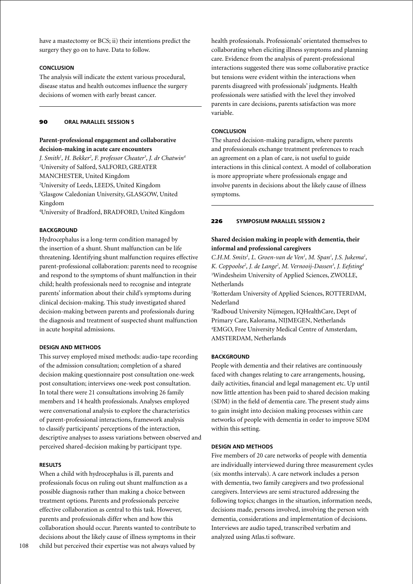have a mastectomy or BCS; ii) their intentions predict the surgery they go on to have. Data to follow.

### **Conclusion**

The analysis will indicate the extent various procedural, disease status and health outcomes influence the surgery decisions of women with early breast cancer.

### 90 **oral parallel session 5**

# **Parent-professional engagement and collaborative decision-making in acute care encounters**

*J. Smith1 , H. Bekker2 , F. professor Cheater3 , J. dr Chatwin4* 1 University of Salford, SALFORD, GREATER MANCHESTER, United Kingdom 2 University of Leeds, LEEDS, United Kingdom 3 Glasgow Caledonian University, GLASGOW, United Kingdom

4 University of Bradford, BRADFORD, United Kingdom

# **BACKGROUND**

Hydrocephalus is a long-term condition managed by the insertion of a shunt. Shunt malfunction can be life threatening. Identifying shunt malfunction requires effective parent-professional collaboration: parents need to recognise and respond to the symptoms of shunt malfunction in their child; health professionals need to recognise and integrate parents' information about their child's symptoms during clinical decision-making. This study investigated shared decision-making between parents and professionals during the diagnosis and treatment of suspected shunt malfunction in acute hospital admissions.

## **Design and Methods**

This survey employed mixed methods: audio-tape recording of the admission consultation; completion of a shared decision making questionnaire post consultation one-week post consultation; interviews one-week post consultation. In total there were 21 consultations involving 26 family members and 14 health professionals. Analyses employed were conversational analysis to explore the characteristics of parent-professional interactions, framework analysis to classify participants' perceptions of the interaction, descriptive analyses to assess variations between observed and perceived shared-decision making by participant type.

### **Results**

When a child with hydrocephalus is ill, parents and professionals focus on ruling out shunt malfunction as a possible diagnosis rather than making a choice between treatment options. Parents and professionals perceive effective collaboration as central to this task. However, parents and professionals differ when and how this collaboration should occur. Parents wanted to contribute to decisions about the likely cause of illness symptoms in their child but perceived their expertise was not always valued by

health professionals. Professionals' orientated themselves to collaborating when eliciting illness symptoms and planning care. Evidence from the analysis of parent-professional interactions suggested there was some collaborative practice but tensions were evident within the interactions when parents disagreed with professionals' judgments. Health professionals were satisfied with the level they involved parents in care decisions, parents satisfaction was more variable.

### **Conclusion**

The shared decision-making paradigm, where parents and professionals exchange treatment preferences to reach an agreement on a plan of care, is not useful to guide interactions in this clinical context. A model of collaboration is more appropriate where professionals engage and involve parents in decisions about the likely cause of illness symptoms.

#### 226 **Symposium parallel session 2**

# **Shared decision making in people with dementia, their informal and professional caregivers**

*C.H.M. Smits<sup>1</sup>, L. Groen-van de Ven<sup>1</sup>, M. Span<sup>1</sup>, J.S. Jukema<sup>1</sup>,* K. Coppoolse<sup>2</sup>, J. de Lange<sup>2</sup>, M. Vernooij-Dassen<sup>3</sup>, J. Eefsting<sup>4</sup> 1 Windesheim University of Applied Sciences, ZWOLLE, Netherlands

2 Rotterdam University of Applied Sciences, ROTTERDAM, Nederland

3 Radboud University Nijmegen, IQHealthCare, Dept of Primary Care, Kalorama, NIJMEGEN, Netherlands 4 EMGO, Free University Medical Centre of Amsterdam, AMSTERDAM, Netherlands

### **BACKGROUND**

People with dementia and their relatives are continuously faced with changes relating to care arrangements, housing, daily activities, financial and legal management etc. Up until now little attention has been paid to shared decision making (SDM) in the field of dementia care. The present study aims to gain insight into decision making processes within care networks of people with dementia in order to improve SDM within this setting.

### **Design and Methods**

Five members of 20 care networks of people with dementia are individually interviewed during three measurement cycles (six months intervals). A care network includes a person with dementia, two family caregivers and two professional caregivers. Interviews are semi structured addressing the following topics; changes in the situation, information needs, decisions made, persons involved, involving the person with dementia, considerations and implementation of decisions. Interviews are audio taped, transcribed verbatim and analyzed using Atlas.ti software.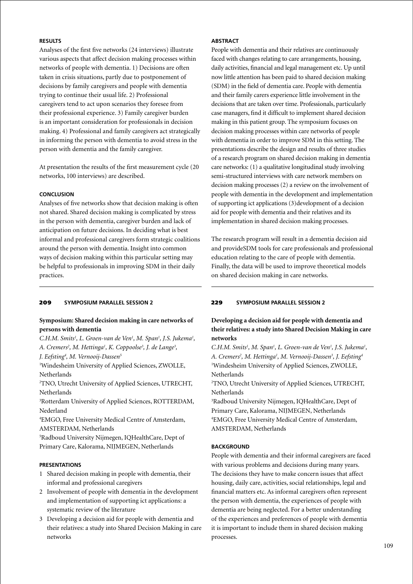# **Results**

Analyses of the first five networks (24 interviews) illustrate various aspects that affect decision making processes within networks of people with dementia. 1) Decisions are often taken in crisis situations, partly due to postponement of decisions by family caregivers and people with dementia trying to continue their usual life. 2) Professional caregivers tend to act upon scenarios they foresee from their professional experience. 3) Family caregiver burden is an important consideration for professionals in decision making. 4) Professional and family caregivers act strategically in informing the person with dementia to avoid stress in the person with dementia and the family caregiver.

At presentation the results of the first measurement cycle (20 networks, 100 interviews) are described.

# **Conclusion**

Analyses of five networks show that decision making is often not shared. Shared decision making is complicated by stress in the person with dementia, caregiver burden and lack of anticipation on future decisions. In deciding what is best informal and professional caregivers form strategic coalitions around the person with dementia. Insight into common ways of decision making within this particular setting may be helpful to professionals in improving SDM in their daily practices.

### 209 **Symposium parallel session 2**

# **Symposium: Shared decision making in care networks of persons with dementia**

*C.H.M. Smits<sup>1</sup>, L. Groen-van de Ven<sup>1</sup>, M. Span<sup>1</sup>, J.S. Jukema<sup>1</sup>,* A. Cremers<sup>2</sup>, M. Hettinga<sup>1</sup>, K. Coppoolse<sup>3</sup>, J. de Lange<sup>3</sup>,

*J. Eefsting4 , M. Vernooij-Dassen5*

1 Windesheim University of Applied Sciences, ZWOLLE, Netherlands

2 TNO, Utrecht University of Applied Sciences, UTRECHT, Netherlands

3 Rotterdam University of Applied Sciences, ROTTERDAM, Nederland

4 EMGO, Free University Medical Centre of Amsterdam, AMSTERDAM, Netherlands

5 Radboud University Nijmegen, IQHealthCare, Dept of Primary Care, Kalorama, NIJMEGEN, Netherlands

### **Presentations**

- 1 Shared decision making in people with dementia, their informal and professional caregivers
- 2 Involvement of people with dementia in the development and implementation of supporting ict applications: a systematic review of the literature
- 3 Developing a decision aid for people with dementia and their relatives: a study into Shared Decision Making in care networks

### **Abstract**

People with dementia and their relatives are continuously faced with changes relating to care arrangements, housing, daily activities, financial and legal management etc. Up until now little attention has been paid to shared decision making (SDM) in the field of dementia care. People with dementia and their family carers experience little involvement in the decisions that are taken over time. Professionals, particularly case managers, find it difficult to implement shared decision making in this patient group. The symposium focuses on decision making processes within care networks of people with dementia in order to improve SDM in this setting. The presentations describe the design and results of three studies of a research program on shared decision making in dementia care networks: (1) a qualitative longitudinal study involving semi-structured interviews with care network members on decision making processes (2) a review on the involvement of people with dementia in the development and implementation of supporting ict applications (3)development of a decision aid for people with dementia and their relatives and its implementation in shared decision making processes.

The research program will result in a dementia decision aid and provideSDM tools for care professionals and professional education relating to the care of people with dementia. Finally, the data will be used to improve theoretical models on shared decision making in care networks.

# 229 **Symposium parallel session 2**

# **Developing a decision aid for people with dementia and their relatives: a study into Shared Decision Making in care networks**

C.H.M. Smits<sup>1</sup>, M. Span<sup>1</sup>, L. Groen-van de Ven<sup>1</sup>, J.S. Jukema<sup>1</sup>, *A. Cremers2 , M. Hettinga1 , M. Vernooij-Dassen3 , J. Eefsting4* <sup>1</sup>Windesheim University of Applied Sciences, ZWOLLE, Netherlands

2 TNO, Utrecht University of Applied Sciences, UTRECHT, Netherlands

3 Radboud University Nijmegen, IQHealthCare, Dept of Primary Care, Kalorama, NIJMEGEN, Netherlands 4 EMGO, Free University Medical Centre of Amsterdam, AMSTERDAM, Netherlands

### **BACKGROUND**

People with dementia and their informal caregivers are faced with various problems and decisions during many years. The decisions they have to make concern issues that affect housing, daily care, activities, social relationships, legal and financial matters etc. As informal caregivers often represent the person with dementia, the experiences of people with dementia are being neglected. For a better understanding of the experiences and preferences of people with dementia it is important to include them in shared decision making processes.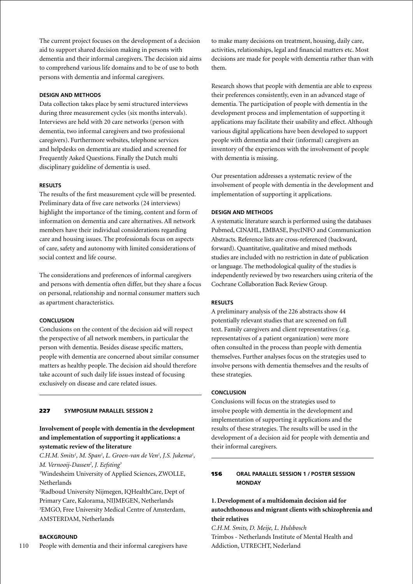The current project focuses on the development of a decision aid to support shared decision making in persons with dementia and their informal caregivers. The decision aid aims to comprehend various life domains and to be of use to both persons with dementia and informal caregivers.

### **Design and Methods**

Data collection takes place by semi structured interviews during three measurement cycles (six months intervals). Interviews are held with 20 care networks (person with dementia, two informal caregivers and two professional caregivers). Furthermore websites, telephone services and helpdesks on dementia are studied and screened for Frequently Asked Questions. Finally the Dutch multi disciplinary guideline of dementia is used.

### **Results**

The results of the first measurement cycle will be presented. Preliminary data of five care networks (24 interviews) highlight the importance of the timing, content and form of information on dementia and care alternatives. All network members have their individual considerations regarding care and housing issues. The professionals focus on aspects of care, safety and autonomy with limited considerations of social context and life course.

The considerations and preferences of informal caregivers and persons with dementia often differ, but they share a focus on personal, relationship and normal consumer matters such as apartment characteristics.

# **Conclusion**

Conclusions on the content of the decision aid will respect the perspective of all network members, in particular the person with dementia. Besides disease specific matters, people with dementia are concerned about similar consumer matters as healthy people. The decision aid should therefore take account of such daily life issues instead of focusing exclusively on disease and care related issues.

### 227 **Symposium parallel session 2**

# **Involvement of people with dementia in the development and implementation of supporting it applications: a systematic review of the literature**

C.H.M. Smits<sup>1</sup>, M. Span<sup>1</sup>, L. Groen-van de Ven<sup>1</sup>, J.S. Jukema<sup>1</sup>, *M. Vernooij-Dassen2 , J. Eefsting3*

1 Windesheim University of Applied Sciences, ZWOLLE, Netherlands

2 Radboud University Nijmegen, IQHealthCare, Dept of Primary Care, Kalorama, NIJMEGEN, Netherlands 3 EMGO, Free University Medical Centre of Amsterdam, AMSTERDAM, Netherlands

#### **BACKGROUND**

110 People with dementia and their informal caregivers have

to make many decisions on treatment, housing, daily care, activities, relationships, legal and financial matters etc. Most decisions are made for people with dementia rather than with them.

Research shows that people with dementia are able to express their preferences consistently, even in an advanced stage of dementia. The participation of people with dementia in the development process and implementation of supporting it applications may facilitate their usability and effect. Although various digital applications have been developed to support people with dementia and their (informal) caregivers an inventory of the experiences with the involvement of people with dementia is missing.

Our presentation addresses a systematic review of the involvement of people with dementia in the development and implementation of supporting it applications.

### **Design and Methods**

A systematic literature search is performed using the databases Pubmed, CINAHL, EMBASE, PsycINFO and Communication Abstracts. Reference lists are cross-referenced (backward, forward). Quantitative, qualitative and mixed methods studies are included with no restriction in date of publication or language. The methodological quality of the studies is independently reviewed by two researchers using criteria of the Cochrane Collaboration Back Review Group.

# **Results**

A preliminary analysis of the 226 abstracts show 44 potentially relevant studies that are screened on full text. Family caregivers and client representatives (e.g. representatives of a patient organization) were more often consulted in the process than people with dementia themselves. Further analyses focus on the strategies used to involve persons with dementia themselves and the results of these strategies.

### **Conclusion**

Conclusions will focus on the strategies used to involve people with dementia in the development and implementation of supporting it applications and the results of these strategies. The results will be used in the development of a decision aid for people with dementia and their informal caregivers.

# 156 **oral parallel session 1 / poster Session Monday**

# **1. Development of a multidomain decision aid for autochthonous and migrant clients with schizophrenia and their relatives**

*C.H.M. Smits, D. Meije, L. Hulsbosch* Trimbos - Netherlands Institute of Mental Health and Addiction, UTRECHT, Nederland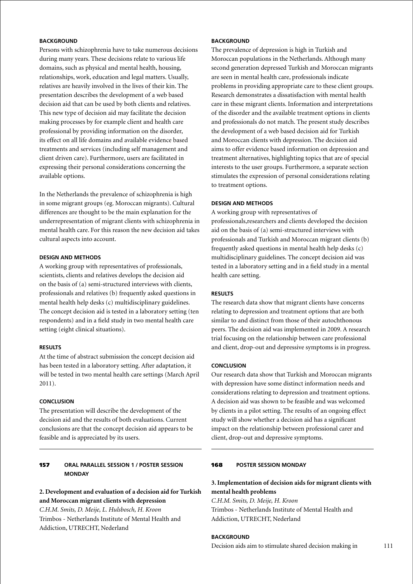# **BACKGROUND**

Persons with schizophrenia have to take numerous decisions during many years. These decisions relate to various life domains, such as physical and mental health, housing, relationships, work, education and legal matters. Usually, relatives are heavily involved in the lives of their kin. The presentation describes the development of a web based decision aid that can be used by both clients and relatives. This new type of decision aid may facilitate the decision making processes by for example client and health care professional by providing information on the disorder, its effect on all life domains and available evidence based treatments and services (including self management and client driven care). Furthermore, users are facilitated in expressing their personal considerations concerning the available options.

In the Netherlands the prevalence of schizophrenia is high in some migrant groups (eg. Moroccan migrants). Cultural differences are thought to be the main explanation for the underrepresentation of migrant clients with schizophrenia in mental health care. For this reason the new decision aid takes cultural aspects into account.

# **Design and Methods**

A working group with representatives of professionals, scientists, clients and relatives develops the decision aid on the basis of (a) semi-structured interviews with clients, professionals and relatives (b) frequently asked questions in mental health help desks (c) multidisciplinary guidelines. The concept decision aid is tested in a laboratory setting (ten respondents) and in a field study in two mental health care setting (eight clinical situations).

### **Results**

At the time of abstract submission the concept decision aid has been tested in a laboratory setting. After adaptation, it will be tested in two mental health care settings (March April 2011).

# **Conclusion**

The presentation will describe the development of the decision aid and the results of both evaluations. Current conclusions are that the concept decision aid appears to be feasible and is appreciated by its users.

# 157 **oral parallel session 1 / poster Session Monday**

# **2. Development and evaluation of a decision aid for Turkish and Moroccan migrant clients with depression**

*C.H.M. Smits, D. Meije, L. Hulsbosch, H. Kroon* Trimbos - Netherlands Institute of Mental Health and Addiction, UTRECHT, Nederland

# **BACKGROUND**

The prevalence of depression is high in Turkish and Moroccan populations in the Netherlands. Although many second generation depressed Turkish and Moroccan migrants are seen in mental health care, professionals indicate problems in providing appropriate care to these client groups. Research demonstrates a dissatisfaction with mental health care in these migrant clients. Information and interpretations of the disorder and the available treatment options in clients and professionals do not match. The present study describes the development of a web based decision aid for Turkish and Moroccan clients with depression. The decision aid aims to offer evidence based information on depression and treatment alternatives, highlighting topics that are of special interests to the user groups. Furthermore, a separate section stimulates the expression of personal considerations relating to treatment options.

### **Design and Methods**

A working group with representatives of professionals,researchers and clients developed the decision aid on the basis of (a) semi-structured interviews with professionals and Turkish and Moroccan migrant clients (b) frequently asked questions in mental health help desks (c) multidisciplinary guidelines. The concept decision aid was tested in a laboratory setting and in a field study in a mental health care setting.

# **Results**

The research data show that migrant clients have concerns relating to depression and treatment options that are both similar to and distinct from those of their autochthonous peers. The decision aid was implemented in 2009. A research trial focusing on the relationship between care professional and client, drop-out and depressive symptoms is in progress.

### **Conclusion**

Our research data show that Turkish and Moroccan migrants with depression have some distinct information needs and considerations relating to depression and treatment options. A decision aid was shown to be feasible and was welcomed by clients in a pilot setting. The results of an ongoing effect study will show whether a decision aid has a significant impact on the relationship between professional carer and client, drop-out and depressive symptoms.

### 168 **poster Session Monday**

# **3. Implementation of decision aids for migrant clients with mental health problems**

*C.H.M. Smits, D. Meije, H. Kroon* Trimbos - Netherlands Institute of Mental Health and Addiction, UTRECHT, Nederland

**BACKGROUND** 

Decision aids aim to stimulate shared decision making in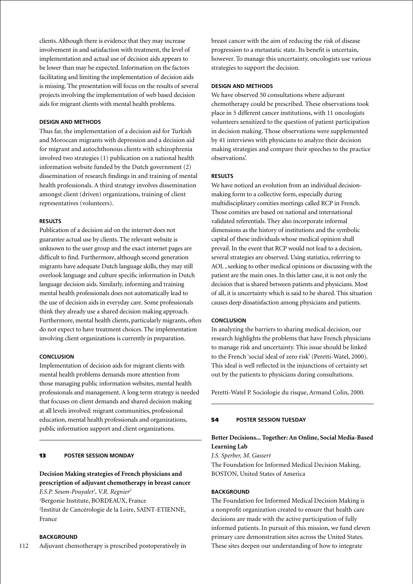clients. Although there is evidence that they may increase involvement in and satisfaction with treatment, the level of implementation and actual use of decision aids appears to be lower than may be expected. Information on the factors facilitating and limiting the implementation of decision aids is missing. The presentation will focus on the results of several projects involving the implementation of web based decision aids for migrant clients with mental health problems.

#### **Design and Methods**

Thus far, the implementation of a decision aid for Turkish and Moroccan migrants with depression and a decision aid for migrant and autochthonous clients with schizophrenia involved two strategies (1) publication on a national health information website funded by the Dutch government (2) dissemination of research findings in and training of mental health professionals. A third strategy involves dissemination amongst client (driven) organizations, training of client representatives (volunteers).

#### **Results**

Publication of a decision aid on the internet does not guarantee actual use by clients. The relevant website is unknown to the user group and the exact internet pages are difficult to find. Furthermore, although second generation migrants have adequate Dutch language skills, they may still overlook language and culture specific information in Dutch language decision aids. Similarly, informing and training mental health professionals does not automatically lead to the use of decision aids in everyday care. Some professionals think they already use a shared decision making approach. Furthermore, mental health clients, particularly migrants, often do not expect to have treatment choices. The implementation involving client organizations is currently in preparation.

#### **Conclusion**

Implementation of decision aids for migrant clients with mental health problems demands more attention from those managing public information websites, mental health professionals and management. A long term strategy is needed that focuses on client demands and shared decision making at all levels involved: migrant communities, professional education, mental health professionals and organizations, public information support and client organizations.

### 13 **poster Session Monday**

# **Decision Making strategies of French physicians and prescription of adjuvant chemotherapy in breast cancer**

*F.S.P. Soum-Pouyalet1 , V.R. Regnier2* 1 Bergonie Institute, BORDEAUX, France 2 Institut de Cancérologie de la Loire, SAINT-ETIENNE, France

#### **BACKGROUND**

112 Adjuvant chemotherapy is prescribed postoperatively in breast cancer with the aim of reducing the risk of disease progression to a metastatic state. Its benefit is uncertain, however. To manage this uncertainty, oncologists use various strategies to support the decision.

# **Design and methods**

We have observed 50 consultations where adjuvant chemotherapy could be prescribed. These observations took place in 5 different cancer institutions, with 11 oncologists volunteers sensitized to the question of patient participation in decision making. Those observations were supplemented by 41 interviews with physicians to analyze their decision making strategies and compare their speeches to the practice observations'.

#### **Results**

We have noticed an evolution from an individual decisionmaking form to a collective form, especially during multidisciplinary comities meetings called RCP in French. Those comities are based on national and international validated referentials. They also incorporate informal dimensions as the history of institutions and the symbolic capital of these individuals whose medical opinion shall prevail. In the event that RCP would not lead to a decision, several strategies are observed. Using statistics, referring to AOL , seeking to other medical opinions or discussing with the patient are the main ones. In this latter case, it is not only the decision that is shared between patients and physicians. Most of all, it is uncertainty which is said to be shared. This situation causes deep dissatisfaction among physicians and patients.

#### **Conclusion**

In analyzing the barriers to sharing medical decision, our research highlights the problems that have French physicians to manage risk and uncertainty. This issue should be linked to the French 'social ideal of zero risk' (Peretti-Watel, 2000). This ideal is well reflected in the injunctions of certainty set out by the patients to physicians during consultations.

Peretti-Watel P. Sociologie du risque, Armand Colin, 2000.

### 54 **poster session Tuesday**

# **Better Decisions... Together: An Online, Social Media-Based Learning Lab**

*J.S. Sperber, M. Gassert* The Foundation for Informed Medical Decision Making, BOSTON, United States of America

#### **BACKGROUND**

The Foundation for Informed Medical Decision Making is a nonprofit organization created to ensure that health care decisions are made with the active participation of fully informed patients. In pursuit of this mission, we fund eleven primary care demonstration sites across the United States. These sites deepen our understanding of how to integrate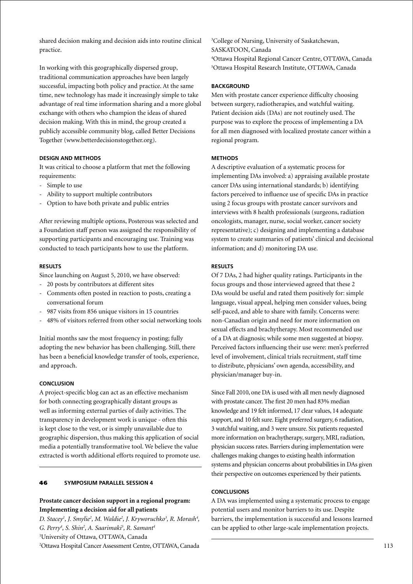shared decision making and decision aids into routine clinical practice.

In working with this geographically dispersed group, traditional communication approaches have been largely successful, impacting both policy and practice. At the same time, new technology has made it increasingly simple to take advantage of real time information sharing and a more global exchange with others who champion the ideas of shared decision making. With this in mind, the group created a publicly accessible community blog, called Better Decisions Together (www.betterdecisionstogether.org).

### **Design and Methods**

It was critical to choose a platform that met the following requirements:

- Simple to use
- Ability to support multiple contributors
- Option to have both private and public entries

After reviewing multiple options, Posterous was selected and a Foundation staff person was assigned the responsibility of supporting participants and encouraging use. Training was conducted to teach participants how to use the platform.

### **Results**

Since launching on August 5, 2010, we have observed:

- 20 posts by contributors at different sites
- Comments often posted in reaction to posts, creating a conversational forum
- 987 visits from 856 unique visitors in 15 countries
- 48% of visitors referred from other social networking tools

Initial months saw the most frequency in posting; fully adopting the new behavior has been challenging. Still, there has been a beneficial knowledge transfer of tools, experience, and approach.

# **Conclusion**

A project-specific blog can act as an effective mechanism for both connecting geographically distant groups as well as informing external parties of daily activities. The transparency in development work is unique - often this is kept close to the vest, or is simply unavailable due to geographic dispersion, thus making this application of social media a potentially transformative tool. We believe the value extracted is worth additional efforts required to promote use.

### 46 **Symposium parallel session 4**

# **Prostate cancer decision support in a regional program: Implementing a decision aid for all patients**

D. Stacey<sup>1</sup>, J. Smylie<sup>2</sup>, M. Waldie<sup>2</sup>, J. Kryworuchko<sup>3</sup>, R. Morash<sup>4</sup>, *G. Perry4 , S. Shin2 , A. Saarimaki5 , R. Samant4* 1 University of Ottawa, OTTAWA, Canada 2 Ottawa Hospital Cancer Assessment Centre, OTTAWA, Canada

 College of Nursing, University of Saskatchewan, SASKATOON, Canada Ottawa Hospital Regional Cancer Centre, OTTAWA, Canada Ottawa Hospital Research Institute, OTTAWA, Canada

#### **BACKGROUND**

Men with prostate cancer experience difficulty choosing between surgery, radiotherapies, and watchful waiting. Patient decision aids (DAs) are not routinely used. The purpose was to explore the process of implementing a DA for all men diagnosed with localized prostate cancer within a regional program.

### **Methods**

A descriptive evaluation of a systematic process for implementing DAs involved: a) appraising available prostate cancer DAs using international standards; b) identifying factors perceived to influence use of specific DAs in practice using 2 focus groups with prostate cancer survivors and interviews with 8 health professionals (surgeons, radiation oncologists, manager, nurse, social worker, cancer society representative); c) designing and implementing a database system to create summaries of patients' clinical and decisional information; and d) monitoring DA use.

#### **Results**

Of 7 DAs, 2 had higher quality ratings. Participants in the focus groups and those interviewed agreed that these 2 DAs would be useful and rated them positively for: simple language, visual appeal, helping men consider values, being self-paced, and able to share with family. Concerns were: non-Canadian origin and need for more information on sexual effects and brachytherapy. Most recommended use of a DA at diagnosis; while some men suggested at biopsy. Perceived factors influencing their use were: men's preferred level of involvement, clinical trials recruitment, staff time to distribute, physicians' own agenda, accessibility, and physician/manager buy-in.

Since Fall 2010, one DA is used with all men newly diagnosed with prostate cancer. The first 20 men had 83% median knowledge and 19 felt informed, 17 clear values, 14 adequate support, and 10 felt sure. Eight preferred surgery, 6 radiation, 3 watchful waiting, and 3 were unsure. Six patients requested more information on brachytherapy, surgery, MRI, radiation, physician success rates. Barriers during implementation were challenges making changes to existing health information systems and physician concerns about probabilities in DAs given their perspective on outcomes experienced by their patients.

### **Conclusions**

A DA was implemented using a systematic process to engage potential users and monitor barriers to its use. Despite barriers, the implementation is successful and lessons learned can be applied to other large-scale implementation projects.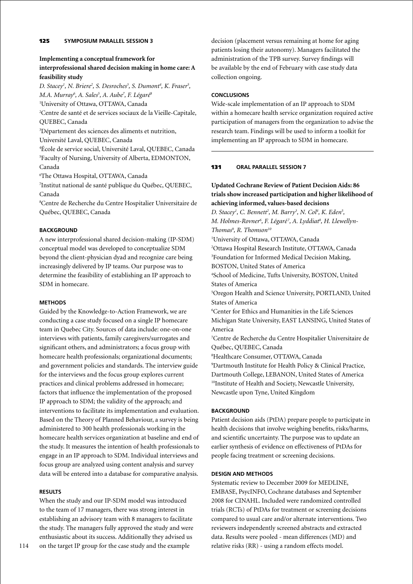### **Implementing a conceptual framework for**

# **interprofessional shared decision making in home care: A feasibility study**

*D. Stacey1 , N. Briere2 , S. Desroches3 , S. Dumont4 , K. Fraser5 , M.A. Murray6 , A. Sales5 , A. Aube7 , F. Légaré8* 1 University of Ottawa, OTTAWA, Canada 2 Centre de santé et de services sociaux de la Vieille-Capitale, QUEBEC, Canada

3 Département des sciences des aliments et nutrition, Université Laval, QUEBEC, Canada

4 École de service social, Université Laval, QUEBEC, Canada 5 Faculty of Nursing, University of Alberta, EDMONTON, Canada

6 The Ottawa Hospital, OTTAWA, Canada

7 Institut national de santé publique du Québec, QUEBEC, Canada

8 Centre de Recherche du Centre Hospitalier Universitaire de Québec, QUEBEC, Canada

### **BACKGROUND**

A new interprofessional shared decision-making (IP-SDM) conceptual model was developed to conceptualize SDM beyond the client-physician dyad and recognize care being increasingly delivered by IP teams. Our purpose was to determine the feasibility of establishing an IP approach to SDM in homecare.

### **Methods**

Guided by the Knowledge-to-Action Framework, we are conducting a case study focused on a single IP homecare team in Quebec City. Sources of data include: one-on-one interviews with patients, family caregivers/surrogates and significant others, and administrators; a focus group with homecare health professionals; organizational documents; and government policies and standards. The interview guide for the interviews and the focus group explores current practices and clinical problems addressed in homecare; factors that influence the implementation of the proposed IP approach to SDM; the validity of the approach; and interventions to facilitate its implementation and evaluation. Based on the Theory of Planned Behaviour, a survey is being administered to 300 health professionals working in the homecare health services organization at baseline and end of the study. It measures the intention of health professionals to engage in an IP approach to SDM. Individual interviews and focus group are analyzed using content analysis and survey data will be entered into a database for comparative analysis.

### **Results**

When the study and our IP-SDM model was introduced to the team of 17 managers, there was strong interest in establishing an advisory team with 8 managers to facilitate the study. The managers fully approved the study and were enthusiastic about its success. Additionally they advised us on the target IP group for the case study and the example

decision (placement versus remaining at home for aging patients losing their autonomy). Managers facilitated the administration of the TPB survey. Survey findings will be available by the end of February with case study data collection ongoing.

### **Conclusions**

Wide-scale implementation of an IP approach to SDM within a homecare health service organization required active participation of managers from the organization to advise the research team. Findings will be used to inform a toolkit for implementing an IP approach to SDM in homecare.

### 131 **oral parallel session 7**

# **Updated Cochrane Review of Patient Decision Aids: 86 trials show increased participation and higher likelihood of achieving informed, values-based decisions**

*D. Stacey<sup>1</sup>, C. Bennett<sup>2</sup>, M. Barry<sup>3</sup>, N. Col<sup>4</sup>, K. Eden<sup>5</sup>, M. Holmes-Rovner6 , F. Légaré <sup>7</sup> , A. Lyddiat8 , H. Llewellyn-Thomas9 , R. Thomson10* 1 University of Ottawa, OTTAWA, Canada 2 Ottawa Hospital Research Institute, OTTAWA, Canada 3 Foundation for Informed Medical Decision Making, BOSTON, United States of America 4 School of Medicine, Tufts University, BOSTON, United States of America 5 Oregon Health and Science University, PORTLAND, United States of America 6 Center for Ethics and Humanities in the Life Sciences Michigan State University, EAST LANSING, United States of America 7 Centre de Recherche du Centre Hospitalier Universitaire de Québec, QUEBEC, Canada 8 Healthcare Consumer, OTTAWA, Canada 9 Dartmouth Institute for Health Policy & Clinical Practice, Dartmouth College, LEBANON, United States of America 10Institute of Health and Society, Newcastle University, Newcastle upon Tyne, United Kingdom

### **BACKGROUND**

Patient decision aids (PtDA) prepare people to participate in health decisions that involve weighing benefits, risks/harms, and scientific uncertainty. The purpose was to update an earlier synthesis of evidence on effectiveness of PtDAs for people facing treatment or screening decisions.

### **Design and Methods**

Systematic review to December 2009 for MEDLINE, EMBASE, PsycINFO, Cochrane databases and September 2008 for CINAHL. Included were randomized controlled trials (RCTs) of PtDAs for treatment or screening decisions compared to usual care and/or alternate interventions. Two reviewers independently screened abstracts and extracted data. Results were pooled - mean differences (MD) and relative risks (RR) - using a random effects model.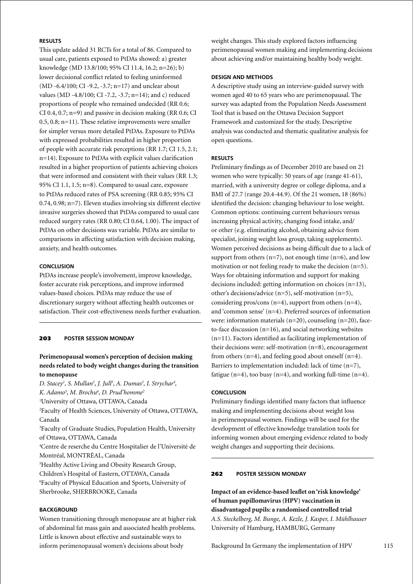# **Results**

This update added 31 RCTs for a total of 86. Compared to usual care, patients exposed to PtDAs showed: a) greater knowledge (MD 13.8/100; 95% CI 11.4, 16.2; n=26); b) lower decisional conflict related to feeling uninformed (MD -6.4/100; CI -9.2, -3.7; n=17) and unclear about values (MD -4.8/100; CI -7.2, -3.7; n=14); and c) reduced proportions of people who remained undecided (RR 0.6; CI 0.4, 0.7;  $n=9$ ) and passive in decision making (RR 0.6; CI 0.5, 0.8; n=11). These relative improvements were smaller for simpler versus more detailed PtDAs. Exposure to PtDAs with expressed probabilities resulted in higher proportion of people with accurate risk perceptions (RR 1.7; CI 1.5, 2.1; n=14). Exposure to PtDAs with explicit values clarification resulted in a higher proportion of patients achieving choices that were informed and consistent with their values (RR 1.3; 95% CI 1.1, 1.5; n=8). Compared to usual care, exposure to PtDAs reduced rates of PSA screening (RR 0.85; 95% CI 0.74, 0.98; n=7). Eleven studies involving six different elective invasive surgeries showed that PtDAs compared to usual care reduced surgery rates (RR 0.80; CI 0.64, 1.00). The impact of PtDAs on other decisions was variable. PtDAs are similar to comparisons in affecting satisfaction with decision making, anxiety, and health outcomes.

### **Conclusion**

PtDAs increase people's involvement, improve knowledge, foster accurate risk perceptions, and improve informed values-based choices. PtDAs may reduce the use of discretionary surgery without affecting health outcomes or satisfaction. Their cost-effectiveness needs further evaluation.

#### 203 **poster Session Monday**

# **Perimenopausal women's perception of decision making needs related to body weight changes during the transition to menopause**

D. Stacey<sup>1</sup>, S. Mullan<sup>2</sup>, J. Jull<sup>3</sup>, A. Dumas<sup>2</sup>, I. Strychar<sup>4</sup>, *K. Adamo5 , M. Brochu6 , D. Prud'homme2* 1 University of Ottawa, OTTAWA, Canada 2 Faculty of Health Sciences, University of Ottawa, OTTAWA, Canada 3 Faculty of Graduate Studies, Population Health, University of Ottawa, OTTAWA, Canada 4 Centre de reserche du Centre Hospitalier de l'Université de Montréal, MONTRÉAL, Canada

5 Healthy Active Living and Obesity Research Group, Children's Hospital of Eastern, OTTAWA, Canada

6 Faculty of Physical Education and Sports, University of Sherbrooke, SHERBROOKE, Canada

# **BACKGROUND**

Women transitioning through menopause are at higher risk of abdominal fat mass gain and associated health problems. Little is known about effective and sustainable ways to inform perimenopausal women's decisions about body

weight changes. This study explored factors influencing perimenopausal women making and implementing decisions about achieving and/or maintaining healthy body weight.

#### **Design and Methods**

A descriptive study using an interview-guided survey with women aged 40 to 65 years who are perimenopausal. The survey was adapted from the Population Needs Assessment Tool that is based on the Ottawa Decision Support Framework and customized for the study. Descriptive analysis was conducted and thematic qualitative analysis for open questions.

### **Results**

Preliminary findings as of December 2010 are based on 21 women who were typically: 50 years of age (range 41-61), married, with a university degree or college diploma, and a BMI of 27.7 (range 20.4-44.9). Of the 21 women, 18 (86%) identified the decision: changing behaviour to lose weight. Common options: continuing current behaviours versus increasing physical activity, changing food intake, and/ or other (e.g. eliminating alcohol, obtaining advice from specialist, joining weight loss group, taking supplements). Women perceived decisions as being difficult due to a lack of support from others  $(n=7)$ , not enough time  $(n=6)$ , and low motivation or not feeling ready to make the decision (n=5). Ways for obtaining information and support for making decisions included: getting information on choices (n=13), other's decisions/advice (n=5), self-motivation (n=5), considering pros/cons  $(n=4)$ , support from others  $(n=4)$ , and 'common sense' (n=4). Preferred sources of information were: information materials (n=20), counseling (n=20), faceto-face discussion (n=16), and social networking websites (n=11). Factors identified as facilitating implementation of their decisions were: self-motivation (n=8), encouragement from others  $(n=4)$ , and feeling good about oneself  $(n=4)$ . Barriers to implementation included: lack of time (n=7), fatigue (n=4), too busy (n=4), and working full-time (n=4).

#### **Conclusion**

Preliminary findings identified many factors that influence making and implementing decisions about weight loss in perimenopausal women. Findings will be used for the development of effective knowledge translation tools for informing women about emerging evidence related to body weight changes and supporting their decisions.

# 262 **poster Session Monday**

**Impact of an evidence-based leaflet on 'risk knowledge' of human papillomavirus (HPV) vaccination in disadvantaged pupils: a randomised controlled trial** *A.S. Steckelberg, M. Bunge, A. Kezle, J. Kasper, I. Mühlhauser* University of Hamburg, HAMBURG, Germany

Background In Germany the implementation of HPV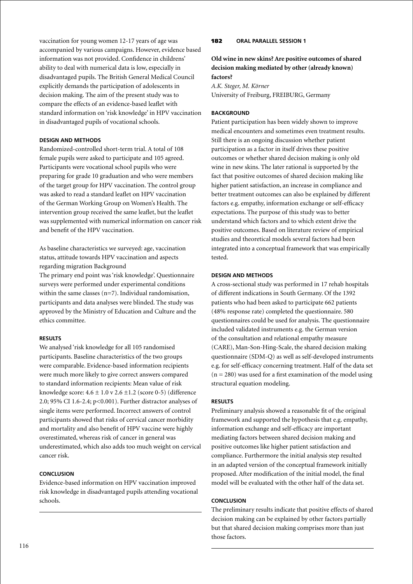vaccination for young women 12-17 years of age was accompanied by various campaigns. However, evidence based information was not provided. Confidence in childrens' ability to deal with numerical data is low, especially in disadvantaged pupils. The British General Medical Council explicitly demands the participation of adolescents in decision making. The aim of the present study was to compare the effects of an evidence-based leaflet with standard information on 'risk knowledge' in HPV vaccination in disadvantaged pupils of vocational schools.

# **Design and Methods**

Randomized-controlled short-term trial. A total of 108 female pupils were asked to participate and 105 agreed. Participants were vocational school pupils who were preparing for grade 10 graduation and who were members of the target group for HPV vaccination. The control group was asked to read a standard leaflet on HPV vaccination of the German Working Group on Women's Health. The intervention group received the same leaflet, but the leaflet was supplemented with numerical information on cancer risk and benefit of the HPV vaccination.

As baseline characteristics we surveyed: age, vaccination status, attitude towards HPV vaccination and aspects regarding migration Background

The primary end point was 'risk knowledge'. Questionnaire surveys were performed under experimental conditions within the same classes  $(n=7)$ . Individual randomisation, participants and data analyses were blinded. The study was approved by the Ministry of Education and Culture and the ethics committee.

# **Results**

We analysed 'risk knowledge for all 105 randomised participants. Baseline characteristics of the two groups were comparable. Evidence-based information recipients were much more likely to give correct answers compared to standard information recipients: Mean value of risk knowledge score:  $4.6 \pm 1.0$  v  $2.6 \pm 1.2$  (score 0-5) (difference 2.0; 95% CI 1.6-2.4; p<0.001). Further distractor analyses of single items were performed. Incorrect answers of control participants showed that risks of cervical cancer morbidity and mortality and also benefit of HPV vaccine were highly overestimated, whereas risk of cancer in general was underestimated, which also adds too much weight on cervical cancer risk.

# **Conclusion**

Evidence-based information on HPV vaccination improved risk knowledge in disadvantaged pupils attending vocational schools.

# 182 **oral parallel session 1**

# **Old wine in new skins? Are positive outcomes of shared decision making mediated by other (already known) factors?**

*A.K. Steger, M. Körner* University of Freiburg, FREIBURG, Germany

# **BACKGROUND**

Patient participation has been widely shown to improve medical encounters and sometimes even treatment results. Still there is an ongoing discussion whether patient participation as a factor in itself drives these positive outcomes or whether shared decision making is only old wine in new skins. The later rational is supported by the fact that positive outcomes of shared decision making like higher patient satisfaction, an increase in compliance and better treatment outcomes can also be explained by different factors e.g. empathy, information exchange or self-efficacy expectations. The purpose of this study was to better understand which factors and to which extent drive the positive outcomes. Based on literature review of empirical studies and theoretical models several factors had been integrated into a conceptual framework that was empirically tested.

# **Design and Methods**

A cross-sectional study was performed in 17 rehab hospitals of different indications in South Germany. Of the 1392 patients who had been asked to participate 662 patients (48% response rate) completed the questionnaire. 580 questionnaires could be used for analysis. The questionnaire included validated instruments e.g. the German version of the consultation and relational empathy measure (CARE), Man-Son-Hing-Scale, the shared decision making questionnaire (SDM-Q) as well as self-developed instruments e.g. for self-efficacy concerning treatment. Half of the data set  $(n = 280)$  was used for a first examination of the model using structural equation modeling.

# **Results**

Preliminary analysis showed a reasonable fit of the original framework and supported the hypothesis that e.g. empathy, information exchange and self-efficacy are important mediating factors between shared decision making and positive outcomes like higher patient satisfaction and compliance. Furthermore the initial analysis step resulted in an adapted version of the conceptual framework initially proposed. After modification of the initial model, the final model will be evaluated with the other half of the data set.

# **Conclusion**

The preliminary results indicate that positive effects of shared decision making can be explained by other factors partially but that shared decision making comprises more than just those factors.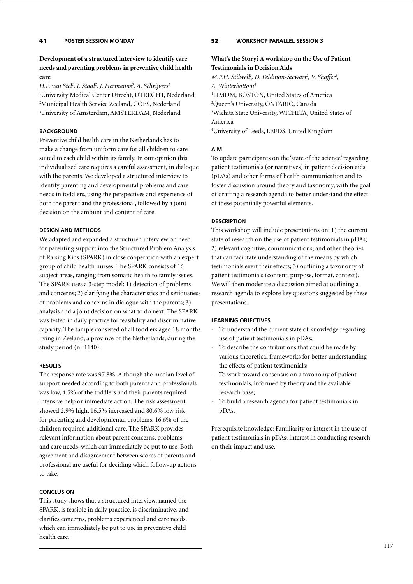# **Development of a structured interview to identify care needs and parenting problems in preventive child health care**

*H.F. van Stel1 , I. Staal2 , J. Hermanns3 , A. Schrijvers1* University Medical Center Utrecht, UTRECHT, Nederland Municipal Health Service Zeeland, GOES, Nederland University of Amsterdam, AMSTERDAM, Nederland

# **BACKGROUND**

Preventive child health care in the Netherlands has to make a change from uniform care for all children to care suited to each child within its family. In our opinion this individualized care requires a careful assessment, in dialoque with the parents. We developed a structured interview to identify parenting and developmental problems and care needs in toddlers, using the perspectives and experience of both the parent and the professional, followed by a joint decision on the amount and content of care.

# **Design and Methods**

We adapted and expanded a structured interview on need for parenting support into the Structured Problem Analysis of Raising Kids (SPARK) in close cooperation with an expert group of child health nurses. The SPARK consists of 16 subject areas, ranging from somatic health to family issues. The SPARK uses a 3-step model: 1) detection of problems and concerns; 2) clarifying the characteristics and seriousness of problems and concerns in dialogue with the parents; 3) analysis and a joint decision on what to do next. The SPARK was tested in daily practice for feasibility and discriminative capacity. The sample consisted of all toddlers aged 18 months living in Zeeland, a province of the Netherlands, during the study period (n=1140).

# **Results**

The response rate was 97.8%. Although the median level of support needed according to both parents and professionals was low, 4.5% of the toddlers and their parents required intensive help or immediate action. The risk assessment showed 2.9% high, 16.5% increased and 80.6% low risk for parenting and developmental problems. 16.6% of the children required additional care. The SPARK provides relevant information about parent concerns, problems and care needs, which can immediately be put to use. Both agreement and disagreement between scores of parents and professional are useful for deciding which follow-up actions to take.

# **Conclusion**

This study shows that a structured interview, named the SPARK, is feasible in daily practice, is discriminative, and clarifies concerns, problems experienced and care needs, which can immediately be put to use in preventive child health care.

# 52 **Workshop parallel session 3**

# **What's the Story? A workshop on the Use of Patient Testimonials in Decision Aids**

*M.P.H. Stilwell<sup>1</sup>, D. Feldman-Stewart<sup>2</sup>, V. Shaffer<sup>3</sup>, A. Winterbottom4* 1 FIMDM, BOSTON, United States of America 2 Queen's University, ONTARIO, Canada 3 Wichita State University, WICHITA, United States of America

4 University of Leeds, LEEDS, United Kingdom

# **Aim**

To update participants on the 'state of the science' regarding patient testimonials (or narratives) in patient decision aids (pDAs) and other forms of health communication and to foster discussion around theory and taxonomy, with the goal of drafting a research agenda to better understand the effect of these potentially powerful elements.

# **Description**

This workshop will include presentations on: 1) the current state of research on the use of patient testimonials in pDAs; 2) relevant cognitive, communications, and other theories that can facilitate understanding of the means by which testimonials exert their effects; 3) outlining a taxonomy of patient testimonials (content, purpose, format, context). We will then moderate a discussion aimed at outlining a research agenda to explore key questions suggested by these presentations.

# **Learning objectives**

- To understand the current state of knowledge regarding use of patient testimonials in pDAs;
- To describe the contributions that could be made by various theoretical frameworks for better understanding the effects of patient testimonials;
- To work toward consensus on a taxonomy of patient testimonials, informed by theory and the available research base;
- To build a research agenda for patient testimonials in pDAs.

Prerequisite knowledge: Familiarity or interest in the use of patient testimonials in pDAs; interest in conducting research on their impact and use.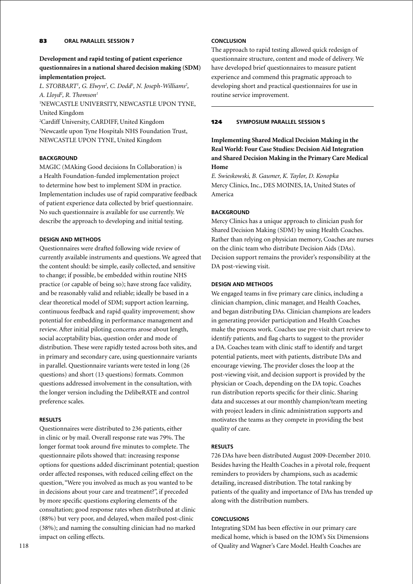# **Development and rapid testing of patient experience questionnaires in a national shared decision making (SDM) implementation project.**

L. STOBBART<sup>1</sup>, G. Elwyn<sup>2</sup>, C. Dodd<sup>3</sup>, N. Joseph-Williams<sup>2</sup>, *A. Lloyd2 , R. Thomson1*

1 NEWCASTLE UNIVERSITY, NEWCASTLE UPON TYNE, United Kingdom

2 Cardiff University, CARDIFF, United Kingdom 3 Newcastle upon Tyne Hospitals NHS Foundation Trust, NEWCASTLE UPON TYNE, United Kingdom

# **BACKGROUND**

MAGIC (MAking Good decisions In Collaboration) is a Health Foundation-funded implementation project to determine how best to implement SDM in practice. Implementation includes use of rapid comparative feedback of patient experience data collected by brief questionnaire. No such questionnaire is available for use currently. We describe the approach to developing and initial testing.

# **Design and methods**

Questionnaires were drafted following wide review of currently available instruments and questions. We agreed that the content should: be simple, easily collected, and sensitive to change; if possible, be embedded within routine NHS practice (or capable of being so); have strong face validity, and be reasonably valid and reliable; ideally be based in a clear theoretical model of SDM; support action learning, continuous feedback and rapid quality improvement; show potential for embedding in performance management and review. After initial piloting concerns arose about length, social acceptability bias, question order and mode of distribution. These were rapidly tested across both sites, and in primary and secondary care, using questionnaire variants in parallel. Questionnaire variants were tested in long (26 questions) and short (13 questions) formats. Common questions addressed involvement in the consultation, with the longer version including the DelibeRATE and control preference scales.

# **Results**

Questionnaires were distributed to 236 patients, either in clinic or by mail. Overall response rate was 79%. The longer format took around five minutes to complete. The questionnaire pilots showed that: increasing response options for questions added discriminant potential; question order affected responses, with reduced ceiling effect on the question, "Were you involved as much as you wanted to be in decisions about your care and treatment?", if preceded by more specific questions exploring elements of the consultation; good response rates when distributed at clinic (88%) but very poor, and delayed, when mailed post-clinic (38%); and naming the consulting clinician had no marked impact on ceiling effects.

The approach to rapid testing allowed quick redesign of questionnaire structure, content and mode of delivery. We have developed brief questionnaires to measure patient experience and commend this pragmatic approach to developing short and practical questionnaires for use in routine service improvement.

# 124 **Symposium parallel session 5**

**Implementing Shared Medical Decision Making in the Real World: Four Case Studies: Decision Aid Integration and Shared Decision Making in the Primary Care Medical Home**

*E. Swieskowski, B. Gaumer, K. Taylor, D. Konopka* Mercy Clinics, Inc., DES MOINES, IA, United States of America

# **BACKGROUND**

Mercy Clinics has a unique approach to clinician push for Shared Decision Making (SDM) by using Health Coaches. Rather than relying on physician memory, Coaches are nurses on the clinic team who distribute Decision Aids (DAs). Decision support remains the provider's responsibility at the DA post-viewing visit.

# **Design and Methods**

We engaged teams in five primary care clinics, including a clinician champion, clinic manager, and Health Coaches, and began distributing DAs. Clinician champions are leaders in generating provider participation and Health Coaches make the process work. Coaches use pre-visit chart review to identify patients, and flag charts to suggest to the provider a DA. Coaches team with clinic staff to identify and target potential patients, meet with patients, distribute DAs and encourage viewing. The provider closes the loop at the post-viewing visit, and decision support is provided by the physician or Coach, depending on the DA topic. Coaches run distribution reports specific for their clinic. Sharing data and successes at our monthly champion/team meeting with project leaders in clinic administration supports and motivates the teams as they compete in providing the best quality of care.

# **Results**

726 DAs have been distributed August 2009-December 2010. Besides having the Health Coaches in a pivotal role, frequent reminders to providers by champions, such as academic detailing, increased distribution. The total ranking by patients of the quality and importance of DAs has trended up along with the distribution numbers.

# **Conclusions**

Integrating SDM has been effective in our primary care medical home, which is based on the IOM's Six Dimensions of Quality and Wagner's Care Model. Health Coaches are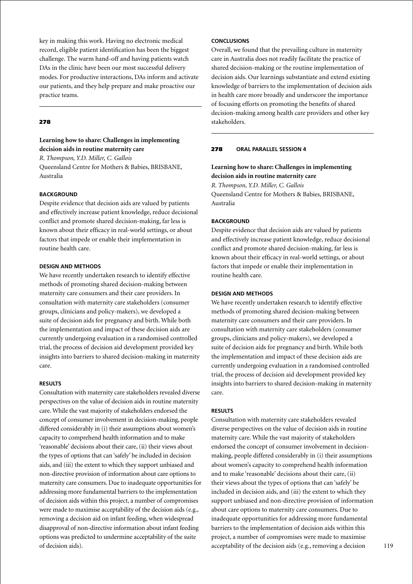key in making this work. Having no electronic medical record, eligible patient identification has been the biggest challenge. The warm hand-off and having patients watch DAs in the clinic have been our most successful delivery modes. For productive interactions, DAs inform and activate our patients, and they help prepare and make proactive our practice teams.

#### 278

### **Learning how to share: Challenges in implementing decision aids in routine maternity care**

*R. Thompson, Y.D. Miller, C. Gallois* Queensland Centre for Mothers & Babies, BRISBANE, Australia

### **BACKGROUND**

Despite evidence that decision aids are valued by patients and effectively increase patient knowledge, reduce decisional conflict and promote shared decision-making, far less is known about their efficacy in real-world settings, or about factors that impede or enable their implementation in routine health care.

#### **Design and Methods**

We have recently undertaken research to identify effective methods of promoting shared decision-making between maternity care consumers and their care providers. In consultation with maternity care stakeholders (consumer groups, clinicians and policy-makers), we developed a suite of decision aids for pregnancy and birth. While both the implementation and impact of these decision aids are currently undergoing evaluation in a randomised controlled trial, the process of decision aid development provided key insights into barriers to shared decision-making in maternity care.

### **Results**

Consultation with maternity care stakeholders revealed diverse perspectives on the value of decision aids in routine maternity care. While the vast majority of stakeholders endorsed the concept of consumer involvement in decision-making, people differed considerably in (i) their assumptions about women's capacity to comprehend health information and to make 'reasonable' decisions about their care, (ii) their views about the types of options that can 'safely' be included in decision aids, and (iii) the extent to which they support unbiased and non-directive provision of information about care options to maternity care consumers. Due to inadequate opportunities for addressing more fundamental barriers to the implementation of decision aids within this project, a number of compromises were made to maximise acceptability of the decision aids (e.g., removing a decision aid on infant feeding, when widespread disapproval of non-directive information about infant feeding options was predicted to undermine acceptability of the suite of decision aids).

# **Conclusions**

Overall, we found that the prevailing culture in maternity care in Australia does not readily facilitate the practice of shared decision-making or the routine implementation of decision aids. Our learnings substantiate and extend existing knowledge of barriers to the implementation of decision aids in health care more broadly and underscore the importance of focusing efforts on promoting the benefits of shared decision-making among health care providers and other key stakeholders.

### 278 **Oral parallel session 4**

# **Learning how to share: Challenges in implementing decision aids in routine maternity care**

*R. Thompson, Y.D. Miller, C. Gallois* Queensland Centre for Mothers & Babies, BRISBANE, Australia

#### **BACKGROUND**

Despite evidence that decision aids are valued by patients and effectively increase patient knowledge, reduce decisional conflict and promote shared decision-making, far less is known about their efficacy in real-world settings, or about factors that impede or enable their implementation in routine health care.

### **Design and Methods**

We have recently undertaken research to identify effective methods of promoting shared decision-making between maternity care consumers and their care providers. In consultation with maternity care stakeholders (consumer groups, clinicians and policy-makers), we developed a suite of decision aids for pregnancy and birth. While both the implementation and impact of these decision aids are currently undergoing evaluation in a randomised controlled trial, the process of decision aid development provided key insights into barriers to shared decision-making in maternity care.

### **Results**

Consultation with maternity care stakeholders revealed diverse perspectives on the value of decision aids in routine maternity care. While the vast majority of stakeholders endorsed the concept of consumer involvement in decisionmaking, people differed considerably in (i) their assumptions about women's capacity to comprehend health information and to make 'reasonable' decisions about their care, (ii) their views about the types of options that can 'safely' be included in decision aids, and (iii) the extent to which they support unbiased and non-directive provision of information about care options to maternity care consumers. Due to inadequate opportunities for addressing more fundamental barriers to the implementation of decision aids within this project, a number of compromises were made to maximise acceptability of the decision aids (e.g., removing a decision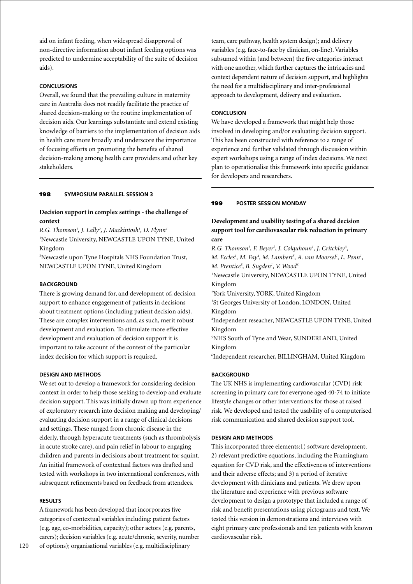aid on infant feeding, when widespread disapproval of non-directive information about infant feeding options was predicted to undermine acceptability of the suite of decision aids).

# **Conclusions**

Overall, we found that the prevailing culture in maternity care in Australia does not readily facilitate the practice of shared decision-making or the routine implementation of decision aids. Our learnings substantiate and extend existing knowledge of barriers to the implementation of decision aids in health care more broadly and underscore the importance of focusing efforts on promoting the benefits of shared decision-making among health care providers and other key stakeholders.

# 198 **Symposium parallel session 3**

# **Decision support in complex settings - the challenge of context**

*R.G. Thomson1 , J. Lally2 , J. Mackintosh1 , D. Flynn1* 1 Newcastle University, NEWCASTLE UPON TYNE, United Kingdom

2 Newcastle upon Tyne Hospitals NHS Foundation Trust, NEWCASTLE UPON TYNE, United Kingdom

### **BACKGROUND**

There is growing demand for, and development of, decision support to enhance engagement of patients in decisions about treatment options (including patient decision aids). These are complex interventions and, as such, merit robust development and evaluation. To stimulate more effective development and evaluation of decision support it is important to take account of the context of the particular index decision for which support is required.

### **Design and methods**

We set out to develop a framework for considering decision context in order to help those seeking to develop and evaluate decision support. This was initially drawn up from experience of exploratory research into decision making and developing/ evaluating decision support in a range of clinical decisions and settings. These ranged from chronic disease in the elderly, through hyperacute treatments (such as thrombolysis in acute stroke care), and pain relief in labour to engaging children and parents in decisions about treatment for squint. An initial framework of contextual factors was drafted and tested with workshops in two international conferences, with subsequent refinements based on feedback from attendees.

### **Results**

A framework has been developed that incorporates five categories of contextual variables including: patient factors (e.g. age, co-morbidities, capacity); other actors (e.g. parents, carers); decision variables (e.g. acute/chronic, severity, number of options); organisational variables (e.g. multidisciplinary

team, care pathway, health system design); and delivery variables (e.g. face-to-face by clinician, on-line). Variables subsumed within (and between) the five categories interact with one another, which further captures the intricacies and context dependent nature of decision support, and highlights the need for a multidisciplinary and inter-professional approach to development, delivery and evaluation.

### **Conclusion**

We have developed a framework that might help those involved in developing and/or evaluating decision support. This has been constructed with reference to a range of experience and further validated through discussion within expert workshops using a range of index decisions. We next plan to operationalise this framework into specific guidance for developers and researchers.

# 199 **poster Session Monday**

# **Development and usability testing of a shared decision support tool for cardiovascular risk reduction in primary care**

*R.G. Thomson1 , F. Beyer2 , J. Colquhoun1 , J. Critchley3 , M. Eccles<sup>1</sup>, M. Fay<sup>4</sup>, M. Lambert<sup>5</sup>, A. van Moorsel<sup>1</sup>, L. Penn<sup>1</sup>, M. Prentice<sup>5</sup>, B. Sugden<sup>1</sup>, V. Wood<sup>6</sup>* 1 Newcastle University, NEWCASTLE UPON TYNE, United Kingdom 2 York University, YORK, United Kingdom 3 St Georges University of London, LONDON, United Kingdom 4 Independent reseacher, NEWCASTLE UPON TYNE, United Kingdom 5 NHS South of Tyne and Wear, SUNDERLAND, United Kingdom 6 Independent researcher, BILLINGHAM, United Kingdom

### **BACKGROUND**

The UK NHS is implementing cardiovascular (CVD) risk screening in primary care for everyone aged 40-74 to initiate lifestyle changes or other interventions for those at raised risk. We developed and tested the usability of a computerised risk communication and shared decision support tool.

### **Design and methods**

This incorporated three elements:1) software development; 2) relevant predictive equations, including the Framingham equation for CVD risk, and the effectiveness of interventions and their adverse effects; and 3) a period of iterative development with clinicians and patients. We drew upon the literature and experience with previous software development to design a prototype that included a range of risk and benefit presentations using pictograms and text. We tested this version in demonstrations and interviews with eight primary care professionals and ten patients with known cardiovascular risk.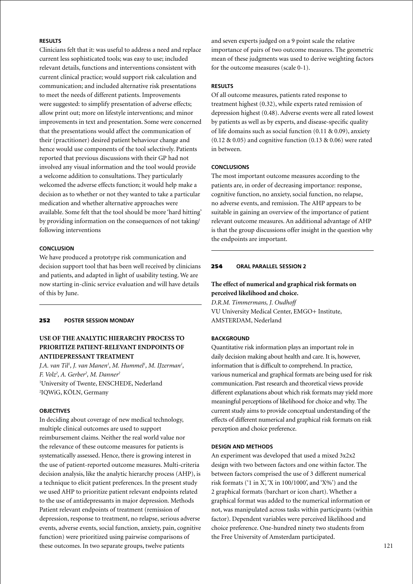# **Results**

Clinicians felt that it: was useful to address a need and replace current less sophisticated tools; was easy to use; included relevant details, functions and interventions consistent with current clinical practice; would support risk calculation and communication; and included alternative risk presentations to meet the needs of different patients. Improvements were suggested: to simplify presentation of adverse effects; allow print out; more on lifestyle interventions; and minor improvements in text and presentation. Some were concerned that the presentations would affect the communication of their (practitioner) desired patient behaviour change and hence would use components of the tool selectively. Patients reported that previous discussions with their GP had not involved any visual information and the tool would provide a welcome addition to consultations. They particularly welcomed the adverse effects function; it would help make a decision as to whether or not they wanted to take a particular medication and whether alternative approaches were available. Some felt that the tool should be more 'hard hitting' by providing information on the consequences of not taking/ following interventions

### **Conclusion**

We have produced a prototype risk communication and decision support tool that has been well received by clinicians and patients, and adapted in light of usability testing. We are now starting in-clinic service evaluation and will have details of this by June.

#### 252 **poster Session Monday**

# **USE OF THE ANALYTIC HIERARCHY PROCESS TO PRIORITIZE PATIENT-RELEVANT ENDPOINTS OF ANTIDEPRESSANT TREATMENT**

*J.A. van Til<sup>1</sup>, J. van Manen<sup>1</sup>, M. Hummel<sup>1</sup>, M. IJzerman<sup>1</sup>, F. Volz2 , A. Gerber2 , M. Danner2* 1 University of Twente, ENSCHEDE, Nederland 2 IQWiG, KÖLN, Germany

### **OBJECTIVES**

In deciding about coverage of new medical technology, multiple clinical outcomes are used to support reimbursement claims. Neither the real world value nor the relevance of these outcome measures for patients is systematically assessed. Hence, there is growing interest in the use of patient-reported outcome measures. Multi-criteria decision analysis, like the analytic hierarchy process (AHP), is a technique to elicit patient preferences. In the present study we used AHP to prioritize patient relevant endpoints related to the use of antidepressants in major depression. Methods Patient relevant endpoints of treatment (remission of depression, response to treatment, no relapse, serious adverse events, adverse events, social function, anxiety, pain, cognitive function) were prioritized using pairwise comparisons of these outcomes. In two separate groups, twelve patients

and seven experts judged on a 9 point scale the relative importance of pairs of two outcome measures. The geometric mean of these judgments was used to derive weighting factors for the outcome measures (scale 0-1).

### **Results**

Of all outcome measures, patients rated response to treatment highest (0.32), while experts rated remission of depression highest (0.48). Adverse events were all rated lowest by patients as well as by experts, and disease-specific quality of life domains such as social function (0.11 & 0.09), anxiety  $(0.12 \& 0.05)$  and cognitive function  $(0.13 \& 0.06)$  were rated in between.

#### **Conclusions**

The most important outcome measures according to the patients are, in order of decreasing importance: response, cognitive function, no anxiety, social function, no relapse, no adverse events, and remission. The AHP appears to be suitable in gaining an overview of the importance of patient relevant outcome measures. An additional advantage of AHP is that the group discussions offer insight in the question why the endpoints are important.

# 254 **oral parallel session 2**

# **The effect of numerical and graphical risk formats on perceived likelihood and choice.**

*D.R.M. Timmermans, J. Oudhoff* VU University Medical Center, EMGO+ Institute, AMSTERDAM, Nederland

### **Background**

Quantitative risk information plays an important role in daily decision making about health and care. It is, however, information that is difficult to comprehend. In practice, various numerical and graphical formats are being used for risk communication. Past research and theoretical views provide different explanations about which risk formats may yield more meaningful perceptions of likelihood for choice and why. The current study aims to provide conceptual understanding of the effects of different numerical and graphical risk formats on risk perception and choice preference.

#### **Design and Methods**

An experiment was developed that used a mixed 3x2x2 design with two between factors and one within factor. The between factors comprised the use of 3 different numerical risk formats ( $'1$  in X,  $'X$  in 100/1000, and  $'X\%$ ) and the 2 graphical formats (barchart or icon chart). Whether a graphical format was added to the numerical information or not, was manipulated across tasks within participants (within factor). Dependent variables were perceived likelihood and choice preference. One-hundred ninety two students from the Free University of Amsterdam participated.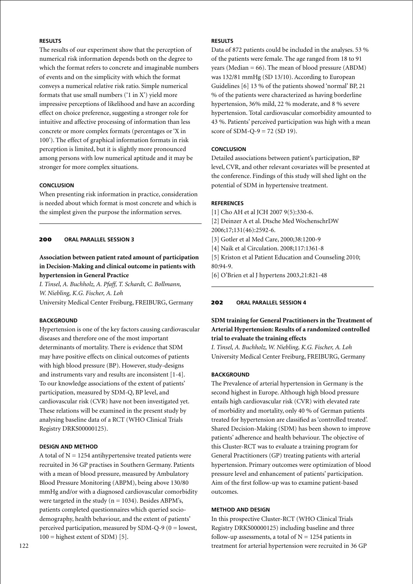# **Results**

The results of our experiment show that the perception of numerical risk information depends both on the degree to which the format refers to concrete and imaginable numbers of events and on the simplicity with which the format conveys a numerical relative risk ratio. Simple numerical formats that use small numbers ('1 in X') yield more impressive perceptions of likelihood and have an according effect on choice preference, suggesting a stronger role for intuitive and affective processing of information than less concrete or more complex formats (percentages or 'X in 100'). The effect of graphical information formats in risk perception is limited, but it is slightly more pronounced among persons with low numerical aptitude and it may be stronger for more complex situations.

### **Conclusion**

When presenting risk information in practice, consideration is needed about which format is most concrete and which is the simplest given the purpose the information serves.

### 200 **oral parallel session 3**

# **Association between patient rated amount of participation in Decision-Making and clinical outcome in patients with hypertension in General Practice**

*I. Tinsel, A. Buchholz, A. Pfaff, T. Schardt, C. Bollmann, W. Niebling, K.G. Fischer, A. Loh* University Medical Center Freiburg, FREIBURG, Germany

# **Background**

Hypertension is one of the key factors causing cardiovascular diseases and therefore one of the most important determinants of mortality. There is evidence that SDM may have positive effects on clinical outcomes of patients with high blood pressure (BP). However, study-designs and instruments vary and results are inconsistent [1-4]. To our knowledge associations of the extent of patients' participation, measured by SDM-Q, BP level, and cardiovascular risk (CVR) have not been investigated yet. These relations will be examined in the present study by analysing baseline data of a RCT (WHO Clinical Trials Registry DRKS00000125).

# **Design and Method**

A total of  $N = 1254$  antihypertensive treated patients were recruited in 36 GP practises in Southern Germany. Patients with a mean of blood pressure, measured by Ambulatory Blood Pressure Monitoring (ABPM), being above 130/80 mmHg and/or with a diagnosed cardiovascular comorbidity were targeted in the study ( $n = 1034$ ). Besides ABPM's, patients completed questionnaires which queried sociodemography, health behaviour, and the extent of patients' perceived participation, measured by SDM-Q-9 ( $0 =$  lowest,  $100 =$  highest extent of SDM) [5].

# **Results**

Data of 872 patients could be included in the analyses. 53 % of the patients were female. The age ranged from 18 to 91 years (Median  $= 66$ ). The mean of blood pressure (ABDM) was 132/81 mmHg (SD 13/10). According to European Guidelines [6] 13 % of the patients showed 'normal' BP, 21 % of the patients were characterized as having borderline hypertension, 36% mild, 22 % moderate, and 8 % severe hypertension. Total cardiovascular comorbidity amounted to 43 %. Patients' perceived participation was high with a mean score of SDM-Q-9 = 72 (SD 19).

# **Conclusion**

Detailed associations between patient's participation, BP level, CVR, and other relevant covariates will be presented at the conference. Findings of this study will shed light on the potential of SDM in hypertensive treatment.

### **References**

[1] Cho AH et al JCH 2007 9(5):330-6. [2] Deinzer A et al. Dtsche Med WochenschrDW 2006;17;131(46):2592-6. [3] Gotler et al Med Care, 2000;38:1200-9 [4] Naik et al Circulation. 2008;117:1361-8 [5] Kriston et al Patient Education and Counseling 2010; 80:94-9. [6] O'Brien et al J hypertens 2003,21:821-48

# 202 **oral parallel session 4**

# **SDM training for General Practitioners in the Treatment of Arterial Hypertension: Results of a randomized controlled trial to evaluate the training effects**

*I. Tinsel, A. Buchholz, W. Niebling, K.G. Fischer, A. Loh* University Medical Center Freiburg, FREIBURG, Germany

# **BACKGROUND**

The Prevalence of arterial hypertension in Germany is the second highest in Europe. Although high blood pressure entails high cardiovascular risk (CVR) with elevated rate of morbidity and mortality, only 40 % of German patients treated for hypertension are classified as 'controlled treated'. Shared Decision-Making (SDM) has been shown to improve patients' adherence and health behaviour. The objective of this Cluster-RCT was to evaluate a training program for General Practitioners (GP) treating patients with arterial hypertension. Primary outcomes were optimization of blood pressure level and enhancement of patients' participation. Aim of the first follow-up was to examine patient-based outcomes.

### **Method and Design**

In this prospective Cluster-RCT (WHO Clinical Trials Registry DRKS00000125) including baseline and three follow-up assessments, a total of  $N = 1254$  patients in treatment for arterial hypertension were recruited in 36 GP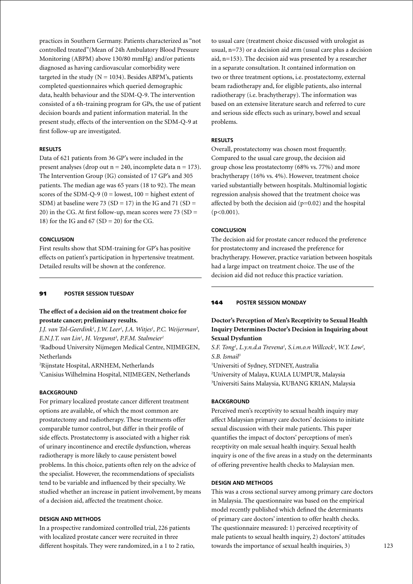practices in Southern Germany. Patients characterized as "not controlled treated"(Mean of 24h Ambulatory Blood Pressure Monitoring (ABPM) above 130/80 mmHg) and/or patients diagnosed as having cardiovascular comorbidity were targeted in the study ( $N = 1034$ ). Besides ABPM's, patients completed questionnaires which queried demographic data, health behaviour and the SDM-Q-9. The intervention consisted of a 6h-training program for GPs, the use of patient decision boards and patient information material. In the present study, effects of the intervention on the SDM-Q-9 at first follow-up are investigated.

### **Results**

Data of 621 patients from 36 GP's were included in the present analyses (drop out  $n = 240$ , incomplete data  $n = 173$ ). The Intervention Group (IG) consisted of 17 GP's and 305 patients. The median age was 65 years (18 to 92). The mean scores of the SDM-Q-9 ( $0 =$  lowest,  $100 =$  highest extent of SDM) at baseline were 73 (SD = 17) in the IG and 71 (SD = 20) in the CG. At first follow-up, mean scores were  $73$  (SD = 18) for the IG and  $67$  (SD = 20) for the CG.

### **Conclusion**

First results show that SDM-training for GP's has positive effects on patient's participation in hypertensive treatment. Detailed results will be shown at the conference.

# 91 **poster session Tuesday**

### **The effect of a decision aid on the treatment choice for prostate cancer; preliminary results.**

*J.J. van Tol-Geerdink1 , J.W. Leer1 , J.A. Witjes1 , P.C. Weijerman2 , E.N.J.T. van Lin1 , H. Vergunst3 , P.F.M. Stalmeier1* 1 Radboud University Nijmegen Medical Centre, NIJMEGEN, Netherlands

2 Rijnstate Hospital, ARNHEM, Netherlands 3 Canisius Wilhelmina Hospital, NIJMEGEN, Netherlands

#### **BACKGROUND**

For primary localized prostate cancer different treatment options are available, of which the most common are prostatectomy and radiotherapy. These treatments offer comparable tumor control, but differ in their profile of side effects. Prostatectomy is associated with a higher risk of urinary incontinence and erectile dysfunction, whereas radiotherapy is more likely to cause persistent bowel problems. In this choice, patients often rely on the advice of the specialist. However, the recommendations of specialists tend to be variable and influenced by their specialty. We studied whether an increase in patient involvement, by means of a decision aid, affected the treatment choice.

### **Design and Methods**

In a prospective randomized controlled trial, 226 patients with localized prostate cancer were recruited in three different hospitals. They were randomized, in a 1 to 2 ratio,

to usual care (treatment choice discussed with urologist as usual, n=73) or a decision aid arm (usual care plus a decision aid, n=153). The decision aid was presented by a researcher in a separate consultation. It contained information on two or three treatment options, i.e. prostatectomy, external beam radiotherapy and, for eligible patients, also internal radiotherapy (i.e. brachytherapy). The information was based on an extensive literature search and referred to cure and serious side effects such as urinary, bowel and sexual problems.

#### **Results**

Overall, prostatectomy was chosen most frequently. Compared to the usual care group, the decision aid group chose less prostatectomy (68% vs. 77%) and more brachytherapy (16% vs. 4%). However, treatment choice varied substantially between hospitals. Multinomial logistic regression analysis showed that the treatment choice was affected by both the decision aid  $(p=0.02)$  and the hospital  $(p<0.001)$ .

### **Conclusion**

The decision aid for prostate cancer reduced the preference for prostatectomy and increased the preference for brachytherapy. However, practice variation between hospitals had a large impact on treatment choice. The use of the decision aid did not reduce this practice variation.

### 144 **poster Session Monday**

# **Doctor's Perception of Men's Receptivity to Sexual Health Inquiry Determines Doctor's Decision in Inquiring about Sexual Dysfuntion**

S.F. Tong<sup>1</sup>, L.y.n.d.a Trevena<sup>1</sup>, S.i.m.o.n Willcock<sup>1</sup>, W.Y. Low<sup>2</sup>, *S.B. Ismail3*

1 Universiti of Sydney, SYDNEY, Australia 2 University of Malaya, KUALA LUMPUR, Malaysia 3 Universiti Sains Malaysia, KUBANG KRIAN, Malaysia

### **BACKGROUND**

Perceived men's receptivity to sexual health inquiry may affect Malaysian primary care doctors' decisions to initiate sexual discussion with their male patients. This paper quantifies the impact of doctors' perceptions of men's receptivity on male sexual health inquiry. Sexual health inquiry is one of the five areas in a study on the determinants of offering preventive health checks to Malaysian men.

### **Design and Methods**

This was a cross sectional survey among primary care doctors in Malaysia. The questionnaire was based on the empirical model recently published which defined the determinants of primary care doctors' intention to offer health checks. The questionnaire measured: 1) perceived receptivity of male patients to sexual health inquiry, 2) doctors' attitudes towards the importance of sexual health inquiries, 3)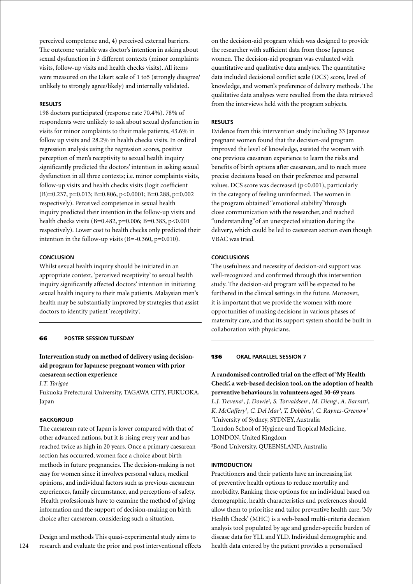perceived competence and, 4) perceived external barriers. The outcome variable was doctor's intention in asking about sexual dysfunction in 3 different contexts (minor complaints visits, follow-up visits and health checks visits). All items were measured on the Likert scale of 1 to5 (strongly disagree/ unlikely to strongly agree/likely) and internally validated.

# **Results**

198 doctors participated (response rate 70.4%). 78% of respondents were unlikely to ask about sexual dysfunction in visits for minor complaints to their male patients, 43.6% in follow up visits and 28.2% in health checks visits. In ordinal regression analysis using the regression scores, positive perception of men's receptivity to sexual health inquiry significantly predicted the doctors' intention in asking sexual dysfunction in all three contexts; i.e. minor complaints visits, follow-up visits and health checks visits (logit coefficient  $(B)=0.237, p=0.013; B=0.806, p<0.0001; B=0.288, p=0.002$ respectively). Perceived competence in sexual health inquiry predicted their intention in the follow-up visits and health checks visits (B=0.482, p=0.006; B=0.383, p<0.001 respectively). Lower cost to health checks only predicted their intention in the follow-up visits (B=-0.360, p=0.010).

# **Conclusion**

Whilst sexual health inquiry should be initiated in an appropriate context, 'perceived receptivity' to sexual health inquiry significantly affected doctors' intention in initiating sexual health inquiry to their male patients. Malaysian men's health may be substantially improved by strategies that assist doctors to identify patient 'receptivity'.

### 66 **poster session Tuesday**

# **Intervention study on method of delivery using decisionaid program for Japanese pregnant women with prior caesarean section experience**

*I.T. Torigoe*

Fukuoka Prefectural University, TAGAWA CITY, FUKUOKA, Japan

### **BACKGROUD**

The caesarean rate of Japan is lower compared with that of other advanced nations, but it is rising every year and has reached twice as high in 20 years. Once a primary caesarean section has occurred, women face a choice about birth methods in future pregnancies. The decision-making is not easy for women since it involves personal values, medical opinions, and individual factors such as previous caesarean experiences, family circumstance, and perceptions of safety. Health professionals have to examine the method of giving information and the support of decision-making on birth choice after caesarean, considering such a situation.

Design and methods This quasi-experimental study aims to research and evaluate the prior and post interventional effects

on the decision-aid program which was designed to provide the researcher with sufficient data from those Japanese women. The decision-aid program was evaluated with quantitative and qualitative data analyses. The quantitative data included decisional conflict scale (DCS) score, level of knowledge, and women's preference of delivery methods. The qualitative data analyses were resulted from the data retrieved from the interviews held with the program subjects.

#### **Results**

Evidence from this intervention study including 33 Japanese pregnant women found that the decision-aid program improved the level of knowledge, assisted the women with one previous caesarean experience to learn the risks and benefits of birth options after caesarean, and to reach more precise decisions based on their preference and personal values. DCS score was decreased (p<0.001), particularly in the category of feeling uninformed. The women in the program obtained "emotional stability"through close communication with the researcher, and reached "understanding"of an unexpected situation during the delivery, which could be led to caesarean section even though VBAC was tried.

#### **Conclusions**

The usefulness and necessity of decision-aid support was well-recognized and confirmed through this intervention study. The decision-aid program will be expected to be furthered in the clinical settings in the future. Moreover, it is important that we provide the women with more opportunities of making decisions in various phases of maternity care, and that its support system should be built in collaboration with physicians.

#### 136 **oral parallel session 7**

**A randomised controlled trial on the effect of 'My Health Check', a web-based decision tool, on the adoption of health preventive behaviours in volunteers aged 30-69 years** *L.J. Trevena<sup>1</sup>, J. Dowie<sup>2</sup>, S. Torvaldsen<sup>1</sup>, M. Dieng<sup>1</sup>, A. Barratt<sup>1</sup>, K. McCaffery1 , C. Del Mar3 , T. Dobbins1 , C. Raynes-Greenow1* 1 University of Sydney, SYDNEY, Australia 2 London School of Hygiene and Tropical Medicine, LONDON, United Kingdom 3 Bond University, QUEENSLAND, Australia

#### **Introduction**

Practitioners and their patients have an increasing list of preventive health options to reduce mortality and morbidity. Ranking these options for an individual based on demographic, health characteristics and preferences should allow them to prioritise and tailor preventive health care. 'My Health Check' (MHC) is a web-based multi-criteria decision analysis tool populated by age and gender-specific burden of disease data for YLL and YLD. Individual demographic and health data entered by the patient provides a personalised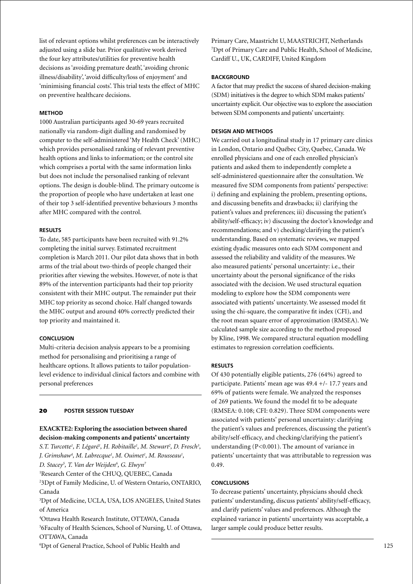list of relevant options whilst preferences can be interactively adjusted using a slide bar. Prior qualitative work derived the four key attributes/utilities for preventive health decisions as 'avoiding premature death', 'avoiding chronic illness/disability', 'avoid difficulty/loss of enjoyment' and 'minimising financial costs'. This trial tests the effect of MHC on preventive healthcare decisions.

### **Method**

1000 Australian participants aged 30-69 years recruited nationally via random-digit dialling and randomised by computer to the self-administered 'My Health Check' (MHC) which provides personalised ranking of relevant preventive health options and links to information; or the control site which comprises a portal with the same information links but does not include the personalised ranking of relevant options. The design is double-blind. The primary outcome is the proportion of people who have undertaken at least one of their top 3 self-identified preventive behaviours 3 months after MHC compared with the control.

### **Results**

To date, 585 participants have been recruited with 91.2% completing the initial survey. Estimated recruitment completion is March 2011. Our pilot data shows that in both arms of the trial about two-thirds of people changed their priorities after viewing the websites. However, of note is that 89% of the intervention participants had their top priority consistent with their MHC output. The remainder put their MHC top priority as second choice. Half changed towards the MHC output and around 40% correctly predicted their top priority and maintained it.

#### **Conclusion**

Multi-criteria decision analysis appears to be a promising method for personalising and prioritising a range of healthcare options. It allows patients to tailor populationlevel evidence to individual clinical factors and combine with personal preferences

#### 20 **poster session Tuesday**

# **EXACKTE2: Exploring the association between shared decision-making components and patients' uncertainty**

S.T. Turcotte<sup>1</sup>, F. Légaré<sup>1</sup>, H. Robitaille<sup>1</sup>, M. Stewart<sup>2</sup>, D. Frosch<sup>3</sup>, *J.* Grimshaw<sup>4</sup>, M. Labrecque<sup>1</sup>, M. Ouimet<sup>1</sup>, M. Rousseau<sup>1</sup>, *D. Stacey5 , T. Van der Weijden6 , G. Elwyn7* 1 Research Center of the CHUQ, QUEBEC, Canada

2 3Dpt of Family Medicine, U. of Western Ontario, ONTARIO, Canada

3 Dpt of Medicine, UCLA, USA, LOS ANGELES, United States of America

4 Ottawa Health Research Institute, OTTAWA, Canada 5 6Faculty of Health Sciences, School of Nursing, U. of Ottawa, OTTAWA, Canada

6 Dpt of General Practice, School of Public Health and

Primary Care, Maastricht U, MAASTRICHT, Netherlands 7 Dpt of Primary Care and Public Health, School of Medicine, Cardiff U., UK, CARDIFF, United Kingdom

#### **BACKGROUND**

A factor that may predict the success of shared decision-making (SDM) initiatives is the degree to which SDM makes patients' uncertainty explicit. Our objective was to explore the association between SDM components and patients' uncertainty.

#### **Design and Methods**

We carried out a longitudinal study in 17 primary care clinics in London, Ontario and Québec City, Quebec, Canada. We enrolled physicians and one of each enrolled physician's patients and asked them to independently complete a self-administered questionnaire after the consultation. We measured five SDM components from patients' perspective: i) defining and explaining the problem, presenting options, and discussing benefits and drawbacks; ii) clarifying the patient's values and preferences; iii) discussing the patient's ability/self-efficacy; iv) discussing the doctor's knowledge and recommendations; and v) checking/clarifying the patient's understanding. Based on systematic reviews, we mapped existing dyadic measures onto each SDM component and assessed the reliability and validity of the measures. We also measured patients' personal uncertainty: i.e., their uncertainty about the personal significance of the risks associated with the decision. We used structural equation modeling to explore how the SDM components were associated with patients' uncertainty. We assessed model fit using the chi-square, the comparative fit index (CFI), and the root mean square error of approximation (RMSEA). We calculated sample size according to the method proposed by Kline, 1998. We compared structural equation modelling estimates to regression correlation coefficients.

### **Results**

Of 430 potentially eligible patients, 276 (64%) agreed to participate. Patients' mean age was 49.4 +/- 17.7 years and 69% of patients were female. We analyzed the responses of 269 patients. We found the model fit to be adequate (RMSEA: 0.108; CFI: 0.829). Three SDM components were associated with patients' personal uncertainty: clarifying the patient's values and preferences, discussing the patient's ability/self-efficacy, and checking/clarifying the patient's understanding (P<0.001). The amount of variance in patients' uncertainty that was attributable to regression was 0.49.

#### **Conclusions**

To decrease patients' uncertainty, physicians should check patients' understanding, discuss patients' ability/self-efficacy, and clarify patients' values and preferences. Although the explained variance in patients' uncertainty was acceptable, a larger sample could produce better results.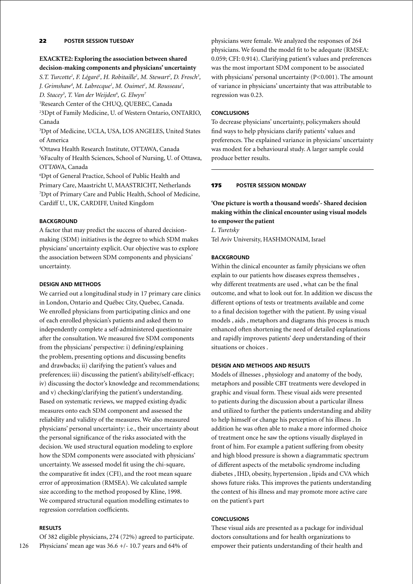# 22 **poster session Tuesday**

# **EXACKTE2: Exploring the association between shared decision-making components and physicians' uncertainty**

S.T. Turcotte<sup>1</sup>, F. Légaré<sup>1</sup>, H. Robitaille<sup>1</sup>, M. Stewart<sup>2</sup>, D. Frosch<sup>3</sup>, *J. Grimshaw4 , M. Labrecque1 , M. Ouimet1 , M. Rousseau1 ,* 

*D. Stacey5 , T. Van der Weijden6 , G. Elwyn7*

1 Research Center of the CHUQ, QUEBEC, Canada

2 3Dpt of Family Medicine, U. of Western Ontario, ONTARIO, Canada

3 Dpt of Medicine, UCLA, USA, LOS ANGELES, United States of America

4 Ottawa Health Research Institute, OTTAWA, Canada 5 6Faculty of Health Sciences, School of Nursing, U. of Ottawa, OTTAWA, Canada

6 Dpt of General Practice, School of Public Health and Primary Care, Maastricht U, MAASTRICHT, Netherlands 7 Dpt of Primary Care and Public Health, School of Medicine, Cardiff U., UK, CARDIFF, United Kingdom

### **BACKGROUND**

A factor that may predict the success of shared decisionmaking (SDM) initiatives is the degree to which SDM makes physicians' uncertainty explicit. Our objective was to explore the association between SDM components and physicians' uncertainty.

# **Design and Methods**

We carried out a longitudinal study in 17 primary care clinics in London, Ontario and Québec City, Quebec, Canada. We enrolled physicians from participating clinics and one of each enrolled physician's patients and asked them to independently complete a self-administered questionnaire after the consultation. We measured five SDM components from the physicians' perspective: i) defining/explaining the problem, presenting options and discussing benefits and drawbacks; ii) clarifying the patient's values and preferences; iii) discussing the patient's ability/self-efficacy; iv) discussing the doctor's knowledge and recommendations; and v) checking/clarifying the patient's understanding. Based on systematic reviews, we mapped existing dyadic measures onto each SDM component and assessed the reliability and validity of the measures. We also measured physicians' personal uncertainty: i.e., their uncertainty about the personal significance of the risks associated with the decision. We used structural equation modeling to explore how the SDM components were associated with physicians' uncertainty. We assessed model fit using the chi-square, the comparative fit index (CFI), and the root mean square error of approximation (RMSEA). We calculated sample size according to the method proposed by Kline, 1998. We compared structural equation modelling estimates to regression correlation coefficients.

### **Results**

Of 382 eligible physicians, 274 (72%) agreed to participate. Physicians' mean age was 36.6 +/- 10.7 years and 64% of

physicians were female. We analyzed the responses of 264 physicians. We found the model fit to be adequate (RMSEA: 0.059; CFI: 0.914). Clarifying patient's values and preferences was the most important SDM component to be associated with physicians' personal uncertainty (P<0.001). The amount of variance in physicians' uncertainty that was attributable to regression was 0.23.

### **Conclusions**

To decrease physicians' uncertainty, policymakers should find ways to help physicians clarify patients' values and preferences. The explained variance in physicians' uncertainty was modest for a behavioural study. A larger sample could produce better results.

### 175 **poster Session Monday**

**'One picture is worth a thousand words'- Shared decision making within the clinical encounter using visual models to empower the patient**

*L. Turetsky* Tel Aviv University, HASHMONAIM, Israel

### **BACKGROUND**

Within the clinical encounter as family physicians we often explain to our patients how diseases express themselves , why different treatments are used , what can be the final outcome, and what to look out for. In addition we discuss the different options of tests or treatments available and come to a final decision together with the patient. By using visual models , aids , metaphors and diagrams this process is much enhanced often shortening the need of detailed explanations and rapidly improves patients' deep understanding of their situations or choices .

# **Design and Methods and Results**

Models of illnesses , physiology and anatomy of the body, metaphors and possible CBT treatments were developed in graphic and visual form. These visual aids were presented to patients during the discussion about a particular illness and utilized to further the patients understanding and ability to help himself or change his perception of his illness . In addition he was often able to make a more informed choice of treatment once he saw the options visually displayed in front of him. For example a patient suffering from obesity and high blood pressure is shown a diagrammatic spectrum of different aspects of the metabolic syndrome including diabetes , IHD, obesity, hypertension , lipids and CVA which shows future risks. This improves the patients understanding the context of his illness and may promote more active care on the patient's part

### **Conclusions**

These visual aids are presented as a package for individual doctors consultations and for health organizations to empower their patients understanding of their health and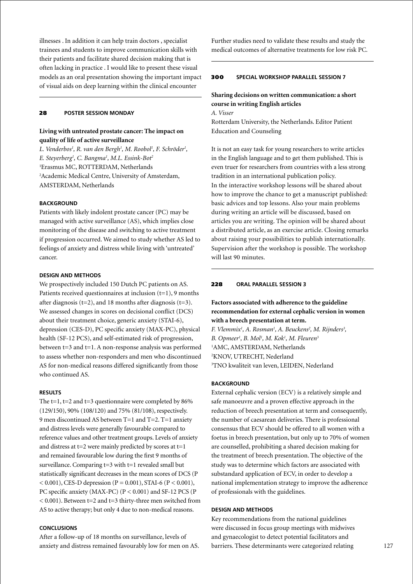illnesses . In addition it can help train doctors , specialist trainees and students to improve communication skills with their patients and facilitate shared decision making that is often lacking in practice . I would like to present these visual models as an oral presentation showing the important impact of visual aids on deep learning within the clinical encounter

### 28 **poster Session Monday**

# **Living with untreated prostate cancer: The impact on quality of life of active surveillance**

L. Venderbos<sup>1</sup>, R. van den Bergh<sup>1</sup>, M. Roobol<sup>1</sup>, F. Schröder<sup>1</sup>, *E. Steyerberg1 , C. Bangma1 , M.L. Essink-Bot2* 1 Erasmus MC, ROTTERDAM, Netherlands 2 Academic Medical Centre, University of Amsterdam, AMSTERDAM, Netherlands

### **BACKGROUND**

Patients with likely indolent prostate cancer (PC) may be managed with active surveillance (AS), which implies close monitoring of the disease and switching to active treatment if progression occurred. We aimed to study whether AS led to feelings of anxiety and distress while living with 'untreated' cancer.

### **Design and Methods**

We prospectively included 150 Dutch PC patients on AS. Patients received questionnaires at inclusion  $(t=1)$ , 9 months after diagnosis ( $t=2$ ), and 18 months after diagnosis ( $t=3$ ). We assessed changes in scores on decisional conflict (DCS) about their treatment choice, generic anxiety (STAI-6), depression (CES-D), PC specific anxiety (MAX-PC), physical health (SF-12 PCS), and self-estimated risk of progression, between t=3 and t=1. A non-response analysis was performed to assess whether non-responders and men who discontinued AS for non-medical reasons differed significantly from those who continued AS.

#### **Results**

The  $t=1$ ,  $t=2$  and  $t=3$  questionnaire were completed by  $86\%$ (129/150), 90% (108/120) and 75% (81/108), respectively. 9 men discontinued AS between T=1 and T=2. T=1 anxiety and distress levels were generally favourable compared to reference values and other treatment groups. Levels of anxiety and distress at  $t=2$  were mainly predicted by scores at  $t=1$ and remained favourable low during the first 9 months of surveillance. Comparing t=3 with t=1 revealed small but statistically significant decreases in the mean scores of DCS (P  $(0.001)$ , CES-D depression (P = 0.001), STAI-6 (P < 0.001), PC specific anxiety (MAX-PC) (P < 0.001) and SF-12 PCS (P  $<$  0.001). Between t=2 and t=3 thirty-three men switched from AS to active therapy; but only 4 due to non-medical reasons.

# **Conclusions**

After a follow-up of 18 months on surveillance, levels of anxiety and distress remained favourably low for men on AS.

Further studies need to validate these results and study the medical outcomes of alternative treatments for low risk PC.

### 300 **special workshop parallel session 7**

# **Sharing decisions on written communication: a short course in writing English articles**

*A. Visser*

Rotterdam University, the Netherlands. Editor Patient Education and Counseling

It is not an easy task for young researchers to write articles in the English language and to get them published. This is even truer for researchers from countries with a less strong tradition in an international publication policy. In the interactive workshop lessons will be shared about how to improve the chance to get a manuscript published: basic advices and top lessons. Also your main problems during writing an article will be discussed, based on articles you are writing. The opinion will be shared about a distributed article, as an exercise article. Closing remarks about raising your possibilities to publish internationally. Supervision after the workshop is possible. The workshop will last 90 minutes.

### 228 **oral parallel session 3**

# **Factors associated with adherence to the guideline recommendation for external cephalic version in women with a breech presentation at term.**

*F. Vlemmix<sup>1</sup>, A. Rosman<sup>1</sup>, A. Beuckens<sup>2</sup>, M. Rijnders<sup>3</sup>, B. Opmeer1 , B. Mol1 , M. Kok1 , M. Fleuren3* 1 AMC, AMSTERDAM, Netherlands 2 KNOV, UTRECHT, Nederland 3 TNO kwaliteit van leven, LEIDEN, Nederland

### **BACKGROUND**

External cephalic version (ECV) is a relatively simple and safe manoeuvre and a proven effective approach in the reduction of breech presentation at term and consequently, the number of caesarean deliveries. There is professional consensus that ECV should be offered to all women with a foetus in breech presentation, but only up to 70% of women are counselled, prohibiting a shared decision making for the treatment of breech presentation. The objective of the study was to determine which factors are associated with substandard application of ECV, in order to develop a national implementation strategy to improve the adherence of professionals with the guidelines.

### **Design and Methods**

Key recommendations from the national guidelines were discussed in focus group meetings with midwives and gynaecologist to detect potential facilitators and barriers. These determinants were categorized relating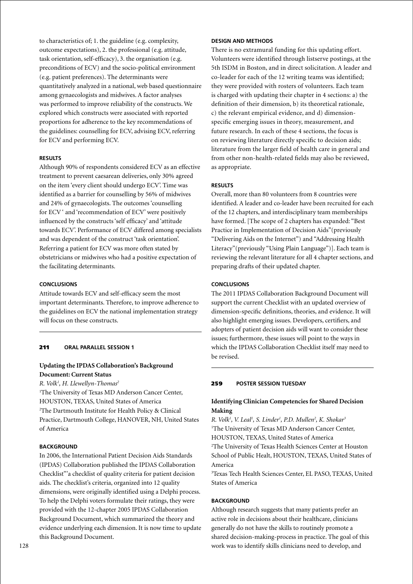to characteristics of; 1. the guideline (e.g. complexity, outcome expectations), 2. the professional (e.g. attitude, task orientation, self-efficacy), 3. the organisation (e.g. preconditions of ECV) and the socio-political environment (e.g. patient preferences). The determinants were quantitatively analyzed in a national, web based questionnaire among gynaecologists and midwives. A factor analyses was performed to improve reliability of the constructs. We explored which constructs were associated with reported proportions for adherence to the key recommendations of the guidelines: counselling for ECV, advising ECV, referring for ECV and performing ECV.

### **Results**

Although 90% of respondents considered ECV as an effective treatment to prevent caesarean deliveries, only 30% agreed on the item 'every client should undergo ECV'. Time was identified as a barrier for counselling by 56% of midwives and 24% of gynaecologists. The outcomes 'counselling for ECV ' and 'recommendation of ECV' were positively influenced by the constructs 'self efficacy' and 'attitude towards ECV'. Performance of ECV differed among specialists and was dependent of the construct 'task orientation'. Referring a patient for ECV was more often stated by obstetricians or midwives who had a positive expectation of the facilitating determinants.

# **Conclusions**

Attitude towards ECV and self-efficacy seem the most important determinants. Therefore, to improve adherence to the guidelines on ECV the national implementation strategy will focus on these constructs.

# 211 **oral parallel session 1**

# **Updating the IPDAS Collaboration's Background Document: Current Status**

#### *R. Volk1 , H. Llewellyn-Thomas2*

1 The University of Texas MD Anderson Cancer Center, HOUSTON, TEXAS, United States of America 2 The Dartmouth Institute for Health Policy & Clinical Practice, Dartmouth College, HANOVER, NH, United States of America

# **BACKGROUND**

In 2006, the International Patient Decision Aids Standards (IPDAS) Collaboration published the IPDAS Collaboration Checklist"'a checklist of quality criteria for patient decision aids. The checklist's criteria, organized into 12 quality dimensions, were originally identified using a Delphi process. To help the Delphi voters formulate their ratings, they were provided with the 12-chapter 2005 IPDAS Collaboration Background Document, which summarized the theory and evidence underlying each dimension. It is now time to update this Background Document.

### **Design and Methods**

There is no extramural funding for this updating effort. Volunteers were identified through listserve postings, at the 5th ISDM in Boston, and in direct solicitation. A leader and co-leader for each of the 12 writing teams was identified; they were provided with rosters of volunteers. Each team is charged with updating their chapter in 4 sections: a) the definition of their dimension, b) its theoretical rationale, c) the relevant empirical evidence, and d) dimensionspecific emerging issues in theory, measurement, and future research. In each of these 4 sections, the focus is on reviewing literature directly specific to decision aids; literature from the larger field of health care in general and from other non-health-related fields may also be reviewed, as appropriate.

### **Results**

Overall, more than 80 volunteers from 8 countries were identified. A leader and co-leader have been recruited for each of the 12 chapters, and interdisciplinary team memberships have formed. [The scope of 2 chapters has expanded: "Best Practice in Implementation of Decision Aids"(previously "Delivering Aids on the Internet") and "Addressing Health Literacy"(previously "Using Plain Language")]. Each team is reviewing the relevant literature for all 4 chapter sections, and preparing drafts of their updated chapter.

# **Conclusions**

The 2011 IPDAS Collaboration Background Document will support the current Checklist with an updated overview of dimension-specific definitions, theories, and evidence. It will also highlight emerging issues. Developers, certifiers, and adopters of patient decision aids will want to consider these issues; furthermore, these issues will point to the ways in which the IPDAS Collaboration Checklist itself may need to be revised.

### 259 **poster session Tuesday**

# **Identifying Clinician Competencies for Shared Decision Making**

*R. Volk1 , V. Leal1 , S. Linder1 , P.D. Mullen2 , K. Shokar3* <sup>1</sup>The University of Texas MD Anderson Cancer Center, HOUSTON, TEXAS, United States of America 2 The University of Texas Health Sciences Center at Houston School of Public Healt, HOUSTON, TEXAS, United States of America

3 Texas Tech Health Sciences Center, EL PASO, TEXAS, United States of America

#### **BACKGROUND**

Although research suggests that many patients prefer an active role in decisions about their healthcare, clinicians generally do not have the skills to routinely promote a shared decision-making-process in practice. The goal of this work was to identify skills clinicians need to develop, and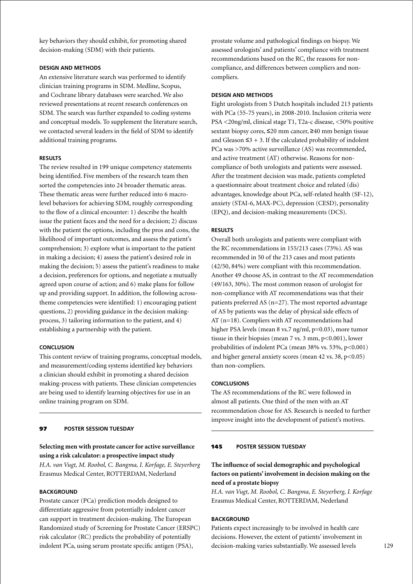key behaviors they should exhibit, for promoting shared decision-making (SDM) with their patients.

### **Design and Methods**

An extensive literature search was performed to identify clinician training programs in SDM. Medline, Scopus, and Cochrane library databases were searched. We also reviewed presentations at recent research conferences on SDM. The search was further expanded to coding systems and conceptual models. To supplement the literature search, we contacted several leaders in the field of SDM to identify additional training programs.

### **Results**

The review resulted in 199 unique competency statements being identified. Five members of the research team then sorted the competencies into 24 broader thematic areas. These thematic areas were further reduced into 6 macrolevel behaviors for achieving SDM, roughly corresponding to the flow of a clinical encounter: 1) describe the health issue the patient faces and the need for a decision; 2) discuss with the patient the options, including the pros and cons, the likelihood of important outcomes, and assess the patient's comprehension; 3) explore what is important to the patient in making a decision; 4) assess the patient's desired role in making the decision; 5) assess the patient's readiness to make a decision, preferences for options, and negotiate a mutually agreed upon course of action; and 6) make plans for follow up and providing support. In addition, the following acrosstheme competencies were identified: 1) encouraging patient questions, 2) providing guidance in the decision makingprocess, 3) tailoring information to the patient, and 4) establishing a partnership with the patient.

### **Conclusion**

This content review of training programs, conceptual models, and measurement/coding systems identified key behaviors a clinician should exhibit in promoting a shared decision making-process with patients. These clinician competencies are being used to identify learning objectives for use in an online training program on SDM.

# 97 **poster session Tuesday**

# **Selecting men with prostate cancer for active surveillance using a risk calculator: a prospective impact study**

*H.A. van Vugt, M. Roobol, C. Bangma, I. Korfage, E. Steyerberg* Erasmus Medical Center, ROTTERDAM, Nederland

# **BACKGROUND**

Prostate cancer (PCa) prediction models designed to differentiate aggressive from potentially indolent cancer can support in treatment decision-making. The European Randomized study of Screening for Prostate Cancer (ERSPC) risk calculator (RC) predicts the probability of potentially indolent PCa, using serum prostate specific antigen (PSA),

prostate volume and pathological findings on biopsy. We assessed urologists' and patients' compliance with treatment recommendations based on the RC, the reasons for noncompliance, and differences between compliers and noncompliers.

### **Design and Methods**

Eight urologists from 5 Dutch hospitals included 213 patients with PCa (55-75 years), in 2008-2010. Inclusion criteria were PSA <20ng/ml, clinical stage T1, T2a-c disease, <50% positive sextant biopsy cores, ≤20 mm cancer, ≥40 mm benign tissue and Gleason  $\leq$ 3 + 3. If the calculated probability of indolent PCa was >70% active surveillance (AS) was recommended, and active treatment (AT) otherwise. Reasons for noncompliance of both urologists and patients were assessed. After the treatment decision was made, patients completed a questionnaire about treatment choice and related (dis) advantages, knowledge about PCa, self-related health (SF-12), anxiety (STAI-6, MAX-PC), depression (CESD), personality (EPQ), and decision-making measurements (DCS).

# **Results**

Overall both urologists and patients were compliant with the RC recommendations in 155/213 cases (73%). AS was recommended in 50 of the 213 cases and most patients (42/50, 84%) were compliant with this recommendation. Another 49 choose AS, in contrast to the AT recommendation (49/163, 30%). The most common reason of urologist for non-compliance with AT recommendations was that their patients preferred AS (n=27). The most reported advantage of AS by patients was the delay of physical side effects of AT (n=18). Compliers with AT recommendations had higher PSA levels (mean 8 vs.7 ng/ml, p=0.03), more tumor tissue in their biopsies (mean  $7$  vs.  $3$  mm,  $p<0.001$ ), lower probabilities of indolent PCa (mean 38% vs. 53%, p<0.001) and higher general anxiety scores (mean 42 vs. 38, p<0.05) than non-compliers.

### **Conclusions**

The AS recommendations of the RC were followed in almost all patients. One third of the men with an AT recommendation chose for AS. Research is needed to further improve insight into the development of patient's motives.

### 145 **poster session Tuesday**

# **The influence of social demographic and psychological factors on patients' involvement in decision making on the need of a prostate biopsy**

*H.A. van Vugt, M. Roobol, C. Bangma, E. Steyerberg, I. Korfage* Erasmus Medical Center, ROTTERDAM, Nederland

### **BACKGROUND**

Patients expect increasingly to be involved in health care decisions. However, the extent of patients' involvement in decision-making varies substantially. We assessed levels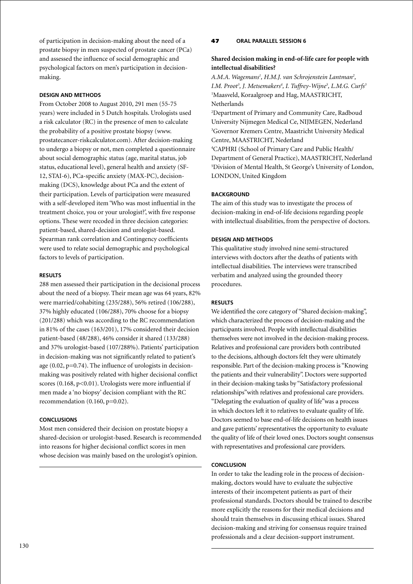of participation in decision-making about the need of a prostate biopsy in men suspected of prostate cancer (PCa) and assessed the influence of social demographic and psychological factors on men's participation in decisionmaking.

# **Design and Methods**

From October 2008 to August 2010, 291 men (55-75 years) were included in 5 Dutch hospitals. Urologists used a risk calculator (RC) in the presence of men to calculate the probability of a positive prostate biopsy (www. prostatecancer-riskcalculator.com). After decision-making to undergo a biopsy or not, men completed a questionnaire about social demographic status (age, marital status, job status, educational level), general health and anxiety (SF-12, STAI-6), PCa-specific anxiety (MAX-PC), decisionmaking (DCS), knowledge about PCa and the extent of their participation. Levels of participation were measured with a self-developed item 'Who was most influential in the treatment choice, you or your urologist?', with five response options. These were recoded in three decision categories: patient-based, shared-decision and urologist-based. Spearman rank correlation and Contingency coefficients were used to relate social demographic and psychological factors to levels of participation.

### **Results**

288 men assessed their participation in the decisional process about the need of a biopsy. Their mean age was 64 years, 82% were married/cohabiting (235/288), 56% retired (106/288), 37% highly educated (106/288), 70% choose for a biopsy (201/288) which was according to the RC recommendation in 81% of the cases (163/201), 17% considered their decision patient-based (48/288), 46% consider it shared (133/288) and 37% urologist-based (107/288%). Patients' participation in decision-making was not significantly related to patient's age (0.02, p=0.74). The influence of urologists in decisionmaking was positively related with higher decisional conflict scores  $(0.168, p<0.01)$ . Urologists were more influential if men made a 'no biopsy' decision compliant with the RC recommendation (0.160, p=0.02).

### **Conclusions**

Most men considered their decision on prostate biopsy a shared-decision or urologist-based. Research is recommended into reasons for higher decisional conflict scores in men whose decision was mainly based on the urologist's opinion.

### 47 **oral parallel session 6**

# **Shared decision making in end-of-life care for people with intellectual disabilities?**

A.M.A. Wagemans<sup>1</sup>, H.M.J. van Schrojenstein Lantman<sup>2</sup>, *I.M. Proot3 , J. Metsemakers4 , I. Tuffrey-Wijne5 , L.M.G. Curfs3* 1 Maasveld, Koraalgroep and Hag, MAASTRICHT, Netherlands

2 Department of Primary and Community Care, Radboud University Nijmegen Medical Ce, NIJMEGEN, Nederland 3 Governor Kremers Centre, Maastricht University Medical Centre, MAASTRICHT, Nederland

4 CAPHRI (School of Primary Care and Public Health/ Department of General Practice), MAASTRICHT, Nederland 5 Division of Mental Health, St George's University of London, LONDON, United Kingdom

# **BACKGROUND**

The aim of this study was to investigate the process of decision-making in end-of-life decisions regarding people with intellectual disabilities, from the perspective of doctors.

### **Design and Methods**

This qualitative study involved nine semi-structured interviews with doctors after the deaths of patients with intellectual disabilities. The interviews were transcribed verbatim and analyzed using the grounded theory procedures.

#### **Results**

We identified the core category of "Shared decision-making", which characterized the process of decision-making and the participants involved. People with intellectual disabilities themselves were not involved in the decision-making process. Relatives and professional care providers both contributed to the decisions, although doctors felt they were ultimately responsible. Part of the decision-making process is "Knowing the patients and their vulnerability". Doctors were supported in their decision-making tasks by "Satisfactory professional relationships"with relatives and professional care providers. "Delegating the evaluation of quality of life"was a process in which doctors left it to relatives to evaluate quality of life. Doctors seemed to base end-of-life decisions on health issues and gave patients' representatives the opportunity to evaluate the quality of life of their loved ones. Doctors sought consensus with representatives and professional care providers.

#### **Conclusion**

In order to take the leading role in the process of decisionmaking, doctors would have to evaluate the subjective interests of their incompetent patients as part of their professional standards. Doctors should be trained to describe more explicitly the reasons for their medical decisions and should train themselves in discussing ethical issues. Shared decision-making and striving for consensus require trained professionals and a clear decision-support instrument.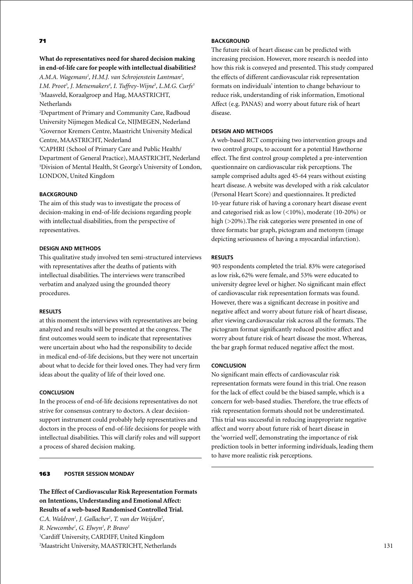# 71

**What do representatives need for shared decision making in end-of-life care for people with intellectual disabilities?** *A.M.A. Wagemans1 , H.M.J. van Schrojenstein Lantman2 , I.M. Proot3 , J. Metsemakers4 , I. Tuffrey-Wijne5 , L.M.G. Curfs3* 1 Maasveld, Koraalgroep and Hag, MAASTRICHT, Netherlands

2 Department of Primary and Community Care, Radboud University Nijmegen Medical Ce, NIJMEGEN, Nederland 3 Governor Kremers Centre, Maastricht University Medical Centre, MAASTRICHT, Nederland

4 CAPHRI (School of Primary Care and Public Health/ Department of General Practice), MAASTRICHT, Nederland 5 Division of Mental Health, St George's University of London, LONDON, United Kingdom

# **BACKGROUND**

The aim of this study was to investigate the process of decision-making in end-of-life decisions regarding people with intellectual disabilities, from the perspective of representatives.

# **Design and Methods**

This qualitative study involved ten semi-structured interviews with representatives after the deaths of patients with intellectual disabilities. The interviews were transcribed verbatim and analyzed using the grounded theory procedures.

#### **Results**

at this moment the interviews with representatives are being analyzed and results will be presented at the congress. The first outcomes would seem to indicate that representatives were uncertain about who had the responsibility to decide in medical end-of-life decisions, but they were not uncertain about what to decide for their loved ones. They had very firm ideas about the quality of life of their loved one.

### **Conclusion**

In the process of end-of-life decisions representatives do not strive for consensus contrary to doctors. A clear decisionsupport instrument could probably help representatives and doctors in the process of end-of-life decisions for people with intellectual disabilities. This will clarify roles and will support a process of shared decision making.

# 163 **poster Session Monday**

**The Effect of Cardiovascular Risk Representation Formats on Intentions, Understanding and Emotional Affect: Results of a web-based Randomised Controlled Trial.** C.A. Waldron<sup>1</sup>, J. Gallacher<sup>1</sup>, T. van der Weijden<sup>2</sup>, *R. Newcombe1 , G. Elwyn1 , P. Bravo1* 1 Cardiff University, CARDIFF, United Kingdom 2 Maastricht University, MAASTRICHT, Netherlands

# **BACKGROUND**

The future risk of heart disease can be predicted with increasing precision. However, more research is needed into how this risk is conveyed and presented. This study compared the effects of different cardiovascular risk representation formats on individuals' intention to change behaviour to reduce risk, understanding of risk information, Emotional Affect (e.g. PANAS) and worry about future risk of heart disease.

#### **Design and Methods**

A web-based RCT comprising two intervention groups and two control groups, to account for a potential Hawthorne effect. The first control group completed a pre-intervention questionnaire on cardiovascular risk perceptions. The sample comprised adults aged 45-64 years without existing heart disease. A website was developed with a risk calculator (Personal Heart Score) and questionnaires. It predicted 10-year future risk of having a coronary heart disease event and categorised risk as low (<10%), moderate (10-20%) or high (>20%). The risk categories were presented in one of three formats: bar graph, pictogram and metonym (image depicting seriousness of having a myocardial infarction).

### **Results**

903 respondents completed the trial. 83% were categorised as low risk, 62% were female, and 53% were educated to university degree level or higher. No significant main effect of cardiovascular risk representation formats was found. However, there was a significant decrease in positive and negative affect and worry about future risk of heart disease, after viewing cardiovascular risk across all the formats. The pictogram format significantly reduced positive affect and worry about future risk of heart disease the most. Whereas, the bar graph format reduced negative affect the most.

### **Conclusion**

No significant main effects of cardiovascular risk representation formats were found in this trial. One reason for the lack of effect could be the biased sample, which is a concern for web-based studies. Therefore, the true effects of risk representation formats should not be underestimated. This trial was successful in reducing inappropriate negative affect and worry about future risk of heart disease in the 'worried well', demonstrating the importance of risk prediction tools in better informing individuals, leading them to have more realistic risk perceptions.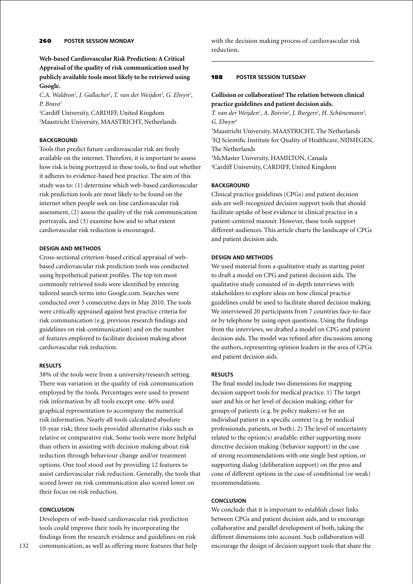**Web-based Cardiovascular Risk Prediction: A Critical Appraisal of the quality of risk communication used by publicly available tools most likely to be retrieved using Google.**

C.A. Waldron<sup>1</sup>, J. Gallacher<sup>1</sup>, T. van der Weijden<sup>2</sup>, G. Elwyn<sup>1</sup>, *P. Bravo1*

1 Cardiff University, CARDIFF, United Kingdom 2 Maastricht University, MAASTRICHT, Netherlands

# **BACKGROUND**

Tools that predict future cardiovascular risk are freely available on the internet. Therefore, it is important to assess how risk is being portrayed in these tools, to find out whether it adheres to evidence-based best practice. The aim of this study was to: (1) determine which web-based cardiovascular risk prediction tools are most likely to be found on the internet when people seek on-line cardiovascular risk assessment, (2) assess the quality of the risk communication portrayals, and (3) examine how and to what extent cardiovascular risk reduction is encouraged.

# **Design and Methods**

Cross-sectional criterion-based critical appraisal of webbased cardiovascular risk prediction tools was conducted using hypothetical patient profiles. The top ten most commonly retrieved tools were identified by entering tailored search terms into Google.com. Searches were conducted over 5 consecutive days in May 2010. The tools were critically appraised against best practice criteria for risk communication (e.g. previous research findings and guidelines on risk communication) and on the number of features employed to facilitate decision making about cardiovascular risk reduction.

### **Results**

38% of the tools were from a university/research setting. There was variation in the quality of risk communication employed by the tools. Percentages were used to present risk information by all tools except one. 46% used graphical representation to accompany the numerical risk information. Nearly all tools calculated absolute 10-year risk; three tools provided alternative risks such as relative or comparative risk. Some tools were more helpful than others in assisting with decision making about risk reduction through behaviour change and/or treatment options. One tool stood out by providing 12 features to assist cardiovascular risk reduction. Generally, the tools that scored lower on risk communication also scored lower on their focus on risk reduction.

### **Conclusion**

Developers of web-based cardiovascular risk prediction tools could improve their tools by incorporating the findings from the research evidence and guidelines on risk communication, as well as offering more features that help with the decision making process of cardiovascular risk reduction.

### 188 **poster session Tuesday**

**Collision or collaboration? The relation between clinical practice guidelines and patient decision aids.**

*T.* van der Weijden<sup>1</sup>, A. Boivin<sup>2</sup>, J. Burgers<sup>2</sup>, H. Schünemann<sup>3</sup>, *G. Elwyn4*

 Maastricht University, MAASTRICHT, The Netherlands IQ Scientific Institute for Quality of Healthcare, NIJMEGEN, The Netherlands McMaster University, HAMILTON, Canada

4 Cardiff University, CARDIFF, United Kingdom

### **Background**

Clinical practice guidelines (CPGs) and patient decision aids are well-recognized decision support tools that should facilitate uptake of best evidence in clinical practice in a patient-centered manner. However, these tools support different audiences. This article charts the landscape of CPGs and patient decision aids.

### **Design and Methods**

We used material from a qualitative study as starting point to draft a model on CPG and patient decision aids. The qualitative study consisted of in-depth interviews with stakeholders to explore ideas on how clinical practice guidelines could be used to facilitate shared decision making. We interviewed 20 participants from 7 countries face-to-face or by telephone by using open questions. Using the findings from the interviews, we drafted a model on CPG and patient decision aids. The model was refined after discussions among the authors, representing opinion leaders in the area of CPGs and patient decision aids.

### **Results**

The final model include two dimensions for mapping decision support tools for medical practice. 1) The target user and his or her level of decision making; either for groups of patients (e.g. by policy makers) or for an individual patient in a specific context (e.g. by medical professionals, patients, or both). 2) The level of uncertainty related to the option(s) available: either supporting more directive decision making (behavior support) in the case of strong recommendations with one single best option, or supporting dialog (deliberation support) on the pros and cons of different options in the case of conditional (or weak) recommendations.

# **Conclusion**

We conclude that it is important to establish closer links between CPGs and patient decision aids, and to encourage collaborative and parallel development of both, taking the different dimensions into account. Such collaboration will encourage the design of decision support tools that share the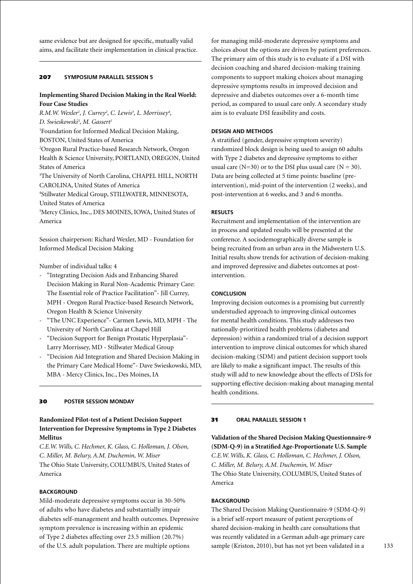same evidence but are designed for specific, mutually valid aims, and facilitate their implementation in clinical practice.

### 207 **Symposium parallel session 5**

# **Implementing Shared Decision Making in the Real World: Four Case Studies**

*R.M.W. Wexler<sup>1</sup>, J. Currey<sup>2</sup>, C. Lewis<sup>3</sup>, L. Morrissey<sup>4</sup>, D. Swieskowski5 , M. Gassert1* 1 Foundation for Informed Medical Decision Making, BOSTON, United States of America 2 Oregon Rural Practice-based Research Network, Oregon Health & Science University, PORTLAND, OREGON, United States of America 3 The University of North Carolina, CHAPEL HILL, NORTH CAROLINA, United States of America 4 Stillwater Medical Group, STILLWATER, MINNESOTA, United States of America 5 Mercy Clinics, Inc., DES MOINES, IOWA, United States of

America

Session chairperson: Richard Wexler, MD - Foundation for Informed Medical Decision Making

Number of individual talks: 4

- "Integrating Decision Aids and Enhancing Shared Decision Making in Rural Non-Academic Primary Care: The Essential role of Practice Facilitation"- Jill Currey, MPH - Oregon Rural Practice-based Research Network, Oregon Health & Science University
- "The UNC Experience"- Carmen Lewis, MD, MPH The University of North Carolina at Chapel Hill
- "Decision Support for Benign Prostatic Hyperplasia"- Larry Morrissey, MD - Stillwater Medical Group
- "Decision Aid Integration and Shared Decision Making in the Primary Care Medical Home"- Dave Swieskowski, MD, MBA - Mercy Clinics, Inc., Des Moines, IA

# 30 **poster Session Monday**

**Randomized Pilot-test of a Patient Decision Support Intervention for Depressive Symptoms in Type 2 Diabetes Mellitus**

*C.E.W. Wills, C. Hechmer, K. Glass, C. Holloman, J. Olson, C. Miller, M. Belury, A.M. Duchemin, W. Miser* The Ohio State University, COLUMBUS, United States of America

# **BACKGROUND**

Mild-moderate depressive symptoms occur in 30-50% of adults who have diabetes and substantially impair diabetes self-management and health outcomes. Depressive symptom prevalence is increasing within an epidemic of Type 2 diabetes affecting over 23.5 million (20.7%) of the U.S. adult population. There are multiple options

for managing mild-moderate depressive symptoms and choices about the options are driven by patient preferences. The primary aim of this study is to evaluate if a DSI with decision coaching and shared decision-making training components to support making choices about managing depressive symptoms results in improved decision and depressive and diabetes outcomes over a 6-month time period, as compared to usual care only. A secondary study aim is to evaluate DSI feasibility and costs.

### **Design and Methods**

A stratified (gender, depressive symptom severity) randomized block design is being used to assign 60 adults with Type 2 diabetes and depressive symptoms to either usual care ( $N=30$ ) or to the DSI plus usual care ( $N = 30$ ). Data are being collected at 5 time points: baseline (preintervention), mid-point of the intervention (2 weeks), and post-intervention at 6 weeks, and 3 and 6 months.

# **Results**

Recruitment and implementation of the intervention are in process and updated results will be presented at the conference. A sociodemographically diverse sample is being recruited from an urban area in the Midwestern U.S. Initial results show trends for activation of decision-making and improved depressive and diabetes outcomes at postintervention.

# **Conclusion**

Improving decision outcomes is a promising but currently understudied approach to improving clinical outcomes for mental health conditions. This study addresses two nationally-prioritized health problems (diabetes and depression) within a randomized trial of a decision support intervention to improve clinical outcomes for which shared decision-making (SDM) and patient decision support tools are likely to make a significant impact. The results of this study will add to new knowledge about the effects of DSIs for supporting effective decision-making about managing mental health conditions.

# 31 **Oral parallel session 1**

**Validation of the Shared Decision Making Questionnaire-9 (SDM-Q-9) in a Stratified Age-Proportionate U.S. Sample** *C.E.W. Wills, K. Glass, C. Holloman, C. Hechmer, J. Olson, C. Miller, M. Belury, A.M. Duchemin, W. Miser* The Ohio State University, COLUMBUS, United States of America

# **BACKGROUND**

The Shared Decision Making Questionnaire-9 (SDM-Q-9) is a brief self-report measure of patient perceptions of shared decision-making in health care consultations that was recently validated in a German adult-age primary care sample (Kriston, 2010), but has not yet been validated in a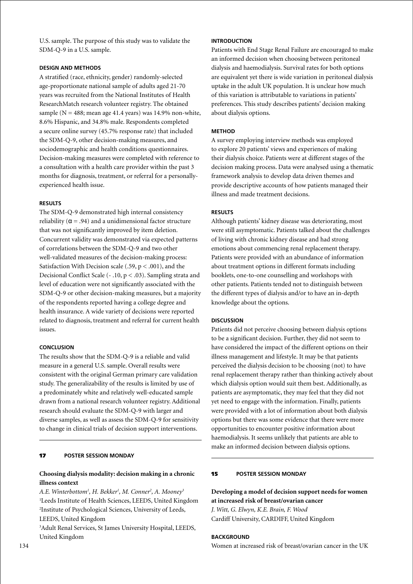U.S. sample. The purpose of this study was to validate the SDM-Q-9 in a U.S. sample.

### **Design and Methods**

A stratified (race, ethnicity, gender) randomly-selected age-proportionate national sample of adults aged 21-70 years was recruited from the National Institutes of Health ResearchMatch research volunteer registry. The obtained sample ( $N = 488$ ; mean age 41.4 years) was 14.9% non-white, 8.6% Hispanic, and 34.8% male. Respondents completed a secure online survey (45.7% response rate) that included the SDM-Q-9, other decision-making measures, and sociodemographic and health conditions questionnaires. Decision-making measures were completed with reference to a consultation with a health care provider within the past 3 months for diagnosis, treatment, or referral for a personallyexperienced health issue.

### **Results**

The SDM-Q-9 demonstrated high internal consistency reliability ( $\alpha$  = .94) and a unidimensional factor structure that was not significantly improved by item deletion. Concurrent validity was demonstrated via expected patterns of correlations between the SDM-Q-9 and two other well-validated measures of the decision-making process: Satisfaction With Decision scale (.59,  $p < .001$ ), and the Decisional Conflict Scale (- .10, p < .03). Sampling strata and level of education were not significantly associated with the SDM-Q-9 or other decision-making measures, but a majority of the respondents reported having a college degree and health insurance. A wide variety of decisions were reported related to diagnosis, treatment and referral for current health issues.

# **Conclusion**

The results show that the SDM-Q-9 is a reliable and valid measure in a general U.S. sample. Overall results were consistent with the original German primary care validation study. The generalizability of the results is limited by use of a predominately white and relatively well-educated sample drawn from a national research volunteer registry. Additional research should evaluate the SDM-Q-9 with larger and diverse samples, as well as assess the SDM-Q-9 for sensitivity to change in clinical trials of decision support interventions.

# 17 **poster Session Monday**

# **Choosing dialysis modality: decision making in a chronic illness context**

*A.E. Winterbottom1 , H. Bekker1 , M. Conner2 , A. Mooney3* 1 Leeds Institute of Health Sciences, LEEDS, United Kingdom 2 Institute of Psychological Sciences, University of Leeds, LEEDS, United Kingdom

3 Adult Renal Services, St James University Hospital, LEEDS, United Kingdom

# **Introduction**

Patients with End Stage Renal Failure are encouraged to make an informed decision when choosing between peritoneal dialysis and haemodialysis. Survival rates for both options are equivalent yet there is wide variation in peritoneal dialysis uptake in the adult UK population. It is unclear how much of this variation is attributable to variations in patients' preferences. This study describes patients' decision making about dialysis options.

### **Method**

A survey employing interview methods was employed to explore 20 patients' views and experiences of making their dialysis choice. Patients were at different stages of the decision making process. Data were analysed using a thematic framework analysis to develop data driven themes and provide descriptive accounts of how patients managed their illness and made treatment decisions.

### **Results**

Although patients' kidney disease was deteriorating, most were still asymptomatic. Patients talked about the challenges of living with chronic kidney disease and had strong emotions about commencing renal replacement therapy. Patients were provided with an abundance of information about treatment options in different formats including booklets, one-to-one counselling and workshops with other patients. Patients tended not to distinguish between the different types of dialysis and/or to have an in-depth knowledge about the options.

### **Discussion**

Patients did not perceive choosing between dialysis options to be a significant decision. Further, they did not seem to have considered the impact of the different options on their illness management and lifestyle. It may be that patients perceived the dialysis decision to be choosing (not) to have renal replacement therapy rather than thinking actively about which dialysis option would suit them best. Additionally, as patients are asymptomatic, they may feel that they did not yet need to engage with the information. Finally, patients were provided with a lot of information about both dialysis options but there was some evidence that there were more opportunities to encounter positive information about haemodialysis. It seems unlikely that patients are able to make an informed decision between dialysis options.

### 15 **poster Session Monday**

**Developing a model of decision support needs for women at increased risk of breast/ovarian cancer** *J. Witt, G. Elwyn, K.E. Brain, F. Wood* Cardiff University, CARDIFF, United Kingdom

# **BACKGROUND**

Women at increased risk of breast/ovarian cancer in the UK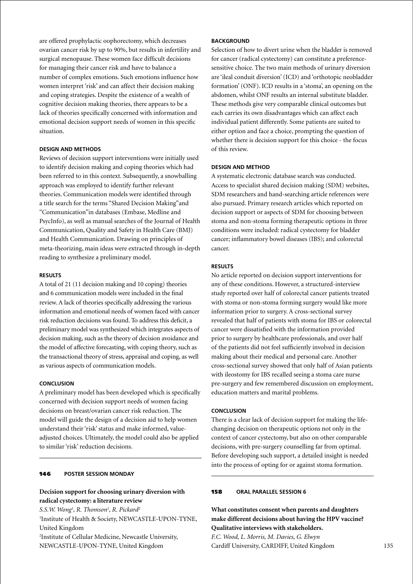are offered prophylactic oophorectomy, which decreases ovarian cancer risk by up to 90%, but results in infertility and surgical menopause. These women face difficult decisions for managing their cancer risk and have to balance a number of complex emotions. Such emotions influence how women interpret 'risk' and can affect their decision making and coping strategies. Despite the existence of a wealth of cognitive decision making theories, there appears to be a lack of theories specifically concerned with information and emotional decision support needs of women in this specific situation.

# **Design and Methods**

Reviews of decision support interventions were initially used to identify decision making and coping theories which had been referred to in this context. Subsequently, a snowballing approach was employed to identify further relevant theories. Communication models were identified through a title search for the terms "Shared Decision Making"and "Communication"in databases (Embase, Medline and PsycInfo), as well as manual searches of the Journal of Health Communication, Quality and Safety in Health Care (BMJ) and Health Communication. Drawing on principles of meta-theorizing, main ideas were extracted through in-depth reading to synthesize a preliminary model.

#### **Results**

A total of 21 (11 decision making and 10 coping) theories and 6 communication models were included in the final review. A lack of theories specifically addressing the various information and emotional needs of women faced with cancer risk reduction decisions was found. To address this deficit, a preliminary model was synthesized which integrates aspects of decision making, such as the theory of decision avoidance and the model of affective forecasting, with coping theory, such as the transactional theory of stress, appraisal and coping, as well as various aspects of communication models.

### **Conclusion**

A preliminary model has been developed which is specifically concerned with decision support needs of women facing decisions on breast/ovarian cancer risk reduction. The model will guide the design of a decision aid to help women understand their 'risk' status and make informed, valueadjusted choices. Ultimately, the model could also be applied to similar 'risk' reduction decisions.

# 146 **poster Session Monday**

# **Decision support for choosing urinary diversion with radical cystectomy: a literature review**

*S.S.W. Wong1 , R. Thomson1 , R. Pickard2* 1 Institute of Health & Society, NEWCASTLE-UPON-TYNE, United Kingdom 2 Institute of Cellular Medicine, Newcastle University, NEWCASTLE-UPON-TYNE, United Kingdom

### **BACKGROUND**

Selection of how to divert urine when the bladder is removed for cancer (radical cystectomy) can constitute a preferencesensitive choice. The two main methods of urinary diversion are 'ileal conduit diversion' (ICD) and 'orthotopic neobladder formation' (ONF). ICD results in a 'stoma', an opening on the abdomen, whilst ONF results an internal substitute bladder. These methods give very comparable clinical outcomes but each carries its own disadvantages which can affect each individual patient differently. Some patients are suited to either option and face a choice, prompting the question of whether there is decision support for this choice - the focus of this review.

#### **Design and Method**

A systematic electronic database search was conducted. Access to specialist shared decision making (SDM) websites, SDM researchers and hand-searching article references were also pursued. Primary research articles which reported on decision support or aspects of SDM for choosing between stoma and non-stoma forming therapeutic options in three conditions were included: radical cystectomy for bladder cancer; inflammatory bowel diseases (IBS); and colorectal cancer.

### **Results**

No article reported on decision support interventions for any of these conditions. However, a structured-interview study reported over half of colorectal cancer patients treated with stoma or non-stoma forming surgery would like more information prior to surgery. A cross-sectional survey revealed that half of patients with stoma for IBS or colorectal cancer were dissatisfied with the information provided prior to surgery by healthcare professionals, and over half of the patients did not feel sufficiently involved in decision making about their medical and personal care. Another cross-sectional survey showed that only half of Asian patients with ileostomy for IBS recalled seeing a stoma care nurse pre-surgery and few remembered discussion on employment, education matters and marital problems.

#### **Conclusion**

There is a clear lack of decision support for making the lifechanging decision on therapeutic options not only in the context of cancer cystectomy, but also on other comparable decisions, with pre-surgery counselling far from optimal. Before developing such support, a detailed insight is needed into the process of opting for or against stoma formation.

### 158 **oral parallel session 6**

**What constitutes consent when parents and daughters make different decisions about having the HPV vaccine? Qualitative interviews with stakeholders.** *F.C. Wood, L. Morris, M. Davies, G. Elwyn* Cardiff University, CARDIFF, United Kingdom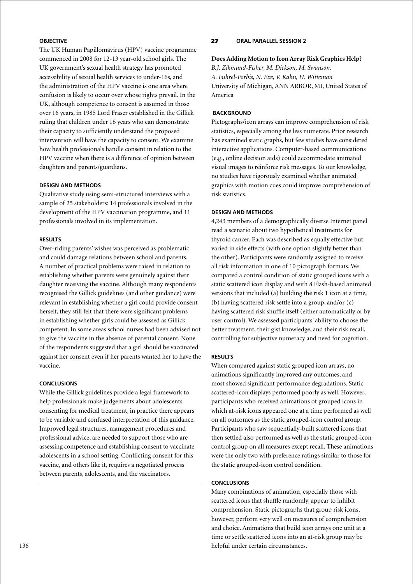# **Objective**

The UK Human Papillomavirus (HPV) vaccine programme commenced in 2008 for 12-13 year-old school girls. The UK government's sexual health strategy has promoted accessibility of sexual health services to under-16s, and the administration of the HPV vaccine is one area where confusion is likely to occur over whose rights prevail. In the UK, although competence to consent is assumed in those over 16 years, in 1985 Lord Fraser established in the Gillick ruling that children under 16 years who can demonstrate their capacity to sufficiently understand the proposed intervention will have the capacity to consent. We examine how health professionals handle consent in relation to the HPV vaccine when there is a difference of opinion between daughters and parents/guardians.

### **Design and Methods**

Qualitative study using semi-structured interviews with a sample of 25 stakeholders: 14 professionals involved in the development of the HPV vaccination programme, and 11 professionals involved in its implementation.

### **Results**

Over-riding parents' wishes was perceived as problematic and could damage relations between school and parents. A number of practical problems were raised in relation to establishing whether parents were genuinely against their daughter receiving the vaccine. Although many respondents recognised the Gillick guidelines (and other guidance) were relevant in establishing whether a girl could provide consent herself, they still felt that there were significant problems in establishing whether girls could be assessed as Gillick competent. In some areas school nurses had been advised not to give the vaccine in the absence of parental consent. None of the respondents suggested that a girl should be vaccinated against her consent even if her parents wanted her to have the vaccine.

### **Conclusions**

While the Gillick guidelines provide a legal framework to help professionals make judgements about adolescents consenting for medical treatment, in practice there appears to be variable and confused interpretation of this guidance. Improved legal structures, management procedures and professional advice, are needed to support those who are assessing competence and establishing consent to vaccinate adolescents in a school setting. Conflicting consent for this vaccine, and others like it, requires a negotiated process between parents, adolescents, and the vaccinators.

# 27 **oral parallel session 2**

### **Does Adding Motion to Icon Array Risk Graphics Help?**

*B.J. Zikmund-Fisher, M. Dickson, M. Swanson, A. Fuhrel-Forbis, N. Exe, V. Kahn, H. Witteman* University of Michigan, ANN ARBOR, MI, United States of America

### **Background**

Pictographs/icon arrays can improve comprehension of risk statistics, especially among the less numerate. Prior research has examined static graphs, but few studies have considered interactive applications. Computer-based communications (e.g., online decision aids) could accommodate animated visual images to reinforce risk messages. To our knowledge, no studies have rigorously examined whether animated graphics with motion cues could improve comprehension of risk statistics.

### **Design and Methods**

4,243 members of a demographically diverse Internet panel read a scenario about two hypothetical treatments for thyroid cancer. Each was described as equally effective but varied in side effects (with one option slightly better than the other). Participants were randomly assigned to receive all risk information in one of 10 pictograph formats. We compared a control condition of static grouped icons with a static scattered icon display and with 8 Flash-based animated versions that included (a) building the risk 1 icon at a time, (b) having scattered risk settle into a group, and/or (c) having scattered risk shuffle itself (either automatically or by user control). We assessed participants' ability to choose the better treatment, their gist knowledge, and their risk recall, controlling for subjective numeracy and need for cognition.

#### **Results**

When compared against static grouped icon arrays, no animations significantly improved any outcomes, and most showed significant performance degradations. Static scattered-icon displays performed poorly as well. However, participants who received animations of grouped icons in which at-risk icons appeared one at a time performed as well on all outcomes as the static grouped-icon control group. Participants who saw sequentially-built scattered icons that then settled also performed as well as the static grouped-icon control group on all measures except recall. These animations were the only two with preference ratings similar to those for the static grouped-icon control condition.

### **Conclusions**

Many combinations of animation, especially those with scattered icons that shuffle randomly, appear to inhibit comprehension. Static pictographs that group risk icons, however, perform very well on measures of comprehension and choice. Animations that build icon arrays one unit at a time or settle scattered icons into an at-risk group may be helpful under certain circumstances.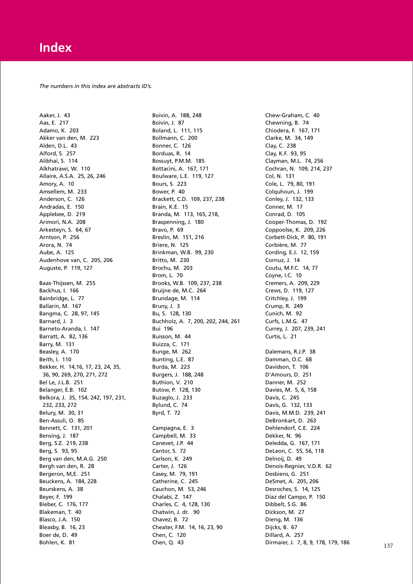*The numbers in this index are abstracts ID's.*

Aaker, J. 43 Aas, E. 217 Adamo, K. 203 Akker van den, M. 223 Alden, D.L. 43 Alford, S. 257 Alibhai, S. 114 Alkhatrawi, W. 110 Allaire, A.S.A. 25, 26, 246 Amory, A. 10 Amsellem, M. 233 Anderson, C. 126 Andradas, E. 150 Applebee, D. 219 Arimori, N.A. 208 Arkesteyn, S. 64, 67 Arntson, P. 256 Arora, N. 74 Aube, A. 125 Audenhove van, C. 205, 206 Auguste, P. 119, 127 Baas-Thijssen, M. 255 Backhus, I. 166 Bainbridge, L. 77 Ballarin, M. 167 Bangma, C. 28, 97, 145 Barnard, J. 3 Barneto-Aranda, I. 147 Barratt, A. 82, 136 Barry, M. 131 Beasley, A. 170 Beith, I. 110 Bekker, H. 14,16, 17, 23, 24, 35, 36, 90, 269, 270, 271, 272 Bel Le, J.L.B. 251 Belanger, E.B. 102 Belkora, J. 35, 154, 242, 197, 231, 232, 233, 272 Belury, M. 30, 31 Ben-Assuli, O. 85 Bennett, C. 131, 201 Bensing, J. 187 Berg, S.Z. 219, 238 Berg, S. 93, 95 Berg van den, M.A.G. 250 Bergh van den, R. 28 Bergeron, M,E. 251 Beuckens, A. 184, 228 Beurskens, A. 38 Beyer, F. 199 Bieber, C. 176, 177 Blakeman, T. 40 Blasco, J.A. 150 Bleasby, B. 16, 23 Boer de, D. 49 Bohlen, K. 81

Boivin, A. 188, 248 Boivin, J. 87 Boland, L. 111, 115 Bollmann, C. 200 Bonner, C. 126 Borduas, R. 14 Bossuyt, P.M.M. 185 Bottacini, A. 167, 171 Boulware, L.E. 119, 127 Bours, S. 223 Bower, P. 40 Brackett, C.D. 109, 237, 238 Brain, K.E. 15 Branda, M. 113, 165, 218, Braspenning, J. 180 Bravo, P. 69 Breslin, M. 151, 216 Briere, N. 125 Brinkman, W.B. 99, 230 Britto, M. 230 Brochu, M. 203 Brom, L. 70 Brooks, W.B. 109, 237, 238 Bruijne de, M.C. 264 Brundage, M. 114 Bruny, J. 3 Bu, S. 128, 130 Buchholz, A. 7, 200, 202, 244, 261 Bui 196 Buisson, M. 44 Buizza, C. 171 Bunge, M. 262 Bunting, L.E. 87 Burda, M. 223 Burgers, J. 188, 248 Buthion, V. 210 Butow, P. 128, 130 Buzaglo, J. 233 Bylund, C. 74 Byrd, T. 72 Campagna, E. 3 Campbell, M. 33 Canevet, J.P. 44 Cantor, S. 72 Carlson, K. 249 Carter, J. 126 Casey, M. 79, 191 Catherine, C. 245 Cauchon, M. 53, 246 Chalabi, Z. 147 Charles, C. 4, 128, 130 Chatwin, J. dr. 90 Chavez, B. 72 Cheater, F.M. 14, 16, 23, 90 Chen, C. 120 Chen, Q. 43

Chew-Graham, C. 40 Chewning, B. 74 Chiodera, F. 167, 171 Clarke, M. 34, 149 Clay, C. 238 Clay, K.F. 93, 95 Clayman, M.L. 74, 256 Cochran, N. 109, 214, 237 Col, N. 131 Cole, L. 79, 80, 191 Colquhoun, J. 199 Conley, J. 132, 133 Conner, M. 17 Conrad, D. 105 Cooper-Thomas, D. 192 Coppoolse, K. 209, 226 Corbett-Dick, P. 80, 191 Corbière, M. 77 Cording, E.J. 12, 159 Cornuz, J. 14 Coutu, M.F.C. 14, 77 Coyne, I.C. 10 Cremers, A. 209, 229 Crews, D. 119, 127 Critchley, J. 199 Crump, R. 249 Cunich, M. 92 Curfs, L.M.G. 47 Currey, J. 207, 239, 241 Curtis, L. 21 Dalemans, R.J.P. 38 Damman, O.C. 68 Davidson, T. 106 D'Amours, D. 251 Danner, M. 252 Davies, M. 5, 6, 158 Davis, C. 245 Davis, G. 132, 133 Davis, M.M.D. 239, 241 DeBronkart, D. 263 Dehlendorf, C.E. 224 Dekker, N. 96 Deledda, G. 167, 171 DeLeon, C. 55, 56, 118 Delnoij, D. 49 Denois-Regnier, V.D.R. 62 Desbiens, G. 251 DeSmet, A. 205, 206 Desroches, S. 14, 125 Díaz del Campo, P. 150 Dibbelt, S.G. 86 Dickson, M. 27 Dieng, M. 136 Dijcks, B. 67 Dillard, A. 257 Dirmaier, J. 7, 8, 9, 178, 179, 186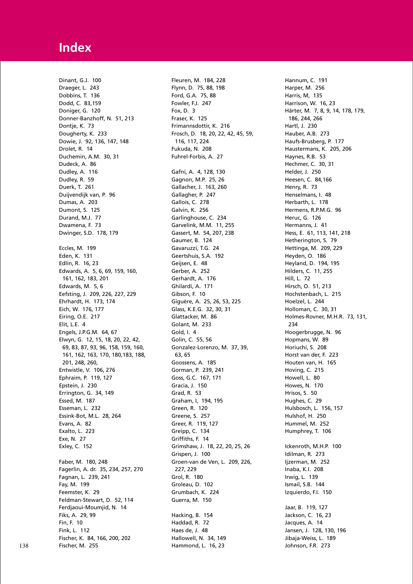Dinant, G.J. 100 Draeger, L. 243 Dobbins, T. 136 Dodd, C. 83,159 Doniger, G. 120 Donner-Banzhoff, N. 51, 213 Dontje, K. 73 Dougherty, K. 233 Dowie, J. 92, 136, 147, 148 Drolet, R. 14 Duchemin, A.M. 30, 31 Dudeck, A. 86 Dudley, A. 116 Dudley, R. 59 Duerk, T. 261 Duijvendijk van, P. 96 Dumas, A. 203 Dumont, S. 125 Durand, M.J. 77 Dwamena, F. 73 Dwinger, S.D. 178, 179 Eccles, M. 199 Eden, K. 131 Edlin, R. 16, 23 Edwards, A. 5, 6, 69, 159, 160, 161, 162, 183, 201 Edwards, M. 5, 6 Eefsting, J. 209, 226, 227, 229 Ehrhardt, H. 173, 174 Eich, W. 176, 177 Eiring, O.E. 217 Elit, L.E. 4 Engels, J.P.G.M. 64, 67 Elwyn, G. 12, 15, 18, 20, 22, 42, 69, 83, 87, 93, 96, 158, 159, 160, 161, 162, 163, 170, 180,183, 188, 201, 248, 260, Entwistle, V. 106, 276 Ephraim, P. 119, 127 Epstein, J. 230 Errington, G. 34, 149 Essed, M. 187 Esseman, L. 232 Essink-Bot, M.L. 28, 264 Evans, A. 82 Exalto, L. 223 Exe, N. 27 Exley, C. 152 Faber, M. 180, 248 Fagerlin, A. dr. 35, 234, 257, 270 Fagnan, L. 239, 241 Fay, M. 199 Feemster, K. 29 Feldman-Stewart, D. 52, 114 Ferdjaoui-Moumjid, N. 14 Fiks, A. 29, 99 Fin, F. 10 Fink, L. 112 Fischer, K. 84, 166, 200, 202 Fischer, M. 255

Fleuren, M. 184, 228 Flynn, D. 75, 88, 198 Ford, G.A. 75, 88 Fowler, F.J. 247 Fox, D. 3 Fraser, K. 125 Frimannsdottir, K. 216 Frosch, D. 18, 20, 22, 42, 45, 59, 116, 117, 224 Fukuda, N. 208 Fuhrel-Forbis, A. 27 Gafni, A. 4, 128, 130 Gagnon, M.P. 25, 26 Gallacher, J. 163, 260 Gallagher, P. 247 Gallois, C. 278 Galvin, K. 256 Garlinghouse, C. 234 Garvelink, M.M. 11, 255 Gassert, M. 54, 207, 238 Gaumer, B. 124 Gavaruzzi, T.G. 24 Geertshuis, S.A. 192 Geijsen, E. 48 Gerber, A. 252 Gerhardt, A. 176 Ghilardi, A. 171 Gibson, F. 10 Giguère, A. 25, 26, 53, 225 Glass, K.E.G. 32, 30, 31 Glattacker, M. 86 Golant, M. 233 Gold, I. 4 Golin, C. 55, 56 Gonzalez-Lorenzo, M. 37, 39, 63, 65 Goossens, A. 185 Gorman, P. 239, 241 Goss, G.C. 167, 171 Gracia, J. 150 Grad, R. 53 Graham, I, 194, 195 Green, R. 120 Greene, S. 257 Greer, R. 119, 127 Greipp, C. 134 Griffiths, F. 14 Grimshaw, J. 18, 22, 20, 25, 26 Grispen, J. 100 Groen-van de Ven, L. 209, 226, 227, 229 Grol, R. 180 Groleau, D. 102 Grumbach, K. 224 Guerra, M. 150 Hacking, B. 154 Haddad, R. 72 Haes de, J. 48 Hallowell, N. 34, 149 Hammond, L. 16, 23

Hannum, C. 191 Harper, M. 256 Harris, M, 135 Harrison, W. 16, 23 Härter, M. 7, 8, 9, 14, 178, 179, 186, 244, 266 Hartl, J. 230 Hauber, A.B. 273 Haufs-Brusberg, P. 177 Haustermans, K. 205, 206 Haynes, R.B. 53 Hechmer, C. 30, 31 Helder, J. 250 Heesen, C. 84,166 Henry, R. 73 Henselmans, I. 48 Herbarth, L. 178 Hermens, R.P.M.G. 96 Heruc, G. 126 Hermanns, J. 41 Hess, E. 61, 113, 141, 218 Hetherington, S. 79 Hettinga, M. 209, 229 Heyden, O. 186 Heyland, D. 194, 195 Hilders, C. 11, 255 Hill, L. 72 Hirsch, O. 51, 213 Hochstenbach, L. 215 Hoelzel, L. 244 Holloman, C. 30, 31 Holmes-Rovner, M.H.R. 73, 131, 234 Hoogerbrugge, N. 96 Hopmans, W. 89 Horiuchi, S. 208 Horst van der, F. 223 Houten van, H. 165 Hoving, C. 215 Howell, L. 80 Howes, N. 170 Hrisos, S. 50 Hughes, C. 29 Hulsbosch, L. 156, 157 Hulshof, H. 250 Hummel, M. 252 Humphrey, T. 106 Ickenroth, M.H.P. 100 Idilman, R. 273 lizerman, M. 252 Inaba, K.I. 208 Irwig, L. 139 Ismail, S.B. 144 Izquierdo, F.I. 150 Jaar, B. 119, 127 Jackson, C. 16, 23 Jacques, A. 14 Jansen, J. 128, 130, 196 Jibaja-Weiss, L. 189 Johnson, F.R. 273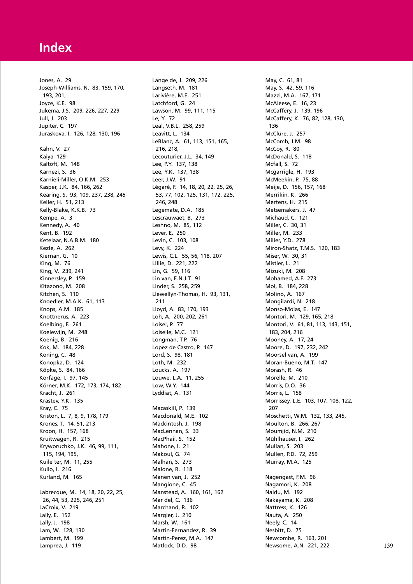Jones, A. 29 Joseph-Williams, N. 83, 159, 170, 193, 201, Joyce, K.E. 98 Jukema, J.S. 209, 226, 227, 229 Jull, J. 203 Jupiter, C. 197 Juraskova, I. 126, 128, 130, 196 Kahn, V. 27 Kaiya 129 Kaltoft, M. 148 Karnezi, S. 36 Karnieli-Miller, O.K.M. 253 Kasper, J.K. 84, 166, 262 Kearing, S. 93, 109, 237, 238, 245 Keller, H. 51, 213 Kelly-Blake, K.K.B. 73 Kempe, A. 3 Kennedy, A. 40 Kent, B. 192 Ketelaar, N.A.B.M. 180 Kezle, A. 262 Kiernan, G. 10 King, M. 76 King, V. 239, 241 Kinnersley, P. 159 Kitazono, M. 208 Kitchen, S. 110 Knoedler, M.A.K. 61, 113 Knops, A.M. 185 Knottnerus, A. 223 Koelbing, F. 261 Koelewijn, M. 248 Koenig, B. 216 Kok, M. 184, 228 Koning, C. 48 Konopka, D. 124 Köpke, S. 84, 166 Korfage, I. 97, 145 Körner, M.K. 172, 173, 174, 182 Kracht, J. 261 Krastev, Y.K. 135 Kray, C. 75 Kriston, L. 7, 8, 9, 178, 179 Krones, T. 14, 51, 213 Kroon, H. 157, 168 Kruitwagen, R. 215 Kryworuchko, J.K. 46, 99, 111, 115, 194, 195, Kuile ter, M. 11, 255 Kullo, I. 216 Kurland, M. 165 Labrecque, M. 14, 18, 20, 22, 25, 26, 44, 53, 225, 246, 251 LaCroix, V. 219 Lally, E. 152 Lally, J. 198 Lam, W. 128, 130 Lambert, M. 199 Lamprea, J. 119

Lange de, J. 209, 226 Langseth, M. 181 Larivière, M.E. 251 Latchford, G. 24 Lawson, M. 99, 111, 115 Le, Y. 72 Leal, V.B.L. 258, 259 Leavitt, L. 134 LeBlanc, A. 61, 113, 151, 165, 216, 218, Lecouturier, J.L. 34, 149 Lee, P.Y. 137, 138 Lee, Y.K. 137, 138 Leer, J.W. 91 Légaré, F. 14, 18, 20, 22, 25, 26, 53, 77, 102, 125, 131, 172, 225, 246, 248 Legemate, D.A. 185 Lescrauwaet, B. 273 Leshno, M. 85, 112 Lever, E. 250 Levin, C. 103, 108 Levy, K. 224 Lewis, C.L. 55, 56, 118, 207 Lillie, D. 221, 222 Lin, G. 59, 116 Lin van, E.N.J.T. 91 Linder, S. 258, 259 Llewellyn-Thomas, H. 93, 131, 211 Lloyd, A. 83, 170, 193 Loh, A. 200, 202, 261 Loisel, P. 77 Loiselle, M.C. 121 Longman, T.P. 76 Lopez de Castro, P. 147 Lord, S. 98, 181 Loth, M. 232 Loucks, A. 197 Louwe, L.A. 11, 255 Low, W.Y. 144 Lyddiat, A. 131 Macaskill, P. 139 Macdonald, M.E. 102 Mackintosh, J. 198 MacLennan, S. 33 MacPhail, S. 152 Mahone, I. 21 Makoul, G. 74 Malhan, S. 273 Malone, R. 118 Manen van, J. 252 Mangione, C. 45 Manstead, A. 160, 161, 162 Mar del, C. 136 Marchand, R. 102 Margier, J. 210 Marsh, W. 161 Martin-Fernandez, R. 39 Martin-Perez, M.A. 147 Matlock, D.D. 98

May, C. 61, 81 May, S. 42, 59, 116 Mazzi, M.A. 167, 171 McAleese, E. 16, 23 McCaffery, J. 139, 196 McCaffery, K. 76, 82, 128, 130, 136 McClure, J. 257 McComb, J.M. 98 McCoy, R. 80 McDonald, S. 118 Mcfall, S. 72 Mcgarrigle, H. 193 McMeekin, P. 75, 88 Meije, D. 156, 157, 168 Merrikin, K. 266 Mertens, H. 215 Metsemakers, J. 47 Michaud, C. 121 Miller, C. 30, 31 Miller, M. 233 Miller, Y.D. 278 Miron-Shatz, T.M.S. 120, 183 Miser, W. 30, 31 Mistler, L. 21 Mizuki, M. 208 Mohamed, A.F. 273 Mol, B. 184, 228 Molino, A. 167 Mongilardi, N. 218 Monso-Molas, E. 147 Montori, M. 129, 165, 218 Montori, V. 61, 81, 113, 143, 151, 183, 204, 216 Mooney, A. 17, 24 Moore, D. 197, 232, 242 Moorsel van, A. 199 Moran-Bueno, M.T. 147 Morash, R. 46 Morelle, M. 210 Morris, D.O. 36 Morris, L. 158 Morrissey, L.E. 103, 107, 108, 122, 207 Moschetti, W.M. 132, 133, 245, Moulton, B. 266, 267 Moumjid, N.M. 210 Mühlhauser, I. 262 Mullan, S. 203 Mullen, P.D. 72, 259 Murray, M.A. 125 Nagengast, F.M. 96 Nagamori, K. 208 Naidu, M. 192 Nakayama, K. 208 Nattress, K. 126 Nauta, A. 250 Neely, C. 14 Nesbitt, D. 75 Newcombe, R. 163, 201 Newsome, A.N. 221, 222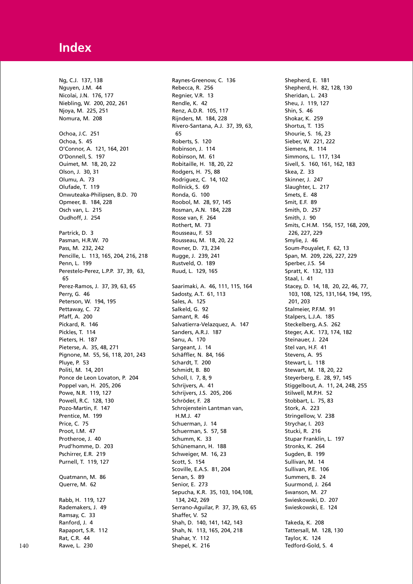Ng, C.J. 137, 138 Nguyen, J.M. 44 Nicolai, J.N. 176, 177 Niebling, W. 200, 202, 261 Njoya, M. 225, 251 Nomura, M. 208 Ochoa, J.C. 251 Ochoa, S. 45 O'Connor, A. 121, 164, 201 O'Donnell, S. 197 Ouimet, M. 18, 20, 22 Olson, J. 30, 31 Olumu, A. 73 Olufade, T. 119 Onwuteaka-Philipsen, B.D. 70 Opmeer, B. 184, 228 Osch van, L. 215 Oudhoff, J. 254 Partrick, D. 3 Pasman, H.R.W. 70 Pass, M. 232, 242 Pencille, L. 113, 165, 204, 216, 218 Penn, L. 199 Perestelo-Perez, L.P.P. 37, 39, 63, 65 Perez-Ramos, J. 37, 39, 63, 65 Perry, G. 46 Peterson, W. 194, 195 Pettaway, C. 72 Pfaff, A. 200 Pickard, R. 146 Pickles, T. 114 Pieters, H. 187 Pieterse, A. 35, 48, 271 Pignone, M. 55, 56, 118, 201, 243 Pluye, P. 53 Politi, M. 14, 201 Ponce de Leon Lovaton, P. 204 Poppel van, H. 205, 206 Powe, N.R. 119, 127 Powell, R.C. 128, 130 Pozo-Martin, F. 147 Prentice, M. 199 Price, C. 75 Proot, I.M. 47 Protheroe, J. 40 Prud'homme, D. 203 Pschirrer, E.R. 219 Purnell, T. 119, 127 Quatmann, M. 86 Querre, M. 62 Rabb, H. 119, 127 Rademakers, J. 49 Ramsay, C. 33 Ranford, J. 4 Rapaport, S.R. 112 Rat, C.R. 44 Rawe, L. 230

Raynes-Greenow, C. 136 Rebecca, R. 256 Regnier, V.R. 13 Rendle, K. 42 Renz, A.D.R. 105, 117 Rijnders, M. 184, 228 Rivero-Santana, A.J. 37, 39, 63, 65 Roberts, S. 120 Robinson, J. 114 Robinson, M. 61 Robitaille, H. 18, 20, 22 Rodgers, H. 75, 88 Rodriguez, C. 14, 102 Rollnick, S. 69 Ronda, G. 100 Roobol, M. 28, 97, 145 Rosman, A.N. 184, 228 Rosse van, F. 264 Rothert, M. 73 Rousseau, F. 53 Rousseau, M. 18, 20, 22 Rovner, D. 73, 234 Rugge, J. 239, 241 Rustveld, O. 189 Ruud, L. 129, 165 Saarimaki, A. 46, 111, 115, 164 Sadosty, A.T. 61, 113 Sales, A. 125 Salkeld, G. 92 Samant, R. 46 Salvatierra-Velazquez, A. 147 Sanders, A.R.J. 187 Sanu, A. 170 Sargeant, J. 14 Schäffler, N. 84, 166 Schardt, T. 200 Schmidt, B. 80 Scholl, I. 7, 8, 9 Schrijvers, A. 41 Schrijvers, J.S. 205, 206 Schröder, F. 28 Schrojenstein Lantman van, H.M.J. 47 Schuerman, J. 14 Schuerman, S. 57, 58 Schumm, K. 33 Schünemann, H. 188 Schweiger, M. 16, 23 Scott, S. 154 Scoville, E.A.S. 81, 204 Senan, S. 89 Senior, E. 273 Sepucha, K.R. 35, 103, 104,108, 134, 242, 269 Serrano-Aguilar, P. 37, 39, 63, 65 Shaffer, V. 52 Shah, D. 140, 141, 142, 143 Shah, N. 113, 165, 204, 218 Shahar, Y. 112 Shepel, K. 216

Shepherd, E. 181 Shepherd, H. 82, 128, 130 Sheridan, L. 243 Sheu, J. 119, 127 Shin, S. 46 Shokar, K. 259 Shortus, T. 135 Shourie, S. 16, 23 Sieber, W. 221, 222 Siemens, R. 114 Simmons, L. 117, 134 Sivell, S. 160, 161, 162, 183 Skea, Z. 33 Skinner, J. 247 Slaughter, L. 217 Smets, E. 48 Smit, E.F. 89 Smith, D. 257 Smith, J. 90 Smits, C.H.M. 156, 157, 168, 209, 226, 227, 229 Smylie, J. 46 Soum-Pouyalet, F. 62, 13 Span, M. 209, 226, 227, 229 Sperber, J.S. 54 Spratt, K. 132, 133 Staal, I. 41 Stacey, D. 14, 18, 20, 22, 46, 77, 103, 108, 125, 131,164, 194, 195, 201, 203 Stalmeier, P.F.M. 91 Stalpers, L.J.A. 185 Steckelberg, A.S. 262 Steger, A.K. 173, 174, 182 Steinauer, J. 224 Stel van, H.F. 41 Stevens, A. 95 Stewart, L. 118 Stewart, M. 18, 20, 22 Steyerberg, E. 28, 97, 145 Stiggelbout, A. 11, 24, 248, 255 Stilwell, M.P.H. 52 Stobbart, L. 75, 83 Stork, A. 223 Stringellow, V. 238 Strychar, I. 203 Stucki, R. 216 Stupar Franklin, L. 197 Stronks, K. 264 Sugden, B. 199 Sullivan, M. 14 Sullivan, P.E. 106 Summers, B. 24 Suurmond, J. 264 Swanson, M. 27 Swieskowski, D. 207 Swieskowski, E. 124 Takeda, K. 208 Tattersall, M. 128, 130 Taylor, K. 124 Tedford-Gold, S. 4